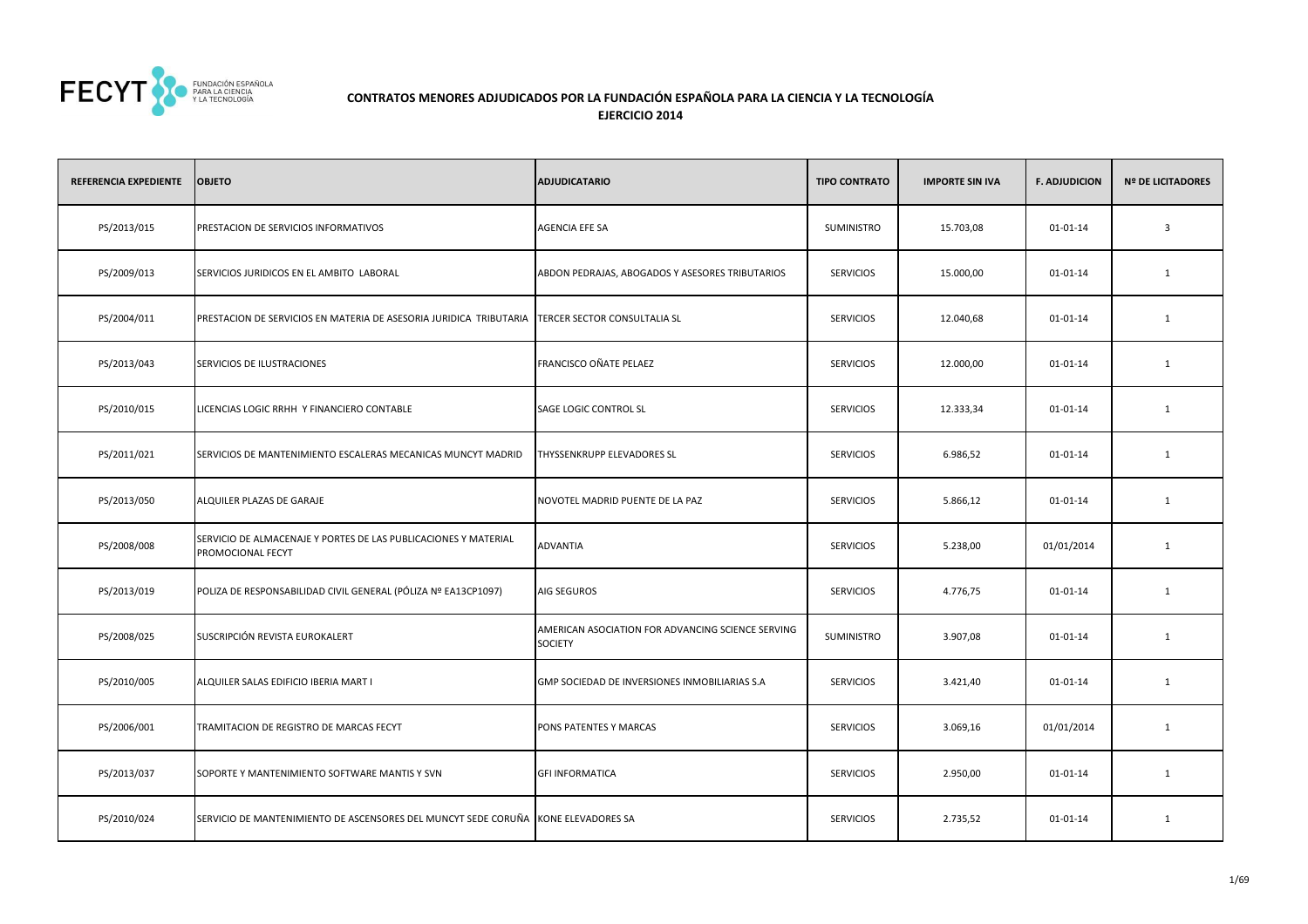

## **CONTRATOS MENORES ADJUDICADOS POR LA FUNDACIÓN ESPAÑOLA PARA LA CIENCIA Y LA TECNOLOGÍAEJERCICIO 2014**

| REFERENCIA EXPEDIENTE | <b>OBJETO</b>                                                                        | ADJUDICATARIO                                                | <b>TIPO CONTRATO</b> | <b>IMPORTE SIN IVA</b> | <b>F. ADJUDICION</b> | <b>Nº DE LICITADORES</b> |
|-----------------------|--------------------------------------------------------------------------------------|--------------------------------------------------------------|----------------------|------------------------|----------------------|--------------------------|
| PS/2013/015           | PRESTACION DE SERVICIOS INFORMATIVOS                                                 | AGENCIA EFE SA                                               | SUMINISTRO           | 15.703,08              | $01 - 01 - 14$       | 3                        |
| PS/2009/013           | SERVICIOS JURIDICOS EN EL AMBITO LABORAL                                             | ABDON PEDRAJAS, ABOGADOS Y ASESORES TRIBUTARIOS              | <b>SERVICIOS</b>     | 15.000,00              | 01-01-14             | $\mathbf{1}$             |
| PS/2004/011           | PRESTACION DE SERVICIOS EN MATERIA DE ASESORIA JURIDICA TRIBUTARIA                   | TERCER SECTOR CONSULTALIA SL                                 | <b>SERVICIOS</b>     | 12.040,68              | 01-01-14             | $\mathbf{1}$             |
| PS/2013/043           | SERVICIOS DE ILUSTRACIONES                                                           | FRANCISCO OÑATE PELAEZ                                       | <b>SERVICIOS</b>     | 12.000,00              | 01-01-14             | $\mathbf{1}$             |
| PS/2010/015           | LICENCIAS LOGIC RRHH Y FINANCIERO CONTABLE                                           | SAGE LOGIC CONTROL SL                                        | <b>SERVICIOS</b>     | 12.333,34              | 01-01-14             | $\mathbf{1}$             |
| PS/2011/021           | SERVICIOS DE MANTENIMIENTO ESCALERAS MECANICAS MUNCYT MADRID                         | THYSSENKRUPP ELEVADORES SL                                   | <b>SERVICIOS</b>     | 6.986,52               | 01-01-14             | $\mathbf{1}$             |
| PS/2013/050           | ALQUILER PLAZAS DE GARAJE                                                            | NOVOTEL MADRID PUENTE DE LA PAZ                              | <b>SERVICIOS</b>     | 5.866,12               | 01-01-14             | $\mathbf{1}$             |
| PS/2008/008           | SERVICIO DE ALMACENAJE Y PORTES DE LAS PUBLICACIONES Y MATERIAL<br>PROMOCIONAL FECYT | ADVANTIA                                                     | <b>SERVICIOS</b>     | 5.238,00               | 01/01/2014           | $\mathbf{1}$             |
| PS/2013/019           | POLIZA DE RESPONSABILIDAD CIVIL GENERAL (PÓLIZA Nº EA13CP1097)                       | AIG SEGUROS                                                  | <b>SERVICIOS</b>     | 4.776,75               | 01-01-14             | $\mathbf{1}$             |
| PS/2008/025           | SUSCRIPCIÓN REVISTA EUROKALERT                                                       | AMERICAN ASOCIATION FOR ADVANCING SCIENCE SERVING<br>SOCIETY | SUMINISTRO           | 3.907,08               | 01-01-14             | $\mathbf{1}$             |
| PS/2010/005           | ALQUILER SALAS EDIFICIO IBERIA MART I                                                | GMP SOCIEDAD DE INVERSIONES INMOBILIARIAS S.A                | <b>SERVICIOS</b>     | 3.421,40               | 01-01-14             | $\mathbf{1}$             |
| PS/2006/001           | TRAMITACION DE REGISTRO DE MARCAS FECYT                                              | PONS PATENTES Y MARCAS                                       | <b>SERVICIOS</b>     | 3.069,16               | 01/01/2014           | $\mathbf{1}$             |
| PS/2013/037           | SOPORTE Y MANTENIMIENTO SOFTWARE MANTIS Y SVN                                        | GFI INFORMATICA                                              | <b>SERVICIOS</b>     | 2.950,00               | 01-01-14             | $\mathbf{1}$             |
| PS/2010/024           | SERVICIO DE MANTENIMIENTO DE ASCENSORES DEL MUNCYT SEDE CORUÑA                       | KONE ELEVADORES SA                                           | <b>SERVICIOS</b>     | 2.735,52               | 01-01-14             | $\mathbf{1}$             |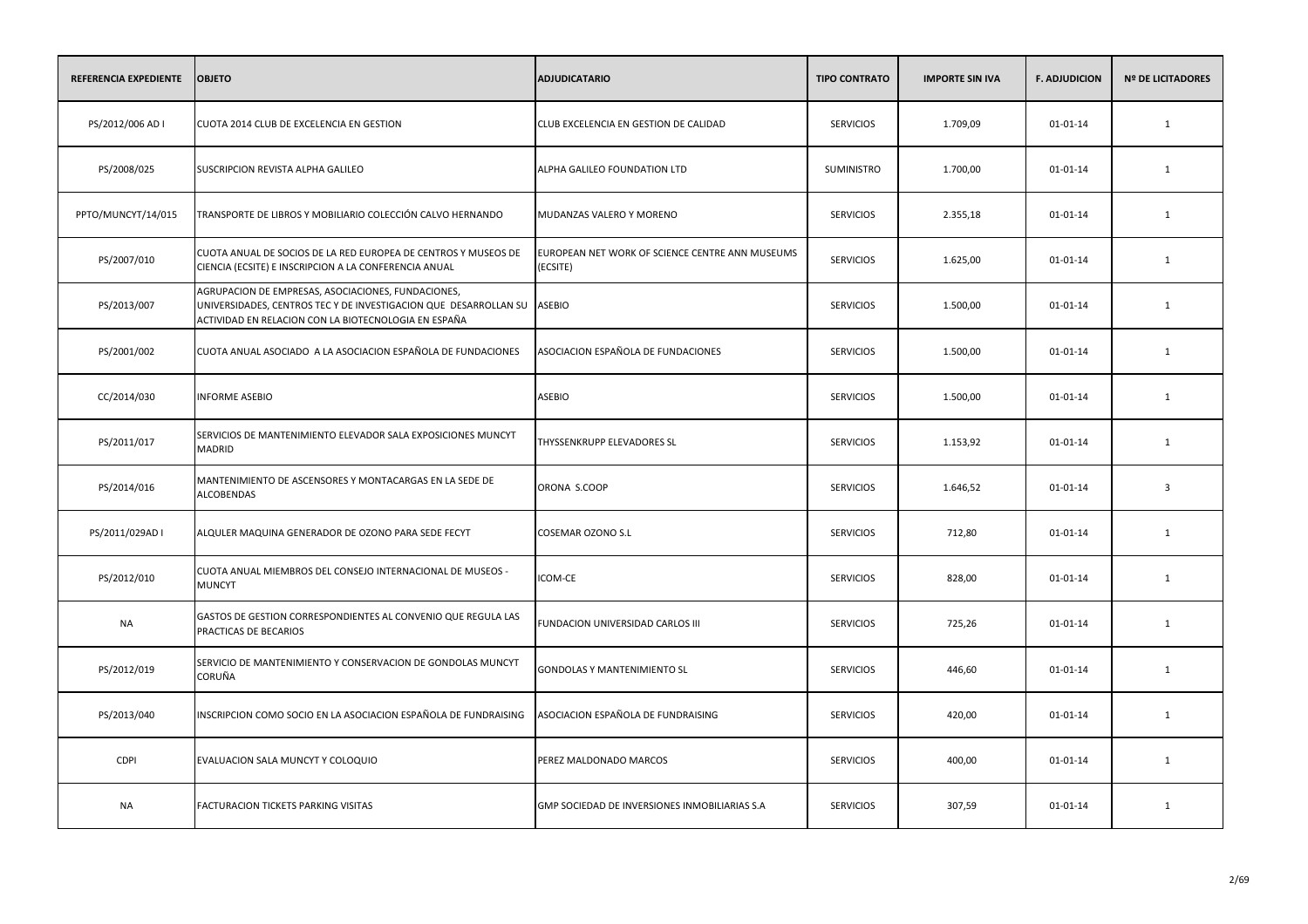| REFERENCIA EXPEDIENTE | <b>OBJETO</b>                                                                                                                                                                  | <b>ADJUDICATARIO</b>                                        | <b>TIPO CONTRATO</b> | <b>IMPORTE SIN IVA</b> | <b>F. ADJUDICION</b> | <b>Nº DE LICITADORES</b> |
|-----------------------|--------------------------------------------------------------------------------------------------------------------------------------------------------------------------------|-------------------------------------------------------------|----------------------|------------------------|----------------------|--------------------------|
| PS/2012/006 AD I      | CUOTA 2014 CLUB DE EXCELENCIA EN GESTION                                                                                                                                       | CLUB EXCELENCIA EN GESTION DE CALIDAD                       | <b>SERVICIOS</b>     | 1.709,09               | $01 - 01 - 14$       | $\mathbf{1}$             |
| PS/2008/025           | SUSCRIPCION REVISTA ALPHA GALILEO                                                                                                                                              | ALPHA GALILEO FOUNDATION LTD                                | SUMINISTRO           | 1.700,00               | 01-01-14             | 1                        |
| PPTO/MUNCYT/14/015    | TRANSPORTE DE LIBROS Y MOBILIARIO COLECCIÓN CALVO HERNANDO                                                                                                                     | MUDANZAS VALERO Y MORENO                                    | <b>SERVICIOS</b>     | 2.355,18               | $01 - 01 - 14$       | 1                        |
| PS/2007/010           | CUOTA ANUAL DE SOCIOS DE LA RED EUROPEA DE CENTROS Y MUSEOS DE<br>CIENCIA (ECSITE) E INSCRIPCION A LA CONFERENCIA ANUAL                                                        | EUROPEAN NET WORK OF SCIENCE CENTRE ANN MUSEUMS<br>(ECSITE) | <b>SERVICIOS</b>     | 1.625,00               | $01 - 01 - 14$       | 1                        |
| PS/2013/007           | AGRUPACION DE EMPRESAS, ASOCIACIONES, FUNDACIONES,<br>UNIVERSIDADES, CENTROS TEC Y DE INVESTIGACION QUE DESARROLLAN SU<br>ACTIVIDAD EN RELACION CON LA BIOTECNOLOGIA EN ESPAÑA | <b>ASEBIO</b>                                               | <b>SERVICIOS</b>     | 1.500,00               | $01 - 01 - 14$       | 1                        |
| PS/2001/002           | CUOTA ANUAL ASOCIADO A LA ASOCIACION ESPAÑOLA DE FUNDACIONES                                                                                                                   | ASOCIACION ESPAÑOLA DE FUNDACIONES                          | <b>SERVICIOS</b>     | 1.500,00               | $01 - 01 - 14$       | 1                        |
| CC/2014/030           | <b>INFORME ASEBIO</b>                                                                                                                                                          | <b>ASEBIO</b>                                               | <b>SERVICIOS</b>     | 1.500,00               | 01-01-14             | 1                        |
| PS/2011/017           | SERVICIOS DE MANTENIMIENTO ELEVADOR SALA EXPOSICIONES MUNCYT<br>MADRID                                                                                                         | THYSSENKRUPP ELEVADORES SL                                  | <b>SERVICIOS</b>     | 1.153,92               | 01-01-14             | 1                        |
| PS/2014/016           | MANTENIMIENTO DE ASCENSORES Y MONTACARGAS EN LA SEDE DE<br>ALCOBENDAS                                                                                                          | ORONA S.COOP                                                | <b>SERVICIOS</b>     | 1.646,52               | 01-01-14             | $\overline{\mathbf{3}}$  |
| PS/2011/029AD I       | ALQULER MAQUINA GENERADOR DE OZONO PARA SEDE FECYT                                                                                                                             | <b>COSEMAR OZONO S.L</b>                                    | <b>SERVICIOS</b>     | 712,80                 | 01-01-14             | 1                        |
| PS/2012/010           | CUOTA ANUAL MIEMBROS DEL CONSEJO INTERNACIONAL DE MUSEOS -<br><b>MUNCYT</b>                                                                                                    | ICOM-CE                                                     | <b>SERVICIOS</b>     | 828,00                 | 01-01-14             | 1                        |
| NA                    | GASTOS DE GESTION CORRESPONDIENTES AL CONVENIO QUE REGULA LAS<br>PRACTICAS DE BECARIOS                                                                                         | FUNDACION UNIVERSIDAD CARLOS III                            | <b>SERVICIOS</b>     | 725,26                 | 01-01-14             | 1                        |
| PS/2012/019           | SERVICIO DE MANTENIMIENTO Y CONSERVACION DE GONDOLAS MUNCYT<br>CORUÑA                                                                                                          | GONDOLAS Y MANTENIMIENTO SL                                 | <b>SERVICIOS</b>     | 446,60                 | 01-01-14             | 1                        |
| PS/2013/040           | INSCRIPCION COMO SOCIO EN LA ASOCIACION ESPAÑOLA DE FUNDRAISING                                                                                                                | ASOCIACION ESPAÑOLA DE FUNDRAISING                          | <b>SERVICIOS</b>     | 420,00                 | 01-01-14             | 1                        |
| <b>CDPI</b>           | EVALUACION SALA MUNCYT Y COLOQUIO                                                                                                                                              | PEREZ MALDONADO MARCOS                                      | <b>SERVICIOS</b>     | 400,00                 | 01-01-14             | 1                        |
| <b>NA</b>             | FACTURACION TICKETS PARKING VISITAS                                                                                                                                            | GMP SOCIEDAD DE INVERSIONES INMOBILIARIAS S.A               | <b>SERVICIOS</b>     | 307,59                 | 01-01-14             | 1                        |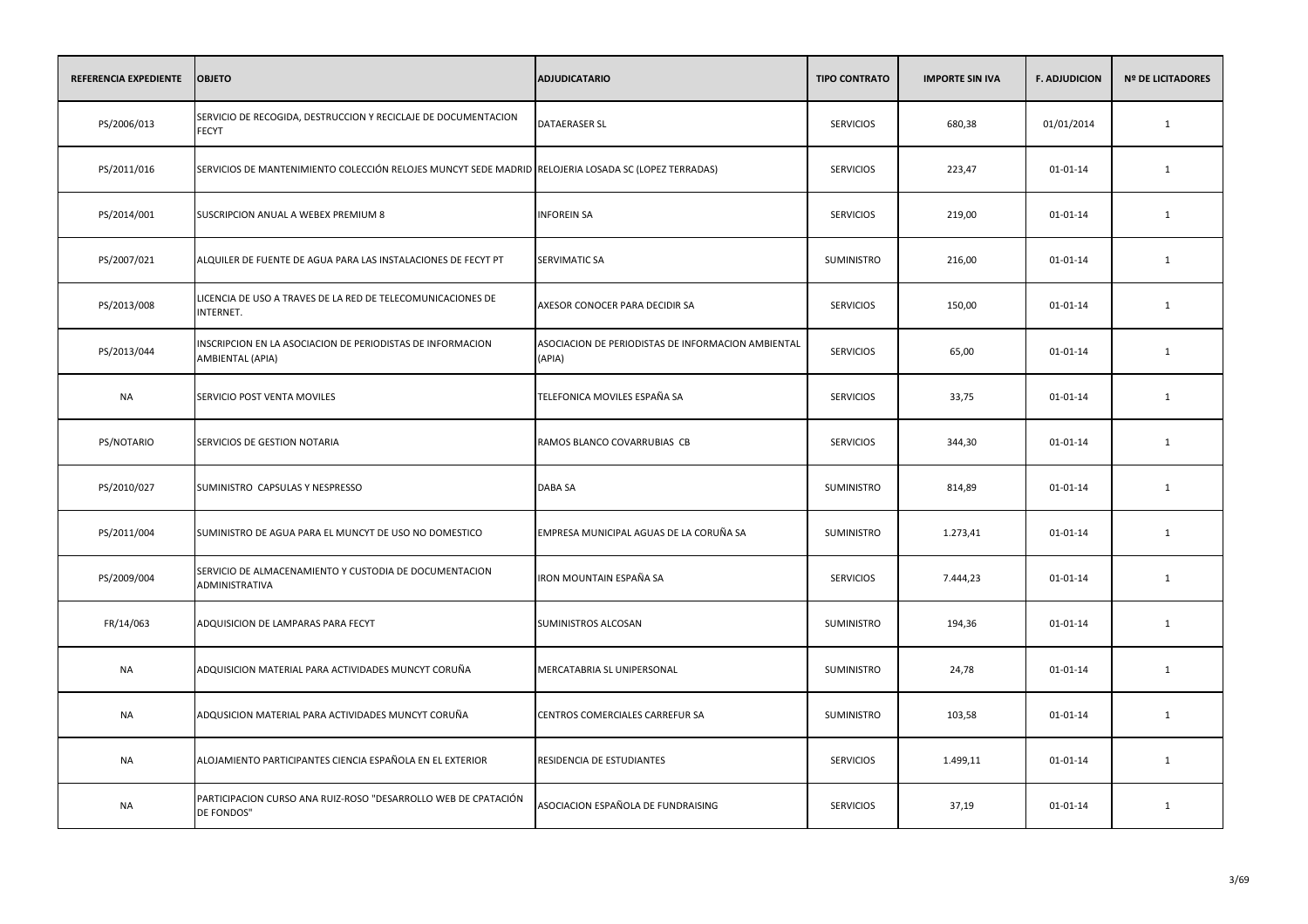| REFERENCIA EXPEDIENTE | <b>OBJETO</b>                                                                                        | <b>ADJUDICATARIO</b>                                         | <b>TIPO CONTRATO</b> | <b>IMPORTE SIN IVA</b> | <b>F. ADJUDICION</b> | <b>Nº DE LICITADORES</b> |
|-----------------------|------------------------------------------------------------------------------------------------------|--------------------------------------------------------------|----------------------|------------------------|----------------------|--------------------------|
| PS/2006/013           | SERVICIO DE RECOGIDA, DESTRUCCION Y RECICLAJE DE DOCUMENTACION<br><b>FECYT</b>                       | <b>DATAERASER SL</b>                                         | <b>SERVICIOS</b>     | 680,38                 | 01/01/2014           | $\mathbf{1}$             |
| PS/2011/016           | SERVICIOS DE MANTENIMIENTO COLECCIÓN RELOJES MUNCYT SEDE MADRID RELOJERIA LOSADA SC (LOPEZ TERRADAS) |                                                              | <b>SERVICIOS</b>     | 223,47                 | 01-01-14             | 1                        |
| PS/2014/001           | SUSCRIPCION ANUAL A WEBEX PREMIUM 8                                                                  | <b>INFOREIN SA</b>                                           | <b>SERVICIOS</b>     | 219,00                 | $01 - 01 - 14$       | $\mathbf{1}$             |
| PS/2007/021           | ALQUILER DE FUENTE DE AGUA PARA LAS INSTALACIONES DE FECYT PT                                        | <b>SERVIMATIC SA</b>                                         | <b>SUMINISTRO</b>    | 216,00                 | 01-01-14             | 1                        |
| PS/2013/008           | LICENCIA DE USO A TRAVES DE LA RED DE TELECOMUNICACIONES DE<br>INTERNET.                             | AXESOR CONOCER PARA DECIDIR SA                               | <b>SERVICIOS</b>     | 150,00                 | 01-01-14             | 1                        |
| PS/2013/044           | INSCRIPCION EN LA ASOCIACION DE PERIODISTAS DE INFORMACION<br>AMBIENTAL (APIA)                       | ASOCIACION DE PERIODISTAS DE INFORMACION AMBIENTAL<br>(APIA) | <b>SERVICIOS</b>     | 65,00                  | 01-01-14             | 1                        |
| <b>NA</b>             | SERVICIO POST VENTA MOVILES                                                                          | TELEFONICA MOVILES ESPAÑA SA                                 | <b>SERVICIOS</b>     | 33,75                  | $01 - 01 - 14$       | 1                        |
| PS/NOTARIO            | SERVICIOS DE GESTION NOTARIA                                                                         | RAMOS BLANCO COVARRUBIAS CB                                  | <b>SERVICIOS</b>     | 344,30                 | 01-01-14             | 1                        |
| PS/2010/027           | SUMINISTRO CAPSULAS Y NESPRESSO                                                                      | DABA SA                                                      | <b>SUMINISTRO</b>    | 814,89                 | $01 - 01 - 14$       | 1                        |
| PS/2011/004           | SUMINISTRO DE AGUA PARA EL MUNCYT DE USO NO DOMESTICO                                                | EMPRESA MUNICIPAL AGUAS DE LA CORUÑA SA                      | <b>SUMINISTRO</b>    | 1.273,41               | 01-01-14             | 1                        |
| PS/2009/004           | SERVICIO DE ALMACENAMIENTO Y CUSTODIA DE DOCUMENTACION<br>ADMINISTRATIVA                             | IRON MOUNTAIN ESPAÑA SA                                      | <b>SERVICIOS</b>     | 7.444,23               | 01-01-14             | 1                        |
| FR/14/063             | ADQUISICION DE LAMPARAS PARA FECYT                                                                   | SUMINISTROS ALCOSAN                                          | SUMINISTRO           | 194,36                 | 01-01-14             | 1                        |
| <b>NA</b>             | ADQUISICION MATERIAL PARA ACTIVIDADES MUNCYT CORUÑA                                                  | MERCATABRIA SL UNIPERSONAL                                   | <b>SUMINISTRO</b>    | 24,78                  | $01 - 01 - 14$       | 1                        |
| <b>NA</b>             | ADQUSICION MATERIAL PARA ACTIVIDADES MUNCYT CORUÑA                                                   | CENTROS COMERCIALES CARREFUR SA                              | <b>SUMINISTRO</b>    | 103,58                 | $01 - 01 - 14$       | 1                        |
| <b>NA</b>             | ALOJAMIENTO PARTICIPANTES CIENCIA ESPAÑOLA EN EL EXTERIOR                                            | RESIDENCIA DE ESTUDIANTES                                    | <b>SERVICIOS</b>     | 1.499,11               | 01-01-14             | 1                        |
| <b>NA</b>             | PARTICIPACION CURSO ANA RUIZ-ROSO "DESARROLLO WEB DE CPATACIÓN<br>DE FONDOS"                         | ASOCIACION ESPAÑOLA DE FUNDRAISING                           | <b>SERVICIOS</b>     | 37,19                  | $01 - 01 - 14$       | 1                        |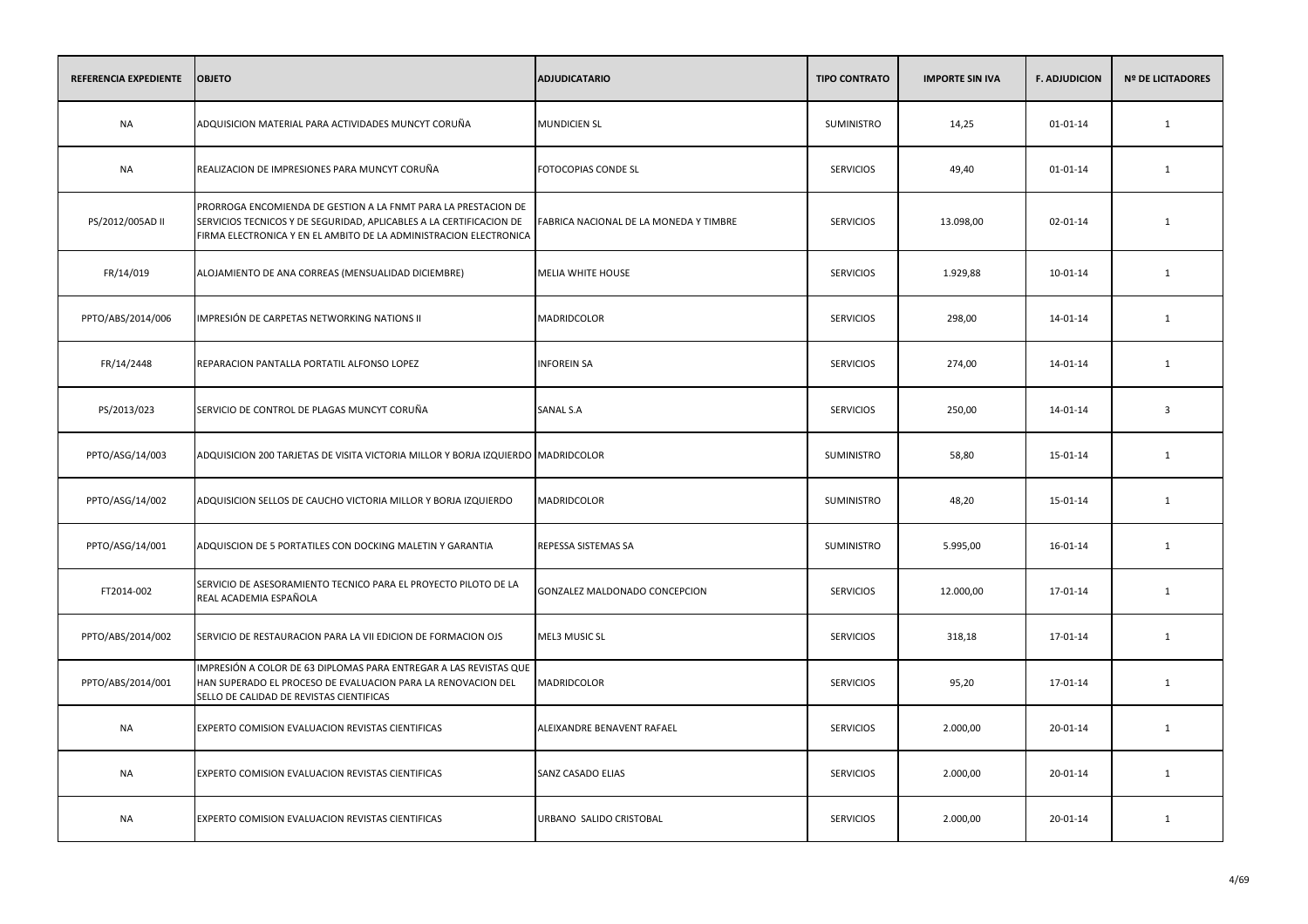| REFERENCIA EXPEDIENTE | <b>OBJETO</b>                                                                                                                                                                                              | <b>ADJUDICATARIO</b>                   | <b>TIPO CONTRATO</b> | <b>IMPORTE SIN IVA</b> | <b>F. ADJUDICION</b> | <b>Nº DE LICITADORES</b> |
|-----------------------|------------------------------------------------------------------------------------------------------------------------------------------------------------------------------------------------------------|----------------------------------------|----------------------|------------------------|----------------------|--------------------------|
| NA                    | ADQUISICION MATERIAL PARA ACTIVIDADES MUNCYT CORUÑA                                                                                                                                                        | <b>MUNDICIEN SL</b>                    | SUMINISTRO           | 14,25                  | 01-01-14             | 1                        |
| NA                    | REALIZACION DE IMPRESIONES PARA MUNCYT CORUÑA                                                                                                                                                              | FOTOCOPIAS CONDE SL                    | <b>SERVICIOS</b>     | 49,40                  | 01-01-14             | 1                        |
| PS/2012/005AD II      | PRORROGA ENCOMIENDA DE GESTION A LA FNMT PARA LA PRESTACION DE<br>SERVICIOS TECNICOS Y DE SEGURIDAD, APLICABLES A LA CERTIFICACION DE<br>FIRMA ELECTRONICA Y EN EL AMBITO DE LA ADMINISTRACION ELECTRONICA | FABRICA NACIONAL DE LA MONEDA Y TIMBRE | <b>SERVICIOS</b>     | 13.098,00              | 02-01-14             | 1                        |
| FR/14/019             | ALOJAMIENTO DE ANA CORREAS (MENSUALIDAD DICIEMBRE)                                                                                                                                                         | MELIA WHITE HOUSE                      | <b>SERVICIOS</b>     | 1.929,88               | 10-01-14             | 1                        |
| PPTO/ABS/2014/006     | IMPRESIÓN DE CARPETAS NETWORKING NATIONS II                                                                                                                                                                | MADRIDCOLOR                            | <b>SERVICIOS</b>     | 298,00                 | 14-01-14             | 1                        |
| FR/14/2448            | REPARACION PANTALLA PORTATIL ALFONSO LOPEZ                                                                                                                                                                 | <b>INFOREIN SA</b>                     | <b>SERVICIOS</b>     | 274,00                 | 14-01-14             | 1                        |
| PS/2013/023           | SERVICIO DE CONTROL DE PLAGAS MUNCYT CORUÑA                                                                                                                                                                | SANAL S.A                              | <b>SERVICIOS</b>     | 250,00                 | 14-01-14             | $\overline{\mathbf{3}}$  |
| PPTO/ASG/14/003       | ADQUISICION 200 TARJETAS DE VISITA VICTORIA MILLOR Y BORJA IZQUIERDO MADRIDCOLOR                                                                                                                           |                                        | SUMINISTRO           | 58,80                  | 15-01-14             | 1                        |
| PPTO/ASG/14/002       | ADQUISICION SELLOS DE CAUCHO VICTORIA MILLOR Y BORJA IZQUIERDO                                                                                                                                             | MADRIDCOLOR                            | <b>SUMINISTRO</b>    | 48,20                  | 15-01-14             | 1                        |
| PPTO/ASG/14/001       | ADQUISCION DE 5 PORTATILES CON DOCKING MALETIN Y GARANTIA                                                                                                                                                  | REPESSA SISTEMAS SA                    | SUMINISTRO           | 5.995,00               | 16-01-14             | $\mathbf{1}$             |
| FT2014-002            | SERVICIO DE ASESORAMIENTO TECNICO PARA EL PROYECTO PILOTO DE LA<br>REAL ACADEMIA ESPAÑOLA                                                                                                                  | GONZALEZ MALDONADO CONCEPCION          | <b>SERVICIOS</b>     | 12.000,00              | 17-01-14             | 1                        |
| PPTO/ABS/2014/002     | SERVICIO DE RESTAURACION PARA LA VII EDICION DE FORMACION OJS                                                                                                                                              | MEL3 MUSIC SL                          | <b>SERVICIOS</b>     | 318,18                 | 17-01-14             | $\mathbf{1}$             |
| PPTO/ABS/2014/001     | IMPRESIÓN A COLOR DE 63 DIPLOMAS PARA ENTREGAR A LAS REVISTAS QUE<br>HAN SUPERADO EL PROCESO DE EVALUACION PARA LA RENOVACION DEL<br>SELLO DE CALIDAD DE REVISTAS CIENTIFICAS                              | MADRIDCOLOR                            | <b>SERVICIOS</b>     | 95,20                  | 17-01-14             | 1                        |
| <b>NA</b>             | EXPERTO COMISION EVALUACION REVISTAS CIENTIFICAS                                                                                                                                                           | ALEIXANDRE BENAVENT RAFAEL             | <b>SERVICIOS</b>     | 2.000,00               | 20-01-14             | 1                        |
| <b>NA</b>             | EXPERTO COMISION EVALUACION REVISTAS CIENTIFICAS                                                                                                                                                           | SANZ CASADO ELIAS                      | <b>SERVICIOS</b>     | 2.000,00               | 20-01-14             | 1                        |
| NA                    | EXPERTO COMISION EVALUACION REVISTAS CIENTIFICAS                                                                                                                                                           | URBANO SALIDO CRISTOBAL                | <b>SERVICIOS</b>     | 2.000,00               | 20-01-14             | 1                        |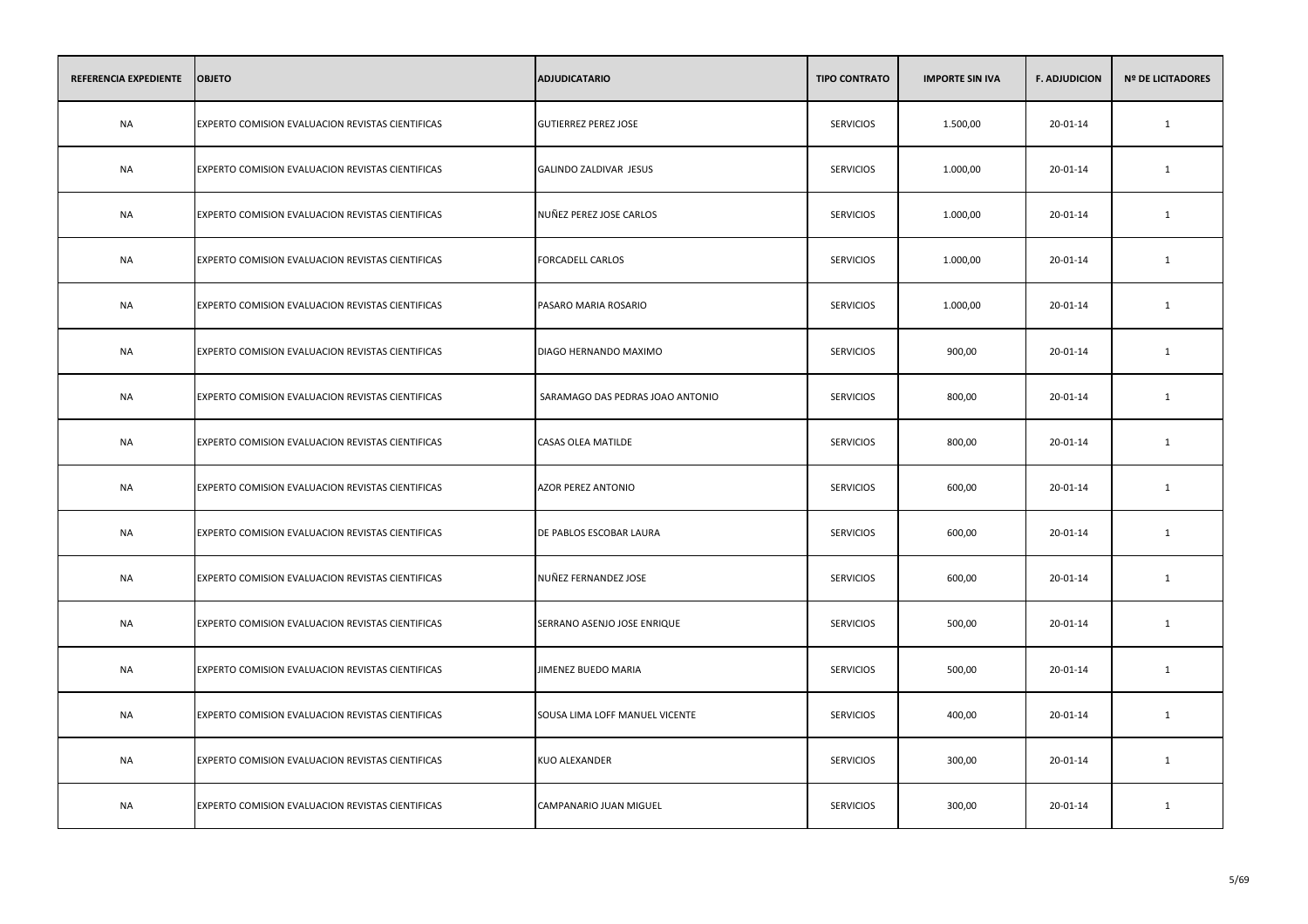| REFERENCIA EXPEDIENTE | <b>OBJETO</b>                                    | <b>ADJUDICATARIO</b>             | <b>TIPO CONTRATO</b> | <b>IMPORTE SIN IVA</b> | <b>F. ADJUDICION</b> | <b>Nº DE LICITADORES</b> |
|-----------------------|--------------------------------------------------|----------------------------------|----------------------|------------------------|----------------------|--------------------------|
| <b>NA</b>             | EXPERTO COMISION EVALUACION REVISTAS CIENTIFICAS | <b>GUTIERREZ PEREZ JOSE</b>      | <b>SERVICIOS</b>     | 1.500,00               | 20-01-14             | $\mathbf{1}$             |
| <b>NA</b>             | EXPERTO COMISION EVALUACION REVISTAS CIENTIFICAS | GALINDO ZALDIVAR JESUS           | <b>SERVICIOS</b>     | 1.000,00               | 20-01-14             | 1                        |
| <b>NA</b>             | EXPERTO COMISION EVALUACION REVISTAS CIENTIFICAS | NUÑEZ PEREZ JOSE CARLOS          | <b>SERVICIOS</b>     | 1.000,00               | 20-01-14             | $\mathbf{1}$             |
| <b>NA</b>             | EXPERTO COMISION EVALUACION REVISTAS CIENTIFICAS | FORCADELL CARLOS                 | <b>SERVICIOS</b>     | 1.000,00               | 20-01-14             | 1                        |
| <b>NA</b>             | EXPERTO COMISION EVALUACION REVISTAS CIENTIFICAS | PASARO MARIA ROSARIO             | <b>SERVICIOS</b>     | 1.000,00               | 20-01-14             | $\mathbf{1}$             |
| <b>NA</b>             | EXPERTO COMISION EVALUACION REVISTAS CIENTIFICAS | DIAGO HERNANDO MAXIMO            | <b>SERVICIOS</b>     | 900,00                 | 20-01-14             | 1                        |
| NA                    | EXPERTO COMISION EVALUACION REVISTAS CIENTIFICAS | SARAMAGO DAS PEDRAS JOAO ANTONIO | <b>SERVICIOS</b>     | 800,00                 | 20-01-14             | 1                        |
| NA                    | EXPERTO COMISION EVALUACION REVISTAS CIENTIFICAS | <b>CASAS OLEA MATILDE</b>        | <b>SERVICIOS</b>     | 800,00                 | 20-01-14             | 1                        |
| NA                    | EXPERTO COMISION EVALUACION REVISTAS CIENTIFICAS | <b>AZOR PEREZ ANTONIO</b>        | <b>SERVICIOS</b>     | 600,00                 | 20-01-14             | 1                        |
| NA                    | EXPERTO COMISION EVALUACION REVISTAS CIENTIFICAS | DE PABLOS ESCOBAR LAURA          | <b>SERVICIOS</b>     | 600,00                 | 20-01-14             | 1                        |
| NA                    | EXPERTO COMISION EVALUACION REVISTAS CIENTIFICAS | NUÑEZ FERNANDEZ JOSE             | <b>SERVICIOS</b>     | 600,00                 | 20-01-14             | 1                        |
| NA                    | EXPERTO COMISION EVALUACION REVISTAS CIENTIFICAS | SERRANO ASENJO JOSE ENRIQUE      | <b>SERVICIOS</b>     | 500,00                 | 20-01-14             | 1                        |
| NA                    | EXPERTO COMISION EVALUACION REVISTAS CIENTIFICAS | JIMENEZ BUEDO MARIA              | <b>SERVICIOS</b>     | 500,00                 | 20-01-14             | $\mathbf{1}$             |
| NA                    | EXPERTO COMISION EVALUACION REVISTAS CIENTIFICAS | SOUSA LIMA LOFF MANUEL VICENTE   | <b>SERVICIOS</b>     | 400,00                 | 20-01-14             | 1                        |
| <b>NA</b>             | EXPERTO COMISION EVALUACION REVISTAS CIENTIFICAS | KUO ALEXANDER                    | <b>SERVICIOS</b>     | 300,00                 | 20-01-14             | 1                        |
| NA                    | EXPERTO COMISION EVALUACION REVISTAS CIENTIFICAS | CAMPANARIO JUAN MIGUEL           | <b>SERVICIOS</b>     | 300,00                 | 20-01-14             | 1                        |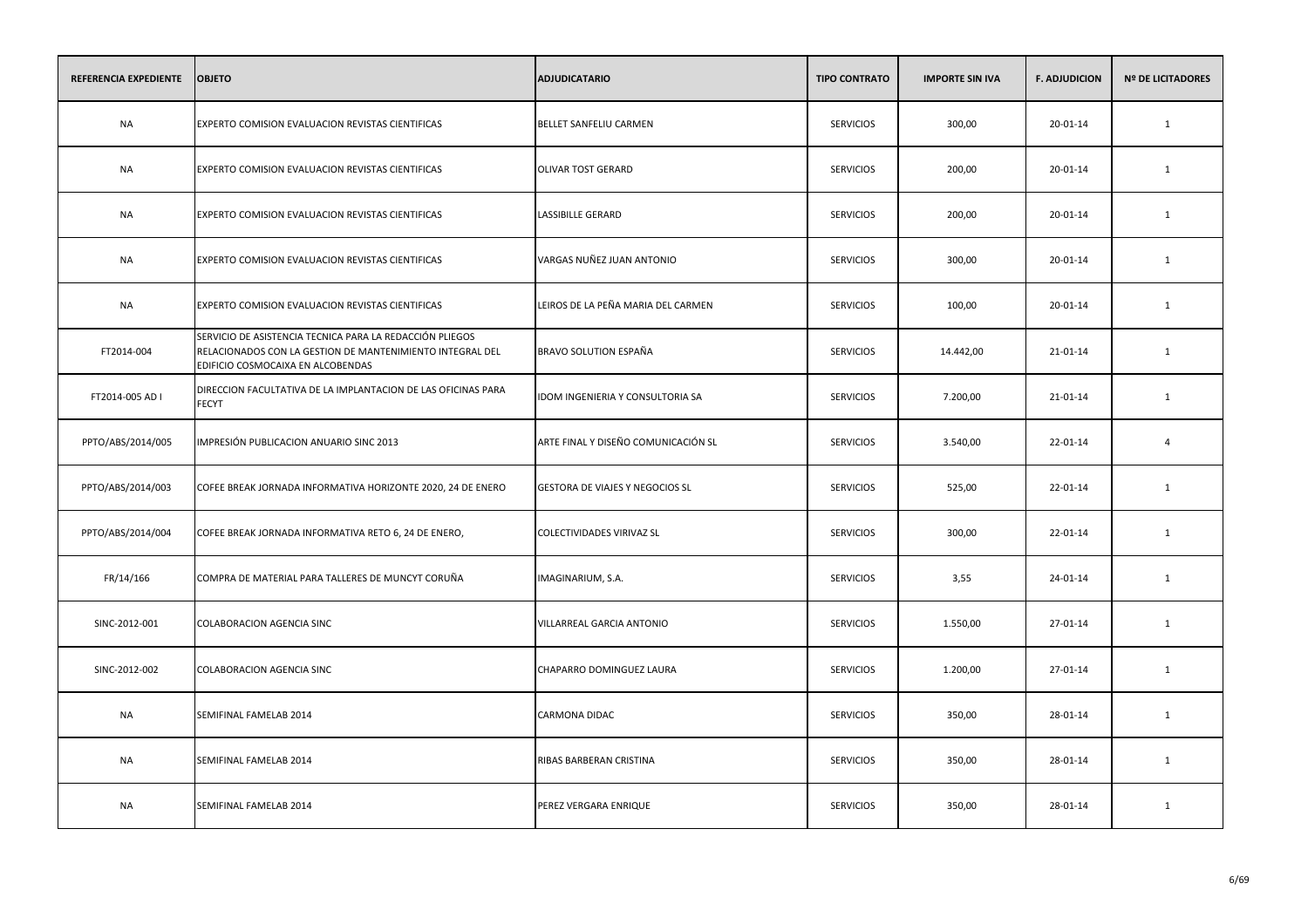| <b>REFERENCIA EXPEDIENTE</b> | <b>OBJETO</b>                                                                                                                                              | <b>ADJUDICATARIO</b>                | <b>TIPO CONTRATO</b> | <b>IMPORTE SIN IVA</b> | <b>F. ADJUDICION</b> | <b>Nº DE LICITADORES</b> |
|------------------------------|------------------------------------------------------------------------------------------------------------------------------------------------------------|-------------------------------------|----------------------|------------------------|----------------------|--------------------------|
| <b>NA</b>                    | EXPERTO COMISION EVALUACION REVISTAS CIENTIFICAS                                                                                                           | BELLET SANFELIU CARMEN              | <b>SERVICIOS</b>     | 300,00                 | 20-01-14             | $\mathbf{1}$             |
| <b>NA</b>                    | EXPERTO COMISION EVALUACION REVISTAS CIENTIFICAS                                                                                                           | <b>OLIVAR TOST GERARD</b>           | <b>SERVICIOS</b>     | 200,00                 | 20-01-14             | 1                        |
| <b>NA</b>                    | EXPERTO COMISION EVALUACION REVISTAS CIENTIFICAS                                                                                                           | <b>LASSIBILLE GERARD</b>            | <b>SERVICIOS</b>     | 200,00                 | 20-01-14             | 1                        |
| <b>NA</b>                    | EXPERTO COMISION EVALUACION REVISTAS CIENTIFICAS                                                                                                           | VARGAS NUÑEZ JUAN ANTONIO           | <b>SERVICIOS</b>     | 300,00                 | 20-01-14             | 1                        |
| <b>NA</b>                    | EXPERTO COMISION EVALUACION REVISTAS CIENTIFICAS                                                                                                           | LEIROS DE LA PEÑA MARIA DEL CARMEN  | <b>SERVICIOS</b>     | 100,00                 | 20-01-14             | 1                        |
| FT2014-004                   | SERVICIO DE ASISTENCIA TECNICA PARA LA REDACCIÓN PLIEGOS<br>RELACIONADOS CON LA GESTION DE MANTENIMIENTO INTEGRAL DEL<br>EDIFICIO COSMOCAIXA EN ALCOBENDAS | BRAVO SOLUTION ESPAÑA               | <b>SERVICIOS</b>     | 14.442,00              | 21-01-14             | 1                        |
| FT2014-005 AD I              | DIRECCION FACULTATIVA DE LA IMPLANTACION DE LAS OFICINAS PARA<br><b>FECYT</b>                                                                              | IDOM INGENIERIA Y CONSULTORIA SA    | <b>SERVICIOS</b>     | 7.200,00               | 21-01-14             | $\mathbf{1}$             |
| PPTO/ABS/2014/005            | IMPRESIÓN PUBLICACION ANUARIO SINC 2013                                                                                                                    | ARTE FINAL Y DISEÑO COMUNICACIÓN SL | <b>SERVICIOS</b>     | 3.540,00               | 22-01-14             | 4                        |
| PPTO/ABS/2014/003            | COFEE BREAK JORNADA INFORMATIVA HORIZONTE 2020, 24 DE ENERO                                                                                                | GESTORA DE VIAJES Y NEGOCIOS SL     | <b>SERVICIOS</b>     | 525,00                 | 22-01-14             | $\mathbf{1}$             |
| PPTO/ABS/2014/004            | COFEE BREAK JORNADA INFORMATIVA RETO 6, 24 DE ENERO,                                                                                                       | COLECTIVIDADES VIRIVAZ SL           | <b>SERVICIOS</b>     | 300,00                 | 22-01-14             | 1                        |
| FR/14/166                    | COMPRA DE MATERIAL PARA TALLERES DE MUNCYT CORUÑA                                                                                                          | IMAGINARIUM, S.A.                   | <b>SERVICIOS</b>     | 3,55                   | 24-01-14             | 1                        |
| SINC-2012-001                | <b>COLABORACION AGENCIA SINC</b>                                                                                                                           | VILLARREAL GARCIA ANTONIO           | <b>SERVICIOS</b>     | 1.550,00               | 27-01-14             | 1                        |
| SINC-2012-002                | COLABORACION AGENCIA SINC                                                                                                                                  | CHAPARRO DOMINGUEZ LAURA            | <b>SERVICIOS</b>     | 1.200,00               | 27-01-14             | 1                        |
| <b>NA</b>                    | SEMIFINAL FAMELAB 2014                                                                                                                                     | <b>CARMONA DIDAC</b>                | <b>SERVICIOS</b>     | 350,00                 | 28-01-14             | 1                        |
| <b>NA</b>                    | SEMIFINAL FAMELAB 2014                                                                                                                                     | RIBAS BARBERAN CRISTINA             | <b>SERVICIOS</b>     | 350,00                 | 28-01-14             | 1                        |
| <b>NA</b>                    | SEMIFINAL FAMELAB 2014                                                                                                                                     | PEREZ VERGARA ENRIQUE               | <b>SERVICIOS</b>     | 350,00                 | 28-01-14             | 1                        |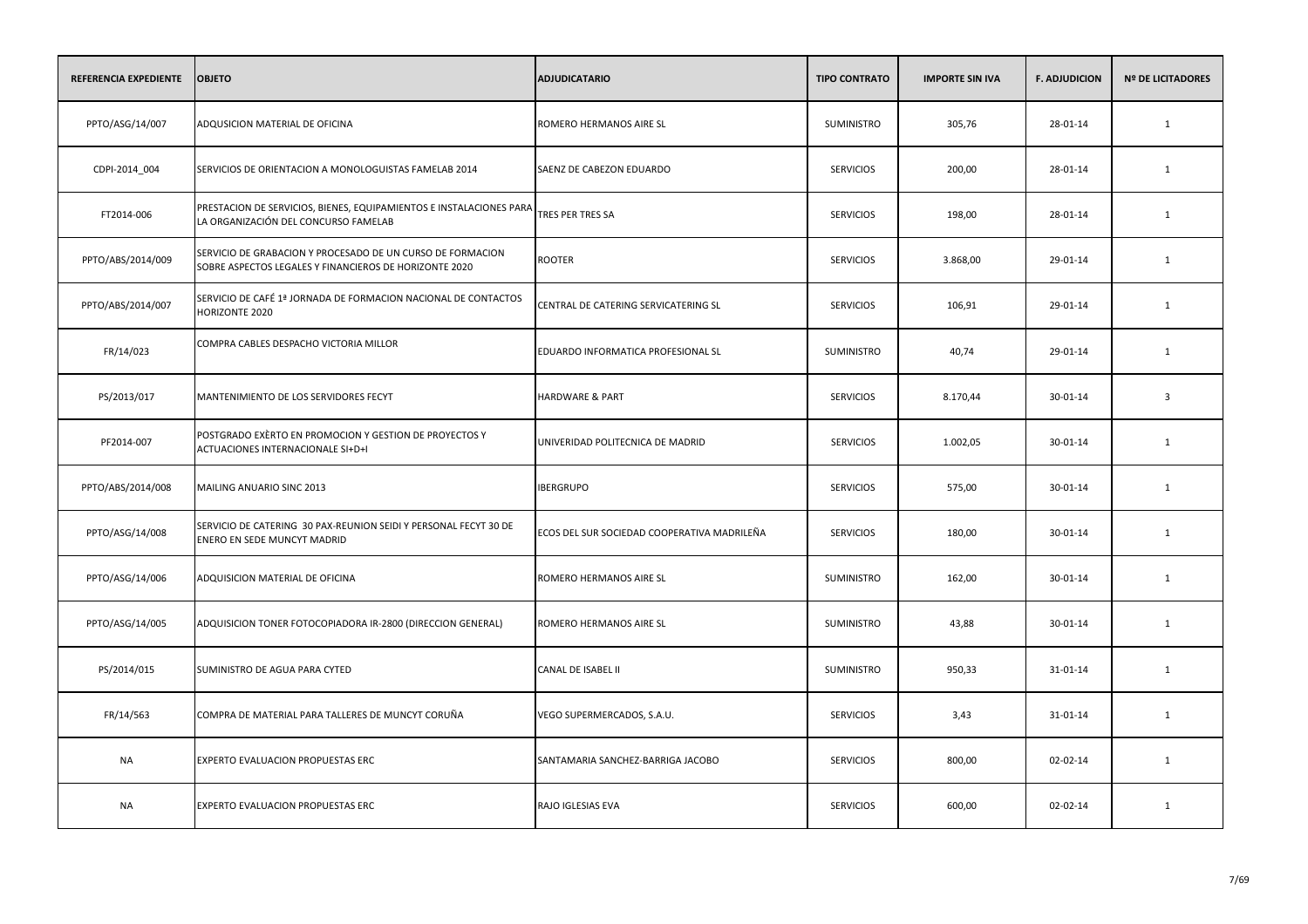| REFERENCIA EXPEDIENTE | <b>OBJETO</b>                                                                                                        | <b>ADJUDICATARIO</b>                        | <b>TIPO CONTRATO</b> | <b>IMPORTE SIN IVA</b> | <b>F. ADJUDICION</b> | <b>Nº DE LICITADORES</b> |
|-----------------------|----------------------------------------------------------------------------------------------------------------------|---------------------------------------------|----------------------|------------------------|----------------------|--------------------------|
| PPTO/ASG/14/007       | ADQUSICION MATERIAL DE OFICINA                                                                                       | ROMERO HERMANOS AIRE SL                     | SUMINISTRO           | 305,76                 | 28-01-14             | 1                        |
| CDPI-2014_004         | SERVICIOS DE ORIENTACION A MONOLOGUISTAS FAMELAB 2014                                                                | SAENZ DE CABEZON EDUARDO                    | <b>SERVICIOS</b>     | 200,00                 | 28-01-14             | 1                        |
| FT2014-006            | PRESTACION DE SERVICIOS, BIENES, EQUIPAMIENTOS E INSTALACIONES PARA<br>LA ORGANIZACIÓN DEL CONCURSO FAMELAB          | TRES PER TRES SA                            | <b>SERVICIOS</b>     | 198,00                 | 28-01-14             | 1                        |
| PPTO/ABS/2014/009     | SERVICIO DE GRABACION Y PROCESADO DE UN CURSO DE FORMACION<br>SOBRE ASPECTOS LEGALES Y FINANCIEROS DE HORIZONTE 2020 | ROOTER                                      | <b>SERVICIOS</b>     | 3.868,00               | 29-01-14             | $\mathbf{1}$             |
| PPTO/ABS/2014/007     | SERVICIO DE CAFÉ 1ª JORNADA DE FORMACION NACIONAL DE CONTACTOS<br>HORIZONTE 2020                                     | CENTRAL DE CATERING SERVICATERING SL        | <b>SERVICIOS</b>     | 106,91                 | 29-01-14             | 1                        |
| FR/14/023             | COMPRA CABLES DESPACHO VICTORIA MILLOR                                                                               | EDUARDO INFORMATICA PROFESIONAL SL          | SUMINISTRO           | 40,74                  | 29-01-14             | $\mathbf{1}$             |
| PS/2013/017           | MANTENIMIENTO DE LOS SERVIDORES FECYT                                                                                | HARDWARE & PART                             | <b>SERVICIOS</b>     | 8.170,44               | 30-01-14             | $\overline{\mathbf{3}}$  |
| PF2014-007            | POSTGRADO EXÈRTO EN PROMOCION Y GESTION DE PROYECTOS Y<br>ACTUACIONES INTERNACIONALE SI+D+I                          | UNIVERIDAD POLITECNICA DE MADRID            | <b>SERVICIOS</b>     | 1.002,05               | 30-01-14             | $\mathbf{1}$             |
| PPTO/ABS/2014/008     | MAILING ANUARIO SINC 2013                                                                                            | <b>IBERGRUPO</b>                            | <b>SERVICIOS</b>     | 575,00                 | 30-01-14             | 1                        |
| PPTO/ASG/14/008       | SERVICIO DE CATERING 30 PAX-REUNION SEIDI Y PERSONAL FECYT 30 DE<br>ENERO EN SEDE MUNCYT MADRID                      | ECOS DEL SUR SOCIEDAD COOPERATIVA MADRILEÑA | <b>SERVICIOS</b>     | 180,00                 | 30-01-14             | 1                        |
| PPTO/ASG/14/006       | ADQUISICION MATERIAL DE OFICINA                                                                                      | ROMERO HERMANOS AIRE SL                     | SUMINISTRO           | 162,00                 | 30-01-14             | $\mathbf{1}$             |
| PPTO/ASG/14/005       | ADQUISICION TONER FOTOCOPIADORA IR-2800 (DIRECCION GENERAL)                                                          | ROMERO HERMANOS AIRE SL                     | SUMINISTRO           | 43,88                  | 30-01-14             | 1                        |
| PS/2014/015           | SUMINISTRO DE AGUA PARA CYTED                                                                                        | CANAL DE ISABEL II                          | SUMINISTRO           | 950,33                 | 31-01-14             | 1                        |
| FR/14/563             | COMPRA DE MATERIAL PARA TALLERES DE MUNCYT CORUÑA                                                                    | VEGO SUPERMERCADOS, S.A.U.                  | <b>SERVICIOS</b>     | 3,43                   | 31-01-14             | $\mathbf{1}$             |
| <b>NA</b>             | EXPERTO EVALUACION PROPUESTAS ERC                                                                                    | SANTAMARIA SANCHEZ-BARRIGA JACOBO           | <b>SERVICIOS</b>     | 800,00                 | 02-02-14             | 1                        |
| <b>NA</b>             | EXPERTO EVALUACION PROPUESTAS ERC                                                                                    | RAJO IGLESIAS EVA                           | <b>SERVICIOS</b>     | 600,00                 | 02-02-14             | 1                        |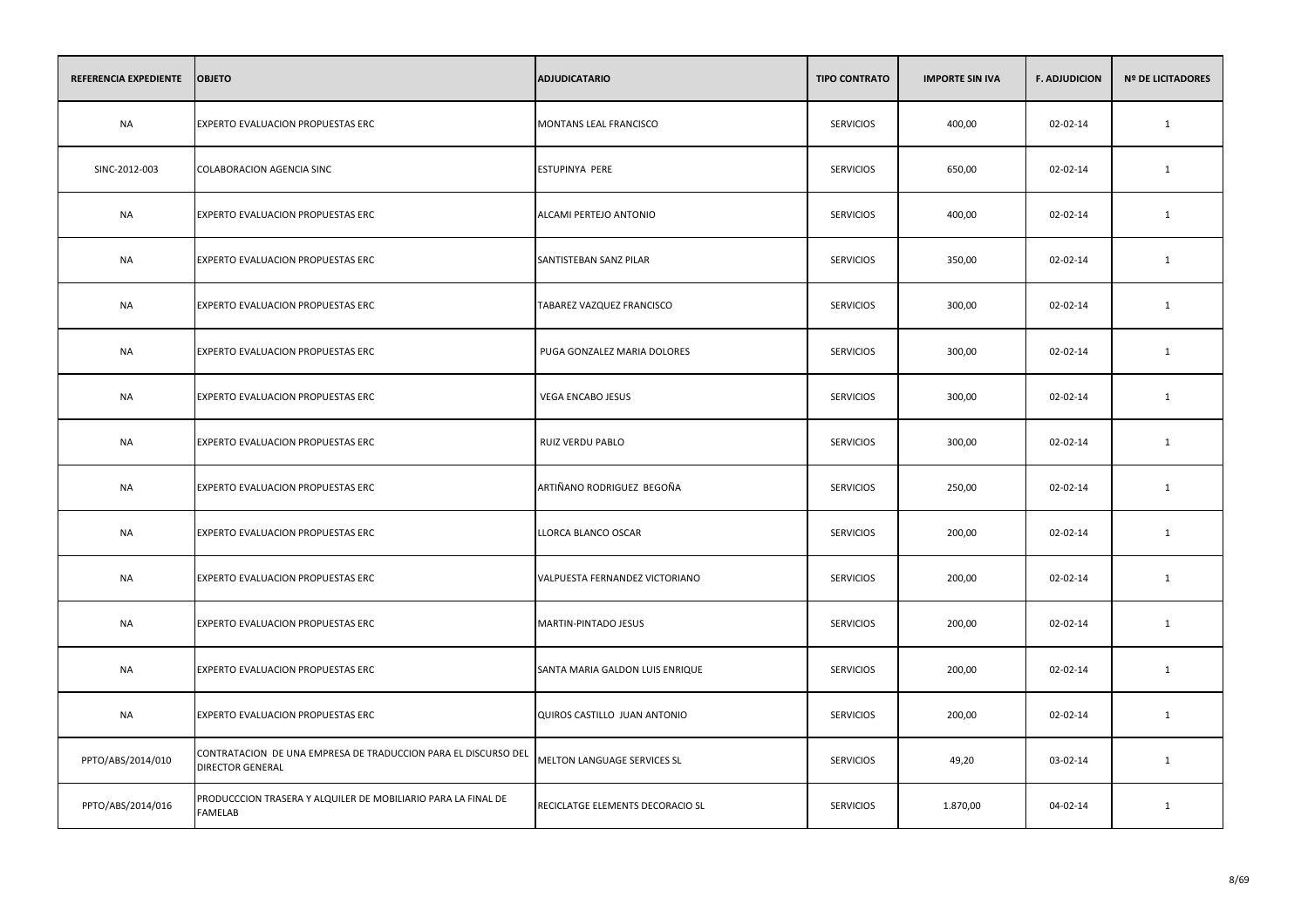| REFERENCIA EXPEDIENTE | <b>OBJETO</b>                                                                             | <b>ADJUDICATARIO</b>             | <b>TIPO CONTRATO</b> | <b>IMPORTE SIN IVA</b> | <b>F. ADJUDICION</b> | <b>Nº DE LICITADORES</b> |
|-----------------------|-------------------------------------------------------------------------------------------|----------------------------------|----------------------|------------------------|----------------------|--------------------------|
| <b>NA</b>             | EXPERTO EVALUACION PROPUESTAS ERC                                                         | MONTANS LEAL FRANCISCO           | <b>SERVICIOS</b>     | 400,00                 | 02-02-14             | $\mathbf{1}$             |
| SINC-2012-003         | <b>COLABORACION AGENCIA SINC</b>                                                          | <b>ESTUPINYA PERE</b>            | <b>SERVICIOS</b>     | 650,00                 | 02-02-14             | 1                        |
| <b>NA</b>             | EXPERTO EVALUACION PROPUESTAS ERC                                                         | ALCAMI PERTEJO ANTONIO           | <b>SERVICIOS</b>     | 400,00                 | 02-02-14             | $\mathbf{1}$             |
| NA                    | EXPERTO EVALUACION PROPUESTAS ERC                                                         | SANTISTEBAN SANZ PILAR           | <b>SERVICIOS</b>     | 350,00                 | 02-02-14             | 1                        |
| <b>NA</b>             | EXPERTO EVALUACION PROPUESTAS ERC                                                         | TABAREZ VAZQUEZ FRANCISCO        | <b>SERVICIOS</b>     | 300,00                 | 02-02-14             | 1                        |
| <b>NA</b>             | EXPERTO EVALUACION PROPUESTAS ERC                                                         | PUGA GONZALEZ MARIA DOLORES      | <b>SERVICIOS</b>     | 300,00                 | 02-02-14             | $\mathbf{1}$             |
| <b>NA</b>             | EXPERTO EVALUACION PROPUESTAS ERC                                                         | <b>VEGA ENCABO JESUS</b>         | <b>SERVICIOS</b>     | 300,00                 | 02-02-14             | $\mathbf{1}$             |
| <b>NA</b>             | EXPERTO EVALUACION PROPUESTAS ERC                                                         | RUIZ VERDU PABLO                 | <b>SERVICIOS</b>     | 300,00                 | 02-02-14             | $\mathbf{1}$             |
| <b>NA</b>             | EXPERTO EVALUACION PROPUESTAS ERC                                                         | ARTIÑANO RODRIGUEZ BEGOÑA        | <b>SERVICIOS</b>     | 250,00                 | 02-02-14             | $\mathbf{1}$             |
| <b>NA</b>             | EXPERTO EVALUACION PROPUESTAS ERC                                                         | LLORCA BLANCO OSCAR              | <b>SERVICIOS</b>     | 200,00                 | 02-02-14             | $\mathbf{1}$             |
| NA                    | EXPERTO EVALUACION PROPUESTAS ERC                                                         | VALPUESTA FERNANDEZ VICTORIANO   | <b>SERVICIOS</b>     | 200,00                 | 02-02-14             | $\mathbf{1}$             |
| <b>NA</b>             | EXPERTO EVALUACION PROPUESTAS ERC                                                         | MARTIN-PINTADO JESUS             | <b>SERVICIOS</b>     | 200,00                 | 02-02-14             | $\mathbf{1}$             |
| NA                    | EXPERTO EVALUACION PROPUESTAS ERC                                                         | SANTA MARIA GALDON LUIS ENRIQUE  | <b>SERVICIOS</b>     | 200,00                 | 02-02-14             | 1                        |
| <b>NA</b>             | EXPERTO EVALUACION PROPUESTAS ERC                                                         | QUIROS CASTILLO JUAN ANTONIO     | <b>SERVICIOS</b>     | 200,00                 | 02-02-14             | $\mathbf{1}$             |
| PPTO/ABS/2014/010     | CONTRATACION DE UNA EMPRESA DE TRADUCCION PARA EL DISCURSO DEL<br><b>DIRECTOR GENERAL</b> | MELTON LANGUAGE SERVICES SL      | <b>SERVICIOS</b>     | 49,20                  | 03-02-14             | 1                        |
| PPTO/ABS/2014/016     | PRODUCCCION TRASERA Y ALQUILER DE MOBILIARIO PARA LA FINAL DE<br><b>FAMELAB</b>           | RECICLATGE ELEMENTS DECORACIO SL | <b>SERVICIOS</b>     | 1.870,00               | 04-02-14             | $\mathbf{1}$             |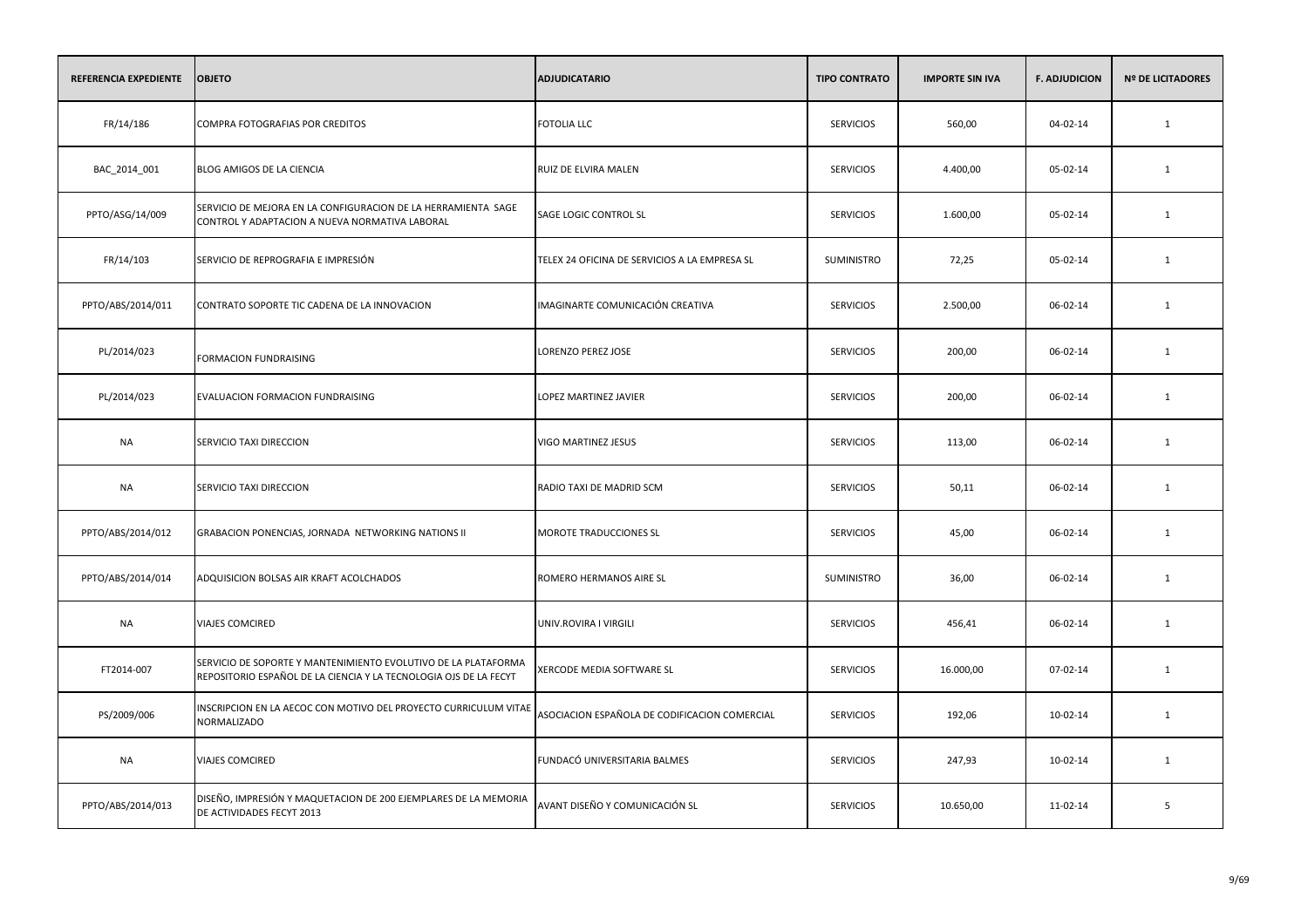| REFERENCIA EXPEDIENTE | <b>OBJETO</b>                                                                                                                       | <b>ADJUDICATARIO</b>                          | <b>TIPO CONTRATO</b> | <b>IMPORTE SIN IVA</b> | <b>F. ADJUDICION</b> | <b>Nº DE LICITADORES</b> |
|-----------------------|-------------------------------------------------------------------------------------------------------------------------------------|-----------------------------------------------|----------------------|------------------------|----------------------|--------------------------|
| FR/14/186             | COMPRA FOTOGRAFIAS POR CREDITOS                                                                                                     | <b>FOTOLIA LLC</b>                            | <b>SERVICIOS</b>     | 560,00                 | 04-02-14             | 1                        |
| BAC_2014_001          | BLOG AMIGOS DE LA CIENCIA                                                                                                           | RUIZ DE ELVIRA MALEN                          | <b>SERVICIOS</b>     | 4.400,00               | 05-02-14             | 1                        |
| PPTO/ASG/14/009       | SERVICIO DE MEJORA EN LA CONFIGURACION DE LA HERRAMIENTA SAGE<br>CONTROL Y ADAPTACION A NUEVA NORMATIVA LABORAL                     | SAGE LOGIC CONTROL SL                         | <b>SERVICIOS</b>     | 1.600,00               | 05-02-14             | 1                        |
| FR/14/103             | SERVICIO DE REPROGRAFIA E IMPRESIÓN                                                                                                 | TELEX 24 OFICINA DE SERVICIOS A LA EMPRESA SL | SUMINISTRO           | 72,25                  | 05-02-14             | 1                        |
| PPTO/ABS/2014/011     | CONTRATO SOPORTE TIC CADENA DE LA INNOVACION                                                                                        | IMAGINARTE COMUNICACIÓN CREATIVA              | <b>SERVICIOS</b>     | 2.500,00               | 06-02-14             | 1                        |
| PL/2014/023           | <b>FORMACION FUNDRAISING</b>                                                                                                        | LORENZO PEREZ JOSE                            | <b>SERVICIOS</b>     | 200,00                 | 06-02-14             | 1                        |
| PL/2014/023           | EVALUACION FORMACION FUNDRAISING                                                                                                    | LOPEZ MARTINEZ JAVIER                         | <b>SERVICIOS</b>     | 200,00                 | 06-02-14             | 1                        |
| NA                    | SERVICIO TAXI DIRECCION                                                                                                             | VIGO MARTINEZ JESUS                           | <b>SERVICIOS</b>     | 113,00                 | 06-02-14             | 1                        |
| <b>NA</b>             | SERVICIO TAXI DIRECCION                                                                                                             | RADIO TAXI DE MADRID SCM                      | <b>SERVICIOS</b>     | 50,11                  | 06-02-14             | 1                        |
| PPTO/ABS/2014/012     | GRABACION PONENCIAS, JORNADA NETWORKING NATIONS II                                                                                  | <b>MOROTE TRADUCCIONES SL</b>                 | <b>SERVICIOS</b>     | 45,00                  | 06-02-14             | 1                        |
| PPTO/ABS/2014/014     | ADQUISICION BOLSAS AIR KRAFT ACOLCHADOS                                                                                             | ROMERO HERMANOS AIRE SL                       | SUMINISTRO           | 36,00                  | 06-02-14             | $\mathbf{1}$             |
| <b>NA</b>             | <b>VIAJES COMCIRED</b>                                                                                                              | UNIV.ROVIRA I VIRGILI                         | <b>SERVICIOS</b>     | 456,41                 | 06-02-14             | 1                        |
| FT2014-007            | SERVICIO DE SOPORTE Y MANTENIMIENTO EVOLUTIVO DE LA PLATAFORMA<br>REPOSITORIO ESPAÑOL DE LA CIENCIA Y LA TECNOLOGIA OJS DE LA FECYT | XERCODE MEDIA SOFTWARE SL                     | <b>SERVICIOS</b>     | 16.000,00              | 07-02-14             | 1                        |
| PS/2009/006           | INSCRIPCION EN LA AECOC CON MOTIVO DEL PROYECTO CURRICULUM VITAE<br><b>NORMALIZADO</b>                                              | ASOCIACION ESPAÑOLA DE CODIFICACION COMERCIAL | <b>SERVICIOS</b>     | 192,06                 | 10-02-14             | 1                        |
| NA                    | <b>VIAJES COMCIRED</b>                                                                                                              | FUNDACÓ UNIVERSITARIA BALMES                  | <b>SERVICIOS</b>     | 247,93                 | 10-02-14             | 1                        |
| PPTO/ABS/2014/013     | DISEÑO, IMPRESIÓN Y MAQUETACION DE 200 EJEMPLARES DE LA MEMORIA<br>DE ACTIVIDADES FECYT 2013                                        | AVANT DISEÑO Y COMUNICACIÓN SL                | <b>SERVICIOS</b>     | 10.650,00              | 11-02-14             | 5                        |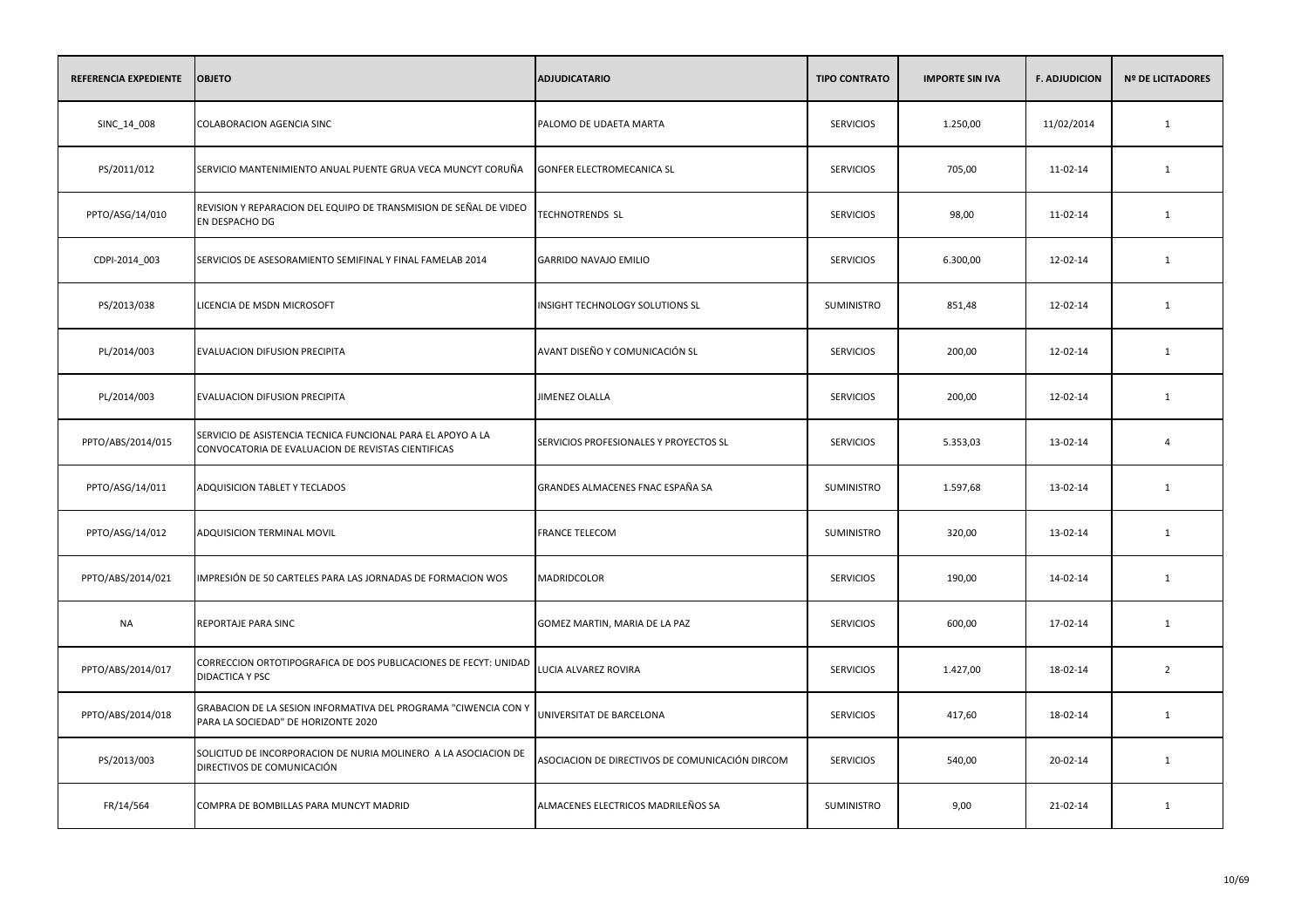| REFERENCIA EXPEDIENTE | <b>OBJETO</b>                                                                                                     | <b>ADJUDICATARIO</b>                            | <b>TIPO CONTRATO</b> | <b>IMPORTE SIN IVA</b> | <b>F. ADJUDICION</b> | <b>Nº DE LICITADORES</b> |
|-----------------------|-------------------------------------------------------------------------------------------------------------------|-------------------------------------------------|----------------------|------------------------|----------------------|--------------------------|
| SINC_14_008           | COLABORACION AGENCIA SINC                                                                                         | PALOMO DE UDAETA MARTA                          | <b>SERVICIOS</b>     | 1.250,00               | 11/02/2014           | 1                        |
| PS/2011/012           | SERVICIO MANTENIMIENTO ANUAL PUENTE GRUA VECA MUNCYT CORUÑA                                                       | GONFER ELECTROMECANICA SL                       | <b>SERVICIOS</b>     | 705,00                 | 11-02-14             | 1                        |
| PPTO/ASG/14/010       | REVISION Y REPARACION DEL EQUIPO DE TRANSMISION DE SEÑAL DE VIDEO<br>EN DESPACHO DG                               | <b>TECHNOTRENDS SL</b>                          | <b>SERVICIOS</b>     | 98,00                  | 11-02-14             | 1                        |
| CDPI-2014_003         | SERVICIOS DE ASESORAMIENTO SEMIFINAL Y FINAL FAMELAB 2014                                                         | <b>GARRIDO NAVAJO EMILIO</b>                    | <b>SERVICIOS</b>     | 6.300,00               | 12-02-14             | 1                        |
| PS/2013/038           | LICENCIA DE MSDN MICROSOFT                                                                                        | INSIGHT TECHNOLOGY SOLUTIONS SL                 | SUMINISTRO           | 851,48                 | 12-02-14             | 1                        |
| PL/2014/003           | EVALUACION DIFUSION PRECIPITA                                                                                     | AVANT DISEÑO Y COMUNICACIÓN SL                  | <b>SERVICIOS</b>     | 200,00                 | 12-02-14             | 1                        |
| PL/2014/003           | EVALUACION DIFUSION PRECIPITA                                                                                     | <b>JIMENEZ OLALLA</b>                           | <b>SERVICIOS</b>     | 200,00                 | 12-02-14             | 1                        |
| PPTO/ABS/2014/015     | SERVICIO DE ASISTENCIA TECNICA FUNCIONAL PARA EL APOYO A LA<br>CONVOCATORIA DE EVALUACION DE REVISTAS CIENTIFICAS | SERVICIOS PROFESIONALES Y PROYECTOS SL          | <b>SERVICIOS</b>     | 5.353,03               | 13-02-14             | $\overline{4}$           |
| PPTO/ASG/14/011       | ADQUISICION TABLET Y TECLADOS                                                                                     | GRANDES ALMACENES FNAC ESPAÑA SA                | SUMINISTRO           | 1.597,68               | 13-02-14             | 1                        |
| PPTO/ASG/14/012       | ADQUISICION TERMINAL MOVIL                                                                                        | <b>FRANCE TELECOM</b>                           | <b>SUMINISTRO</b>    | 320,00                 | 13-02-14             | 1                        |
| PPTO/ABS/2014/021     | IMPRESIÓN DE 50 CARTELES PARA LAS JORNADAS DE FORMACION WOS                                                       | MADRIDCOLOR                                     | <b>SERVICIOS</b>     | 190,00                 | 14-02-14             | $\mathbf{1}$             |
| NA                    | REPORTAJE PARA SINC                                                                                               | GOMEZ MARTIN, MARIA DE LA PAZ                   | <b>SERVICIOS</b>     | 600,00                 | 17-02-14             | 1                        |
| PPTO/ABS/2014/017     | CORRECCION ORTOTIPOGRAFICA DE DOS PUBLICACIONES DE FECYT: UNIDAD<br>DIDACTICA Y PSC                               | LUCIA ALVAREZ ROVIRA                            | <b>SERVICIOS</b>     | 1.427,00               | 18-02-14             | $\overline{2}$           |
| PPTO/ABS/2014/018     | GRABACION DE LA SESION INFORMATIVA DEL PROGRAMA "CIWENCIA CON Y<br>PARA LA SOCIEDAD" DE HORIZONTE 2020            | UNIVERSITAT DE BARCELONA                        | <b>SERVICIOS</b>     | 417,60                 | 18-02-14             | 1                        |
| PS/2013/003           | SOLICITUD DE INCORPORACION DE NURIA MOLINERO A LA ASOCIACION DE<br>DIRECTIVOS DE COMUNICACIÓN                     | ASOCIACION DE DIRECTIVOS DE COMUNICACIÓN DIRCOM | <b>SERVICIOS</b>     | 540,00                 | 20-02-14             | 1                        |
| FR/14/564             | COMPRA DE BOMBILLAS PARA MUNCYT MADRID                                                                            | ALMACENES ELECTRICOS MADRILEÑOS SA              | SUMINISTRO           | 9,00                   | 21-02-14             | 1                        |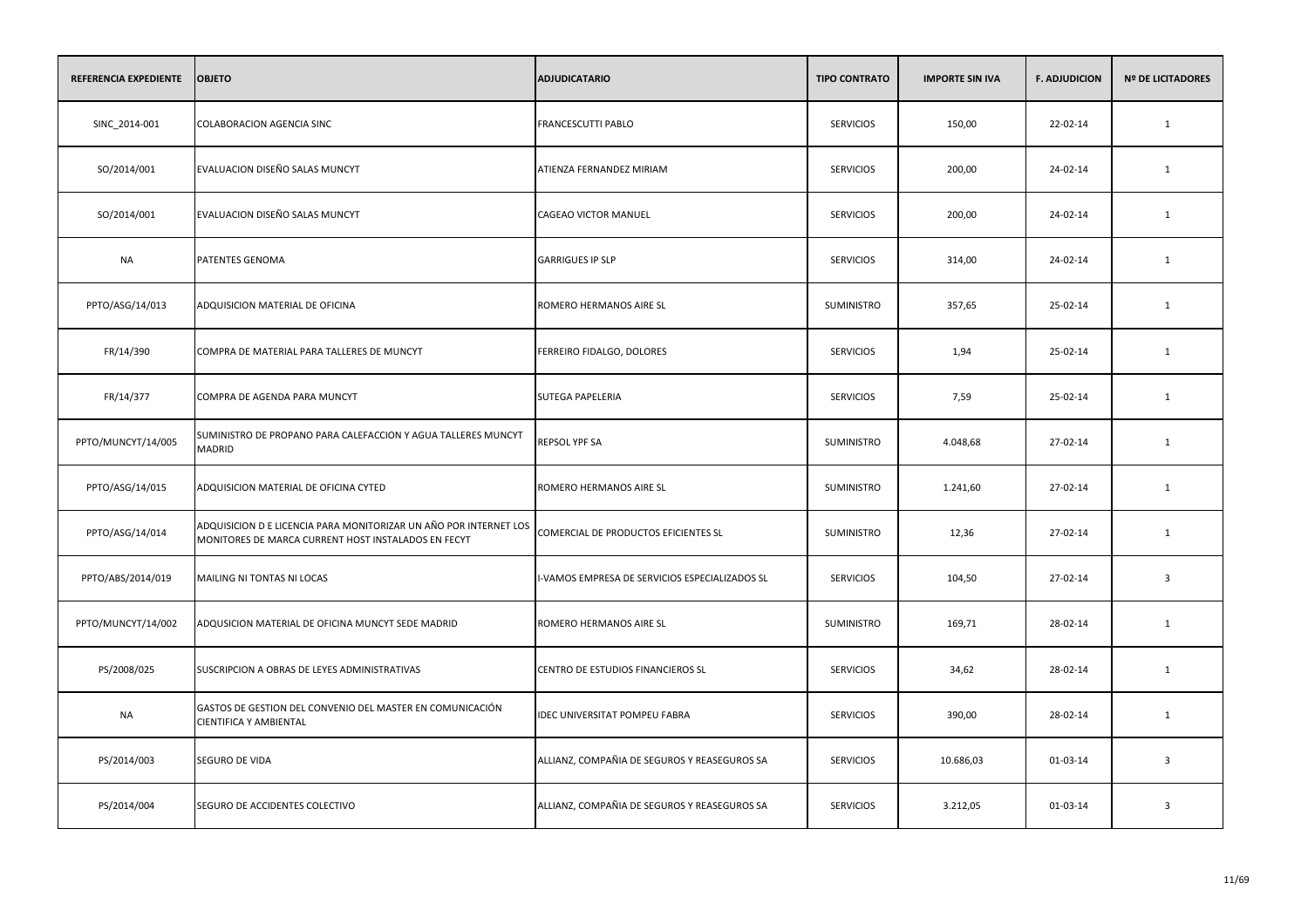| <b>REFERENCIA EXPEDIENTE</b> | <b>OBJETO</b>                                                                                                            | <b>ADJUDICATARIO</b>                           | <b>TIPO CONTRATO</b> | <b>IMPORTE SIN IVA</b> | <b>F. ADJUDICION</b> | <b>Nº DE LICITADORES</b> |
|------------------------------|--------------------------------------------------------------------------------------------------------------------------|------------------------------------------------|----------------------|------------------------|----------------------|--------------------------|
| SINC_2014-001                | COLABORACION AGENCIA SINC                                                                                                | FRANCESCUTTI PABLO                             | <b>SERVICIOS</b>     | 150,00                 | 22-02-14             | $\mathbf{1}$             |
| SO/2014/001                  | EVALUACION DISEÑO SALAS MUNCYT                                                                                           | ATIENZA FERNANDEZ MIRIAM                       | <b>SERVICIOS</b>     | 200,00                 | 24-02-14             | $\mathbf{1}$             |
| SO/2014/001                  | EVALUACION DISEÑO SALAS MUNCYT                                                                                           | <b>CAGEAO VICTOR MANUEL</b>                    | <b>SERVICIOS</b>     | 200,00                 | 24-02-14             | $\mathbf{1}$             |
| <b>NA</b>                    | PATENTES GENOMA                                                                                                          | <b>GARRIGUES IP SLP</b>                        | <b>SERVICIOS</b>     | 314,00                 | 24-02-14             | $\mathbf{1}$             |
| PPTO/ASG/14/013              | ADQUISICION MATERIAL DE OFICINA                                                                                          | ROMERO HERMANOS AIRE SL                        | SUMINISTRO           | 357,65                 | 25-02-14             | $\mathbf{1}$             |
| FR/14/390                    | COMPRA DE MATERIAL PARA TALLERES DE MUNCYT                                                                               | FERREIRO FIDALGO, DOLORES                      | <b>SERVICIOS</b>     | 1,94                   | 25-02-14             | $\mathbf{1}$             |
| FR/14/377                    | COMPRA DE AGENDA PARA MUNCYT                                                                                             | SUTEGA PAPELERIA                               | <b>SERVICIOS</b>     | 7,59                   | 25-02-14             | 1                        |
| PPTO/MUNCYT/14/005           | SUMINISTRO DE PROPANO PARA CALEFACCION Y AGUA TALLERES MUNCYT<br><b>MADRID</b>                                           | REPSOL YPF SA                                  | SUMINISTRO           | 4.048,68               | 27-02-14             | $\mathbf{1}$             |
| PPTO/ASG/14/015              | ADQUISICION MATERIAL DE OFICINA CYTED                                                                                    | ROMERO HERMANOS AIRE SL                        | SUMINISTRO           | 1.241,60               | 27-02-14             | 1                        |
| PPTO/ASG/14/014              | ADQUISICION D E LICENCIA PARA MONITORIZAR UN AÑO POR INTERNET LOS<br>MONITORES DE MARCA CURRENT HOST INSTALADOS EN FECYT | COMERCIAL DE PRODUCTOS EFICIENTES SL           | SUMINISTRO           | 12,36                  | 27-02-14             | $\mathbf{1}$             |
| PPTO/ABS/2014/019            | MAILING NI TONTAS NI LOCAS                                                                                               | I-VAMOS EMPRESA DE SERVICIOS ESPECIALIZADOS SL | <b>SERVICIOS</b>     | 104,50                 | 27-02-14             | $\overline{\mathbf{3}}$  |
| PPTO/MUNCYT/14/002           | ADQUSICION MATERIAL DE OFICINA MUNCYT SEDE MADRID                                                                        | ROMERO HERMANOS AIRE SL                        | SUMINISTRO           | 169,71                 | 28-02-14             | $\mathbf{1}$             |
| PS/2008/025                  | SUSCRIPCION A OBRAS DE LEYES ADMINISTRATIVAS                                                                             | CENTRO DE ESTUDIOS FINANCIEROS SL              | <b>SERVICIOS</b>     | 34,62                  | 28-02-14             | $\mathbf{1}$             |
| <b>NA</b>                    | GASTOS DE GESTION DEL CONVENIO DEL MASTER EN COMUNICACIÓN<br>CIENTIFICA Y AMBIENTAL                                      | IDEC UNIVERSITAT POMPEU FABRA                  | <b>SERVICIOS</b>     | 390,00                 | 28-02-14             | 1                        |
| PS/2014/003                  | SEGURO DE VIDA                                                                                                           | ALLIANZ, COMPAÑIA DE SEGUROS Y REASEGUROS SA   | <b>SERVICIOS</b>     | 10.686,03              | 01-03-14             | $\overline{\mathbf{3}}$  |
| PS/2014/004                  | SEGURO DE ACCIDENTES COLECTIVO                                                                                           | ALLIANZ, COMPAÑIA DE SEGUROS Y REASEGUROS SA   | <b>SERVICIOS</b>     | 3.212,05               | 01-03-14             | $\overline{\mathbf{3}}$  |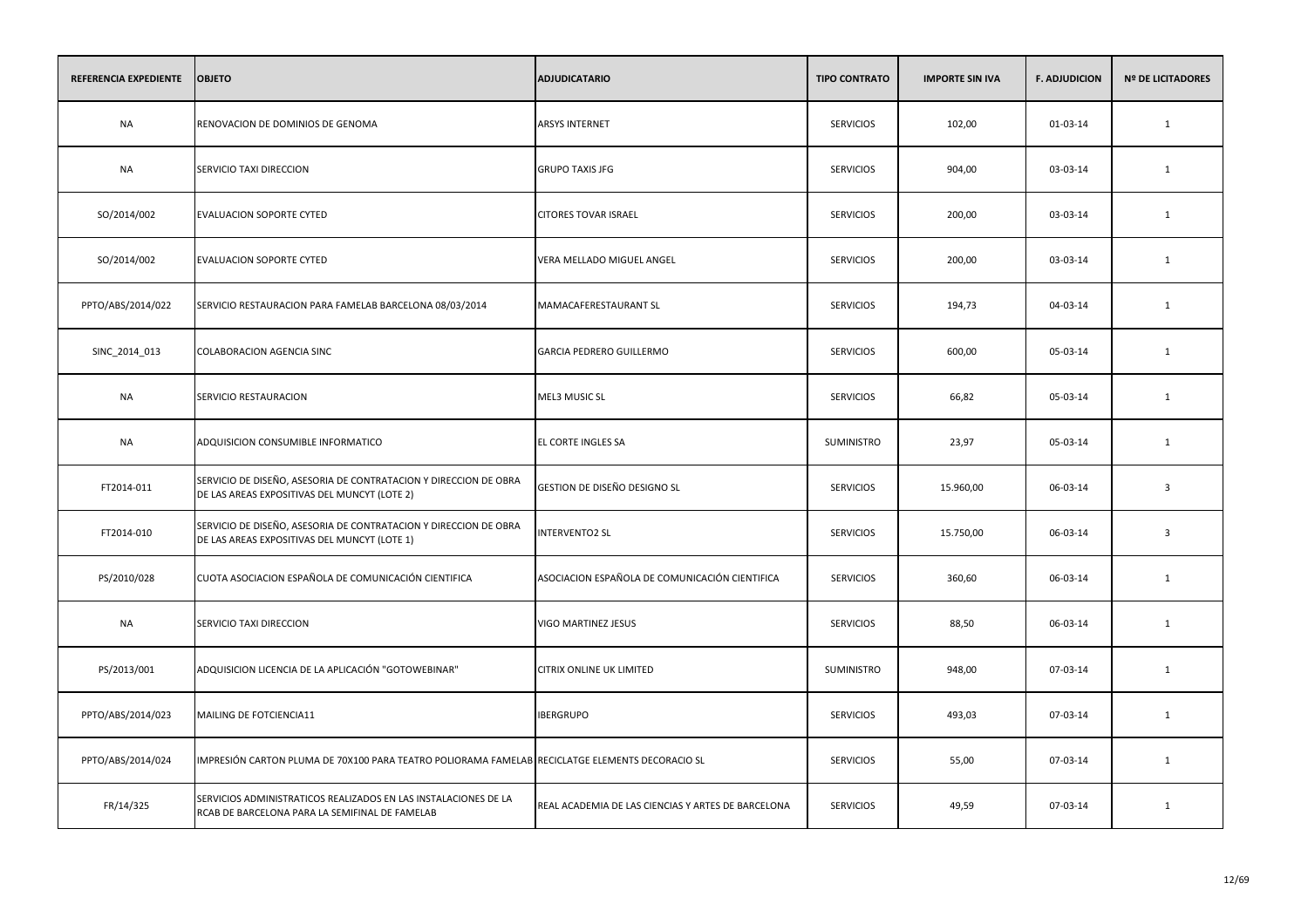| REFERENCIA EXPEDIENTE | <b>OBJETO</b>                                                                                                     | <b>ADJUDICATARIO</b>                               | <b>TIPO CONTRATO</b> | <b>IMPORTE SIN IVA</b> | <b>F. ADJUDICION</b> | <b>Nº DE LICITADORES</b> |
|-----------------------|-------------------------------------------------------------------------------------------------------------------|----------------------------------------------------|----------------------|------------------------|----------------------|--------------------------|
| <b>NA</b>             | RENOVACION DE DOMINIOS DE GENOMA                                                                                  | ARSYS INTERNET                                     | <b>SERVICIOS</b>     | 102,00                 | 01-03-14             | $\mathbf{1}$             |
| <b>NA</b>             | SERVICIO TAXI DIRECCION                                                                                           | <b>GRUPO TAXIS JFG</b>                             | <b>SERVICIOS</b>     | 904,00                 | 03-03-14             | $\mathbf{1}$             |
| SO/2014/002           | <b>EVALUACION SOPORTE CYTED</b>                                                                                   | <b>CITORES TOVAR ISRAEL</b>                        | <b>SERVICIOS</b>     | 200,00                 | 03-03-14             | $\mathbf{1}$             |
| SO/2014/002           | <b>EVALUACION SOPORTE CYTED</b>                                                                                   | VERA MELLADO MIGUEL ANGEL                          | <b>SERVICIOS</b>     | 200,00                 | 03-03-14             | $\mathbf{1}$             |
| PPTO/ABS/2014/022     | SERVICIO RESTAURACION PARA FAMELAB BARCELONA 08/03/2014                                                           | MAMACAFERESTAURANT SL                              | <b>SERVICIOS</b>     | 194,73                 | 04-03-14             | 1                        |
| SINC_2014_013         | <b>COLABORACION AGENCIA SINC</b>                                                                                  | <b>GARCIA PEDRERO GUILLERMO</b>                    | <b>SERVICIOS</b>     | 600,00                 | 05-03-14             | 1                        |
| NA                    | SERVICIO RESTAURACION                                                                                             | <b>MEL3 MUSIC SL</b>                               | <b>SERVICIOS</b>     | 66,82                  | 05-03-14             | $\mathbf{1}$             |
| <b>NA</b>             | ADQUISICION CONSUMIBLE INFORMATICO                                                                                | EL CORTE INGLES SA                                 | <b>SUMINISTRO</b>    | 23,97                  | 05-03-14             | $\mathbf{1}$             |
| FT2014-011            | SERVICIO DE DISEÑO, ASESORIA DE CONTRATACION Y DIRECCION DE OBRA<br>DE LAS AREAS EXPOSITIVAS DEL MUNCYT (LOTE 2)  | GESTION DE DISEÑO DESIGNO SL                       | <b>SERVICIOS</b>     | 15.960,00              | 06-03-14             | $\overline{3}$           |
| FT2014-010            | SERVICIO DE DISEÑO, ASESORIA DE CONTRATACION Y DIRECCION DE OBRA<br>DE LAS AREAS EXPOSITIVAS DEL MUNCYT (LOTE 1)  | <b>INTERVENTO2 SL</b>                              | <b>SERVICIOS</b>     | 15.750,00              | 06-03-14             | $\overline{\mathbf{3}}$  |
| PS/2010/028           | CUOTA ASOCIACION ESPAÑOLA DE COMUNICACIÓN CIENTIFICA                                                              | ASOCIACION ESPAÑOLA DE COMUNICACIÓN CIENTIFICA     | <b>SERVICIOS</b>     | 360,60                 | 06-03-14             | $\mathbf{1}$             |
| NA                    | SERVICIO TAXI DIRECCION                                                                                           | VIGO MARTINEZ JESUS                                | <b>SERVICIOS</b>     | 88,50                  | 06-03-14             | $\mathbf{1}$             |
| PS/2013/001           | ADQUISICION LICENCIA DE LA APLICACIÓN "GOTOWEBINAR"                                                               | CITRIX ONLINE UK LIMITED                           | <b>SUMINISTRO</b>    | 948,00                 | 07-03-14             | 1                        |
| PPTO/ABS/2014/023     | MAILING DE FOTCIENCIA11                                                                                           | <b>IBERGRUPO</b>                                   | <b>SERVICIOS</b>     | 493,03                 | 07-03-14             | $\mathbf{1}$             |
| PPTO/ABS/2014/024     | IMPRESIÓN CARTON PLUMA DE 70X100 PARA TEATRO POLIORAMA FAMELAB RECICLATGE ELEMENTS DECORACIO SL                   |                                                    | <b>SERVICIOS</b>     | 55,00                  | 07-03-14             | $\mathbf{1}$             |
| FR/14/325             | SERVICIOS ADMINISTRATICOS REALIZADOS EN LAS INSTALACIONES DE LA<br>RCAB DE BARCELONA PARA LA SEMIFINAL DE FAMELAB | REAL ACADEMIA DE LAS CIENCIAS Y ARTES DE BARCELONA | <b>SERVICIOS</b>     | 49,59                  | 07-03-14             | $\mathbf{1}$             |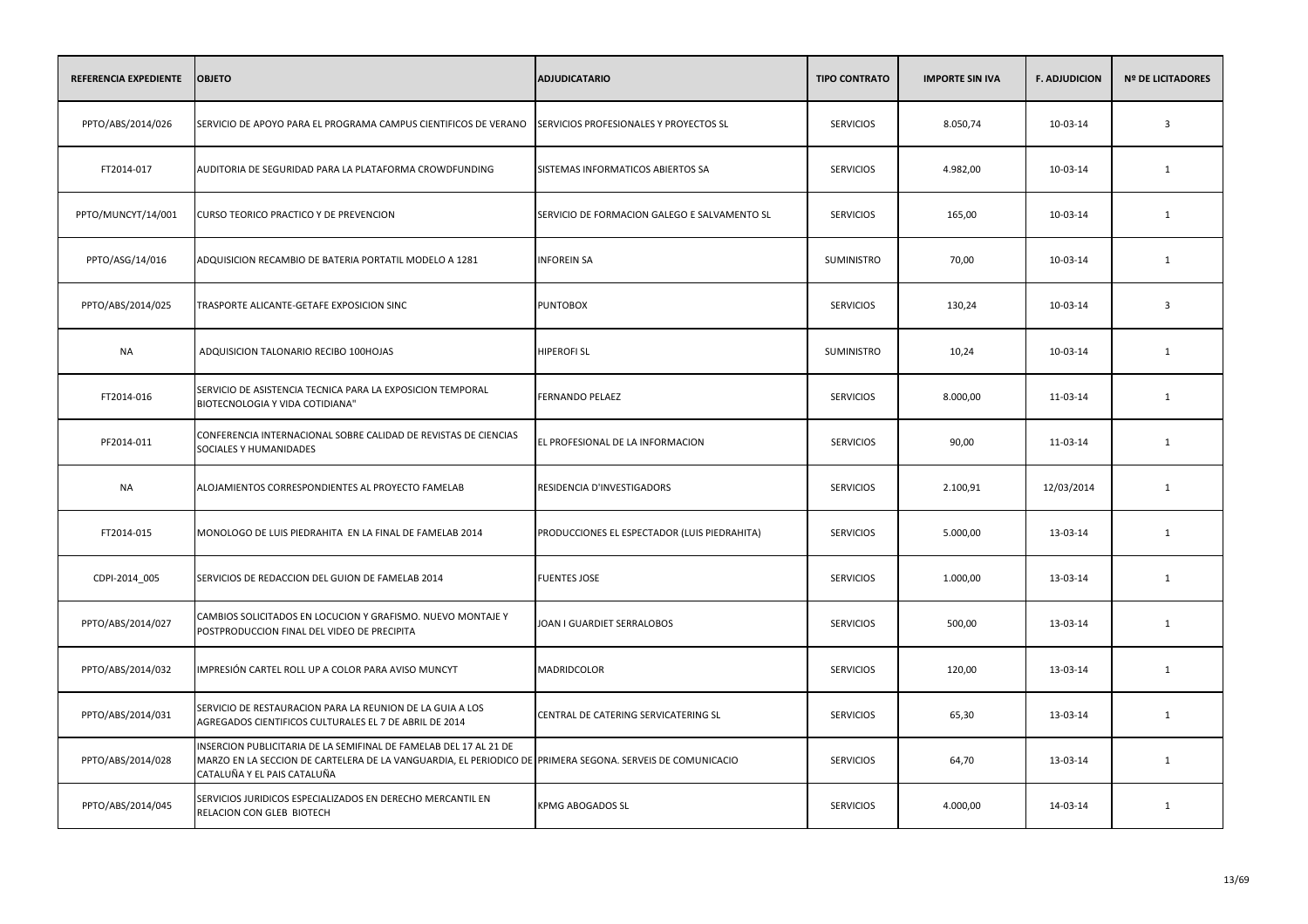| REFERENCIA EXPEDIENTE | <b>OBJETO</b>                                                                                                                                                                                                 | <b>ADJUDICATARIO</b>                         | <b>TIPO CONTRATO</b> | <b>IMPORTE SIN IVA</b> | <b>F. ADJUDICION</b> | <b>Nº DE LICITADORES</b> |
|-----------------------|---------------------------------------------------------------------------------------------------------------------------------------------------------------------------------------------------------------|----------------------------------------------|----------------------|------------------------|----------------------|--------------------------|
| PPTO/ABS/2014/026     | SERVICIO DE APOYO PARA EL PROGRAMA CAMPUS CIENTIFICOS DE VERANO                                                                                                                                               | SERVICIOS PROFESIONALES Y PROYECTOS SL       | <b>SERVICIOS</b>     | 8.050,74               | 10-03-14             | $\overline{\mathbf{3}}$  |
| FT2014-017            | AUDITORIA DE SEGURIDAD PARA LA PLATAFORMA CROWDFUNDING                                                                                                                                                        | SISTEMAS INFORMATICOS ABIERTOS SA            | <b>SERVICIOS</b>     | 4.982,00               | 10-03-14             | 1                        |
| PPTO/MUNCYT/14/001    | CURSO TEORICO PRACTICO Y DE PREVENCION                                                                                                                                                                        | SERVICIO DE FORMACION GALEGO E SALVAMENTO SL | <b>SERVICIOS</b>     | 165,00                 | 10-03-14             | 1                        |
| PPTO/ASG/14/016       | ADQUISICION RECAMBIO DE BATERIA PORTATIL MODELO A 1281                                                                                                                                                        | <b>INFOREIN SA</b>                           | <b>SUMINISTRO</b>    | 70,00                  | 10-03-14             | 1                        |
| PPTO/ABS/2014/025     | TRASPORTE ALICANTE-GETAFE EXPOSICION SINC                                                                                                                                                                     | <b>PUNTOBOX</b>                              | <b>SERVICIOS</b>     | 130,24                 | 10-03-14             | $\overline{\mathbf{3}}$  |
| NA                    | ADQUISICION TALONARIO RECIBO 100HOJAS                                                                                                                                                                         | <b>HIPEROFI SL</b>                           | <b>SUMINISTRO</b>    | 10,24                  | 10-03-14             | 1                        |
| FT2014-016            | SERVICIO DE ASISTENCIA TECNICA PARA LA EXPOSICION TEMPORAL<br>BIOTECNOLOGIA Y VIDA COTIDIANA"                                                                                                                 | <b>FERNANDO PELAEZ</b>                       | <b>SERVICIOS</b>     | 8.000,00               | 11-03-14             | $\mathbf{1}$             |
| PF2014-011            | CONFERENCIA INTERNACIONAL SOBRE CALIDAD DE REVISTAS DE CIENCIAS<br>SOCIALES Y HUMANIDADES                                                                                                                     | EL PROFESIONAL DE LA INFORMACION             | <b>SERVICIOS</b>     | 90,00                  | 11-03-14             | $\mathbf{1}$             |
| <b>NA</b>             | ALOJAMIENTOS CORRESPONDIENTES AL PROYECTO FAMELAB                                                                                                                                                             | RESIDENCIA D'INVESTIGADORS                   | <b>SERVICIOS</b>     | 2.100,91               | 12/03/2014           | 1                        |
| FT2014-015            | MONOLOGO DE LUIS PIEDRAHITA EN LA FINAL DE FAMELAB 2014                                                                                                                                                       | PRODUCCIONES EL ESPECTADOR (LUIS PIEDRAHITA) | <b>SERVICIOS</b>     | 5.000,00               | 13-03-14             | 1                        |
| CDPI-2014_005         | SERVICIOS DE REDACCION DEL GUION DE FAMELAB 2014                                                                                                                                                              | <b>FUENTES JOSE</b>                          | <b>SERVICIOS</b>     | 1.000,00               | 13-03-14             | $\mathbf{1}$             |
| PPTO/ABS/2014/027     | CAMBIOS SOLICITADOS EN LOCUCION Y GRAFISMO. NUEVO MONTAJE Y<br>POSTPRODUCCION FINAL DEL VIDEO DE PRECIPITA                                                                                                    | JOAN I GUARDIET SERRALOBOS                   | <b>SERVICIOS</b>     | 500,00                 | 13-03-14             | 1                        |
| PPTO/ABS/2014/032     | IMPRESIÓN CARTEL ROLL UP A COLOR PARA AVISO MUNCYT                                                                                                                                                            | MADRIDCOLOR                                  | <b>SERVICIOS</b>     | 120,00                 | 13-03-14             | 1                        |
| PPTO/ABS/2014/031     | SERVICIO DE RESTAURACION PARA LA REUNION DE LA GUIA A LOS<br>AGREGADOS CIENTIFICOS CULTURALES EL 7 DE ABRIL DE 2014                                                                                           | CENTRAL DE CATERING SERVICATERING SL         | <b>SERVICIOS</b>     | 65,30                  | 13-03-14             | 1                        |
| PPTO/ABS/2014/028     | INSERCION PUBLICITARIA DE LA SEMIFINAL DE FAMELAB DEL 17 AL 21 DE<br>MARZO EN LA SECCION DE CARTELERA DE LA VANGUARDIA, EL PERIODICO DE PRIMERA SEGONA. SERVEIS DE COMUNICACIO<br>CATALUÑA Y EL PAIS CATALUÑA |                                              | <b>SERVICIOS</b>     | 64,70                  | 13-03-14             | 1                        |
| PPTO/ABS/2014/045     | SERVICIOS JURIDICOS ESPECIALIZADOS EN DERECHO MERCANTIL EN<br>RELACION CON GLEB BIOTECH                                                                                                                       | KPMG ABOGADOS SL                             | <b>SERVICIOS</b>     | 4.000,00               | 14-03-14             | 1                        |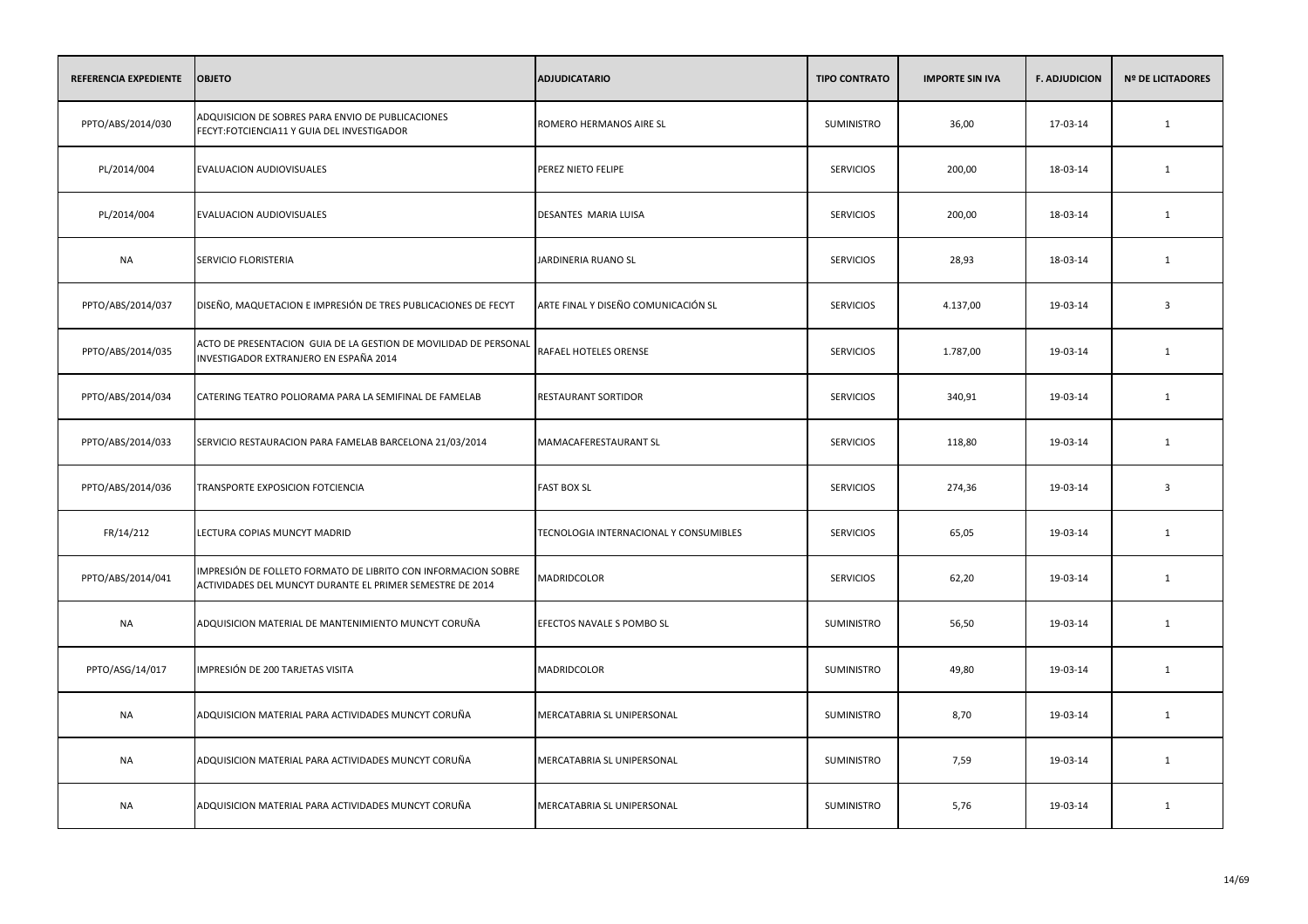| <b>REFERENCIA EXPEDIENTE</b> | <b>OBJETO</b>                                                                                                              | <b>ADJUDICATARIO</b>                   | <b>TIPO CONTRATO</b> | <b>IMPORTE SIN IVA</b> | <b>F. ADJUDICION</b> | <b>Nº DE LICITADORES</b> |
|------------------------------|----------------------------------------------------------------------------------------------------------------------------|----------------------------------------|----------------------|------------------------|----------------------|--------------------------|
| PPTO/ABS/2014/030            | ADQUISICION DE SOBRES PARA ENVIO DE PUBLICACIONES<br>FECYT:FOTCIENCIA11 Y GUIA DEL INVESTIGADOR                            | ROMERO HERMANOS AIRE SL                | SUMINISTRO           | 36,00                  | 17-03-14             | $\mathbf{1}$             |
| PL/2014/004                  | <b>EVALUACION AUDIOVISUALES</b>                                                                                            | PEREZ NIETO FELIPE                     | <b>SERVICIOS</b>     | 200,00                 | 18-03-14             | 1                        |
| PL/2014/004                  | EVALUACION AUDIOVISUALES                                                                                                   | DESANTES MARIA LUISA                   | <b>SERVICIOS</b>     | 200,00                 | 18-03-14             | 1                        |
| <b>NA</b>                    | SERVICIO FLORISTERIA                                                                                                       | JARDINERIA RUANO SL                    | <b>SERVICIOS</b>     | 28,93                  | 18-03-14             | 1                        |
| PPTO/ABS/2014/037            | DISEÑO, MAQUETACION E IMPRESIÓN DE TRES PUBLICACIONES DE FECYT                                                             | ARTE FINAL Y DISEÑO COMUNICACIÓN SL    | <b>SERVICIOS</b>     | 4.137,00               | 19-03-14             | $\overline{3}$           |
| PPTO/ABS/2014/035            | ACTO DE PRESENTACION GUIA DE LA GESTION DE MOVILIDAD DE PERSONAL<br>INVESTIGADOR EXTRANJERO EN ESPAÑA 2014                 | RAFAEL HOTELES ORENSE                  | <b>SERVICIOS</b>     | 1.787,00               | 19-03-14             | 1                        |
| PPTO/ABS/2014/034            | CATERING TEATRO POLIORAMA PARA LA SEMIFINAL DE FAMELAB                                                                     | RESTAURANT SORTIDOR                    | <b>SERVICIOS</b>     | 340,91                 | 19-03-14             | $\mathbf{1}$             |
| PPTO/ABS/2014/033            | SERVICIO RESTAURACION PARA FAMELAB BARCELONA 21/03/2014                                                                    | MAMACAFERESTAURANT SL                  | <b>SERVICIOS</b>     | 118,80                 | 19-03-14             | $\mathbf{1}$             |
| PPTO/ABS/2014/036            | TRANSPORTE EXPOSICION FOTCIENCIA                                                                                           | <b>FAST BOX SL</b>                     | <b>SERVICIOS</b>     | 274,36                 | 19-03-14             | $\overline{3}$           |
| FR/14/212                    | LECTURA COPIAS MUNCYT MADRID                                                                                               | TECNOLOGIA INTERNACIONAL Y CONSUMIBLES | <b>SERVICIOS</b>     | 65,05                  | 19-03-14             | 1                        |
| PPTO/ABS/2014/041            | IMPRESIÓN DE FOLLETO FORMATO DE LIBRITO CON INFORMACION SOBRE<br>ACTIVIDADES DEL MUNCYT DURANTE EL PRIMER SEMESTRE DE 2014 | MADRIDCOLOR                            | <b>SERVICIOS</b>     | 62,20                  | 19-03-14             | 1                        |
| <b>NA</b>                    | ADQUISICION MATERIAL DE MANTENIMIENTO MUNCYT CORUÑA                                                                        | EFECTOS NAVALE S POMBO SL              | SUMINISTRO           | 56,50                  | 19-03-14             | 1                        |
| PPTO/ASG/14/017              | IMPRESIÓN DE 200 TARJETAS VISITA                                                                                           | MADRIDCOLOR                            | SUMINISTRO           | 49,80                  | 19-03-14             | 1                        |
| <b>NA</b>                    | ADQUISICION MATERIAL PARA ACTIVIDADES MUNCYT CORUÑA                                                                        | MERCATABRIA SL UNIPERSONAL             | SUMINISTRO           | 8,70                   | 19-03-14             | 1                        |
| <b>NA</b>                    | ADQUISICION MATERIAL PARA ACTIVIDADES MUNCYT CORUÑA                                                                        | MERCATABRIA SL UNIPERSONAL             | SUMINISTRO           | 7,59                   | 19-03-14             | 1                        |
| <b>NA</b>                    | ADQUISICION MATERIAL PARA ACTIVIDADES MUNCYT CORUÑA                                                                        | MERCATABRIA SL UNIPERSONAL             | SUMINISTRO           | 5,76                   | 19-03-14             | 1                        |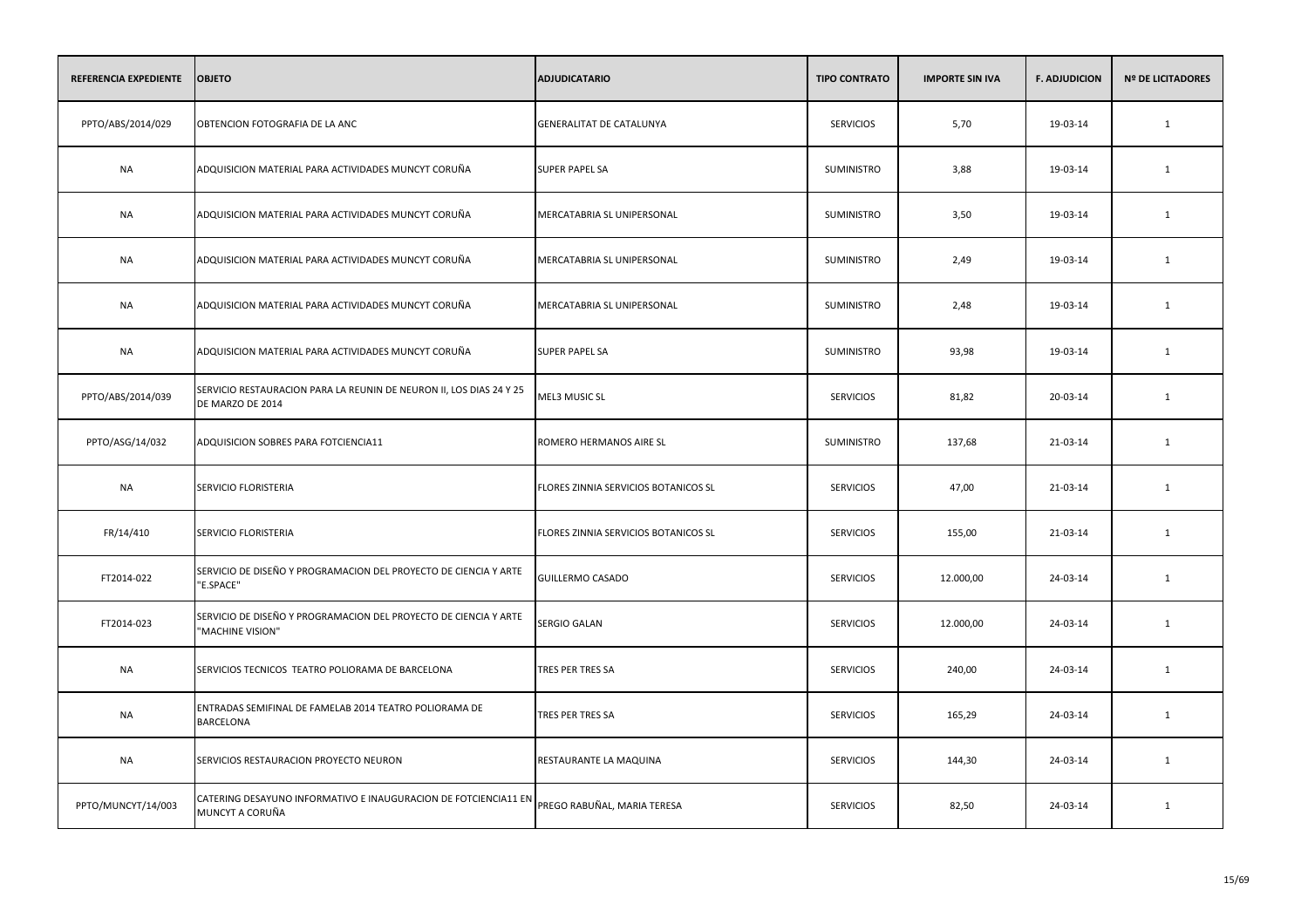| REFERENCIA EXPEDIENTE | <b>OBJETO</b>                                                                           | <b>ADJUDICATARIO</b>                 | <b>TIPO CONTRATO</b> | <b>IMPORTE SIN IVA</b> | <b>F. ADJUDICION</b> | <b>Nº DE LICITADORES</b> |
|-----------------------|-----------------------------------------------------------------------------------------|--------------------------------------|----------------------|------------------------|----------------------|--------------------------|
| PPTO/ABS/2014/029     | OBTENCION FOTOGRAFIA DE LA ANC                                                          | GENERALITAT DE CATALUNYA             | <b>SERVICIOS</b>     | 5,70                   | 19-03-14             | $\mathbf{1}$             |
| <b>NA</b>             | ADQUISICION MATERIAL PARA ACTIVIDADES MUNCYT CORUÑA                                     | <b>SUPER PAPEL SA</b>                | SUMINISTRO           | 3,88                   | 19-03-14             | 1                        |
| <b>NA</b>             | ADQUISICION MATERIAL PARA ACTIVIDADES MUNCYT CORUÑA                                     | MERCATABRIA SL UNIPERSONAL           | SUMINISTRO           | 3,50                   | 19-03-14             | $\mathbf{1}$             |
| <b>NA</b>             | ADQUISICION MATERIAL PARA ACTIVIDADES MUNCYT CORUÑA                                     | MERCATABRIA SL UNIPERSONAL           | SUMINISTRO           | 2,49                   | 19-03-14             | 1                        |
| <b>NA</b>             | ADQUISICION MATERIAL PARA ACTIVIDADES MUNCYT CORUÑA                                     | MERCATABRIA SL UNIPERSONAL           | SUMINISTRO           | 2,48                   | 19-03-14             | $\mathbf{1}$             |
| <b>NA</b>             | ADQUISICION MATERIAL PARA ACTIVIDADES MUNCYT CORUÑA                                     | <b>SUPER PAPEL SA</b>                | SUMINISTRO           | 93,98                  | 19-03-14             | $\mathbf{1}$             |
| PPTO/ABS/2014/039     | SERVICIO RESTAURACION PARA LA REUNIN DE NEURON II, LOS DIAS 24 Y 25<br>DE MARZO DE 2014 | MEL3 MUSIC SL                        | <b>SERVICIOS</b>     | 81,82                  | 20-03-14             | 1                        |
| PPTO/ASG/14/032       | ADQUISICION SOBRES PARA FOTCIENCIA11                                                    | ROMERO HERMANOS AIRE SL              | <b>SUMINISTRO</b>    | 137,68                 | 21-03-14             | 1                        |
| <b>NA</b>             | SERVICIO FLORISTERIA                                                                    | FLORES ZINNIA SERVICIOS BOTANICOS SL | <b>SERVICIOS</b>     | 47,00                  | 21-03-14             | $\mathbf{1}$             |
| FR/14/410             | SERVICIO FLORISTERIA                                                                    | FLORES ZINNIA SERVICIOS BOTANICOS SL | <b>SERVICIOS</b>     | 155,00                 | 21-03-14             | 1                        |
| FT2014-022            | SERVICIO DE DISEÑO Y PROGRAMACION DEL PROYECTO DE CIENCIA Y ARTE<br>"E.SPACE"           | GUILLERMO CASADO                     | <b>SERVICIOS</b>     | 12.000,00              | 24-03-14             | $\mathbf{1}$             |
| FT2014-023            | SERVICIO DE DISEÑO Y PROGRAMACION DEL PROYECTO DE CIENCIA Y ARTE<br>"MACHINE VISION"    | SERGIO GALAN                         | <b>SERVICIOS</b>     | 12.000,00              | 24-03-14             | $\mathbf{1}$             |
| <b>NA</b>             | SERVICIOS TECNICOS TEATRO POLIORAMA DE BARCELONA                                        | TRES PER TRES SA                     | <b>SERVICIOS</b>     | 240,00                 | 24-03-14             | $\mathbf{1}$             |
| <b>NA</b>             | ENTRADAS SEMIFINAL DE FAMELAB 2014 TEATRO POLIORAMA DE<br><b>BARCELONA</b>              | TRES PER TRES SA                     | <b>SERVICIOS</b>     | 165,29                 | 24-03-14             | 1                        |
| <b>NA</b>             | SERVICIOS RESTAURACION PROYECTO NEURON                                                  | RESTAURANTE LA MAQUINA               | <b>SERVICIOS</b>     | 144,30                 | 24-03-14             | 1                        |
| PPTO/MUNCYT/14/003    | CATERING DESAYUNO INFORMATIVO E INAUGURACION DE FOTCIENCIA11 EN<br>MUNCYT A CORUÑA      | PREGO RABUÑAL, MARIA TERESA          | <b>SERVICIOS</b>     | 82,50                  | 24-03-14             | 1                        |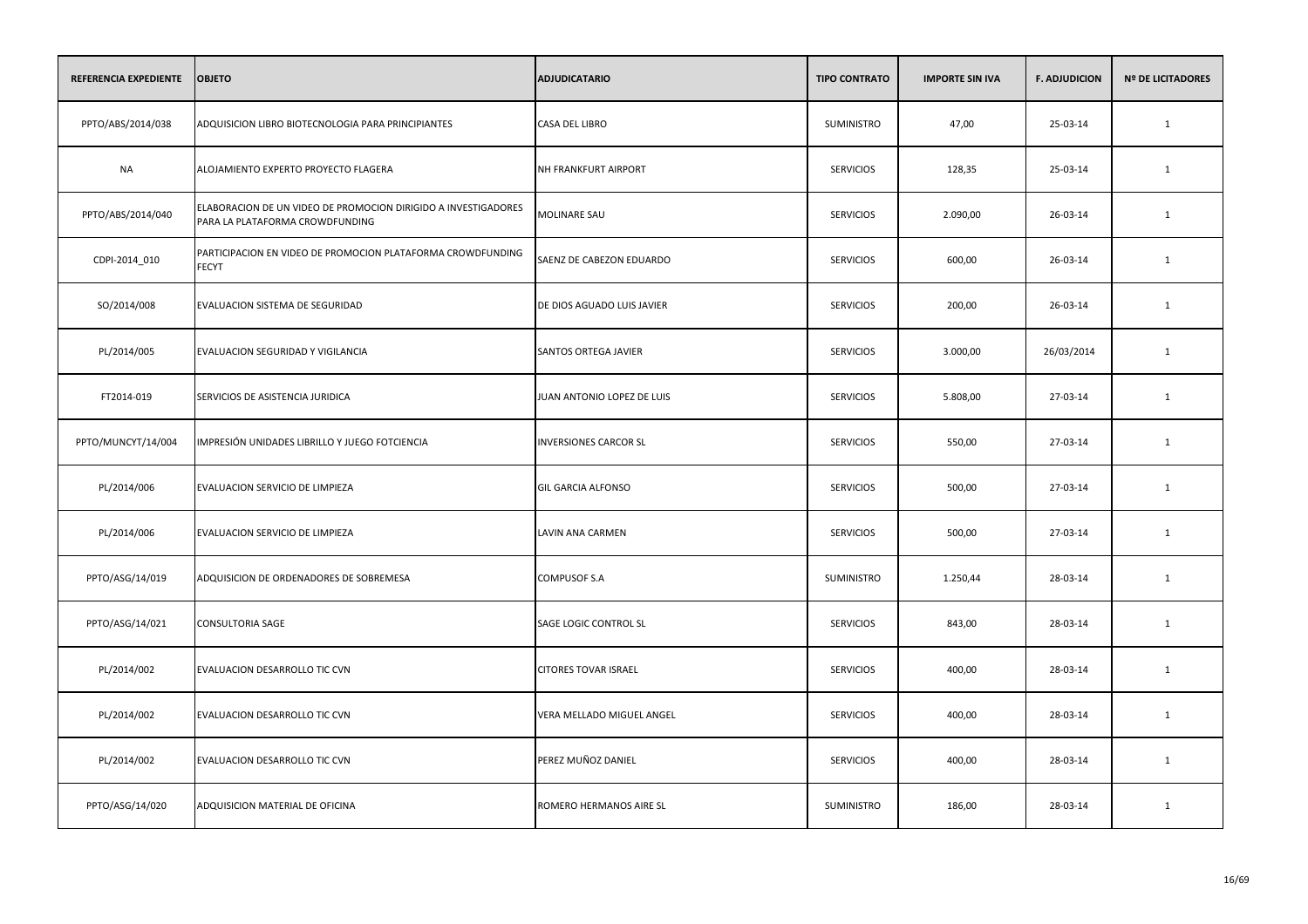| REFERENCIA EXPEDIENTE | <b>OBJETO</b>                                                                                     | <b>ADJUDICATARIO</b>         | <b>TIPO CONTRATO</b> | <b>IMPORTE SIN IVA</b> | <b>F. ADJUDICION</b> | <b>Nº DE LICITADORES</b> |
|-----------------------|---------------------------------------------------------------------------------------------------|------------------------------|----------------------|------------------------|----------------------|--------------------------|
| PPTO/ABS/2014/038     | ADQUISICION LIBRO BIOTECNOLOGIA PARA PRINCIPIANTES                                                | <b>CASA DEL LIBRO</b>        | <b>SUMINISTRO</b>    | 47,00                  | 25-03-14             | $\mathbf{1}$             |
| <b>NA</b>             | ALOJAMIENTO EXPERTO PROYECTO FLAGERA                                                              | NH FRANKFURT AIRPORT         | <b>SERVICIOS</b>     | 128,35                 | 25-03-14             | 1                        |
| PPTO/ABS/2014/040     | ELABORACION DE UN VIDEO DE PROMOCION DIRIGIDO A INVESTIGADORES<br>PARA LA PLATAFORMA CROWDFUNDING | MOLINARE SAU                 | <b>SERVICIOS</b>     | 2.090,00               | 26-03-14             | $\mathbf{1}$             |
| CDPI-2014_010         | PARTICIPACION EN VIDEO DE PROMOCION PLATAFORMA CROWDFUNDING<br><b>FECYT</b>                       | SAENZ DE CABEZON EDUARDO     | <b>SERVICIOS</b>     | 600,00                 | 26-03-14             | 1                        |
| SO/2014/008           | EVALUACION SISTEMA DE SEGURIDAD                                                                   | DE DIOS AGUADO LUIS JAVIER   | <b>SERVICIOS</b>     | 200,00                 | 26-03-14             | $\mathbf{1}$             |
| PL/2014/005           | EVALUACION SEGURIDAD Y VIGILANCIA                                                                 | SANTOS ORTEGA JAVIER         | <b>SERVICIOS</b>     | 3.000,00               | 26/03/2014           | $\mathbf{1}$             |
| FT2014-019            | SERVICIOS DE ASISTENCIA JURIDICA                                                                  | JUAN ANTONIO LOPEZ DE LUIS   | <b>SERVICIOS</b>     | 5.808,00               | 27-03-14             | 1                        |
| PPTO/MUNCYT/14/004    | IMPRESIÓN UNIDADES LIBRILLO Y JUEGO FOTCIENCIA                                                    | <b>INVERSIONES CARCOR SL</b> | <b>SERVICIOS</b>     | 550,00                 | 27-03-14             | 1                        |
| PL/2014/006           | EVALUACION SERVICIO DE LIMPIEZA                                                                   | <b>GIL GARCIA ALFONSO</b>    | <b>SERVICIOS</b>     | 500,00                 | 27-03-14             | 1                        |
| PL/2014/006           | EVALUACION SERVICIO DE LIMPIEZA                                                                   | LAVIN ANA CARMEN             | <b>SERVICIOS</b>     | 500,00                 | 27-03-14             | 1                        |
| PPTO/ASG/14/019       | ADQUISICION DE ORDENADORES DE SOBREMESA                                                           | COMPUSOF S.A                 | SUMINISTRO           | 1.250,44               | 28-03-14             | 1                        |
| PPTO/ASG/14/021       | <b>CONSULTORIA SAGE</b>                                                                           | SAGE LOGIC CONTROL SL        | <b>SERVICIOS</b>     | 843,00                 | 28-03-14             | 1                        |
| PL/2014/002           | EVALUACION DESARROLLO TIC CVN                                                                     | <b>CITORES TOVAR ISRAEL</b>  | <b>SERVICIOS</b>     | 400,00                 | 28-03-14             | 1                        |
| PL/2014/002           | EVALUACION DESARROLLO TIC CVN                                                                     | VERA MELLADO MIGUEL ANGEL    | <b>SERVICIOS</b>     | 400,00                 | 28-03-14             | 1                        |
| PL/2014/002           | EVALUACION DESARROLLO TIC CVN                                                                     | PEREZ MUÑOZ DANIEL           | <b>SERVICIOS</b>     | 400,00                 | 28-03-14             | 1                        |
| PPTO/ASG/14/020       | ADQUISICION MATERIAL DE OFICINA                                                                   | ROMERO HERMANOS AIRE SL      | SUMINISTRO           | 186,00                 | 28-03-14             | 1                        |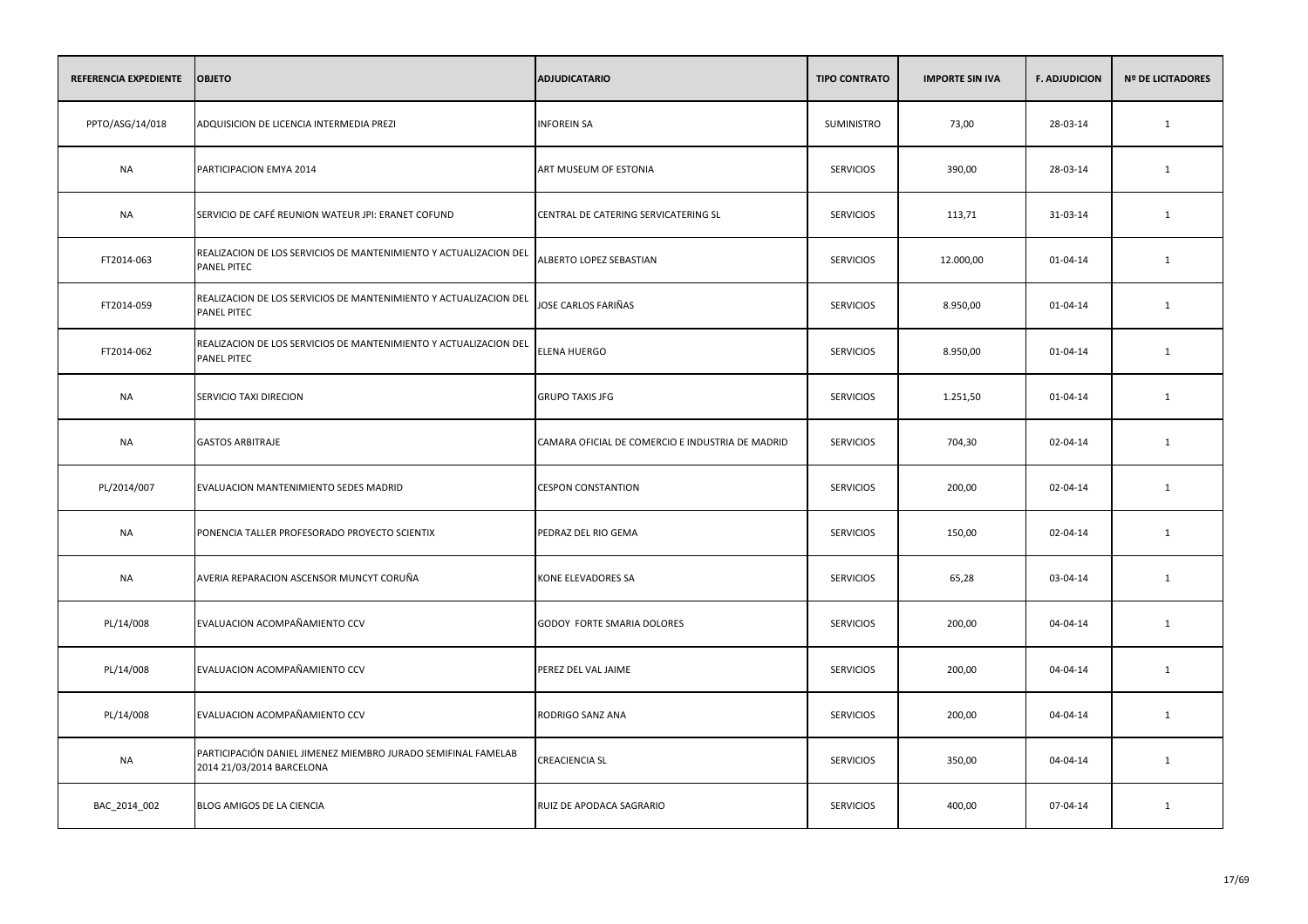| REFERENCIA EXPEDIENTE | <b>OBJETO</b>                                                                              | <b>ADJUDICATARIO</b>                             | <b>TIPO CONTRATO</b> | <b>IMPORTE SIN IVA</b> | <b>F. ADJUDICION</b> | <b>Nº DE LICITADORES</b> |
|-----------------------|--------------------------------------------------------------------------------------------|--------------------------------------------------|----------------------|------------------------|----------------------|--------------------------|
| PPTO/ASG/14/018       | ADQUISICION DE LICENCIA INTERMEDIA PREZI                                                   | <b>INFOREIN SA</b>                               | SUMINISTRO           | 73,00                  | 28-03-14             | 1                        |
| <b>NA</b>             | PARTICIPACION EMYA 2014                                                                    | ART MUSEUM OF ESTONIA                            | <b>SERVICIOS</b>     | 390,00                 | 28-03-14             | 1                        |
| NA                    | SERVICIO DE CAFÉ REUNION WATEUR JPI: ERANET COFUND                                         | CENTRAL DE CATERING SERVICATERING SL             | <b>SERVICIOS</b>     | 113,71                 | 31-03-14             | 1                        |
| FT2014-063            | REALIZACION DE LOS SERVICIOS DE MANTENIMIENTO Y ACTUALIZACION DEL<br><b>PANEL PITEC</b>    | ALBERTO LOPEZ SEBASTIAN                          | <b>SERVICIOS</b>     | 12.000,00              | 01-04-14             | 1                        |
| FT2014-059            | REALIZACION DE LOS SERVICIOS DE MANTENIMIENTO Y ACTUALIZACION DEL<br><b>PANEL PITEC</b>    | JOSE CARLOS FARIÑAS                              | <b>SERVICIOS</b>     | 8.950,00               | 01-04-14             | 1                        |
| FT2014-062            | REALIZACION DE LOS SERVICIOS DE MANTENIMIENTO Y ACTUALIZACION DEL<br><b>PANEL PITEC</b>    | <b>ELENA HUERGO</b>                              | <b>SERVICIOS</b>     | 8.950,00               | 01-04-14             | 1                        |
| <b>NA</b>             | SERVICIO TAXI DIRECION                                                                     | <b>GRUPO TAXIS JFG</b>                           | <b>SERVICIOS</b>     | 1.251,50               | 01-04-14             | 1                        |
| <b>NA</b>             | <b>GASTOS ARBITRAJE</b>                                                                    | CAMARA OFICIAL DE COMERCIO E INDUSTRIA DE MADRID | <b>SERVICIOS</b>     | 704,30                 | 02-04-14             | 1                        |
| PL/2014/007           | EVALUACION MANTENIMIENTO SEDES MADRID                                                      | <b>CESPON CONSTANTION</b>                        | <b>SERVICIOS</b>     | 200,00                 | 02-04-14             | 1                        |
| <b>NA</b>             | PONENCIA TALLER PROFESORADO PROYECTO SCIENTIX                                              | PEDRAZ DEL RIO GEMA                              | <b>SERVICIOS</b>     | 150,00                 | 02-04-14             | 1                        |
| <b>NA</b>             | AVERIA REPARACION ASCENSOR MUNCYT CORUÑA                                                   | KONE ELEVADORES SA                               | <b>SERVICIOS</b>     | 65,28                  | 03-04-14             | 1                        |
| PL/14/008             | EVALUACION ACOMPAÑAMIENTO CCV                                                              | GODOY FORTE SMARIA DOLORES                       | <b>SERVICIOS</b>     | 200,00                 | 04-04-14             | 1                        |
| PL/14/008             | EVALUACION ACOMPAÑAMIENTO CCV                                                              | PEREZ DEL VAL JAIME                              | <b>SERVICIOS</b>     | 200,00                 | 04-04-14             | $\mathbf{1}$             |
| PL/14/008             | EVALUACION ACOMPAÑAMIENTO CCV                                                              | RODRIGO SANZ ANA                                 | <b>SERVICIOS</b>     | 200,00                 | 04-04-14             | 1                        |
| <b>NA</b>             | PARTICIPACIÓN DANIEL JIMENEZ MIEMBRO JURADO SEMIFINAL FAMELAB<br>2014 21/03/2014 BARCELONA | <b>CREACIENCIA SL</b>                            | <b>SERVICIOS</b>     | 350,00                 | 04-04-14             | 1                        |
| BAC_2014_002          | BLOG AMIGOS DE LA CIENCIA                                                                  | RUIZ DE APODACA SAGRARIO                         | <b>SERVICIOS</b>     | 400,00                 | 07-04-14             | 1                        |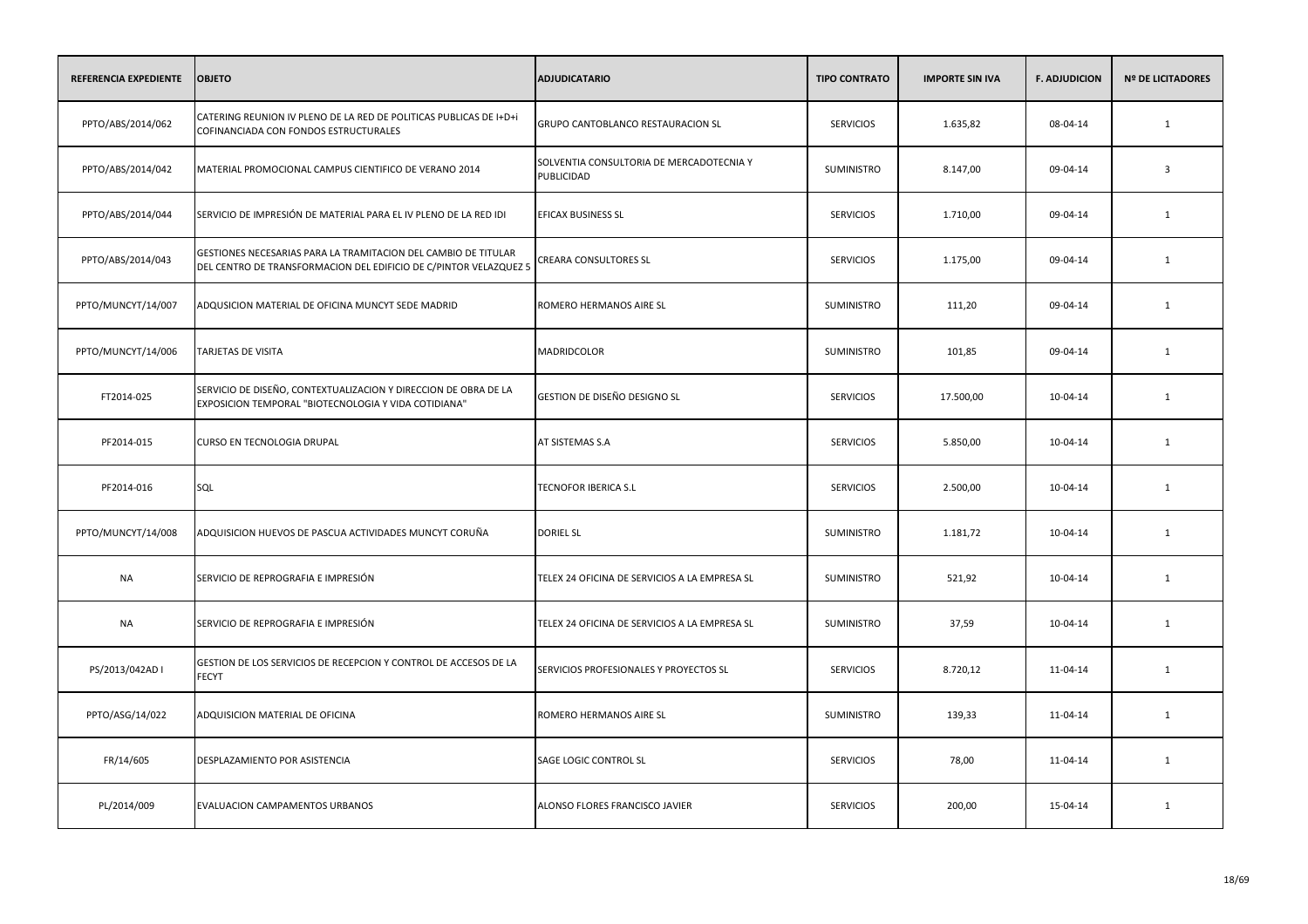| REFERENCIA EXPEDIENTE | <b>OBJETO</b>                                                                                                                       | <b>ADJUDICATARIO</b>                                   | <b>TIPO CONTRATO</b> | <b>IMPORTE SIN IVA</b> | <b>F. ADJUDICION</b> | <b>Nº DE LICITADORES</b> |
|-----------------------|-------------------------------------------------------------------------------------------------------------------------------------|--------------------------------------------------------|----------------------|------------------------|----------------------|--------------------------|
| PPTO/ABS/2014/062     | CATERING REUNION IV PLENO DE LA RED DE POLITICAS PUBLICAS DE I+D+i<br>COFINANCIADA CON FONDOS ESTRUCTURALES                         | GRUPO CANTOBLANCO RESTAURACION SL                      | <b>SERVICIOS</b>     | 1.635,82               | 08-04-14             | $\mathbf{1}$             |
| PPTO/ABS/2014/042     | MATERIAL PROMOCIONAL CAMPUS CIENTIFICO DE VERANO 2014                                                                               | SOLVENTIA CONSULTORIA DE MERCADOTECNIA Y<br>PUBLICIDAD | SUMINISTRO           | 8.147,00               | 09-04-14             | $\overline{\mathbf{3}}$  |
| PPTO/ABS/2014/044     | SERVICIO DE IMPRESIÓN DE MATERIAL PARA EL IV PLENO DE LA RED IDI                                                                    | EFICAX BUSINESS SL                                     | <b>SERVICIOS</b>     | 1.710,00               | 09-04-14             | $\mathbf{1}$             |
| PPTO/ABS/2014/043     | GESTIONES NECESARIAS PARA LA TRAMITACION DEL CAMBIO DE TITULAR<br>DEL CENTRO DE TRANSFORMACION DEL EDIFICIO DE C/PINTOR VELAZQUEZ 5 | <b>CREARA CONSULTORES SL</b>                           | <b>SERVICIOS</b>     | 1.175,00               | 09-04-14             | 1                        |
| PPTO/MUNCYT/14/007    | ADQUSICION MATERIAL DE OFICINA MUNCYT SEDE MADRID                                                                                   | ROMERO HERMANOS AIRE SL                                | <b>SUMINISTRO</b>    | 111,20                 | 09-04-14             | 1                        |
| PPTO/MUNCYT/14/006    | <b>TARJETAS DE VISITA</b>                                                                                                           | MADRIDCOLOR                                            | SUMINISTRO           | 101,85                 | 09-04-14             | $\mathbf{1}$             |
| FT2014-025            | SERVICIO DE DISEÑO, CONTEXTUALIZACION Y DIRECCION DE OBRA DE LA<br>EXPOSICION TEMPORAL "BIOTECNOLOGIA Y VIDA COTIDIANA"             | GESTION DE DISEÑO DESIGNO SL                           | <b>SERVICIOS</b>     | 17.500,00              | 10-04-14             | $\mathbf{1}$             |
| PF2014-015            | CURSO EN TECNOLOGIA DRUPAL                                                                                                          | AT SISTEMAS S.A                                        | <b>SERVICIOS</b>     | 5.850,00               | 10-04-14             | 1                        |
| PF2014-016            | SQL                                                                                                                                 | TECNOFOR IBERICA S.L                                   | <b>SERVICIOS</b>     | 2.500,00               | 10-04-14             | $\mathbf{1}$             |
| PPTO/MUNCYT/14/008    | ADQUISICION HUEVOS DE PASCUA ACTIVIDADES MUNCYT CORUÑA                                                                              | <b>DORIEL SL</b>                                       | <b>SUMINISTRO</b>    | 1.181,72               | 10-04-14             | 1                        |
| <b>NA</b>             | SERVICIO DE REPROGRAFIA E IMPRESIÓN                                                                                                 | TELEX 24 OFICINA DE SERVICIOS A LA EMPRESA SL          | SUMINISTRO           | 521,92                 | 10-04-14             | $\mathbf{1}$             |
| <b>NA</b>             | SERVICIO DE REPROGRAFIA E IMPRESIÓN                                                                                                 | TELEX 24 OFICINA DE SERVICIOS A LA EMPRESA SL          | SUMINISTRO           | 37,59                  | 10-04-14             | $\mathbf{1}$             |
| PS/2013/042AD I       | GESTION DE LOS SERVICIOS DE RECEPCION Y CONTROL DE ACCESOS DE LA<br><b>FECYT</b>                                                    | SERVICIOS PROFESIONALES Y PROYECTOS SL                 | <b>SERVICIOS</b>     | 8.720,12               | 11-04-14             | $\mathbf{1}$             |
| PPTO/ASG/14/022       | ADQUISICION MATERIAL DE OFICINA                                                                                                     | ROMERO HERMANOS AIRE SL                                | <b>SUMINISTRO</b>    | 139,33                 | 11-04-14             | 1                        |
| FR/14/605             | DESPLAZAMIENTO POR ASISTENCIA                                                                                                       | SAGE LOGIC CONTROL SL                                  | <b>SERVICIOS</b>     | 78,00                  | 11-04-14             | 1                        |
| PL/2014/009           | EVALUACION CAMPAMENTOS URBANOS                                                                                                      | ALONSO FLORES FRANCISCO JAVIER                         | <b>SERVICIOS</b>     | 200,00                 | 15-04-14             | 1                        |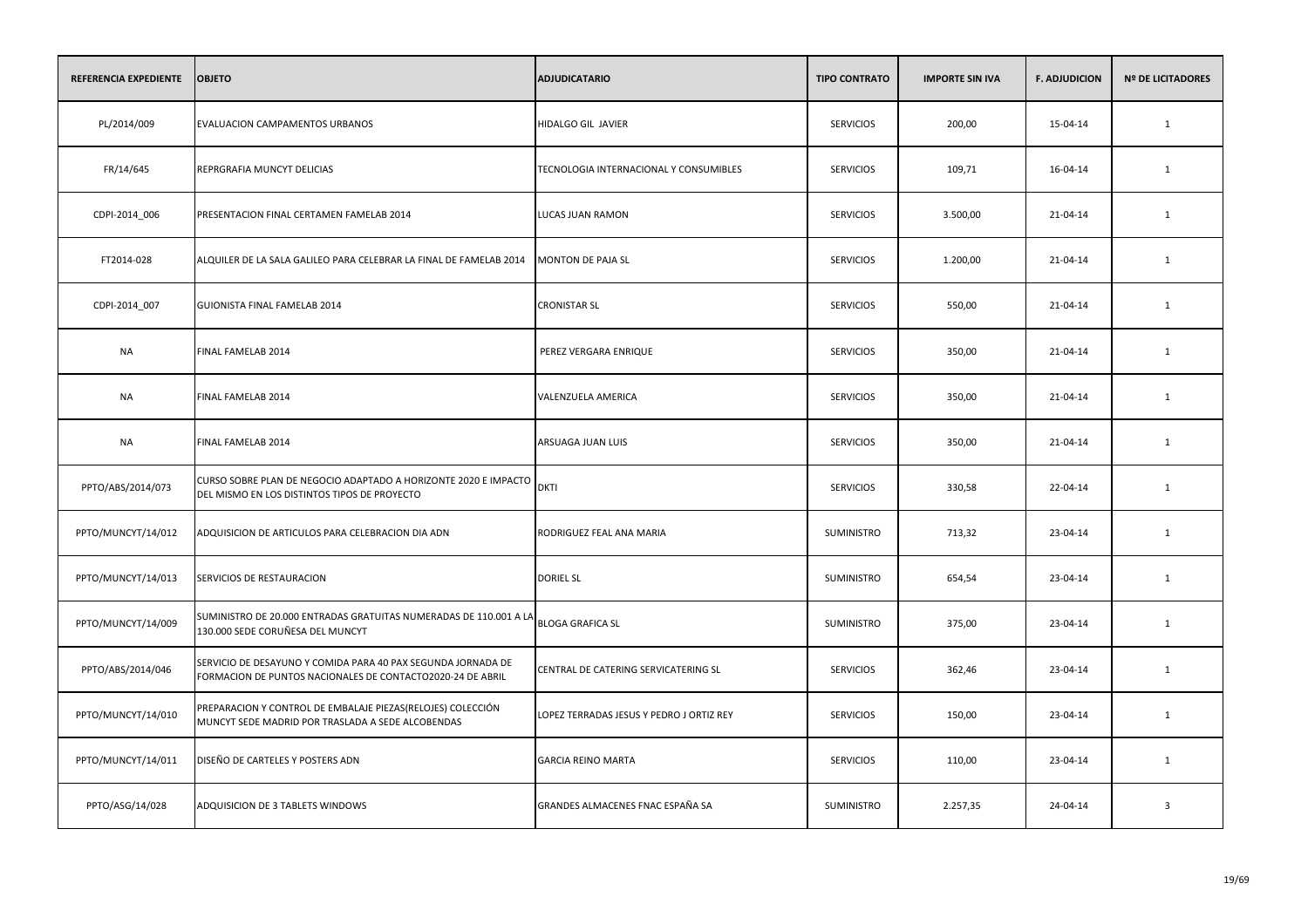| REFERENCIA EXPEDIENTE | <b>OBJETO</b>                                                                                                                 | <b>ADJUDICATARIO</b>                     | <b>TIPO CONTRATO</b> | <b>IMPORTE SIN IVA</b> | <b>F. ADJUDICION</b> | <b>Nº DE LICITADORES</b> |
|-----------------------|-------------------------------------------------------------------------------------------------------------------------------|------------------------------------------|----------------------|------------------------|----------------------|--------------------------|
| PL/2014/009           | EVALUACION CAMPAMENTOS URBANOS                                                                                                | HIDALGO GIL JAVIER                       | <b>SERVICIOS</b>     | 200,00                 | 15-04-14             | 1                        |
| FR/14/645             | REPRGRAFIA MUNCYT DELICIAS                                                                                                    | TECNOLOGIA INTERNACIONAL Y CONSUMIBLES   | <b>SERVICIOS</b>     | 109,71                 | 16-04-14             | 1                        |
| CDPI-2014_006         | PRESENTACION FINAL CERTAMEN FAMELAB 2014                                                                                      | LUCAS JUAN RAMON                         | <b>SERVICIOS</b>     | 3.500,00               | 21-04-14             | $\mathbf{1}$             |
| FT2014-028            | ALQUILER DE LA SALA GALILEO PARA CELEBRAR LA FINAL DE FAMELAB 2014                                                            | MONTON DE PAJA SL                        | <b>SERVICIOS</b>     | 1.200,00               | 21-04-14             | 1                        |
| CDPI-2014_007         | GUIONISTA FINAL FAMELAB 2014                                                                                                  | <b>CRONISTAR SL</b>                      | <b>SERVICIOS</b>     | 550,00                 | 21-04-14             | 1                        |
| <b>NA</b>             | FINAL FAMELAB 2014                                                                                                            | PEREZ VERGARA ENRIQUE                    | <b>SERVICIOS</b>     | 350,00                 | 21-04-14             | $\mathbf{1}$             |
| <b>NA</b>             | FINAL FAMELAB 2014                                                                                                            | VALENZUELA AMERICA                       | <b>SERVICIOS</b>     | 350,00                 | 21-04-14             | $\mathbf{1}$             |
| NA                    | FINAL FAMELAB 2014                                                                                                            | ARSUAGA JUAN LUIS                        | <b>SERVICIOS</b>     | 350,00                 | 21-04-14             | 1                        |
| PPTO/ABS/2014/073     | CURSO SOBRE PLAN DE NEGOCIO ADAPTADO A HORIZONTE 2020 E IMPACTO<br>DEL MISMO EN LOS DISTINTOS TIPOS DE PROYECTO               | <b>DKTI</b>                              | <b>SERVICIOS</b>     | 330,58                 | 22-04-14             | $\mathbf{1}$             |
| PPTO/MUNCYT/14/012    | ADQUISICION DE ARTICULOS PARA CELEBRACION DIA ADN                                                                             | RODRIGUEZ FEAL ANA MARIA                 | <b>SUMINISTRO</b>    | 713,32                 | 23-04-14             | 1                        |
| PPTO/MUNCYT/14/013    | SERVICIOS DE RESTAURACION                                                                                                     | <b>DORIEL SL</b>                         | SUMINISTRO           | 654,54                 | 23-04-14             | $\mathbf{1}$             |
| PPTO/MUNCYT/14/009    | <br> SUMINISTRO DE 20.000 ENTRADAS GRATUITAS NUMERADAS DE 110.001 A LA   BLOGA GRAFICA SL<br>130.000 SEDE CORUÑESA DEL MUNCYT |                                          | SUMINISTRO           | 375,00                 | 23-04-14             | 1                        |
| PPTO/ABS/2014/046     | SERVICIO DE DESAYUNO Y COMIDA PARA 40 PAX SEGUNDA JORNADA DE<br>FORMACION DE PUNTOS NACIONALES DE CONTACTO2020-24 DE ABRIL    | CENTRAL DE CATERING SERVICATERING SL     | <b>SERVICIOS</b>     | 362,46                 | 23-04-14             | $\mathbf{1}$             |
| PPTO/MUNCYT/14/010    | PREPARACION Y CONTROL DE EMBALAJE PIEZAS(RELOJES) COLECCIÓN<br>MUNCYT SEDE MADRID POR TRASLADA A SEDE ALCOBENDAS              | LOPEZ TERRADAS JESUS Y PEDRO J ORTIZ REY | <b>SERVICIOS</b>     | 150,00                 | 23-04-14             | 1                        |
| PPTO/MUNCYT/14/011    | DISEÑO DE CARTELES Y POSTERS ADN                                                                                              | <b>GARCIA REINO MARTA</b>                | <b>SERVICIOS</b>     | 110,00                 | 23-04-14             | $\mathbf{1}$             |
| PPTO/ASG/14/028       | ADQUISICION DE 3 TABLETS WINDOWS                                                                                              | GRANDES ALMACENES FNAC ESPAÑA SA         | <b>SUMINISTRO</b>    | 2.257,35               | 24-04-14             | $\overline{\mathbf{3}}$  |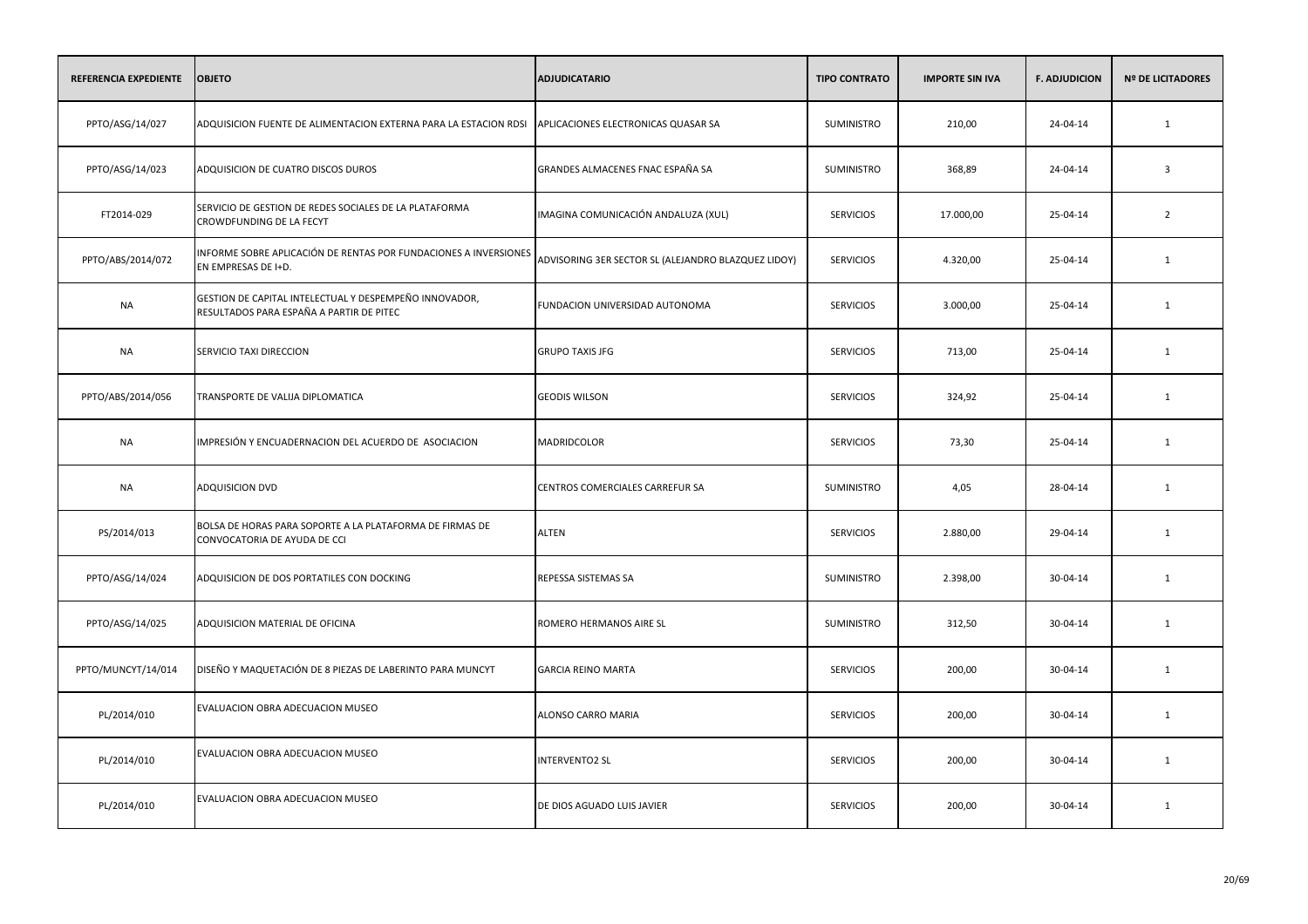| REFERENCIA EXPEDIENTE | <b>OBJETO</b>                                                                                      | <b>ADJUDICATARIO</b>                                | <b>TIPO CONTRATO</b> | <b>IMPORTE SIN IVA</b> | <b>F. ADJUDICION</b> | <b>Nº DE LICITADORES</b> |
|-----------------------|----------------------------------------------------------------------------------------------------|-----------------------------------------------------|----------------------|------------------------|----------------------|--------------------------|
| PPTO/ASG/14/027       | ADQUISICION FUENTE DE ALIMENTACION EXTERNA PARA LA ESTACION RDSI                                   | APLICACIONES ELECTRONICAS QUASAR SA                 | SUMINISTRO           | 210,00                 | 24-04-14             | 1                        |
| PPTO/ASG/14/023       | ADQUISICION DE CUATRO DISCOS DUROS                                                                 | GRANDES ALMACENES FNAC ESPAÑA SA                    | SUMINISTRO           | 368,89                 | 24-04-14             | $\overline{3}$           |
| FT2014-029            | SERVICIO DE GESTION DE REDES SOCIALES DE LA PLATAFORMA<br>CROWDFUNDING DE LA FECYT                 | IMAGINA COMUNICACIÓN ANDALUZA (XUL)                 | <b>SERVICIOS</b>     | 17.000,00              | 25-04-14             | $\overline{2}$           |
| PPTO/ABS/2014/072     | INFORME SOBRE APLICACIÓN DE RENTAS POR FUNDACIONES A INVERSIONES<br>EN EMPRESAS DE I+D.            | ADVISORING 3ER SECTOR SL (ALEJANDRO BLAZQUEZ LIDOY) | <b>SERVICIOS</b>     | 4.320,00               | 25-04-14             | 1                        |
| NA                    | GESTION DE CAPITAL INTELECTUAL Y DESPEMPEÑO INNOVADOR,<br>RESULTADOS PARA ESPAÑA A PARTIR DE PITEC | FUNDACION UNIVERSIDAD AUTONOMA                      | <b>SERVICIOS</b>     | 3.000,00               | 25-04-14             | 1                        |
| <b>NA</b>             | SERVICIO TAXI DIRECCION                                                                            | <b>GRUPO TAXIS JFG</b>                              | <b>SERVICIOS</b>     | 713,00                 | 25-04-14             | 1                        |
| PPTO/ABS/2014/056     | TRANSPORTE DE VALIJA DIPLOMATICA                                                                   | <b>GEODIS WILSON</b>                                | <b>SERVICIOS</b>     | 324,92                 | 25-04-14             | 1                        |
| NA                    | IMPRESIÓN Y ENCUADERNACION DEL ACUERDO DE ASOCIACION                                               | MADRIDCOLOR                                         | <b>SERVICIOS</b>     | 73,30                  | 25-04-14             | 1                        |
| <b>NA</b>             | ADQUISICION DVD                                                                                    | CENTROS COMERCIALES CARREFUR SA                     | SUMINISTRO           | 4,05                   | 28-04-14             | 1                        |
| PS/2014/013           | BOLSA DE HORAS PARA SOPORTE A LA PLATAFORMA DE FIRMAS DE<br>CONVOCATORIA DE AYUDA DE CCI           | <b>ALTEN</b>                                        | <b>SERVICIOS</b>     | 2.880,00               | 29-04-14             | 1                        |
| PPTO/ASG/14/024       | ADQUISICION DE DOS PORTATILES CON DOCKING                                                          | REPESSA SISTEMAS SA                                 | SUMINISTRO           | 2.398,00               | 30-04-14             | 1                        |
| PPTO/ASG/14/025       | ADQUISICION MATERIAL DE OFICINA                                                                    | ROMERO HERMANOS AIRE SL                             | SUMINISTRO           | 312,50                 | 30-04-14             | $\mathbf{1}$             |
| PPTO/MUNCYT/14/014    | DISEÑO Y MAQUETACIÓN DE 8 PIEZAS DE LABERINTO PARA MUNCYT                                          | <b>GARCIA REINO MARTA</b>                           | <b>SERVICIOS</b>     | 200,00                 | 30-04-14             | $\mathbf{1}$             |
| PL/2014/010           | EVALUACION OBRA ADECUACION MUSEO                                                                   | ALONSO CARRO MARIA                                  | <b>SERVICIOS</b>     | 200,00                 | 30-04-14             | 1                        |
| PL/2014/010           | EVALUACION OBRA ADECUACION MUSEO                                                                   | <b>INTERVENTO2 SL</b>                               | <b>SERVICIOS</b>     | 200,00                 | 30-04-14             | 1                        |
| PL/2014/010           | EVALUACION OBRA ADECUACION MUSEO                                                                   | DE DIOS AGUADO LUIS JAVIER                          | <b>SERVICIOS</b>     | 200,00                 | 30-04-14             | 1                        |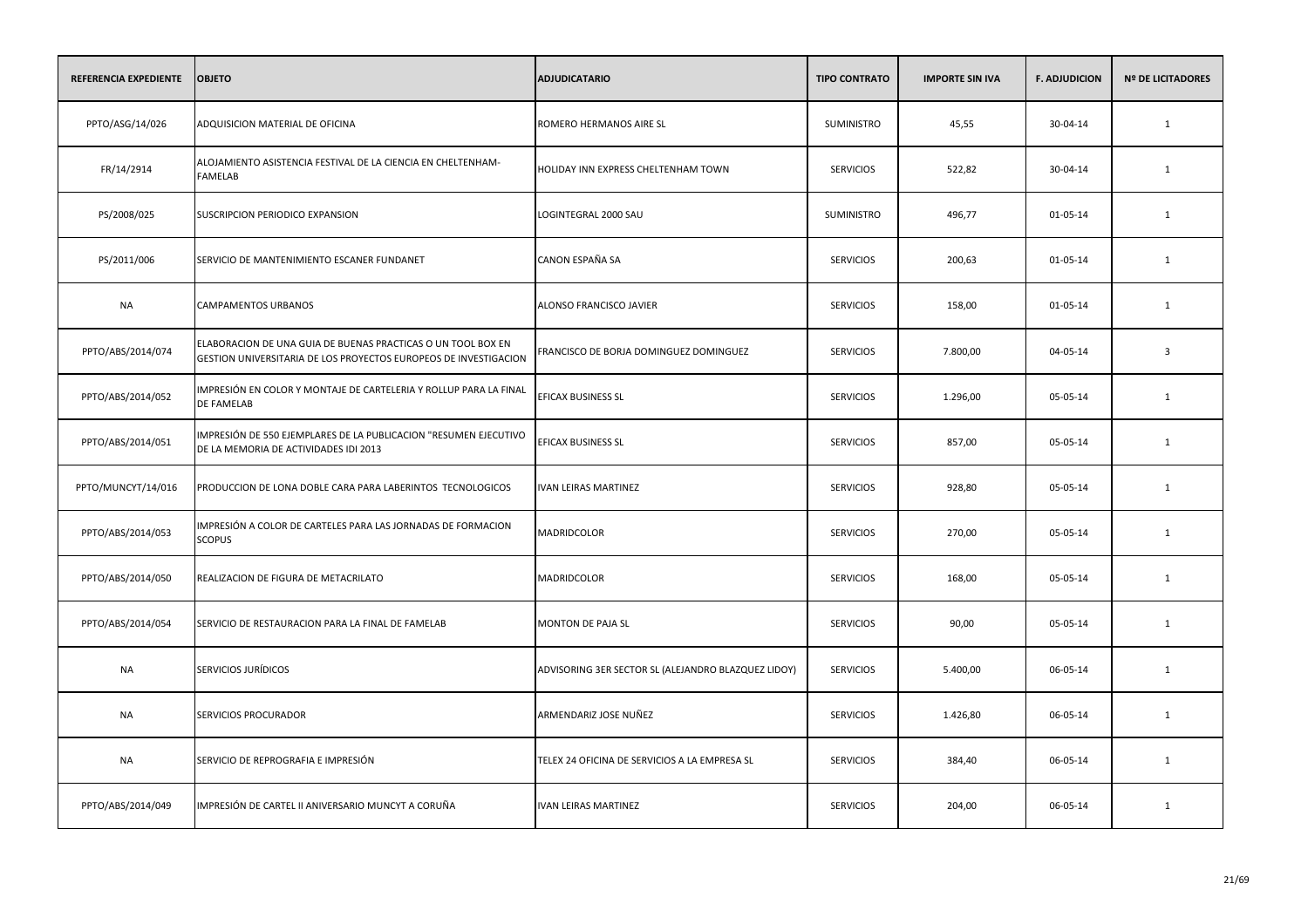| REFERENCIA EXPEDIENTE | <b>OBJETO</b>                                                                                                                    | <b>ADJUDICATARIO</b>                                | <b>TIPO CONTRATO</b> | <b>IMPORTE SIN IVA</b> | <b>F. ADJUDICION</b> | <b>Nº DE LICITADORES</b> |
|-----------------------|----------------------------------------------------------------------------------------------------------------------------------|-----------------------------------------------------|----------------------|------------------------|----------------------|--------------------------|
| PPTO/ASG/14/026       | ADQUISICION MATERIAL DE OFICINA                                                                                                  | ROMERO HERMANOS AIRE SL                             | SUMINISTRO           | 45,55                  | 30-04-14             | $\mathbf{1}$             |
| FR/14/2914            | ALOJAMIENTO ASISTENCIA FESTIVAL DE LA CIENCIA EN CHELTENHAM-<br><b>FAMELAB</b>                                                   | HOLIDAY INN EXPRESS CHELTENHAM TOWN                 | <b>SERVICIOS</b>     | 522,82                 | 30-04-14             | 1                        |
| PS/2008/025           | SUSCRIPCION PERIODICO EXPANSION                                                                                                  | LOGINTEGRAL 2000 SAU                                | SUMINISTRO           | 496,77                 | 01-05-14             | 1                        |
| PS/2011/006           | SERVICIO DE MANTENIMIENTO ESCANER FUNDANET                                                                                       | CANON ESPAÑA SA                                     | <b>SERVICIOS</b>     | 200,63                 | 01-05-14             | 1                        |
| <b>NA</b>             | <b>CAMPAMENTOS URBANOS</b>                                                                                                       | ALONSO FRANCISCO JAVIER                             | <b>SERVICIOS</b>     | 158,00                 | 01-05-14             | 1                        |
| PPTO/ABS/2014/074     | ELABORACION DE UNA GUIA DE BUENAS PRACTICAS O UN TOOL BOX EN<br>GESTION UNIVERSITARIA DE LOS PROYECTOS EUROPEOS DE INVESTIGACION | FRANCISCO DE BORJA DOMINGUEZ DOMINGUEZ              | <b>SERVICIOS</b>     | 7.800,00               | 04-05-14             | $\overline{3}$           |
| PPTO/ABS/2014/052     | IMPRESIÓN EN COLOR Y MONTAJE DE CARTELERIA Y ROLLUP PARA LA FINAL<br>DE FAMELAB                                                  | EFICAX BUSINESS SL                                  | <b>SERVICIOS</b>     | 1.296,00               | 05-05-14             | $\mathbf{1}$             |
| PPTO/ABS/2014/051     | IMPRESIÓN DE 550 EJEMPLARES DE LA PUBLICACION "RESUMEN EJECUTIVO<br>DE LA MEMORIA DE ACTIVIDADES IDI 2013                        | EFICAX BUSINESS SL                                  | <b>SERVICIOS</b>     | 857,00                 | 05-05-14             | 1                        |
| PPTO/MUNCYT/14/016    | PRODUCCION DE LONA DOBLE CARA PARA LABERINTOS TECNOLOGICOS                                                                       | <b>IVAN LEIRAS MARTINEZ</b>                         | <b>SERVICIOS</b>     | 928,80                 | 05-05-14             | $\mathbf{1}$             |
| PPTO/ABS/2014/053     | IMPRESIÓN A COLOR DE CARTELES PARA LAS JORNADAS DE FORMACION<br><b>SCOPUS</b>                                                    | MADRIDCOLOR                                         | <b>SERVICIOS</b>     | 270,00                 | 05-05-14             | 1                        |
| PPTO/ABS/2014/050     | REALIZACION DE FIGURA DE METACRILATO                                                                                             | MADRIDCOLOR                                         | <b>SERVICIOS</b>     | 168,00                 | 05-05-14             | 1                        |
| PPTO/ABS/2014/054     | SERVICIO DE RESTAURACION PARA LA FINAL DE FAMELAB                                                                                | MONTON DE PAJA SL                                   | <b>SERVICIOS</b>     | 90,00                  | 05-05-14             | 1                        |
| NA                    | SERVICIOS JURÍDICOS                                                                                                              | ADVISORING 3ER SECTOR SL (ALEJANDRO BLAZQUEZ LIDOY) | <b>SERVICIOS</b>     | 5.400,00               | 06-05-14             | 1                        |
| NA                    | <b>SERVICIOS PROCURADOR</b>                                                                                                      | ARMENDARIZ JOSE NUÑEZ                               | <b>SERVICIOS</b>     | 1.426,80               | 06-05-14             | 1                        |
| <b>NA</b>             | SERVICIO DE REPROGRAFIA E IMPRESIÓN                                                                                              | TELEX 24 OFICINA DE SERVICIOS A LA EMPRESA SL       | <b>SERVICIOS</b>     | 384,40                 | 06-05-14             | 1                        |
| PPTO/ABS/2014/049     | IMPRESIÓN DE CARTEL II ANIVERSARIO MUNCYT A CORUÑA                                                                               | <b>IVAN LEIRAS MARTINEZ</b>                         | <b>SERVICIOS</b>     | 204,00                 | 06-05-14             | 1                        |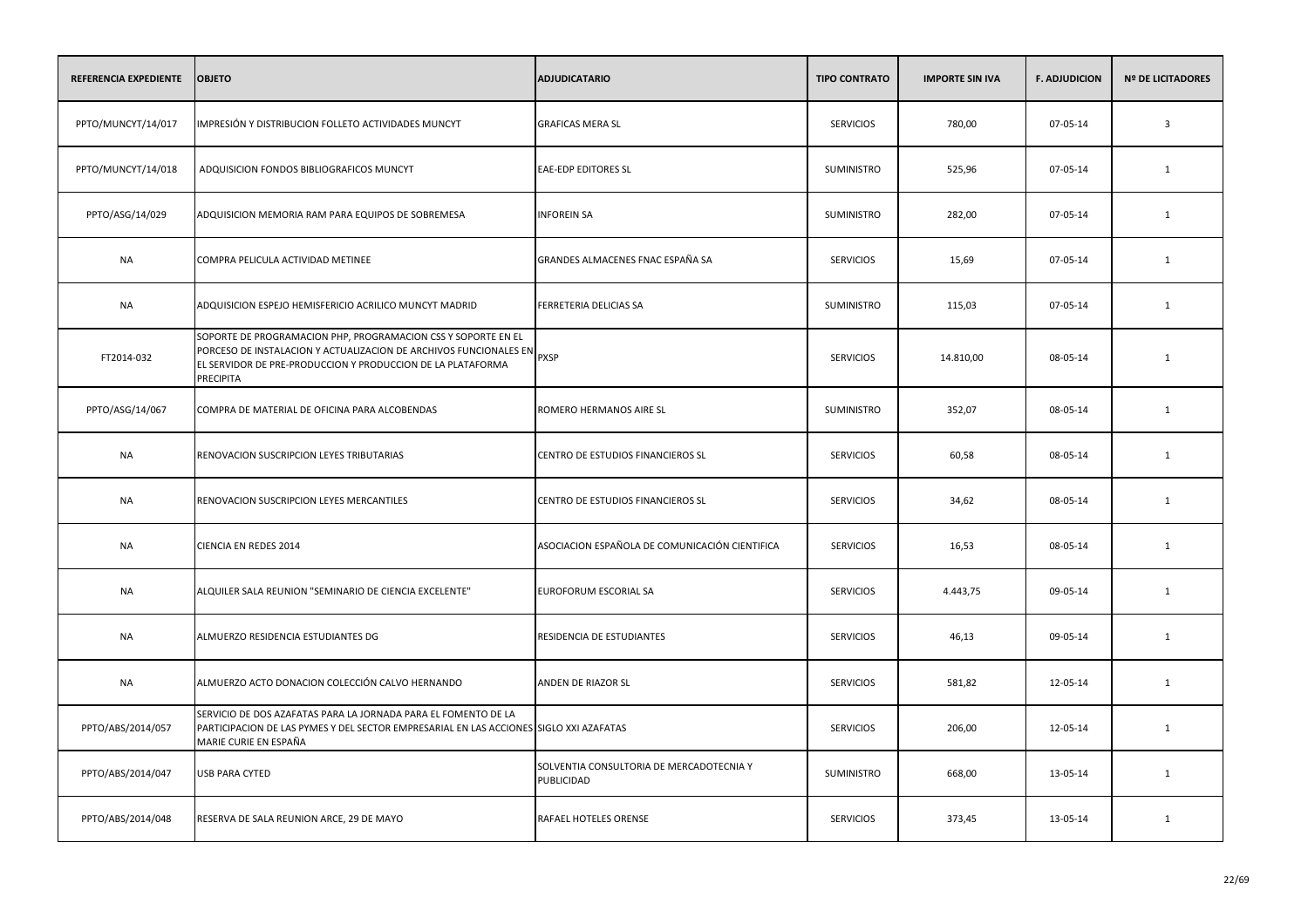| REFERENCIA EXPEDIENTE | <b>OBJETO</b>                                                                                                                                                                                                                     | <b>ADJUDICATARIO</b>                                   | <b>TIPO CONTRATO</b> | <b>IMPORTE SIN IVA</b> | <b>F. ADJUDICION</b> | <b>Nº DE LICITADORES</b> |
|-----------------------|-----------------------------------------------------------------------------------------------------------------------------------------------------------------------------------------------------------------------------------|--------------------------------------------------------|----------------------|------------------------|----------------------|--------------------------|
| PPTO/MUNCYT/14/017    | IMPRESIÓN Y DISTRIBUCION FOLLETO ACTIVIDADES MUNCYT                                                                                                                                                                               | <b>GRAFICAS MERA SL</b>                                | <b>SERVICIOS</b>     | 780,00                 | 07-05-14             | $\overline{\mathbf{3}}$  |
| PPTO/MUNCYT/14/018    | ADQUISICION FONDOS BIBLIOGRAFICOS MUNCYT                                                                                                                                                                                          | <b>EAE-EDP EDITORES SL</b>                             | SUMINISTRO           | 525,96                 | 07-05-14             | 1                        |
| PPTO/ASG/14/029       | ADQUISICION MEMORIA RAM PARA EQUIPOS DE SOBREMESA                                                                                                                                                                                 | <b>INFOREIN SA</b>                                     | SUMINISTRO           | 282,00                 | 07-05-14             | 1                        |
| <b>NA</b>             | COMPRA PELICULA ACTIVIDAD METINEE                                                                                                                                                                                                 | GRANDES ALMACENES FNAC ESPAÑA SA                       | <b>SERVICIOS</b>     | 15,69                  | 07-05-14             | 1                        |
| <b>NA</b>             | ADQUISICION ESPEJO HEMISFERICIO ACRILICO MUNCYT MADRID                                                                                                                                                                            | FERRETERIA DELICIAS SA                                 | SUMINISTRO           | 115,03                 | 07-05-14             | 1                        |
| FT2014-032            | SOPORTE DE PROGRAMACION PHP, PROGRAMACION CSS Y SOPORTE EN EL<br><b>PORCESO DE INSTALACIÓN Y ACTUALIZACIÓN DE ARCHIVOS FUNCIONALES EN PXSP</b><br>EL SERVIDOR DE PRE-PRODUCCION Y PRODUCCION DE LA PLATAFORMA<br><b>PRECIPITA</b> |                                                        | <b>SERVICIOS</b>     | 14.810,00              | 08-05-14             | $\mathbf{1}$             |
| PPTO/ASG/14/067       | COMPRA DE MATERIAL DE OFICINA PARA ALCOBENDAS                                                                                                                                                                                     | ROMERO HERMANOS AIRE SL                                | <b>SUMINISTRO</b>    | 352,07                 | 08-05-14             | 1                        |
| <b>NA</b>             | RENOVACION SUSCRIPCION LEYES TRIBUTARIAS                                                                                                                                                                                          | CENTRO DE ESTUDIOS FINANCIEROS SL                      | <b>SERVICIOS</b>     | 60,58                  | 08-05-14             | 1                        |
| <b>NA</b>             | RENOVACION SUSCRIPCION LEYES MERCANTILES                                                                                                                                                                                          | CENTRO DE ESTUDIOS FINANCIEROS SL                      | <b>SERVICIOS</b>     | 34,62                  | 08-05-14             | 1                        |
| NA                    | CIENCIA EN REDES 2014                                                                                                                                                                                                             | ASOCIACION ESPAÑOLA DE COMUNICACIÓN CIENTIFICA         | <b>SERVICIOS</b>     | 16,53                  | 08-05-14             | 1                        |
| <b>NA</b>             | ALQUILER SALA REUNION "SEMINARIO DE CIENCIA EXCELENTE"                                                                                                                                                                            | EUROFORUM ESCORIAL SA                                  | <b>SERVICIOS</b>     | 4.443,75               | 09-05-14             | 1                        |
| <b>NA</b>             | ALMUERZO RESIDENCIA ESTUDIANTES DG                                                                                                                                                                                                | RESIDENCIA DE ESTUDIANTES                              | <b>SERVICIOS</b>     | 46,13                  | 09-05-14             | 1                        |
| <b>NA</b>             | ALMUERZO ACTO DONACION COLECCIÓN CALVO HERNANDO                                                                                                                                                                                   | ANDEN DE RIAZOR SL                                     | <b>SERVICIOS</b>     | 581,82                 | 12-05-14             | $\mathbf{1}$             |
| PPTO/ABS/2014/057     | SERVICIO DE DOS AZAFATAS PARA LA JORNADA PARA EL FOMENTO DE LA<br>PARTICIPACION DE LAS PYMES Y DEL SECTOR EMPRESARIAL EN LAS ACCIONES SIGLO XXI AZAFATAS<br>MARIE CURIE EN ESPAÑA                                                 |                                                        | <b>SERVICIOS</b>     | 206,00                 | 12-05-14             | 1                        |
| PPTO/ABS/2014/047     | <b>USB PARA CYTED</b>                                                                                                                                                                                                             | SOLVENTIA CONSULTORIA DE MERCADOTECNIA Y<br>PUBLICIDAD | <b>SUMINISTRO</b>    | 668,00                 | 13-05-14             | 1                        |
| PPTO/ABS/2014/048     | RESERVA DE SALA REUNION ARCE, 29 DE MAYO                                                                                                                                                                                          | RAFAEL HOTELES ORENSE                                  | <b>SERVICIOS</b>     | 373,45                 | 13-05-14             | 1                        |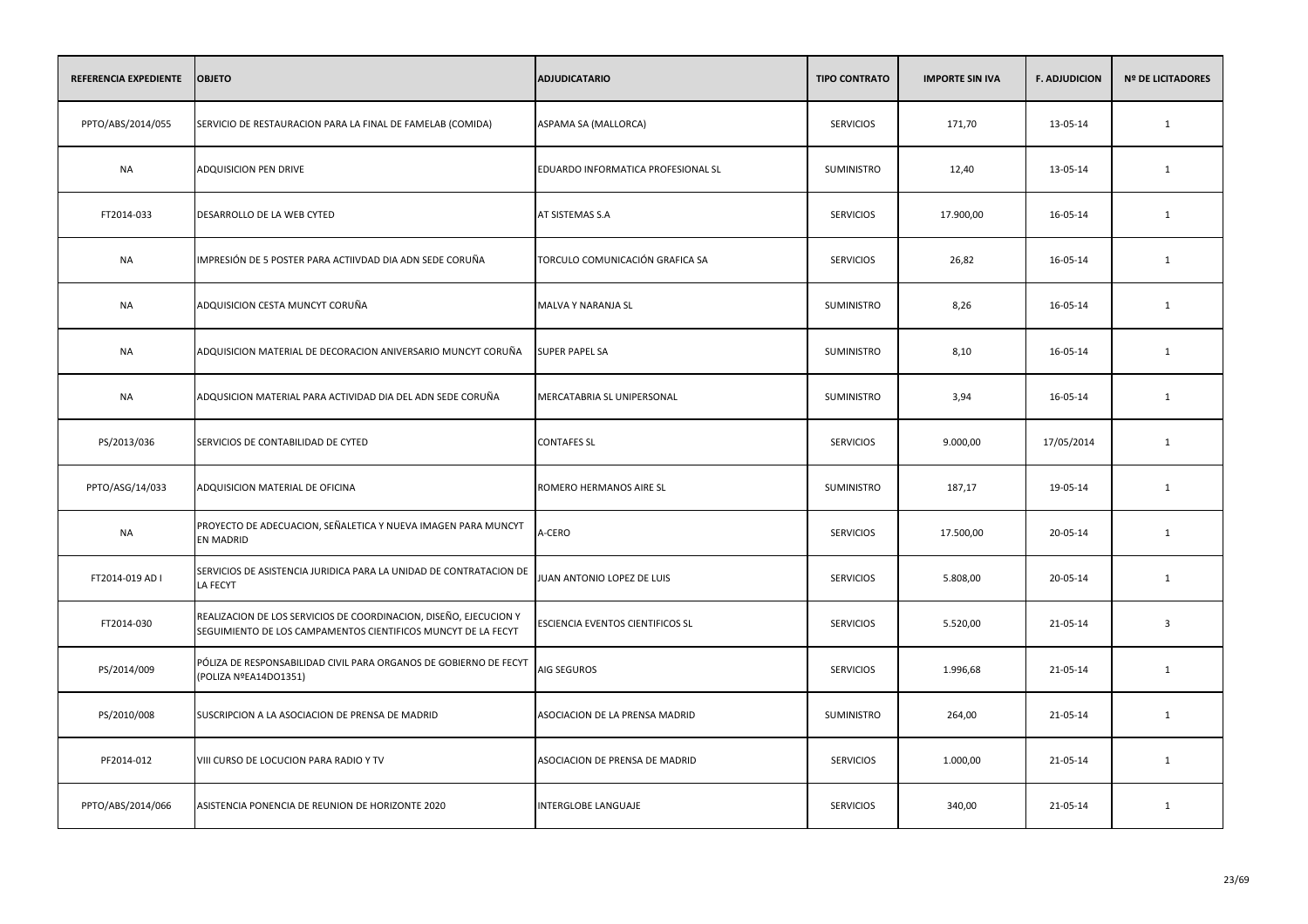| REFERENCIA EXPEDIENTE | <b>OBJETO</b>                                                                                                                      | <b>ADJUDICATARIO</b>               | <b>TIPO CONTRATO</b> | <b>IMPORTE SIN IVA</b> | <b>F. ADJUDICION</b> | <b>Nº DE LICITADORES</b> |
|-----------------------|------------------------------------------------------------------------------------------------------------------------------------|------------------------------------|----------------------|------------------------|----------------------|--------------------------|
| PPTO/ABS/2014/055     | SERVICIO DE RESTAURACION PARA LA FINAL DE FAMELAB (COMIDA)                                                                         | ASPAMA SA (MALLORCA)               | <b>SERVICIOS</b>     | 171,70                 | 13-05-14             | $\mathbf{1}$             |
| <b>NA</b>             | ADQUISICION PEN DRIVE                                                                                                              | EDUARDO INFORMATICA PROFESIONAL SL | SUMINISTRO           | 12,40                  | 13-05-14             | 1                        |
| FT2014-033            | DESARROLLO DE LA WEB CYTED                                                                                                         | AT SISTEMAS S.A                    | <b>SERVICIOS</b>     | 17.900,00              | 16-05-14             | $\mathbf{1}$             |
| <b>NA</b>             | IMPRESIÓN DE 5 POSTER PARA ACTIIVDAD DIA ADN SEDE CORUÑA                                                                           | TORCULO COMUNICACIÓN GRAFICA SA    | <b>SERVICIOS</b>     | 26,82                  | 16-05-14             | 1                        |
| <b>NA</b>             | ADQUISICION CESTA MUNCYT CORUÑA                                                                                                    | MALVA Y NARANJA SL                 | <b>SUMINISTRO</b>    | 8,26                   | 16-05-14             | $\mathbf{1}$             |
| <b>NA</b>             | ADQUISICION MATERIAL DE DECORACION ANIVERSARIO MUNCYT CORUÑA                                                                       | <b>SUPER PAPEL SA</b>              | SUMINISTRO           | 8,10                   | 16-05-14             | 1                        |
| <b>NA</b>             | ADQUSICION MATERIAL PARA ACTIVIDAD DIA DEL ADN SEDE CORUÑA                                                                         | MERCATABRIA SL UNIPERSONAL         | SUMINISTRO           | 3,94                   | 16-05-14             | 1                        |
| PS/2013/036           | SERVICIOS DE CONTABILIDAD DE CYTED                                                                                                 | <b>CONTAFES SL</b>                 | <b>SERVICIOS</b>     | 9.000,00               | 17/05/2014           | 1                        |
| PPTO/ASG/14/033       | ADQUISICION MATERIAL DE OFICINA                                                                                                    | ROMERO HERMANOS AIRE SL            | SUMINISTRO           | 187,17                 | 19-05-14             | 1                        |
| <b>NA</b>             | PROYECTO DE ADECUACION, SEÑALETICA Y NUEVA IMAGEN PARA MUNCYT<br><b>EN MADRID</b>                                                  | A-CERO                             | <b>SERVICIOS</b>     | 17.500,00              | 20-05-14             | 1                        |
| FT2014-019 AD I       | SERVICIOS DE ASISTENCIA JURIDICA PARA LA UNIDAD DE CONTRATACION DE<br>LA FECYT                                                     | JUAN ANTONIO LOPEZ DE LUIS         | <b>SERVICIOS</b>     | 5.808,00               | 20-05-14             | 1                        |
| FT2014-030            | REALIZACION DE LOS SERVICIOS DE COORDINACION, DISEÑO, EJECUCION Y<br>SEGUIMIENTO DE LOS CAMPAMENTOS CIENTIFICOS MUNCYT DE LA FECYT | ESCIENCIA EVENTOS CIENTIFICOS SL   | <b>SERVICIOS</b>     | 5.520,00               | 21-05-14             | $\overline{3}$           |
| PS/2014/009           | PÓLIZA DE RESPONSABILIDAD CIVIL PARA ORGANOS DE GOBIERNO DE FECYT<br>(POLIZA NºEA14DO1351)                                         | AIG SEGUROS                        | <b>SERVICIOS</b>     | 1.996,68               | 21-05-14             | 1                        |
| PS/2010/008           | SUSCRIPCION A LA ASOCIACION DE PRENSA DE MADRID                                                                                    | ASOCIACION DE LA PRENSA MADRID     | SUMINISTRO           | 264,00                 | 21-05-14             | 1                        |
| PF2014-012            | VIII CURSO DE LOCUCION PARA RADIO Y TV                                                                                             | ASOCIACION DE PRENSA DE MADRID     | <b>SERVICIOS</b>     | 1.000,00               | 21-05-14             | 1                        |
| PPTO/ABS/2014/066     | ASISTENCIA PONENCIA DE REUNION DE HORIZONTE 2020                                                                                   | INTERGLOBE LANGUAJE                | <b>SERVICIOS</b>     | 340,00                 | 21-05-14             | 1                        |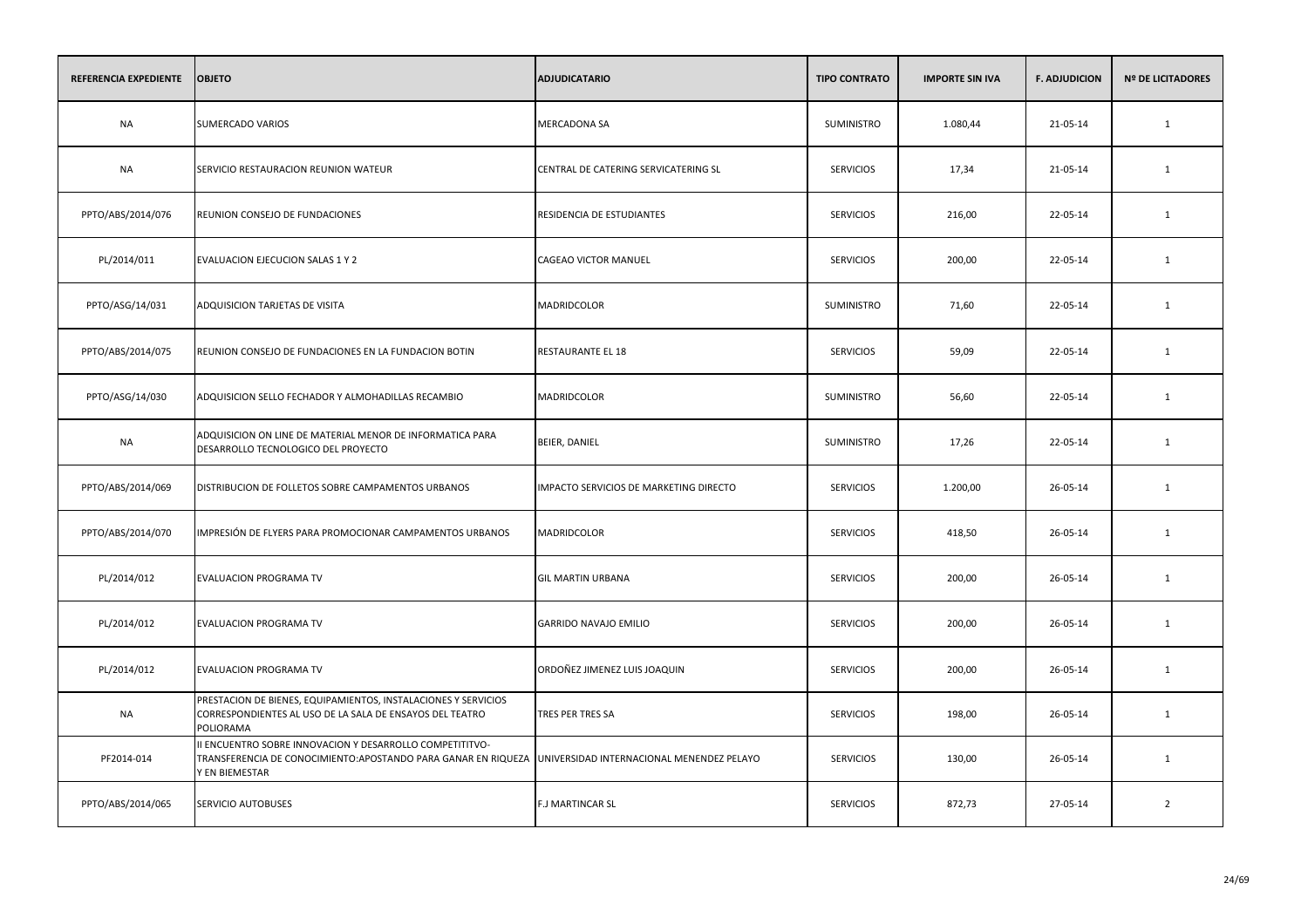| REFERENCIA EXPEDIENTE | <b>OBJETO</b>                                                                                                                                                                          | <b>ADJUDICATARIO</b>                   | <b>TIPO CONTRATO</b> | <b>IMPORTE SIN IVA</b> | <b>F. ADJUDICION</b> | <b>Nº DE LICITADORES</b> |
|-----------------------|----------------------------------------------------------------------------------------------------------------------------------------------------------------------------------------|----------------------------------------|----------------------|------------------------|----------------------|--------------------------|
| <b>NA</b>             | SUMERCADO VARIOS                                                                                                                                                                       | MERCADONA SA                           | SUMINISTRO           | 1.080,44               | 21-05-14             | $\mathbf{1}$             |
| <b>NA</b>             | SERVICIO RESTAURACION REUNION WATEUR                                                                                                                                                   | CENTRAL DE CATERING SERVICATERING SL   | <b>SERVICIOS</b>     | 17,34                  | 21-05-14             | $\mathbf{1}$             |
| PPTO/ABS/2014/076     | REUNION CONSEJO DE FUNDACIONES                                                                                                                                                         | RESIDENCIA DE ESTUDIANTES              | <b>SERVICIOS</b>     | 216,00                 | 22-05-14             | $\mathbf{1}$             |
| PL/2014/011           | EVALUACION EJECUCION SALAS 1 Y 2                                                                                                                                                       | CAGEAO VICTOR MANUEL                   | <b>SERVICIOS</b>     | 200,00                 | 22-05-14             | 1                        |
| PPTO/ASG/14/031       | ADQUISICION TARJETAS DE VISITA                                                                                                                                                         | <b>MADRIDCOLOR</b>                     | <b>SUMINISTRO</b>    | 71,60                  | 22-05-14             | 1                        |
| PPTO/ABS/2014/075     | REUNION CONSEJO DE FUNDACIONES EN LA FUNDACION BOTIN                                                                                                                                   | RESTAURANTE EL 18                      | <b>SERVICIOS</b>     | 59,09                  | 22-05-14             | 1                        |
| PPTO/ASG/14/030       | ADQUISICION SELLO FECHADOR Y ALMOHADILLAS RECAMBIO                                                                                                                                     | MADRIDCOLOR                            | SUMINISTRO           | 56,60                  | 22-05-14             | 1                        |
| NA                    | ADQUISICION ON LINE DE MATERIAL MENOR DE INFORMATICA PARA<br>DESARROLLO TECNOLOGICO DEL PROYECTO                                                                                       | BEIER, DANIEL                          | SUMINISTRO           | 17,26                  | 22-05-14             | 1                        |
| PPTO/ABS/2014/069     | DISTRIBUCION DE FOLLETOS SOBRE CAMPAMENTOS URBANOS                                                                                                                                     | IMPACTO SERVICIOS DE MARKETING DIRECTO | <b>SERVICIOS</b>     | 1.200,00               | 26-05-14             | 1                        |
| PPTO/ABS/2014/070     | IMPRESIÓN DE FLYERS PARA PROMOCIONAR CAMPAMENTOS URBANOS                                                                                                                               | <b>MADRIDCOLOR</b>                     | <b>SERVICIOS</b>     | 418,50                 | 26-05-14             | 1                        |
| PL/2014/012           | <b>EVALUACION PROGRAMA TV</b>                                                                                                                                                          | <b>GIL MARTIN URBANA</b>               | <b>SERVICIOS</b>     | 200,00                 | 26-05-14             | 1                        |
| PL/2014/012           | EVALUACION PROGRAMA TV                                                                                                                                                                 | GARRIDO NAVAJO EMILIO                  | <b>SERVICIOS</b>     | 200,00                 | 26-05-14             | 1                        |
| PL/2014/012           | <b>EVALUACION PROGRAMA TV</b>                                                                                                                                                          | ORDOÑEZ JIMENEZ LUIS JOAQUIN           | <b>SERVICIOS</b>     | 200,00                 | 26-05-14             | 1                        |
| <b>NA</b>             | PRESTACION DE BIENES, EQUIPAMIENTOS, INSTALACIONES Y SERVICIOS<br>CORRESPONDIENTES AL USO DE LA SALA DE ENSAYOS DEL TEATRO<br>POLIORAMA                                                | TRES PER TRES SA                       | <b>SERVICIOS</b>     | 198,00                 | 26-05-14             | 1                        |
| PF2014-014            | II ENCUENTRO SOBRE INNOVACION Y DESARROLLO COMPETITITVO-<br>TRANSFERENCIA DE CONOCIMIENTO:APOSTANDO PARA GANAR EN RIQUEZA "UNIVERSIDAD INTERNACIONAL MENENDEZ PELAYO<br>Y EN BIEMESTAR |                                        | <b>SERVICIOS</b>     | 130,00                 | 26-05-14             | 1                        |
| PPTO/ABS/2014/065     | SERVICIO AUTOBUSES                                                                                                                                                                     | F.J MARTINCAR SL                       | <b>SERVICIOS</b>     | 872,73                 | 27-05-14             | $\overline{2}$           |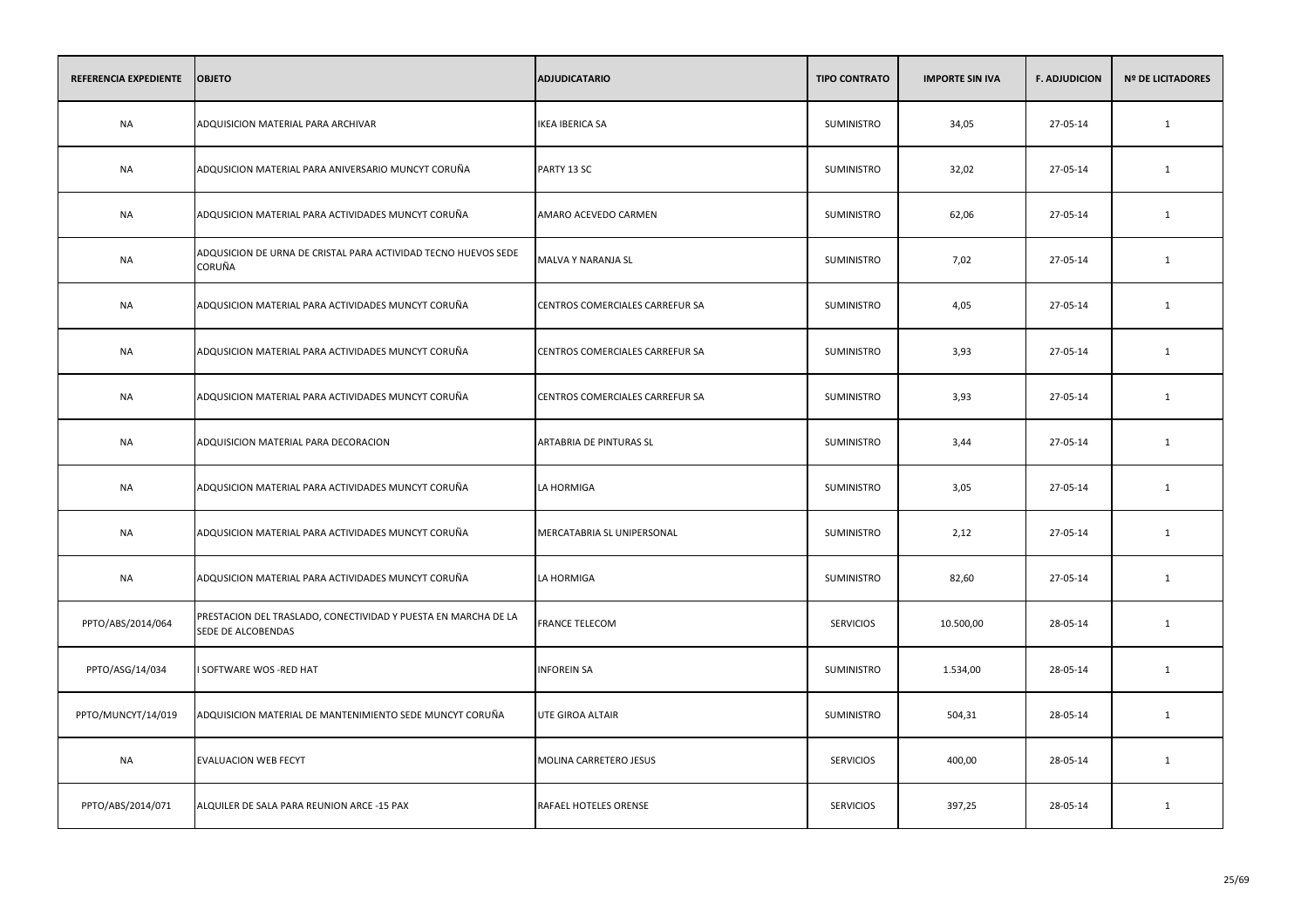| REFERENCIA EXPEDIENTE | <b>OBJETO</b>                                                                        | <b>ADJUDICATARIO</b>            | <b>TIPO CONTRATO</b> | <b>IMPORTE SIN IVA</b> | <b>F. ADJUDICION</b> | <b>Nº DE LICITADORES</b> |
|-----------------------|--------------------------------------------------------------------------------------|---------------------------------|----------------------|------------------------|----------------------|--------------------------|
| <b>NA</b>             | ADQUISICION MATERIAL PARA ARCHIVAR                                                   | <b>IKEA IBERICA SA</b>          | <b>SUMINISTRO</b>    | 34,05                  | 27-05-14             | $\mathbf{1}$             |
| <b>NA</b>             | ADQUSICION MATERIAL PARA ANIVERSARIO MUNCYT CORUÑA                                   | PARTY 13 SC                     | SUMINISTRO           | 32,02                  | 27-05-14             | 1                        |
| <b>NA</b>             | ADQUSICION MATERIAL PARA ACTIVIDADES MUNCYT CORUÑA                                   | AMARO ACEVEDO CARMEN            | SUMINISTRO           | 62,06                  | 27-05-14             | $\mathbf{1}$             |
| <b>NA</b>             | ADQUSICION DE URNA DE CRISTAL PARA ACTIVIDAD TECNO HUEVOS SEDE<br>CORUÑA             | MALVA Y NARANJA SL              | SUMINISTRO           | 7,02                   | 27-05-14             | 1                        |
| <b>NA</b>             | ADQUSICION MATERIAL PARA ACTIVIDADES MUNCYT CORUÑA                                   | CENTROS COMERCIALES CARREFUR SA | <b>SUMINISTRO</b>    | 4,05                   | 27-05-14             | $\mathbf{1}$             |
| <b>NA</b>             | ADQUSICION MATERIAL PARA ACTIVIDADES MUNCYT CORUÑA                                   | CENTROS COMERCIALES CARREFUR SA | SUMINISTRO           | 3,93                   | 27-05-14             | 1                        |
| <b>NA</b>             | ADQUSICION MATERIAL PARA ACTIVIDADES MUNCYT CORUÑA                                   | CENTROS COMERCIALES CARREFUR SA | SUMINISTRO           | 3,93                   | 27-05-14             | 1                        |
| NA                    | ADQUISICION MATERIAL PARA DECORACION                                                 | ARTABRIA DE PINTURAS SL         | <b>SUMINISTRO</b>    | 3,44                   | 27-05-14             | 1                        |
| <b>NA</b>             | ADQUSICION MATERIAL PARA ACTIVIDADES MUNCYT CORUÑA                                   | LA HORMIGA                      | SUMINISTRO           | 3,05                   | 27-05-14             | 1                        |
| NA                    | ADQUSICION MATERIAL PARA ACTIVIDADES MUNCYT CORUÑA                                   | MERCATABRIA SL UNIPERSONAL      | SUMINISTRO           | 2,12                   | 27-05-14             | 1                        |
| <b>NA</b>             | ADQUSICION MATERIAL PARA ACTIVIDADES MUNCYT CORUÑA                                   | LA HORMIGA                      | <b>SUMINISTRO</b>    | 82,60                  | 27-05-14             | 1                        |
| PPTO/ABS/2014/064     | PRESTACION DEL TRASLADO, CONECTIVIDAD Y PUESTA EN MARCHA DE LA<br>SEDE DE ALCOBENDAS | <b>FRANCE TELECOM</b>           | <b>SERVICIOS</b>     | 10.500,00              | 28-05-14             | 1                        |
| PPTO/ASG/14/034       | I SOFTWARE WOS -RED HAT                                                              | <b>INFOREIN SA</b>              | SUMINISTRO           | 1.534,00               | 28-05-14             | 1                        |
| PPTO/MUNCYT/14/019    | ADQUISICION MATERIAL DE MANTENIMIENTO SEDE MUNCYT CORUÑA                             | UTE GIROA ALTAIR                | <b>SUMINISTRO</b>    | 504,31                 | 28-05-14             | 1                        |
| <b>NA</b>             | EVALUACION WEB FECYT                                                                 | MOLINA CARRETERO JESUS          | <b>SERVICIOS</b>     | 400,00                 | 28-05-14             | 1                        |
| PPTO/ABS/2014/071     | ALQUILER DE SALA PARA REUNION ARCE -15 PAX                                           | RAFAEL HOTELES ORENSE           | <b>SERVICIOS</b>     | 397,25                 | 28-05-14             | 1                        |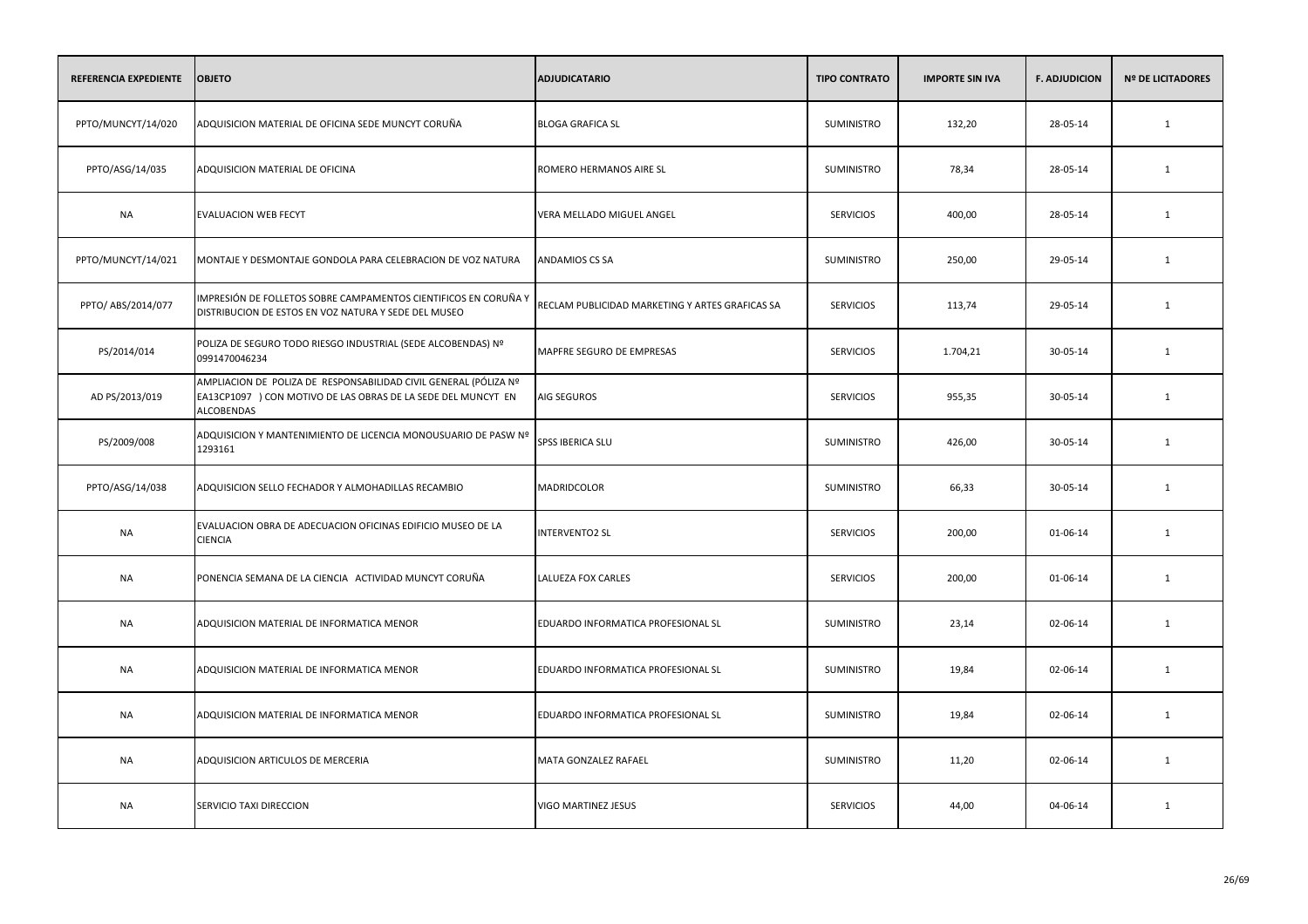| <b>REFERENCIA EXPEDIENTE</b> | <b>OBJETO</b>                                                                                                                                          | <b>ADJUDICATARIO</b>                            | <b>TIPO CONTRATO</b> | <b>IMPORTE SIN IVA</b> | <b>F. ADJUDICION</b> | <b>Nº DE LICITADORES</b> |
|------------------------------|--------------------------------------------------------------------------------------------------------------------------------------------------------|-------------------------------------------------|----------------------|------------------------|----------------------|--------------------------|
| PPTO/MUNCYT/14/020           | ADQUISICION MATERIAL DE OFICINA SEDE MUNCYT CORUÑA                                                                                                     | <b>BLOGA GRAFICA SL</b>                         | SUMINISTRO           | 132,20                 | 28-05-14             | $\mathbf{1}$             |
| PPTO/ASG/14/035              | ADQUISICION MATERIAL DE OFICINA                                                                                                                        | ROMERO HERMANOS AIRE SL                         | SUMINISTRO           | 78,34                  | 28-05-14             | 1                        |
| <b>NA</b>                    | EVALUACION WEB FECYT                                                                                                                                   | VERA MELLADO MIGUEL ANGEL                       | <b>SERVICIOS</b>     | 400,00                 | 28-05-14             | 1                        |
| PPTO/MUNCYT/14/021           | MONTAJE Y DESMONTAJE GONDOLA PARA CELEBRACION DE VOZ NATURA                                                                                            | ANDAMIOS CS SA                                  | SUMINISTRO           | 250,00                 | 29-05-14             | 1                        |
| PPTO/ ABS/2014/077           | IMPRESIÓN DE FOLLETOS SOBRE CAMPAMENTOS CIENTIFICOS EN CORUÑA Y<br>DISTRIBUCION DE ESTOS EN VOZ NATURA Y SEDE DEL MUSEO                                | RECLAM PUBLICIDAD MARKETING Y ARTES GRAFICAS SA | <b>SERVICIOS</b>     | 113,74                 | 29-05-14             | 1                        |
| PS/2014/014                  | POLIZA DE SEGURO TODO RIESGO INDUSTRIAL (SEDE ALCOBENDAS) Nº<br>0991470046234                                                                          | MAPFRE SEGURO DE EMPRESAS                       | <b>SERVICIOS</b>     | 1.704,21               | 30-05-14             | 1                        |
| AD PS/2013/019               | AMPLIACION DE POLIZA DE RESPONSABILIDAD CIVIL GENERAL (PÓLIZA Nº<br>EA13CP1097 ) CON MOTIVO DE LAS OBRAS DE LA SEDE DEL MUNCYT EN<br><b>ALCOBENDAS</b> | AIG SEGUROS                                     | <b>SERVICIOS</b>     | 955,35                 | 30-05-14             | $\mathbf{1}$             |
| PS/2009/008                  | ADQUISICION Y MANTENIMIENTO DE LICENCIA MONOUSUARIO DE PASW Nº<br>1293161                                                                              | SPSS IBERICA SLU                                | <b>SUMINISTRO</b>    | 426,00                 | 30-05-14             | $\mathbf{1}$             |
| PPTO/ASG/14/038              | ADQUISICION SELLO FECHADOR Y ALMOHADILLAS RECAMBIO                                                                                                     | MADRIDCOLOR                                     | SUMINISTRO           | 66,33                  | 30-05-14             | 1                        |
| NA                           | EVALUACION OBRA DE ADECUACION OFICINAS EDIFICIO MUSEO DE LA<br><b>CIENCIA</b>                                                                          | <b>INTERVENTO2 SL</b>                           | <b>SERVICIOS</b>     | 200,00                 | 01-06-14             | 1                        |
| NA                           | PONENCIA SEMANA DE LA CIENCIA ACTIVIDAD MUNCYT CORUÑA                                                                                                  | <b>LALUEZA FOX CARLES</b>                       | <b>SERVICIOS</b>     | 200,00                 | 01-06-14             | 1                        |
| <b>NA</b>                    | ADQUISICION MATERIAL DE INFORMATICA MENOR                                                                                                              | EDUARDO INFORMATICA PROFESIONAL SL              | SUMINISTRO           | 23,14                  | 02-06-14             | 1                        |
| NA                           | ADQUISICION MATERIAL DE INFORMATICA MENOR                                                                                                              | EDUARDO INFORMATICA PROFESIONAL SL              | SUMINISTRO           | 19,84                  | 02-06-14             | 1                        |
| <b>NA</b>                    | ADQUISICION MATERIAL DE INFORMATICA MENOR                                                                                                              | EDUARDO INFORMATICA PROFESIONAL SL              | SUMINISTRO           | 19,84                  | 02-06-14             | 1                        |
| <b>NA</b>                    | ADQUISICION ARTICULOS DE MERCERIA                                                                                                                      | MATA GONZALEZ RAFAEL                            | <b>SUMINISTRO</b>    | 11,20                  | 02-06-14             | 1                        |
| <b>NA</b>                    | SERVICIO TAXI DIRECCION                                                                                                                                | VIGO MARTINEZ JESUS                             | <b>SERVICIOS</b>     | 44,00                  | 04-06-14             | 1                        |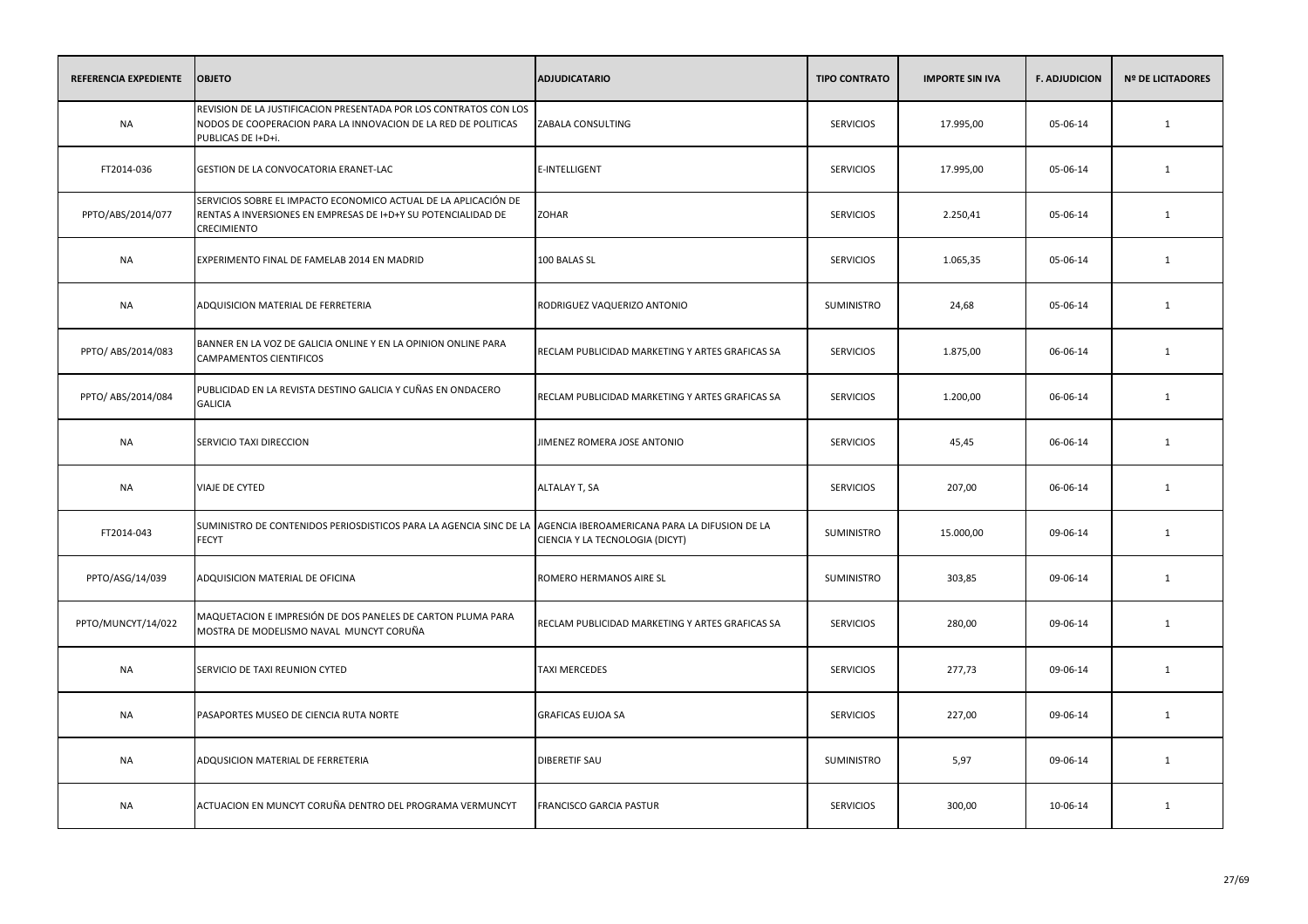| <b>REFERENCIA EXPEDIENTE</b> | <b>OBJETO</b>                                                                                                                                             | <b>ADJUDICATARIO</b>                                                             | <b>TIPO CONTRATO</b> | <b>IMPORTE SIN IVA</b> | <b>F. ADJUDICION</b> | <b>Nº DE LICITADORES</b> |
|------------------------------|-----------------------------------------------------------------------------------------------------------------------------------------------------------|----------------------------------------------------------------------------------|----------------------|------------------------|----------------------|--------------------------|
| <b>NA</b>                    | REVISION DE LA JUSTIFICACION PRESENTADA POR LOS CONTRATOS CON LOS<br>NODOS DE COOPERACION PARA LA INNOVACION DE LA RED DE POLITICAS<br>PUBLICAS DE I+D+i. | ZABALA CONSULTING                                                                | <b>SERVICIOS</b>     | 17.995,00              | 05-06-14             | $\mathbf{1}$             |
| FT2014-036                   | GESTION DE LA CONVOCATORIA ERANET-LAC                                                                                                                     | E-INTELLIGENT                                                                    | <b>SERVICIOS</b>     | 17.995,00              | 05-06-14             | $\mathbf{1}$             |
| PPTO/ABS/2014/077            | SERVICIOS SOBRE EL IMPACTO ECONOMICO ACTUAL DE LA APLICACIÓN DE<br>RENTAS A INVERSIONES EN EMPRESAS DE I+D+Y SU POTENCIALIDAD DE<br><b>CRECIMIENTO</b>    | <b>ZOHAR</b>                                                                     | <b>SERVICIOS</b>     | 2.250,41               | 05-06-14             | 1                        |
| <b>NA</b>                    | EXPERIMENTO FINAL DE FAMELAB 2014 EN MADRID                                                                                                               | 100 BALAS SL                                                                     | <b>SERVICIOS</b>     | 1.065,35               | 05-06-14             | 1                        |
| <b>NA</b>                    | ADQUISICION MATERIAL DE FERRETERIA                                                                                                                        | RODRIGUEZ VAQUERIZO ANTONIO                                                      | SUMINISTRO           | 24,68                  | 05-06-14             | 1                        |
| PPTO/ ABS/2014/083           | BANNER EN LA VOZ DE GALICIA ONLINE Y EN LA OPINION ONLINE PARA<br><b>CAMPAMENTOS CIENTIFICOS</b>                                                          | RECLAM PUBLICIDAD MARKETING Y ARTES GRAFICAS SA                                  | <b>SERVICIOS</b>     | 1.875,00               | 06-06-14             | 1                        |
| PPTO/ ABS/2014/084           | PUBLICIDAD EN LA REVISTA DESTINO GALICIA Y CUÑAS EN ONDACERO<br><b>GALICIA</b>                                                                            | RECLAM PUBLICIDAD MARKETING Y ARTES GRAFICAS SA                                  | <b>SERVICIOS</b>     | 1.200,00               | 06-06-14             | 1                        |
| NA                           | SERVICIO TAXI DIRECCION                                                                                                                                   | JIMENEZ ROMERA JOSE ANTONIO                                                      | <b>SERVICIOS</b>     | 45,45                  | 06-06-14             | 1                        |
| <b>NA</b>                    | <b>VIAJE DE CYTED</b>                                                                                                                                     | ALTALAY T, SA                                                                    | <b>SERVICIOS</b>     | 207,00                 | 06-06-14             | 1                        |
| FT2014-043                   | SUMINISTRO DE CONTENIDOS PERIOSDISTICOS PARA LA AGENCIA SINC DE LA<br><b>FECYT</b>                                                                        | AGENCIA IBEROAMERICANA PARA LA DIFUSION DE LA<br>CIENCIA Y LA TECNOLOGIA (DICYT) | <b>SUMINISTRO</b>    | 15.000,00              | 09-06-14             | 1                        |
| PPTO/ASG/14/039              | ADQUISICION MATERIAL DE OFICINA                                                                                                                           | ROMERO HERMANOS AIRE SL                                                          | SUMINISTRO           | 303,85                 | 09-06-14             | 1                        |
| PPTO/MUNCYT/14/022           | MAQUETACION E IMPRESIÓN DE DOS PANELES DE CARTON PLUMA PARA<br>MOSTRA DE MODELISMO NAVAL MUNCYT CORUÑA                                                    | RECLAM PUBLICIDAD MARKETING Y ARTES GRAFICAS SA                                  | <b>SERVICIOS</b>     | 280,00                 | 09-06-14             | 1                        |
| <b>NA</b>                    | SERVICIO DE TAXI REUNION CYTED                                                                                                                            | <b>TAXI MERCEDES</b>                                                             | <b>SERVICIOS</b>     | 277,73                 | 09-06-14             | 1                        |
| <b>NA</b>                    | PASAPORTES MUSEO DE CIENCIA RUTA NORTE                                                                                                                    | <b>GRAFICAS EUJOA SA</b>                                                         | <b>SERVICIOS</b>     | 227,00                 | 09-06-14             | 1                        |
| <b>NA</b>                    | ADQUSICION MATERIAL DE FERRETERIA                                                                                                                         | <b>DIBERETIF SAU</b>                                                             | SUMINISTRO           | 5,97                   | 09-06-14             | 1                        |
| <b>NA</b>                    | ACTUACION EN MUNCYT CORUÑA DENTRO DEL PROGRAMA VERMUNCYT                                                                                                  | FRANCISCO GARCIA PASTUR                                                          | <b>SERVICIOS</b>     | 300,00                 | 10-06-14             | 1                        |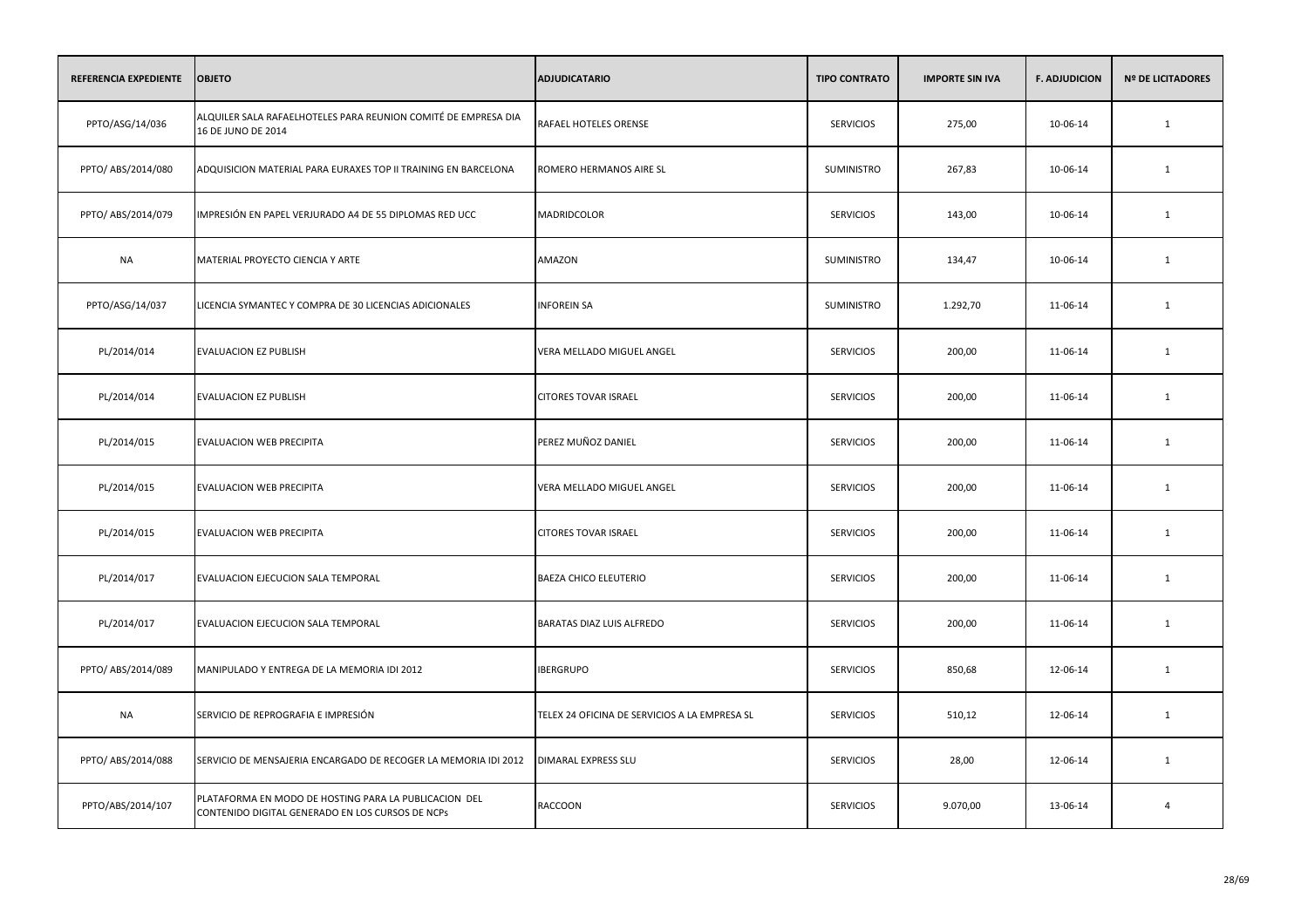| <b>REFERENCIA EXPEDIENTE</b> | <b>OBJETO</b>                                                                                             | <b>ADJUDICATARIO</b>                          | <b>TIPO CONTRATO</b> | <b>IMPORTE SIN IVA</b> | <b>F. ADJUDICION</b> | <b>Nº DE LICITADORES</b> |
|------------------------------|-----------------------------------------------------------------------------------------------------------|-----------------------------------------------|----------------------|------------------------|----------------------|--------------------------|
| PPTO/ASG/14/036              | ALQUILER SALA RAFAELHOTELES PARA REUNION COMITÉ DE EMPRESA DIA<br>16 DE JUNO DE 2014                      | RAFAEL HOTELES ORENSE                         | <b>SERVICIOS</b>     | 275,00                 | 10-06-14             | $\mathbf{1}$             |
| PPTO/ ABS/2014/080           | ADQUISICION MATERIAL PARA EURAXES TOP II TRAINING EN BARCELONA                                            | ROMERO HERMANOS AIRE SL                       | SUMINISTRO           | 267,83                 | 10-06-14             | $\mathbf{1}$             |
| PPTO/ ABS/2014/079           | IMPRESIÓN EN PAPEL VERJURADO A4 DE 55 DIPLOMAS RED UCC                                                    | MADRIDCOLOR                                   | <b>SERVICIOS</b>     | 143,00                 | 10-06-14             | $\mathbf{1}$             |
| <b>NA</b>                    | MATERIAL PROYECTO CIENCIA Y ARTE                                                                          | AMAZON                                        | SUMINISTRO           | 134,47                 | 10-06-14             | $\mathbf{1}$             |
| PPTO/ASG/14/037              | LICENCIA SYMANTEC Y COMPRA DE 30 LICENCIAS ADICIONALES                                                    | <b>INFOREIN SA</b>                            | SUMINISTRO           | 1.292,70               | 11-06-14             | $\mathbf{1}$             |
| PL/2014/014                  | EVALUACION EZ PUBLISH                                                                                     | VERA MELLADO MIGUEL ANGEL                     | <b>SERVICIOS</b>     | 200,00                 | 11-06-14             | $\mathbf{1}$             |
| PL/2014/014                  | EVALUACION EZ PUBLISH                                                                                     | <b>CITORES TOVAR ISRAEL</b>                   | <b>SERVICIOS</b>     | 200,00                 | 11-06-14             | $\mathbf{1}$             |
| PL/2014/015                  | EVALUACION WEB PRECIPITA                                                                                  | PEREZ MUÑOZ DANIEL                            | <b>SERVICIOS</b>     | 200,00                 | 11-06-14             | $\mathbf{1}$             |
| PL/2014/015                  | <b>EVALUACION WEB PRECIPITA</b>                                                                           | VERA MELLADO MIGUEL ANGEL                     | <b>SERVICIOS</b>     | 200,00                 | 11-06-14             | 1                        |
| PL/2014/015                  | EVALUACION WEB PRECIPITA                                                                                  | <b>CITORES TOVAR ISRAEL</b>                   | <b>SERVICIOS</b>     | 200,00                 | 11-06-14             | $\mathbf{1}$             |
| PL/2014/017                  | EVALUACION EJECUCION SALA TEMPORAL                                                                        | <b>BAEZA CHICO ELEUTERIO</b>                  | <b>SERVICIOS</b>     | 200,00                 | 11-06-14             | $\mathbf{1}$             |
| PL/2014/017                  | EVALUACION EJECUCION SALA TEMPORAL                                                                        | BARATAS DIAZ LUIS ALFREDO                     | <b>SERVICIOS</b>     | 200,00                 | 11-06-14             | $\mathbf{1}$             |
| PPTO/ ABS/2014/089           | MANIPULADO Y ENTREGA DE LA MEMORIA IDI 2012                                                               | <b>IBERGRUPO</b>                              | <b>SERVICIOS</b>     | 850,68                 | 12-06-14             | $\mathbf{1}$             |
| <b>NA</b>                    | SERVICIO DE REPROGRAFIA E IMPRESIÓN                                                                       | TELEX 24 OFICINA DE SERVICIOS A LA EMPRESA SL | <b>SERVICIOS</b>     | 510,12                 | 12-06-14             | $\mathbf{1}$             |
| PPTO/ ABS/2014/088           | SERVICIO DE MENSAJERIA ENCARGADO DE RECOGER LA MEMORIA IDI 2012                                           | DIMARAL EXPRESS SLU                           | <b>SERVICIOS</b>     | 28,00                  | 12-06-14             | $\mathbf{1}$             |
| PPTO/ABS/2014/107            | PLATAFORMA EN MODO DE HOSTING PARA LA PUBLICACION DEL<br>CONTENIDO DIGITAL GENERADO EN LOS CURSOS DE NCPS | RACCOON                                       | <b>SERVICIOS</b>     | 9.070,00               | 13-06-14             | $\overline{4}$           |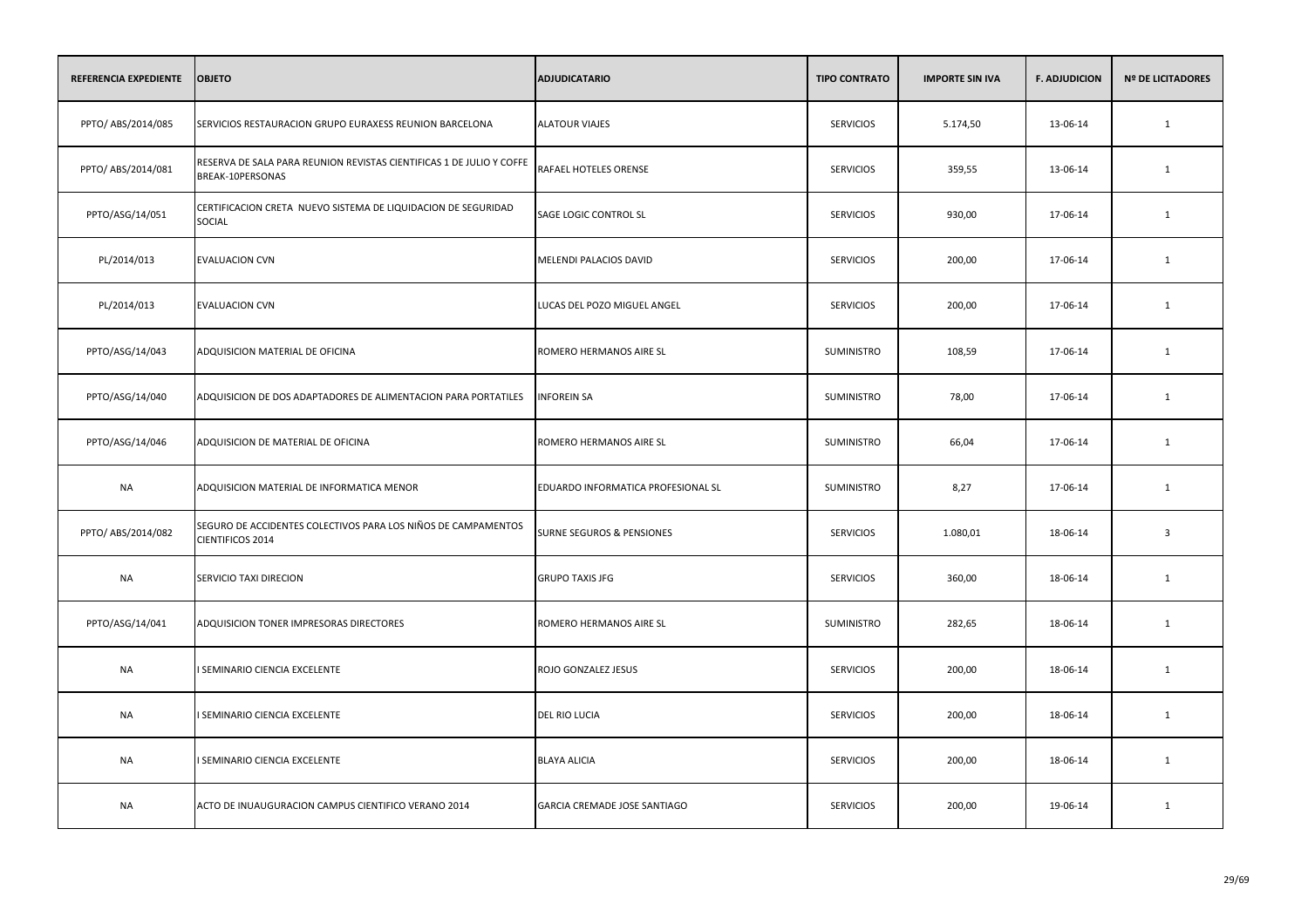| REFERENCIA EXPEDIENTE | <b>OBJETO</b>                                                                            | <b>ADJUDICATARIO</b>               | <b>TIPO CONTRATO</b> | <b>IMPORTE SIN IVA</b> | <b>F. ADJUDICION</b> | <b>Nº DE LICITADORES</b> |
|-----------------------|------------------------------------------------------------------------------------------|------------------------------------|----------------------|------------------------|----------------------|--------------------------|
| PPTO/ ABS/2014/085    | SERVICIOS RESTAURACION GRUPO EURAXESS REUNION BARCELONA                                  | <b>ALATOUR VIAJES</b>              | <b>SERVICIOS</b>     | 5.174,50               | 13-06-14             | $\mathbf{1}$             |
| PPTO/ ABS/2014/081    | RESERVA DE SALA PARA REUNION REVISTAS CIENTIFICAS 1 DE JULIO Y COFFE<br>BREAK-10PERSONAS | RAFAEL HOTELES ORENSE              | <b>SERVICIOS</b>     | 359,55                 | 13-06-14             | $\mathbf{1}$             |
| PPTO/ASG/14/051       | CERTIFICACION CRETA NUEVO SISTEMA DE LIQUIDACION DE SEGURIDAD<br><b>SOCIAL</b>           | SAGE LOGIC CONTROL SL              | <b>SERVICIOS</b>     | 930,00                 | 17-06-14             | $\mathbf{1}$             |
| PL/2014/013           | <b>EVALUACION CVN</b>                                                                    | MELENDI PALACIOS DAVID             | <b>SERVICIOS</b>     | 200,00                 | 17-06-14             | 1                        |
| PL/2014/013           | <b>EVALUACION CVN</b>                                                                    | LUCAS DEL POZO MIGUEL ANGEL        | <b>SERVICIOS</b>     | 200,00                 | 17-06-14             | $\mathbf{1}$             |
| PPTO/ASG/14/043       | ADQUISICION MATERIAL DE OFICINA                                                          | ROMERO HERMANOS AIRE SL            | SUMINISTRO           | 108,59                 | 17-06-14             | $\mathbf{1}$             |
| PPTO/ASG/14/040       | ADQUISICION DE DOS ADAPTADORES DE ALIMENTACION PARA PORTATILES                           | <b>INFOREIN SA</b>                 | SUMINISTRO           | 78,00                  | 17-06-14             | $\mathbf{1}$             |
| PPTO/ASG/14/046       | ADQUISICION DE MATERIAL DE OFICINA                                                       | ROMERO HERMANOS AIRE SL            | SUMINISTRO           | 66,04                  | 17-06-14             | 1                        |
| NA                    | ADQUISICION MATERIAL DE INFORMATICA MENOR                                                | EDUARDO INFORMATICA PROFESIONAL SL | SUMINISTRO           | 8,27                   | 17-06-14             | 1                        |
| PPTO/ ABS/2014/082    | SEGURO DE ACCIDENTES COLECTIVOS PARA LOS NIÑOS DE CAMPAMENTOS<br>CIENTIFICOS 2014        | SURNE SEGUROS & PENSIONES          | <b>SERVICIOS</b>     | 1.080,01               | 18-06-14             | $\overline{3}$           |
| <b>NA</b>             | SERVICIO TAXI DIRECION                                                                   | <b>GRUPO TAXIS JFG</b>             | <b>SERVICIOS</b>     | 360,00                 | 18-06-14             | $\mathbf{1}$             |
| PPTO/ASG/14/041       | ADQUISICION TONER IMPRESORAS DIRECTORES                                                  | ROMERO HERMANOS AIRE SL            | SUMINISTRO           | 282,65                 | 18-06-14             | 1                        |
| NA                    | I SEMINARIO CIENCIA EXCELENTE                                                            | ROJO GONZALEZ JESUS                | <b>SERVICIOS</b>     | 200,00                 | 18-06-14             | 1                        |
| NA                    | I SEMINARIO CIENCIA EXCELENTE                                                            | <b>DEL RIO LUCIA</b>               | <b>SERVICIOS</b>     | 200,00                 | 18-06-14             | 1                        |
| <b>NA</b>             | I SEMINARIO CIENCIA EXCELENTE                                                            | <b>BLAYA ALICIA</b>                | <b>SERVICIOS</b>     | 200,00                 | 18-06-14             | $\mathbf{1}$             |
| <b>NA</b>             | ACTO DE INUAUGURACION CAMPUS CIENTIFICO VERANO 2014                                      | GARCIA CREMADE JOSE SANTIAGO       | <b>SERVICIOS</b>     | 200,00                 | 19-06-14             | 1                        |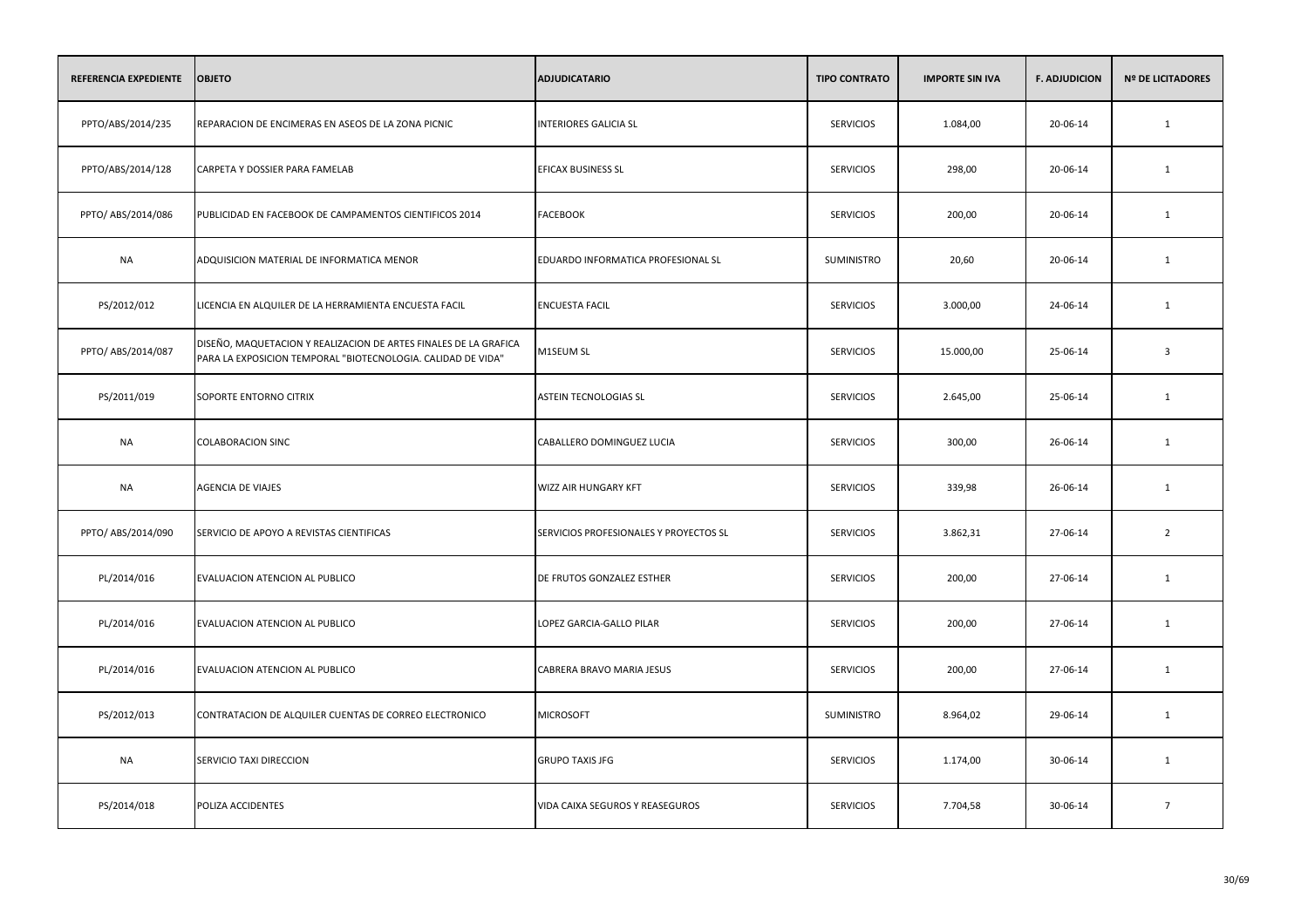| <b>REFERENCIA EXPEDIENTE</b> | <b>OBJETO</b>                                                                                                                    | <b>ADJUDICATARIO</b>                   | <b>TIPO CONTRATO</b> | <b>IMPORTE SIN IVA</b> | <b>F. ADJUDICION</b> | <b>Nº DE LICITADORES</b> |
|------------------------------|----------------------------------------------------------------------------------------------------------------------------------|----------------------------------------|----------------------|------------------------|----------------------|--------------------------|
| PPTO/ABS/2014/235            | REPARACION DE ENCIMERAS EN ASEOS DE LA ZONA PICNIC                                                                               | <b>INTERIORES GALICIA SL</b>           | <b>SERVICIOS</b>     | 1.084,00               | 20-06-14             | $\mathbf{1}$             |
| PPTO/ABS/2014/128            | CARPETA Y DOSSIER PARA FAMELAB                                                                                                   | <b>EFICAX BUSINESS SL</b>              | <b>SERVICIOS</b>     | 298,00                 | 20-06-14             | 1                        |
| PPTO/ ABS/2014/086           | PUBLICIDAD EN FACEBOOK DE CAMPAMENTOS CIENTIFICOS 2014                                                                           | <b>FACEBOOK</b>                        | <b>SERVICIOS</b>     | 200,00                 | 20-06-14             | 1                        |
| <b>NA</b>                    | ADQUISICION MATERIAL DE INFORMATICA MENOR                                                                                        | EDUARDO INFORMATICA PROFESIONAL SL     | SUMINISTRO           | 20,60                  | 20-06-14             | 1                        |
| PS/2012/012                  | LICENCIA EN ALQUILER DE LA HERRAMIENTA ENCUESTA FACIL                                                                            | <b>ENCUESTA FACIL</b>                  | <b>SERVICIOS</b>     | 3.000,00               | 24-06-14             | 1                        |
| PPTO/ ABS/2014/087           | DISEÑO, MAQUETACION Y REALIZACION DE ARTES FINALES DE LA GRAFICA<br>PARA LA EXPOSICION TEMPORAL "BIOTECNOLOGIA. CALIDAD DE VIDA" | M1SEUM SL                              | <b>SERVICIOS</b>     | 15.000,00              | 25-06-14             | $\overline{3}$           |
| PS/2011/019                  | SOPORTE ENTORNO CITRIX                                                                                                           | <b>ASTEIN TECNOLOGIAS SL</b>           | <b>SERVICIOS</b>     | 2.645,00               | 25-06-14             | $\mathbf{1}$             |
| <b>NA</b>                    | <b>COLABORACION SINC</b>                                                                                                         | CABALLERO DOMINGUEZ LUCIA              | <b>SERVICIOS</b>     | 300,00                 | 26-06-14             | $\mathbf{1}$             |
| <b>NA</b>                    | AGENCIA DE VIAJES                                                                                                                | WIZZ AIR HUNGARY KFT                   | <b>SERVICIOS</b>     | 339,98                 | 26-06-14             | $\mathbf{1}$             |
| PPTO/ ABS/2014/090           | SERVICIO DE APOYO A REVISTAS CIENTIFICAS                                                                                         | SERVICIOS PROFESIONALES Y PROYECTOS SL | <b>SERVICIOS</b>     | 3.862,31               | 27-06-14             | $\overline{2}$           |
| PL/2014/016                  | EVALUACION ATENCION AL PUBLICO                                                                                                   | DE FRUTOS GONZALEZ ESTHER              | <b>SERVICIOS</b>     | 200,00                 | 27-06-14             | 1                        |
| PL/2014/016                  | EVALUACION ATENCION AL PUBLICO                                                                                                   | LOPEZ GARCIA-GALLO PILAR               | <b>SERVICIOS</b>     | 200,00                 | 27-06-14             | 1                        |
| PL/2014/016                  | EVALUACION ATENCION AL PUBLICO                                                                                                   | CABRERA BRAVO MARIA JESUS              | <b>SERVICIOS</b>     | 200,00                 | 27-06-14             | 1                        |
| PS/2012/013                  | CONTRATACION DE ALQUILER CUENTAS DE CORREO ELECTRONICO                                                                           | <b>MICROSOFT</b>                       | SUMINISTRO           | 8.964,02               | 29-06-14             | 1                        |
| <b>NA</b>                    | SERVICIO TAXI DIRECCION                                                                                                          | <b>GRUPO TAXIS JFG</b>                 | <b>SERVICIOS</b>     | 1.174,00               | 30-06-14             | 1                        |
| PS/2014/018                  | POLIZA ACCIDENTES                                                                                                                | VIDA CAIXA SEGUROS Y REASEGUROS        | <b>SERVICIOS</b>     | 7.704,58               | 30-06-14             | $7\overline{ }$          |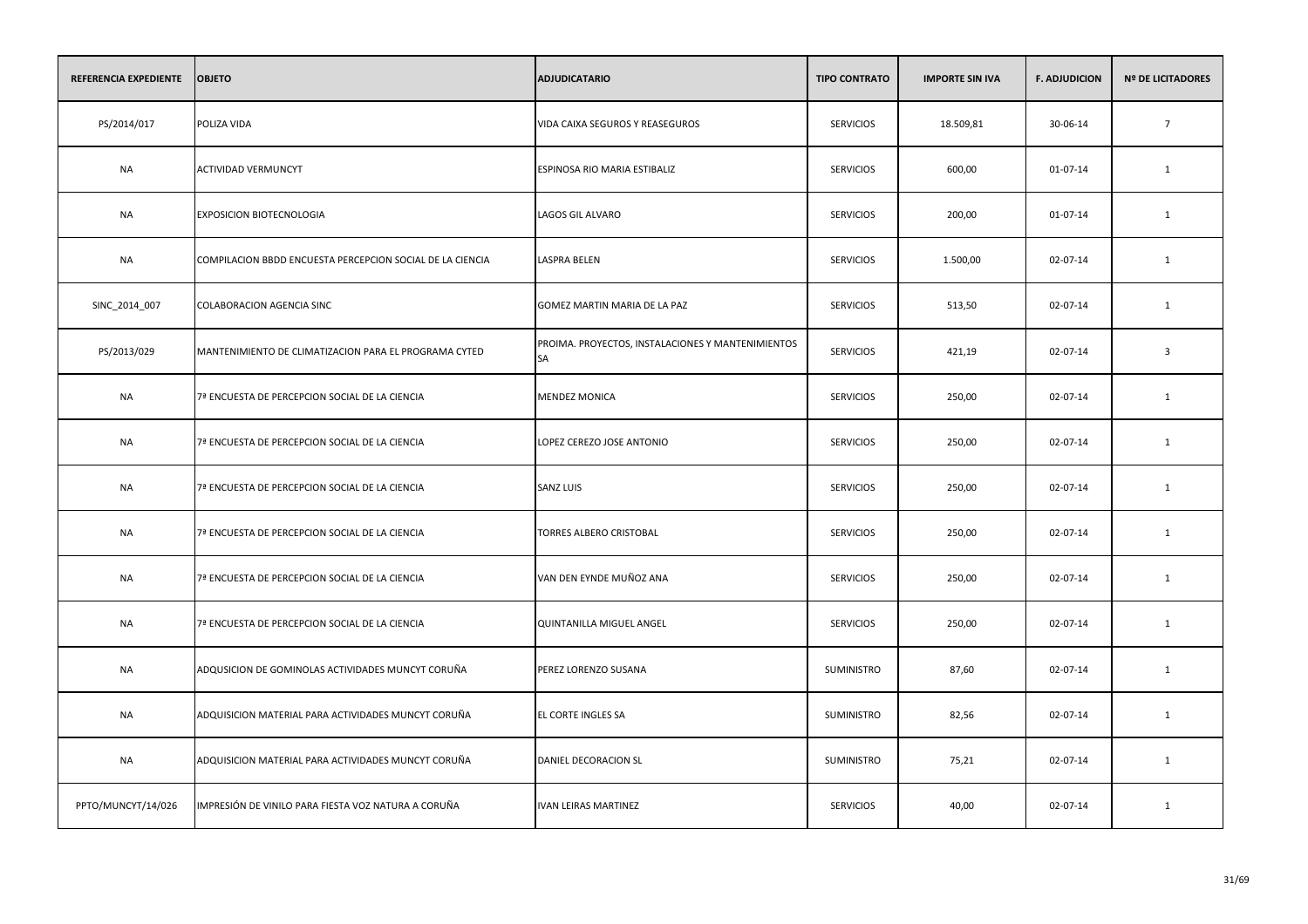| REFERENCIA EXPEDIENTE | <b>OBJETO</b>                                             | <b>ADJUDICATARIO</b>                                           | <b>TIPO CONTRATO</b> | <b>IMPORTE SIN IVA</b> | <b>F. ADJUDICION</b> | <b>Nº DE LICITADORES</b> |
|-----------------------|-----------------------------------------------------------|----------------------------------------------------------------|----------------------|------------------------|----------------------|--------------------------|
| PS/2014/017           | POLIZA VIDA                                               | VIDA CAIXA SEGUROS Y REASEGUROS                                | <b>SERVICIOS</b>     | 18.509,81              | 30-06-14             | $7\overline{ }$          |
| <b>NA</b>             | <b>ACTIVIDAD VERMUNCYT</b>                                | ESPINOSA RIO MARIA ESTIBALIZ                                   | <b>SERVICIOS</b>     | 600,00                 | 01-07-14             | 1                        |
| NA                    | EXPOSICION BIOTECNOLOGIA                                  | <b>LAGOS GIL ALVARO</b>                                        | <b>SERVICIOS</b>     | 200,00                 | 01-07-14             | 1                        |
| <b>NA</b>             | COMPILACION BBDD ENCUESTA PERCEPCION SOCIAL DE LA CIENCIA | LASPRA BELEN                                                   | <b>SERVICIOS</b>     | 1.500,00               | 02-07-14             | 1                        |
| SINC_2014_007         | COLABORACION AGENCIA SINC                                 | GOMEZ MARTIN MARIA DE LA PAZ                                   | <b>SERVICIOS</b>     | 513,50                 | 02-07-14             | $\mathbf{1}$             |
| PS/2013/029           | MANTENIMIENTO DE CLIMATIZACION PARA EL PROGRAMA CYTED     | PROIMA. PROYECTOS, INSTALACIONES Y MANTENIMIENTOS<br><b>SA</b> | <b>SERVICIOS</b>     | 421,19                 | 02-07-14             | $\overline{\mathbf{3}}$  |
| <b>NA</b>             | 7ª ENCUESTA DE PERCEPCION SOCIAL DE LA CIENCIA            | <b>MENDEZ MONICA</b>                                           | <b>SERVICIOS</b>     | 250,00                 | 02-07-14             | 1                        |
| NA                    | 7ª ENCUESTA DE PERCEPCION SOCIAL DE LA CIENCIA            | LOPEZ CEREZO JOSE ANTONIO                                      | <b>SERVICIOS</b>     | 250,00                 | 02-07-14             | 1                        |
| NA                    | 7ª ENCUESTA DE PERCEPCION SOCIAL DE LA CIENCIA            | <b>SANZ LUIS</b>                                               | <b>SERVICIOS</b>     | 250,00                 | 02-07-14             | 1                        |
| <b>NA</b>             | 7ª ENCUESTA DE PERCEPCION SOCIAL DE LA CIENCIA            | TORRES ALBERO CRISTOBAL                                        | <b>SERVICIOS</b>     | 250,00                 | 02-07-14             | 1                        |
| <b>NA</b>             | 7ª ENCUESTA DE PERCEPCION SOCIAL DE LA CIENCIA            | VAN DEN EYNDE MUÑOZ ANA                                        | <b>SERVICIOS</b>     | 250,00                 | 02-07-14             | $\mathbf{1}$             |
| <b>NA</b>             | 7ª ENCUESTA DE PERCEPCION SOCIAL DE LA CIENCIA            | QUINTANILLA MIGUEL ANGEL                                       | <b>SERVICIOS</b>     | 250,00                 | 02-07-14             | $\mathbf{1}$             |
| <b>NA</b>             | ADQUSICION DE GOMINOLAS ACTIVIDADES MUNCYT CORUÑA         | PEREZ LORENZO SUSANA                                           | SUMINISTRO           | 87,60                  | 02-07-14             | $\mathbf{1}$             |
| <b>NA</b>             | ADQUISICION MATERIAL PARA ACTIVIDADES MUNCYT CORUÑA       | EL CORTE INGLES SA                                             | SUMINISTRO           | 82,56                  | 02-07-14             | 1                        |
| NA                    | ADQUISICION MATERIAL PARA ACTIVIDADES MUNCYT CORUÑA       | DANIEL DECORACION SL                                           | SUMINISTRO           | 75,21                  | 02-07-14             | 1                        |
| PPTO/MUNCYT/14/026    | IMPRESIÓN DE VINILO PARA FIESTA VOZ NATURA A CORUÑA       | <b>IVAN LEIRAS MARTINEZ</b>                                    | <b>SERVICIOS</b>     | 40,00                  | 02-07-14             | 1                        |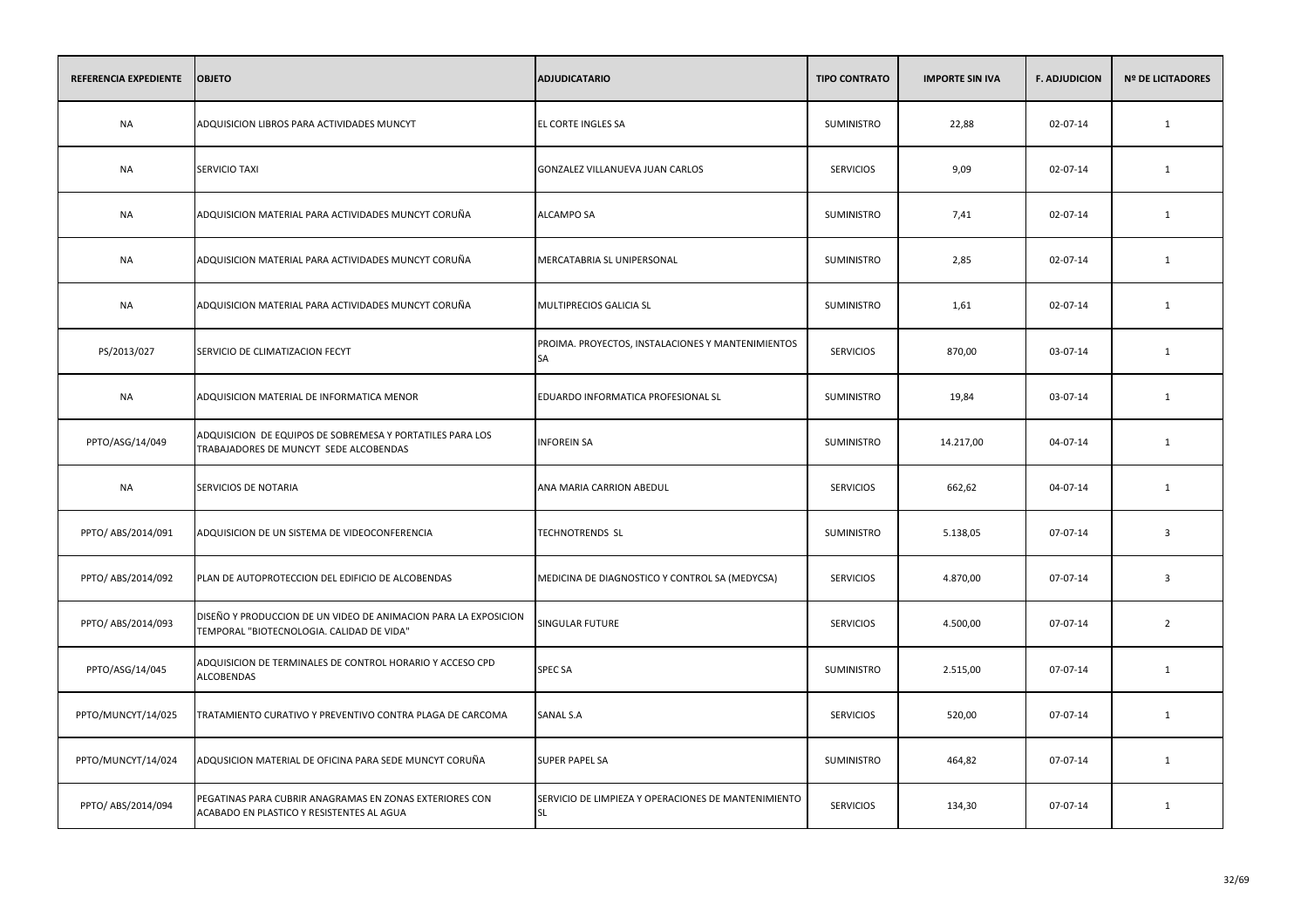| REFERENCIA EXPEDIENTE | <b>OBJETO</b>                                                                                                | <b>ADJUDICATARIO</b>                                             | <b>TIPO CONTRATO</b> | <b>IMPORTE SIN IVA</b> | <b>F. ADJUDICION</b> | <b>Nº DE LICITADORES</b> |
|-----------------------|--------------------------------------------------------------------------------------------------------------|------------------------------------------------------------------|----------------------|------------------------|----------------------|--------------------------|
| <b>NA</b>             | ADQUISICION LIBROS PARA ACTIVIDADES MUNCYT                                                                   | EL CORTE INGLES SA                                               | <b>SUMINISTRO</b>    | 22,88                  | 02-07-14             | $\mathbf{1}$             |
| <b>NA</b>             | <b>SERVICIO TAXI</b>                                                                                         | GONZALEZ VILLANUEVA JUAN CARLOS                                  | <b>SERVICIOS</b>     | 9,09                   | 02-07-14             | 1                        |
| <b>NA</b>             | ADQUISICION MATERIAL PARA ACTIVIDADES MUNCYT CORUÑA                                                          | ALCAMPO SA                                                       | SUMINISTRO           | 7,41                   | 02-07-14             | $\mathbf{1}$             |
| <b>NA</b>             | ADQUISICION MATERIAL PARA ACTIVIDADES MUNCYT CORUÑA                                                          | MERCATABRIA SL UNIPERSONAL                                       | SUMINISTRO           | 2,85                   | 02-07-14             | 1                        |
| <b>NA</b>             | ADQUISICION MATERIAL PARA ACTIVIDADES MUNCYT CORUÑA                                                          | MULTIPRECIOS GALICIA SL                                          | <b>SUMINISTRO</b>    | 1,61                   | 02-07-14             | $\mathbf{1}$             |
| PS/2013/027           | SERVICIO DE CLIMATIZACION FECYT                                                                              | PROIMA. PROYECTOS, INSTALACIONES Y MANTENIMIENTOS<br>SA          | <b>SERVICIOS</b>     | 870,00                 | 03-07-14             | 1                        |
| <b>NA</b>             | ADQUISICION MATERIAL DE INFORMATICA MENOR                                                                    | EDUARDO INFORMATICA PROFESIONAL SL                               | SUMINISTRO           | 19,84                  | 03-07-14             | 1                        |
| PPTO/ASG/14/049       | ADQUISICION DE EQUIPOS DE SOBREMESA Y PORTATILES PARA LOS<br>TRABAJADORES DE MUNCYT SEDE ALCOBENDAS          | <b>INFOREIN SA</b>                                               | <b>SUMINISTRO</b>    | 14.217,00              | 04-07-14             | 1                        |
| <b>NA</b>             | SERVICIOS DE NOTARIA                                                                                         | ANA MARIA CARRION ABEDUL                                         | <b>SERVICIOS</b>     | 662,62                 | 04-07-14             | 1                        |
| PPTO/ ABS/2014/091    | ADQUISICION DE UN SISTEMA DE VIDEOCONFERENCIA                                                                | <b>TECHNOTRENDS SL</b>                                           | SUMINISTRO           | 5.138,05               | 07-07-14             | $\overline{\mathbf{3}}$  |
| PPTO/ ABS/2014/092    | PLAN DE AUTOPROTECCION DEL EDIFICIO DE ALCOBENDAS                                                            | MEDICINA DE DIAGNOSTICO Y CONTROL SA (MEDYCSA)                   | <b>SERVICIOS</b>     | 4.870,00               | 07-07-14             | $\overline{\mathbf{3}}$  |
| PPTO/ ABS/2014/093    | DISEÑO Y PRODUCCION DE UN VIDEO DE ANIMACION PARA LA EXPOSICION<br>TEMPORAL "BIOTECNOLOGIA. CALIDAD DE VIDA" | SINGULAR FUTURE                                                  | <b>SERVICIOS</b>     | 4.500,00               | 07-07-14             | $\overline{2}$           |
| PPTO/ASG/14/045       | ADQUISICION DE TERMINALES DE CONTROL HORARIO Y ACCESO CPD<br><b>ALCOBENDAS</b>                               | SPEC SA                                                          | SUMINISTRO           | 2.515,00               | 07-07-14             | 1                        |
| PPTO/MUNCYT/14/025    | TRATAMIENTO CURATIVO Y PREVENTIVO CONTRA PLAGA DE CARCOMA                                                    | SANAL S.A                                                        | <b>SERVICIOS</b>     | 520,00                 | 07-07-14             | 1                        |
| PPTO/MUNCYT/14/024    | ADQUSICION MATERIAL DE OFICINA PARA SEDE MUNCYT CORUÑA                                                       | SUPER PAPEL SA                                                   | SUMINISTRO           | 464,82                 | 07-07-14             | 1                        |
| PPTO/ ABS/2014/094    | PEGATINAS PARA CUBRIR ANAGRAMAS EN ZONAS EXTERIORES CON<br>ACABADO EN PLASTICO Y RESISTENTES AL AGUA         | SERVICIO DE LIMPIEZA Y OPERACIONES DE MANTENIMIENTO<br><b>SL</b> | <b>SERVICIOS</b>     | 134,30                 | 07-07-14             | 1                        |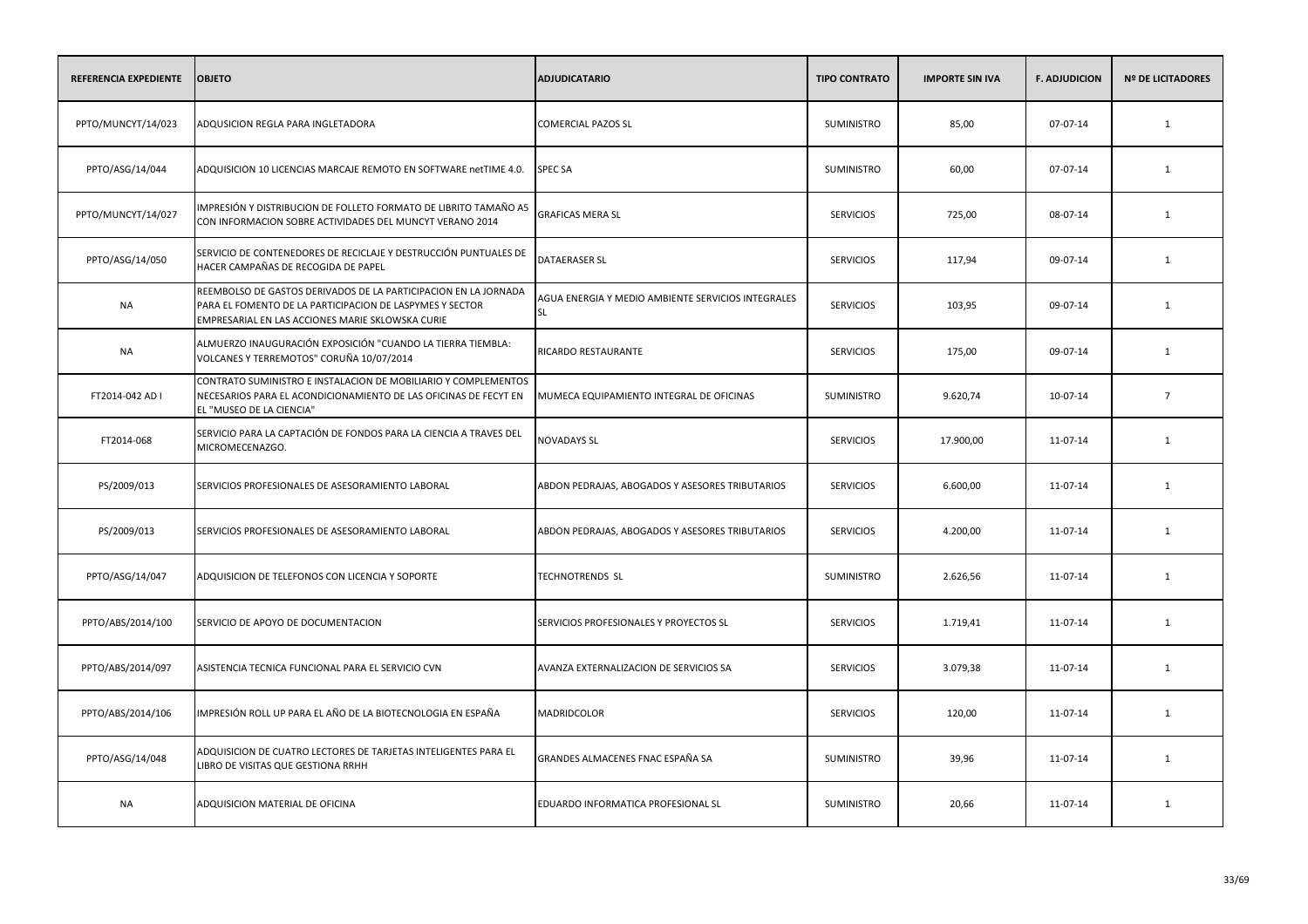| REFERENCIA EXPEDIENTE | <b>OBJETO</b>                                                                                                                                                                   | <b>ADJUDICATARIO</b>                                     | <b>TIPO CONTRATO</b> | <b>IMPORTE SIN IVA</b> | <b>F. ADJUDICION</b> | <b>Nº DE LICITADORES</b> |
|-----------------------|---------------------------------------------------------------------------------------------------------------------------------------------------------------------------------|----------------------------------------------------------|----------------------|------------------------|----------------------|--------------------------|
| PPTO/MUNCYT/14/023    | ADQUSICION REGLA PARA INGLETADORA                                                                                                                                               | <b>COMERCIAL PAZOS SL</b>                                | <b>SUMINISTRO</b>    | 85,00                  | 07-07-14             | 1                        |
| PPTO/ASG/14/044       | ADQUISICION 10 LICENCIAS MARCAJE REMOTO EN SOFTWARE netTIME 4.0.                                                                                                                | <b>SPEC SA</b>                                           | <b>SUMINISTRO</b>    | 60,00                  | 07-07-14             | 1                        |
| PPTO/MUNCYT/14/027    | IMPRESIÓN Y DISTRIBUCION DE FOLLETO FORMATO DE LIBRITO TAMAÑO A5<br>CON INFORMACION SOBRE ACTIVIDADES DEL MUNCYT VERANO 2014                                                    | <b>GRAFICAS MERA SL</b>                                  | <b>SERVICIOS</b>     | 725,00                 | 08-07-14             | 1                        |
| PPTO/ASG/14/050       | SERVICIO DE CONTENEDORES DE RECICLAJE Y DESTRUCCIÓN PUNTUALES DE<br>HACER CAMPAÑAS DE RECOGIDA DE PAPEL                                                                         | <b>DATAERASER SL</b>                                     | <b>SERVICIOS</b>     | 117,94                 | 09-07-14             | 1                        |
| <b>NA</b>             | REEMBOLSO DE GASTOS DERIVADOS DE LA PARTICIPACION EN LA JORNADA<br>PARA EL FOMENTO DE LA PARTICIPACION DE LASPYMES Y SECTOR<br>EMPRESARIAL EN LAS ACCIONES MARIE SKLOWSKA CURIE | AGUA ENERGIA Y MEDIO AMBIENTE SERVICIOS INTEGRALES<br>SL | <b>SERVICIOS</b>     | 103,95                 | 09-07-14             | 1                        |
| NA                    | ALMUERZO INAUGURACIÓN EXPOSICIÓN "CUANDO LA TIERRA TIEMBLA:<br>VOLCANES Y TERREMOTOS" CORUÑA 10/07/2014                                                                         | RICARDO RESTAURANTE                                      | <b>SERVICIOS</b>     | 175,00                 | 09-07-14             | 1                        |
| FT2014-042 AD I       | CONTRATO SUMINISTRO E INSTALACION DE MOBILIARIO Y COMPLEMENTOS<br>NECESARIOS PARA EL ACONDICIONAMIENTO DE LAS OFICINAS DE FECYT EN<br>EL "MUSEO DE LA CIENCIA"                  | MUMECA EQUIPAMIENTO INTEGRAL DE OFICINAS                 | SUMINISTRO           | 9.620,74               | 10-07-14             | $7\overline{ }$          |
| FT2014-068            | SERVICIO PARA LA CAPTACIÓN DE FONDOS PARA LA CIENCIA A TRAVES DEL<br>MICROMECENAZGO.                                                                                            | <b>NOVADAYS SL</b>                                       | <b>SERVICIOS</b>     | 17.900,00              | 11-07-14             | 1                        |
| PS/2009/013           | SERVICIOS PROFESIONALES DE ASESORAMIENTO LABORAL                                                                                                                                | ABDON PEDRAJAS, ABOGADOS Y ASESORES TRIBUTARIOS          | <b>SERVICIOS</b>     | 6.600,00               | 11-07-14             | 1                        |
| PS/2009/013           | SERVICIOS PROFESIONALES DE ASESORAMIENTO LABORAL                                                                                                                                | ABDON PEDRAJAS, ABOGADOS Y ASESORES TRIBUTARIOS          | <b>SERVICIOS</b>     | 4.200,00               | 11-07-14             | 1                        |
| PPTO/ASG/14/047       | ADQUISICION DE TELEFONOS CON LICENCIA Y SOPORTE                                                                                                                                 | <b>TECHNOTRENDS SL</b>                                   | <b>SUMINISTRO</b>    | 2.626,56               | 11-07-14             | 1                        |
| PPTO/ABS/2014/100     | SERVICIO DE APOYO DE DOCUMENTACION                                                                                                                                              | SERVICIOS PROFESIONALES Y PROYECTOS SL                   | <b>SERVICIOS</b>     | 1.719,41               | 11-07-14             | 1                        |
| PPTO/ABS/2014/097     | ASISTENCIA TECNICA FUNCIONAL PARA EL SERVICIO CVN                                                                                                                               | AVANZA EXTERNALIZACION DE SERVICIOS SA                   | <b>SERVICIOS</b>     | 3.079,38               | 11-07-14             | 1                        |
| PPTO/ABS/2014/106     | IMPRESIÓN ROLL UP PARA EL AÑO DE LA BIOTECNOLOGIA EN ESPAÑA                                                                                                                     | MADRIDCOLOR                                              | <b>SERVICIOS</b>     | 120,00                 | 11-07-14             | 1                        |
| PPTO/ASG/14/048       | ADQUISICION DE CUATRO LECTORES DE TARJETAS INTELIGENTES PARA EL<br>LIBRO DE VISITAS QUE GESTIONA RRHH                                                                           | GRANDES ALMACENES FNAC ESPAÑA SA                         | SUMINISTRO           | 39,96                  | 11-07-14             | 1                        |
| <b>NA</b>             | ADQUISICION MATERIAL DE OFICINA                                                                                                                                                 | EDUARDO INFORMATICA PROFESIONAL SL                       | <b>SUMINISTRO</b>    | 20,66                  | 11-07-14             | 1                        |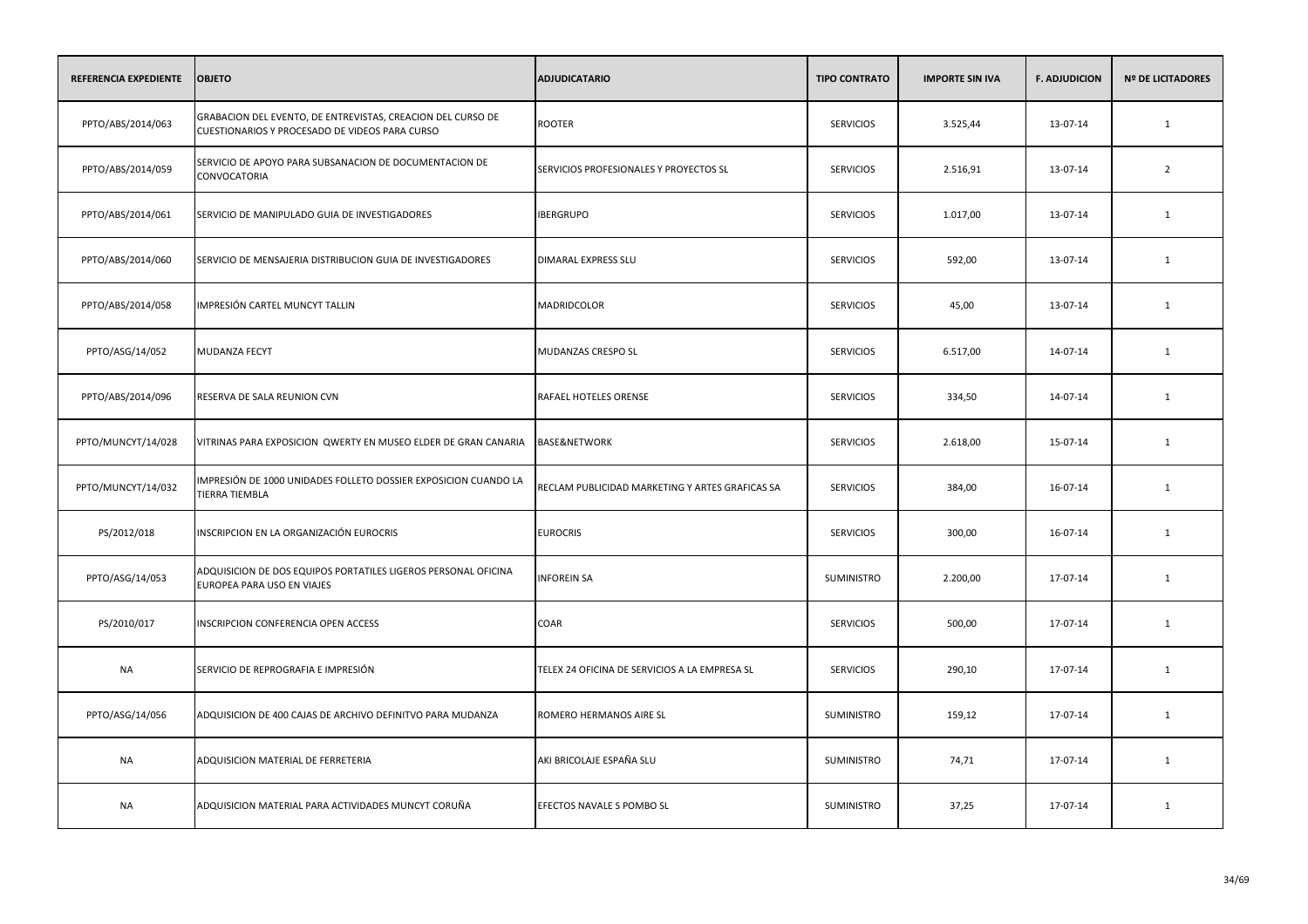| <b>REFERENCIA EXPEDIENTE</b> | <b>OBJETO</b>                                                                                                 | <b>ADJUDICATARIO</b>                            | <b>TIPO CONTRATO</b> | <b>IMPORTE SIN IVA</b> | <b>F. ADJUDICION</b> | <b>Nº DE LICITADORES</b> |
|------------------------------|---------------------------------------------------------------------------------------------------------------|-------------------------------------------------|----------------------|------------------------|----------------------|--------------------------|
| PPTO/ABS/2014/063            | GRABACION DEL EVENTO, DE ENTREVISTAS, CREACION DEL CURSO DE<br>CUESTIONARIOS Y PROCESADO DE VIDEOS PARA CURSO | <b>ROOTER</b>                                   | <b>SERVICIOS</b>     | 3.525,44               | 13-07-14             | $\mathbf{1}$             |
| PPTO/ABS/2014/059            | SERVICIO DE APOYO PARA SUBSANACION DE DOCUMENTACION DE<br>CONVOCATORIA                                        | SERVICIOS PROFESIONALES Y PROYECTOS SL          | <b>SERVICIOS</b>     | 2.516,91               | 13-07-14             | $\overline{2}$           |
| PPTO/ABS/2014/061            | SERVICIO DE MANIPULADO GUIA DE INVESTIGADORES                                                                 | <b>IBERGRUPO</b>                                | <b>SERVICIOS</b>     | 1.017,00               | 13-07-14             | 1                        |
| PPTO/ABS/2014/060            | SERVICIO DE MENSAJERIA DISTRIBUCION GUIA DE INVESTIGADORES                                                    | DIMARAL EXPRESS SLU                             | <b>SERVICIOS</b>     | 592,00                 | 13-07-14             | 1                        |
| PPTO/ABS/2014/058            | IMPRESIÓN CARTEL MUNCYT TALLIN                                                                                | MADRIDCOLOR                                     | <b>SERVICIOS</b>     | 45,00                  | 13-07-14             | 1                        |
| PPTO/ASG/14/052              | <b>MUDANZA FECYT</b>                                                                                          | MUDANZAS CRESPO SL                              | <b>SERVICIOS</b>     | 6.517,00               | 14-07-14             | 1                        |
| PPTO/ABS/2014/096            | RESERVA DE SALA REUNION CVN                                                                                   | RAFAEL HOTELES ORENSE                           | <b>SERVICIOS</b>     | 334,50                 | 14-07-14             | $\mathbf{1}$             |
| PPTO/MUNCYT/14/028           | VITRINAS PARA EXPOSICION QWERTY EN MUSEO ELDER DE GRAN CANARIA                                                | <b>BASE&amp;NETWORK</b>                         | <b>SERVICIOS</b>     | 2.618,00               | 15-07-14             | $\mathbf{1}$             |
| PPTO/MUNCYT/14/032           | IMPRESIÓN DE 1000 UNIDADES FOLLETO DOSSIER EXPOSICION CUANDO LA<br><b>TIERRA TIEMBLA</b>                      | RECLAM PUBLICIDAD MARKETING Y ARTES GRAFICAS SA | <b>SERVICIOS</b>     | 384,00                 | 16-07-14             | $\mathbf{1}$             |
| PS/2012/018                  | INSCRIPCION EN LA ORGANIZACIÓN EUROCRIS                                                                       | <b>EUROCRIS</b>                                 | <b>SERVICIOS</b>     | 300,00                 | 16-07-14             | 1                        |
| PPTO/ASG/14/053              | ADQUISICION DE DOS EQUIPOS PORTATILES LIGEROS PERSONAL OFICINA<br>EUROPEA PARA USO EN VIAJES                  | <b>INFOREIN SA</b>                              | SUMINISTRO           | 2.200,00               | 17-07-14             | 1                        |
| PS/2010/017                  | INSCRIPCION CONFERENCIA OPEN ACCESS                                                                           | COAR                                            | <b>SERVICIOS</b>     | 500,00                 | 17-07-14             | 1                        |
| <b>NA</b>                    | SERVICIO DE REPROGRAFIA E IMPRESIÓN                                                                           | TELEX 24 OFICINA DE SERVICIOS A LA EMPRESA SL   | <b>SERVICIOS</b>     | 290,10                 | 17-07-14             | 1                        |
| PPTO/ASG/14/056              | ADQUISICION DE 400 CAJAS DE ARCHIVO DEFINITVO PARA MUDANZA                                                    | ROMERO HERMANOS AIRE SL                         | SUMINISTRO           | 159,12                 | 17-07-14             | 1                        |
| <b>NA</b>                    | ADQUISICION MATERIAL DE FERRETERIA                                                                            | AKI BRICOLAJE ESPAÑA SLU                        | SUMINISTRO           | 74,71                  | 17-07-14             | 1                        |
| <b>NA</b>                    | ADQUISICION MATERIAL PARA ACTIVIDADES MUNCYT CORUÑA                                                           | EFECTOS NAVALE S POMBO SL                       | <b>SUMINISTRO</b>    | 37,25                  | 17-07-14             | 1                        |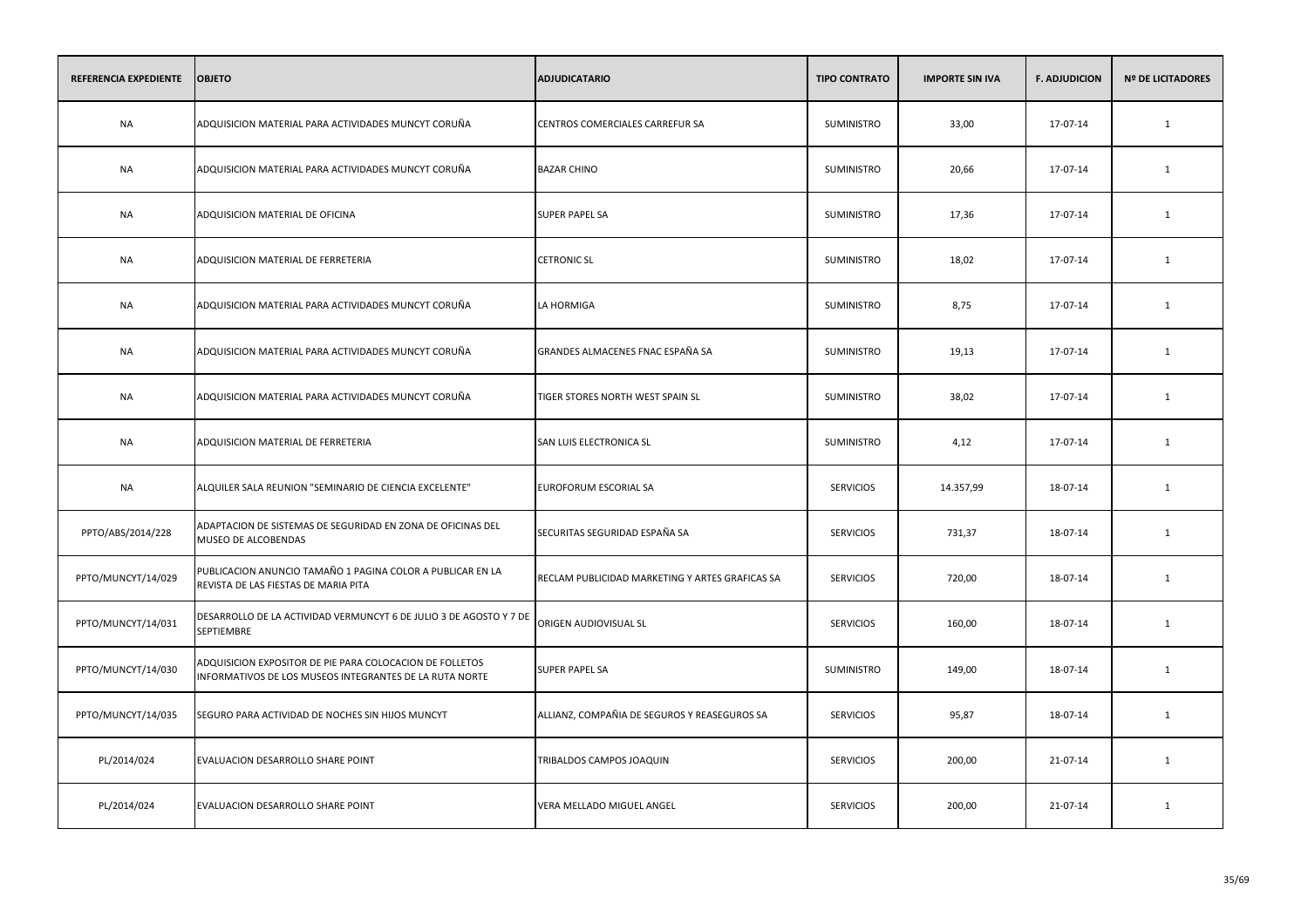| REFERENCIA EXPEDIENTE | <b>OBJETO</b>                                                                                                       | <b>ADJUDICATARIO</b>                            | <b>TIPO CONTRATO</b> | <b>IMPORTE SIN IVA</b> | <b>F. ADJUDICION</b> | <b>Nº DE LICITADORES</b> |
|-----------------------|---------------------------------------------------------------------------------------------------------------------|-------------------------------------------------|----------------------|------------------------|----------------------|--------------------------|
| <b>NA</b>             | ADQUISICION MATERIAL PARA ACTIVIDADES MUNCYT CORUÑA                                                                 | CENTROS COMERCIALES CARREFUR SA                 | <b>SUMINISTRO</b>    | 33,00                  | 17-07-14             | 1                        |
| <b>NA</b>             | ADQUISICION MATERIAL PARA ACTIVIDADES MUNCYT CORUÑA                                                                 | <b>BAZAR CHINO</b>                              | SUMINISTRO           | 20,66                  | 17-07-14             | 1                        |
| <b>NA</b>             | ADQUISICION MATERIAL DE OFICINA                                                                                     | <b>SUPER PAPEL SA</b>                           | SUMINISTRO           | 17,36                  | 17-07-14             | $\mathbf{1}$             |
| <b>NA</b>             | ADQUISICION MATERIAL DE FERRETERIA                                                                                  | <b>CETRONIC SL</b>                              | SUMINISTRO           | 18,02                  | 17-07-14             | 1                        |
| <b>NA</b>             | ADQUISICION MATERIAL PARA ACTIVIDADES MUNCYT CORUÑA                                                                 | LA HORMIGA                                      | SUMINISTRO           | 8,75                   | 17-07-14             | 1                        |
| <b>NA</b>             | ADQUISICION MATERIAL PARA ACTIVIDADES MUNCYT CORUÑA                                                                 | GRANDES ALMACENES FNAC ESPAÑA SA                | SUMINISTRO           | 19,13                  | 17-07-14             | $\mathbf{1}$             |
| <b>NA</b>             | ADQUISICION MATERIAL PARA ACTIVIDADES MUNCYT CORUÑA                                                                 | TIGER STORES NORTH WEST SPAIN SL                | SUMINISTRO           | 38,02                  | 17-07-14             | $\mathbf{1}$             |
| NA                    | ADQUISICION MATERIAL DE FERRETERIA                                                                                  | SAN LUIS ELECTRONICA SL                         | SUMINISTRO           | 4,12                   | 17-07-14             | 1                        |
| <b>NA</b>             | ALQUILER SALA REUNION "SEMINARIO DE CIENCIA EXCELENTE"                                                              | EUROFORUM ESCORIAL SA                           | <b>SERVICIOS</b>     | 14.357,99              | 18-07-14             | $\mathbf{1}$             |
| PPTO/ABS/2014/228     | ADAPTACION DE SISTEMAS DE SEGURIDAD EN ZONA DE OFICINAS DEL<br>MUSEO DE ALCOBENDAS                                  | SECURITAS SEGURIDAD ESPAÑA SA                   | <b>SERVICIOS</b>     | 731,37                 | 18-07-14             | 1                        |
| PPTO/MUNCYT/14/029    | PUBLICACION ANUNCIO TAMAÑO 1 PAGINA COLOR A PUBLICAR EN LA<br>REVISTA DE LAS FIESTAS DE MARIA PITA                  | RECLAM PUBLICIDAD MARKETING Y ARTES GRAFICAS SA | <b>SERVICIOS</b>     | 720,00                 | 18-07-14             | $\mathbf{1}$             |
| PPTO/MUNCYT/14/031    | DESARROLLO DE LA ACTIVIDAD VERMUNCYT 6 DE JULIO 3 DE AGOSTO Y 7 DE<br><b>SEPTIEMBRE</b>                             | ORIGEN AUDIOVISUAL SL                           | <b>SERVICIOS</b>     | 160,00                 | 18-07-14             | 1                        |
| PPTO/MUNCYT/14/030    | ADQUISICION EXPOSITOR DE PIE PARA COLOCACION DE FOLLETOS<br>INFORMATIVOS DE LOS MUSEOS INTEGRANTES DE LA RUTA NORTE | <b>SUPER PAPEL SA</b>                           | SUMINISTRO           | 149,00                 | 18-07-14             | $\mathbf{1}$             |
| PPTO/MUNCYT/14/035    | SEGURO PARA ACTIVIDAD DE NOCHES SIN HIJOS MUNCYT                                                                    | ALLIANZ, COMPAÑIA DE SEGUROS Y REASEGUROS SA    | <b>SERVICIOS</b>     | 95,87                  | 18-07-14             | 1                        |
| PL/2014/024           | EVALUACION DESARROLLO SHARE POINT                                                                                   | TRIBALDOS CAMPOS JOAQUIN                        | <b>SERVICIOS</b>     | 200,00                 | 21-07-14             | 1                        |
| PL/2014/024           | EVALUACION DESARROLLO SHARE POINT                                                                                   | VERA MELLADO MIGUEL ANGEL                       | <b>SERVICIOS</b>     | 200,00                 | 21-07-14             | 1                        |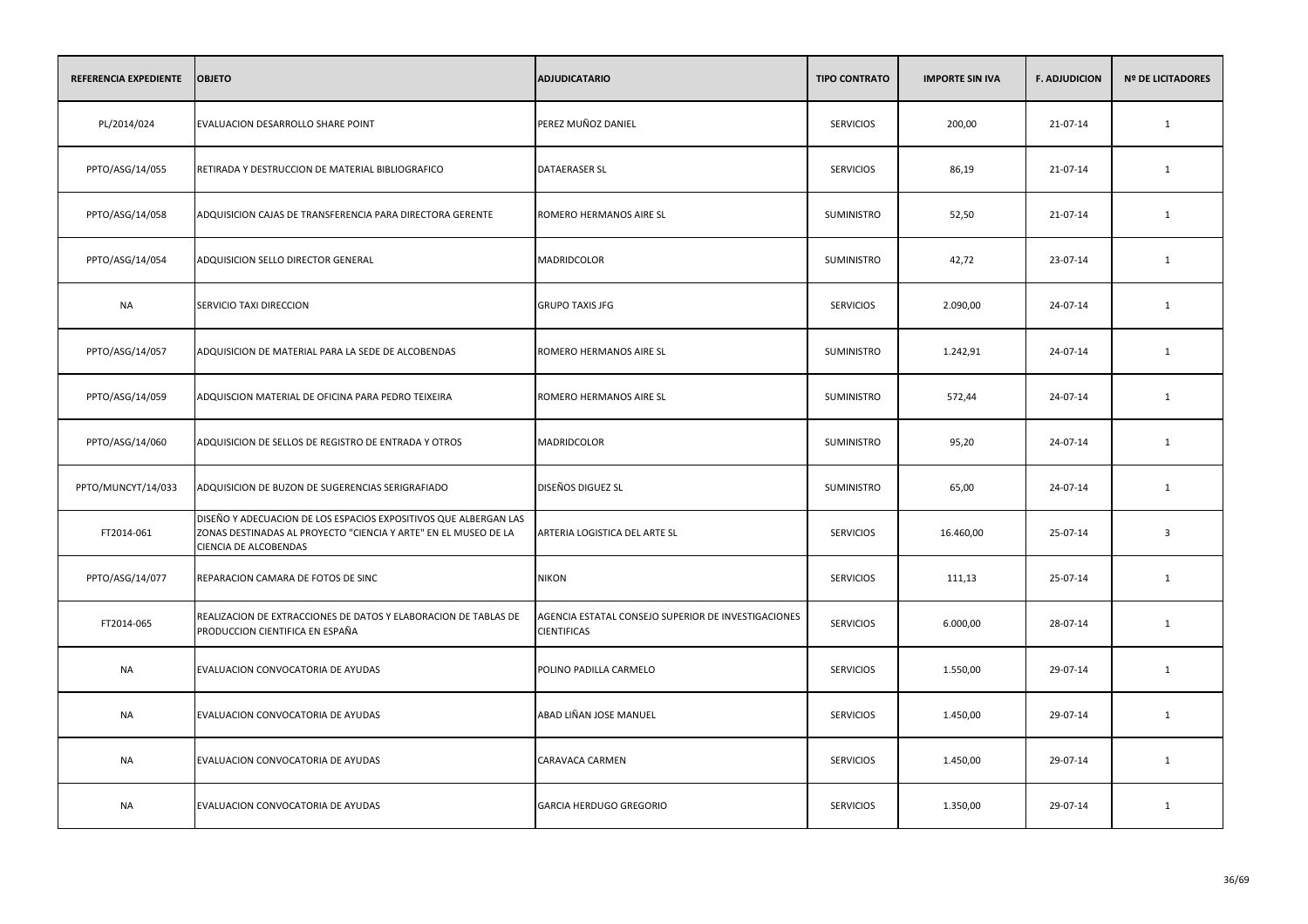| REFERENCIA EXPEDIENTE | <b>OBJETO</b>                                                                                                                                                | <b>ADJUDICATARIO</b>                                                      | <b>TIPO CONTRATO</b> | <b>IMPORTE SIN IVA</b> | <b>F. ADJUDICION</b> | <b>Nº DE LICITADORES</b> |
|-----------------------|--------------------------------------------------------------------------------------------------------------------------------------------------------------|---------------------------------------------------------------------------|----------------------|------------------------|----------------------|--------------------------|
| PL/2014/024           | EVALUACION DESARROLLO SHARE POINT                                                                                                                            | PEREZ MUÑOZ DANIEL                                                        | <b>SERVICIOS</b>     | 200,00                 | 21-07-14             | $\mathbf{1}$             |
| PPTO/ASG/14/055       | RETIRADA Y DESTRUCCION DE MATERIAL BIBLIOGRAFICO                                                                                                             | <b>DATAERASER SL</b>                                                      | <b>SERVICIOS</b>     | 86,19                  | 21-07-14             | $\mathbf{1}$             |
| PPTO/ASG/14/058       | ADQUISICION CAJAS DE TRANSFERENCIA PARA DIRECTORA GERENTE                                                                                                    | ROMERO HERMANOS AIRE SL                                                   | SUMINISTRO           | 52,50                  | 21-07-14             | $\mathbf{1}$             |
| PPTO/ASG/14/054       | ADQUISICION SELLO DIRECTOR GENERAL                                                                                                                           | MADRIDCOLOR                                                               | SUMINISTRO           | 42,72                  | 23-07-14             | 1                        |
| <b>NA</b>             | SERVICIO TAXI DIRECCION                                                                                                                                      | <b>GRUPO TAXIS JFG</b>                                                    | <b>SERVICIOS</b>     | 2.090,00               | 24-07-14             | $\mathbf{1}$             |
| PPTO/ASG/14/057       | ADQUISICION DE MATERIAL PARA LA SEDE DE ALCOBENDAS                                                                                                           | ROMERO HERMANOS AIRE SL                                                   | SUMINISTRO           | 1.242,91               | 24-07-14             | $\mathbf{1}$             |
| PPTO/ASG/14/059       | ADQUISCION MATERIAL DE OFICINA PARA PEDRO TEIXEIRA                                                                                                           | ROMERO HERMANOS AIRE SL                                                   | SUMINISTRO           | 572,44                 | 24-07-14             | $\mathbf{1}$             |
| PPTO/ASG/14/060       | ADQUISICION DE SELLOS DE REGISTRO DE ENTRADA Y OTROS                                                                                                         | MADRIDCOLOR                                                               | SUMINISTRO           | 95,20                  | 24-07-14             | 1                        |
| PPTO/MUNCYT/14/033    | ADQUISICION DE BUZON DE SUGERENCIAS SERIGRAFIADO                                                                                                             | DISEÑOS DIGUEZ SL                                                         | SUMINISTRO           | 65,00                  | 24-07-14             | 1                        |
| FT2014-061            | DISEÑO Y ADECUACION DE LOS ESPACIOS EXPOSITIVOS QUE ALBERGAN LAS<br>ZONAS DESTINADAS AL PROYECTO "CIENCIA Y ARTE" EN EL MUSEO DE LA<br>CIENCIA DE ALCOBENDAS | ARTERIA LOGISTICA DEL ARTE SL                                             | <b>SERVICIOS</b>     | 16.460,00              | 25-07-14             | $\overline{3}$           |
| PPTO/ASG/14/077       | REPARACION CAMARA DE FOTOS DE SINC                                                                                                                           | <b>NIKON</b>                                                              | <b>SERVICIOS</b>     | 111,13                 | 25-07-14             | 1                        |
| FT2014-065            | REALIZACION DE EXTRACCIONES DE DATOS Y ELABORACION DE TABLAS DE<br>PRODUCCION CIENTIFICA EN ESPAÑA                                                           | AGENCIA ESTATAL CONSEJO SUPERIOR DE INVESTIGACIONES<br><b>CIENTIFICAS</b> | <b>SERVICIOS</b>     | 6.000,00               | 28-07-14             | 1                        |
| NA                    | EVALUACION CONVOCATORIA DE AYUDAS                                                                                                                            | POLINO PADILLA CARMELO                                                    | <b>SERVICIOS</b>     | 1.550,00               | 29-07-14             | 1                        |
| NA                    | EVALUACION CONVOCATORIA DE AYUDAS                                                                                                                            | ABAD LIÑAN JOSE MANUEL                                                    | <b>SERVICIOS</b>     | 1.450,00               | 29-07-14             | 1                        |
| <b>NA</b>             | EVALUACION CONVOCATORIA DE AYUDAS                                                                                                                            | CARAVACA CARMEN                                                           | <b>SERVICIOS</b>     | 1.450,00               | 29-07-14             | 1                        |
| NA                    | EVALUACION CONVOCATORIA DE AYUDAS                                                                                                                            | GARCIA HERDUGO GREGORIO                                                   | <b>SERVICIOS</b>     | 1.350,00               | 29-07-14             | 1                        |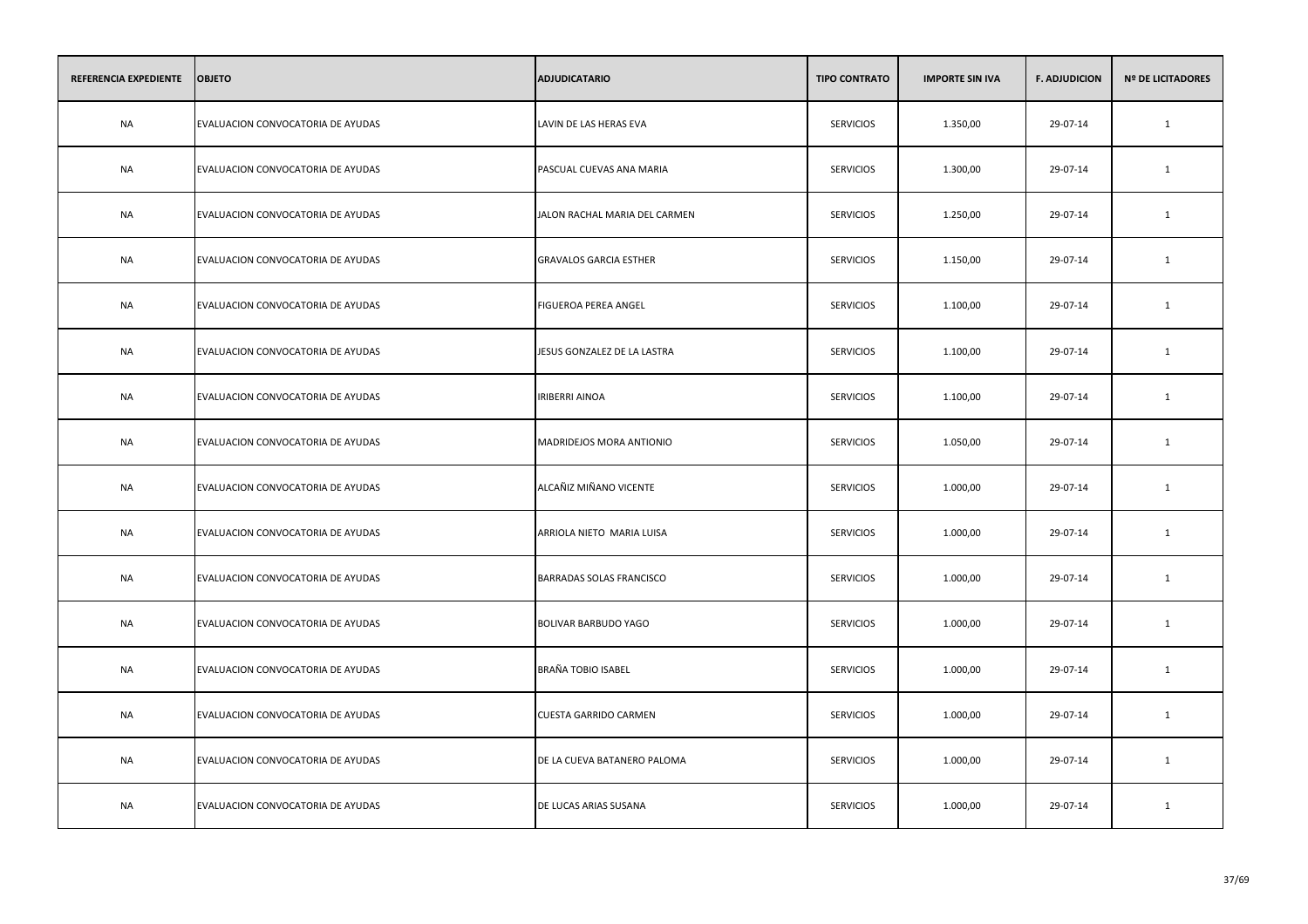| REFERENCIA EXPEDIENTE | <b>OBJETO</b>                     | <b>ADJUDICATARIO</b>          | <b>TIPO CONTRATO</b> | <b>IMPORTE SIN IVA</b> | <b>F. ADJUDICION</b> | <b>Nº DE LICITADORES</b> |
|-----------------------|-----------------------------------|-------------------------------|----------------------|------------------------|----------------------|--------------------------|
| <b>NA</b>             | EVALUACION CONVOCATORIA DE AYUDAS | LAVIN DE LAS HERAS EVA        | <b>SERVICIOS</b>     | 1.350,00               | 29-07-14             | $\mathbf{1}$             |
| <b>NA</b>             | EVALUACION CONVOCATORIA DE AYUDAS | PASCUAL CUEVAS ANA MARIA      | <b>SERVICIOS</b>     | 1.300,00               | 29-07-14             | 1                        |
| NA                    | EVALUACION CONVOCATORIA DE AYUDAS | JALON RACHAL MARIA DEL CARMEN | <b>SERVICIOS</b>     | 1.250,00               | 29-07-14             | 1                        |
| NA                    | EVALUACION CONVOCATORIA DE AYUDAS | <b>GRAVALOS GARCIA ESTHER</b> | <b>SERVICIOS</b>     | 1.150,00               | 29-07-14             | 1                        |
| <b>NA</b>             | EVALUACION CONVOCATORIA DE AYUDAS | FIGUEROA PEREA ANGEL          | <b>SERVICIOS</b>     | 1.100,00               | 29-07-14             | $\mathbf{1}$             |
| NA                    | EVALUACION CONVOCATORIA DE AYUDAS | JESUS GONZALEZ DE LA LASTRA   | <b>SERVICIOS</b>     | 1.100,00               | 29-07-14             | 1                        |
| <b>NA</b>             | EVALUACION CONVOCATORIA DE AYUDAS | <b>IRIBERRI AINOA</b>         | <b>SERVICIOS</b>     | 1.100,00               | 29-07-14             | $\mathbf{1}$             |
| NA                    | EVALUACION CONVOCATORIA DE AYUDAS | MADRIDEJOS MORA ANTIONIO      | <b>SERVICIOS</b>     | 1.050,00               | 29-07-14             | $\mathbf{1}$             |
| <b>NA</b>             | EVALUACION CONVOCATORIA DE AYUDAS | ALCAÑIZ MIÑANO VICENTE        | <b>SERVICIOS</b>     | 1.000,00               | 29-07-14             | $\mathbf{1}$             |
| <b>NA</b>             | EVALUACION CONVOCATORIA DE AYUDAS | ARRIOLA NIETO MARIA LUISA     | <b>SERVICIOS</b>     | 1.000,00               | 29-07-14             | 1                        |
| NA                    | EVALUACION CONVOCATORIA DE AYUDAS | BARRADAS SOLAS FRANCISCO      | <b>SERVICIOS</b>     | 1.000,00               | 29-07-14             | 1                        |
| NA                    | EVALUACION CONVOCATORIA DE AYUDAS | BOLIVAR BARBUDO YAGO          | <b>SERVICIOS</b>     | 1.000,00               | 29-07-14             | 1                        |
| NA                    | EVALUACION CONVOCATORIA DE AYUDAS | BRAÑA TOBIO ISABEL            | <b>SERVICIOS</b>     | 1.000,00               | 29-07-14             | 1                        |
| NA                    | EVALUACION CONVOCATORIA DE AYUDAS | <b>CUESTA GARRIDO CARMEN</b>  | <b>SERVICIOS</b>     | 1.000,00               | 29-07-14             | 1                        |
| <b>NA</b>             | EVALUACION CONVOCATORIA DE AYUDAS | DE LA CUEVA BATANERO PALOMA   | <b>SERVICIOS</b>     | 1.000,00               | 29-07-14             | $\mathbf{1}$             |
| <b>NA</b>             | EVALUACION CONVOCATORIA DE AYUDAS | DE LUCAS ARIAS SUSANA         | <b>SERVICIOS</b>     | 1.000,00               | 29-07-14             | 1                        |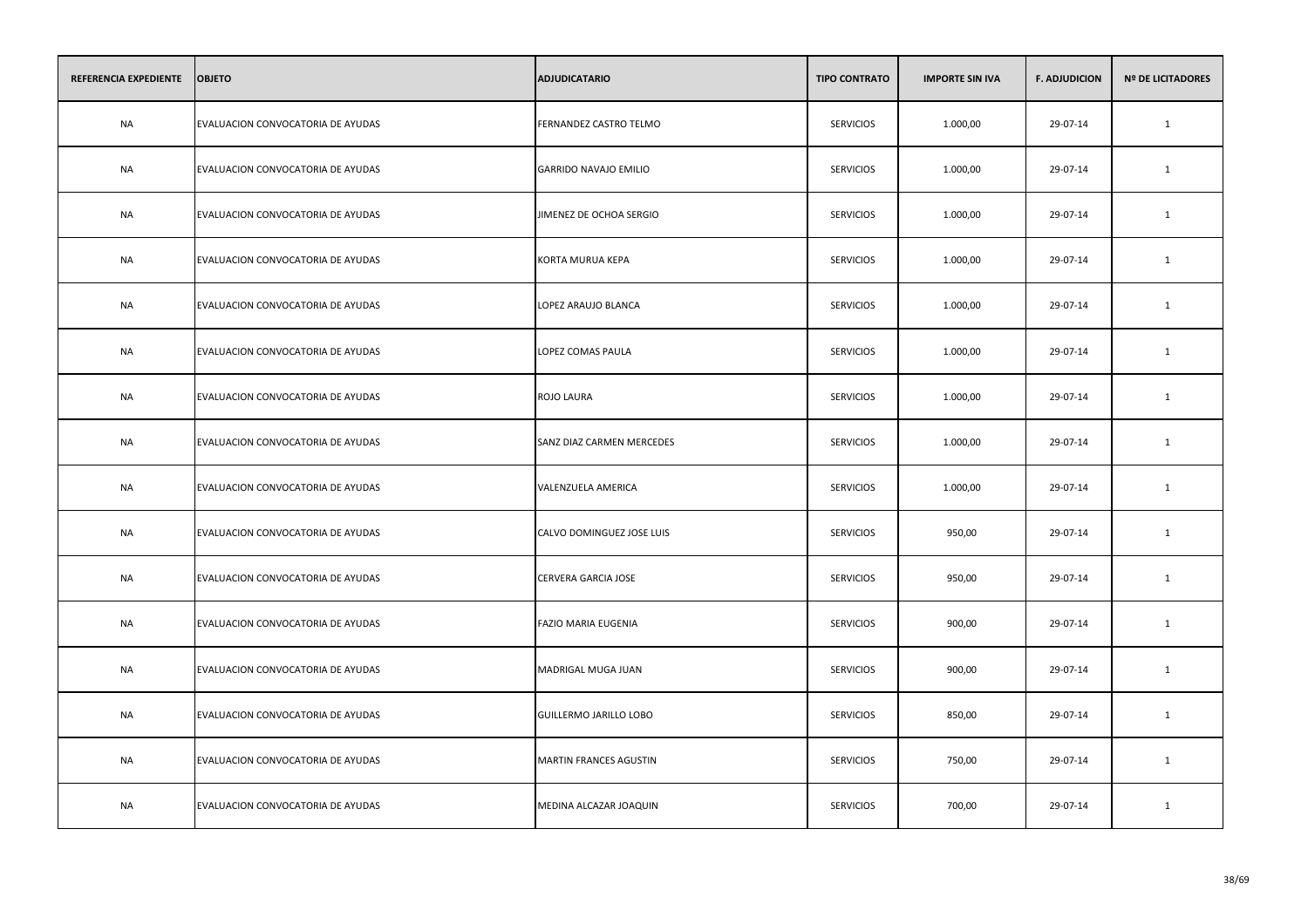| REFERENCIA EXPEDIENTE | <b>OBJETO</b>                     | <b>ADJUDICATARIO</b>         | <b>TIPO CONTRATO</b> | <b>IMPORTE SIN IVA</b> | <b>F. ADJUDICION</b> | <b>Nº DE LICITADORES</b> |
|-----------------------|-----------------------------------|------------------------------|----------------------|------------------------|----------------------|--------------------------|
| <b>NA</b>             | EVALUACION CONVOCATORIA DE AYUDAS | FERNANDEZ CASTRO TELMO       | <b>SERVICIOS</b>     | 1.000,00               | 29-07-14             | $\mathbf{1}$             |
| <b>NA</b>             | EVALUACION CONVOCATORIA DE AYUDAS | <b>GARRIDO NAVAJO EMILIO</b> | <b>SERVICIOS</b>     | 1.000,00               | 29-07-14             | 1                        |
| NA                    | EVALUACION CONVOCATORIA DE AYUDAS | JIMENEZ DE OCHOA SERGIO      | <b>SERVICIOS</b>     | 1.000,00               | 29-07-14             | 1                        |
| NA                    | EVALUACION CONVOCATORIA DE AYUDAS | KORTA MURUA KEPA             | <b>SERVICIOS</b>     | 1.000,00               | 29-07-14             | 1                        |
| <b>NA</b>             | EVALUACION CONVOCATORIA DE AYUDAS | LOPEZ ARAUJO BLANCA          | <b>SERVICIOS</b>     | 1.000,00               | 29-07-14             | 1                        |
| NA                    | EVALUACION CONVOCATORIA DE AYUDAS | LOPEZ COMAS PAULA            | <b>SERVICIOS</b>     | 1.000,00               | 29-07-14             | 1                        |
| <b>NA</b>             | EVALUACION CONVOCATORIA DE AYUDAS | ROJO LAURA                   | <b>SERVICIOS</b>     | 1.000,00               | 29-07-14             | $\mathbf{1}$             |
| NA                    | EVALUACION CONVOCATORIA DE AYUDAS | SANZ DIAZ CARMEN MERCEDES    | <b>SERVICIOS</b>     | 1.000,00               | 29-07-14             | $\mathbf{1}$             |
| <b>NA</b>             | EVALUACION CONVOCATORIA DE AYUDAS | VALENZUELA AMERICA           | <b>SERVICIOS</b>     | 1.000,00               | 29-07-14             | $\mathbf{1}$             |
| <b>NA</b>             | EVALUACION CONVOCATORIA DE AYUDAS | CALVO DOMINGUEZ JOSE LUIS    | <b>SERVICIOS</b>     | 950,00                 | 29-07-14             | 1                        |
| NA                    | EVALUACION CONVOCATORIA DE AYUDAS | CERVERA GARCIA JOSE          | <b>SERVICIOS</b>     | 950,00                 | 29-07-14             | 1                        |
| NA                    | EVALUACION CONVOCATORIA DE AYUDAS | FAZIO MARIA EUGENIA          | <b>SERVICIOS</b>     | 900,00                 | 29-07-14             | 1                        |
| NA                    | EVALUACION CONVOCATORIA DE AYUDAS | MADRIGAL MUGA JUAN           | <b>SERVICIOS</b>     | 900,00                 | 29-07-14             | 1                        |
| NA                    | EVALUACION CONVOCATORIA DE AYUDAS | GUILLERMO JARILLO LOBO       | <b>SERVICIOS</b>     | 850,00                 | 29-07-14             | 1                        |
| <b>NA</b>             | EVALUACION CONVOCATORIA DE AYUDAS | MARTIN FRANCES AGUSTIN       | <b>SERVICIOS</b>     | 750,00                 | 29-07-14             | $\mathbf{1}$             |
| <b>NA</b>             | EVALUACION CONVOCATORIA DE AYUDAS | MEDINA ALCAZAR JOAQUIN       | <b>SERVICIOS</b>     | 700,00                 | 29-07-14             | 1                        |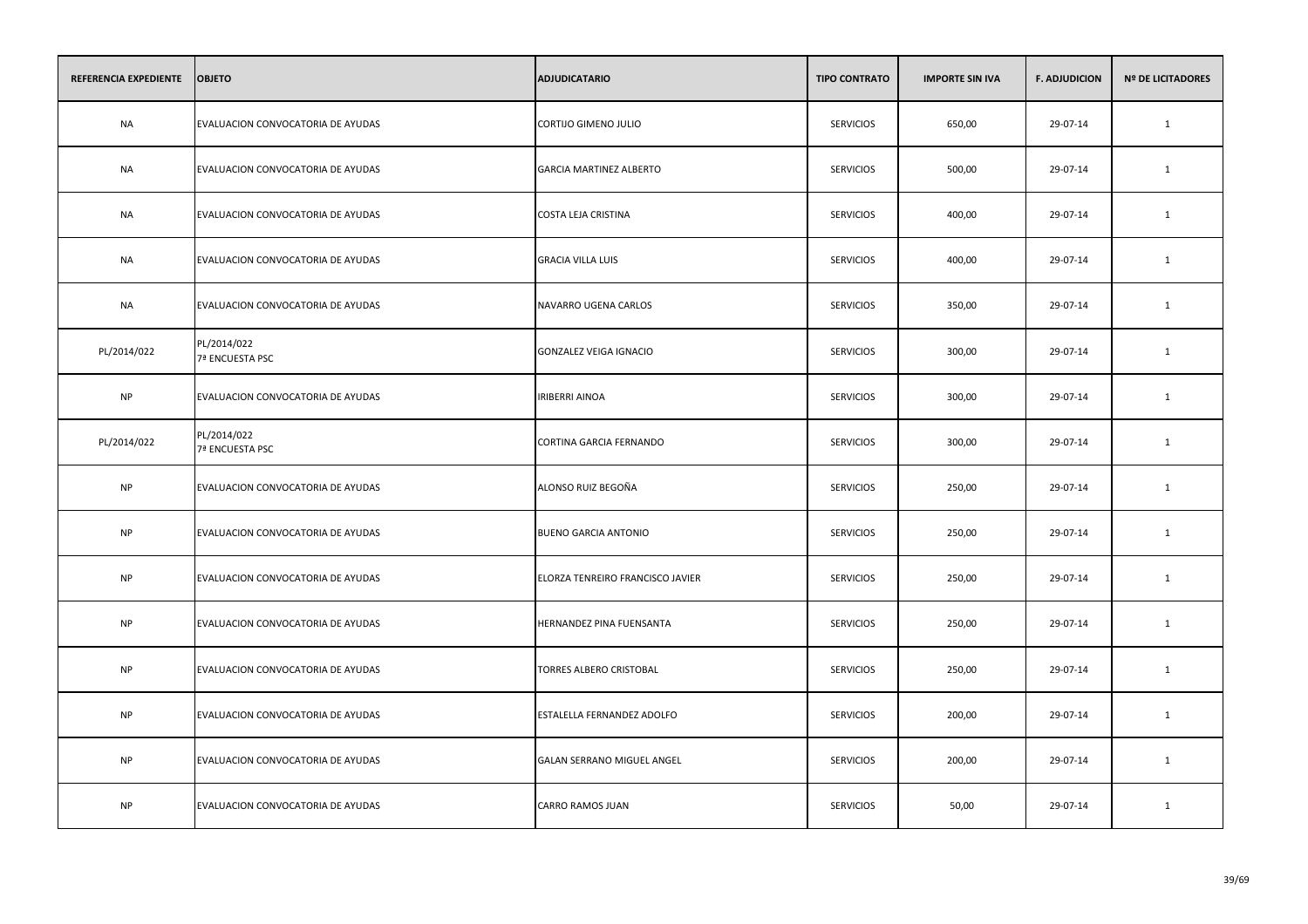| REFERENCIA EXPEDIENTE | <b>OBJETO</b>                     | <b>ADJUDICATARIO</b>             | <b>TIPO CONTRATO</b> | <b>IMPORTE SIN IVA</b> | <b>F. ADJUDICION</b> | <b>Nº DE LICITADORES</b> |
|-----------------------|-----------------------------------|----------------------------------|----------------------|------------------------|----------------------|--------------------------|
| <b>NA</b>             | EVALUACION CONVOCATORIA DE AYUDAS | CORTIJO GIMENO JULIO             | <b>SERVICIOS</b>     | 650,00                 | 29-07-14             | $\mathbf{1}$             |
| <b>NA</b>             | EVALUACION CONVOCATORIA DE AYUDAS | <b>GARCIA MARTINEZ ALBERTO</b>   | <b>SERVICIOS</b>     | 500,00                 | 29-07-14             | 1                        |
| <b>NA</b>             | EVALUACION CONVOCATORIA DE AYUDAS | COSTA LEJA CRISTINA              | <b>SERVICIOS</b>     | 400,00                 | 29-07-14             | $\mathbf{1}$             |
| <b>NA</b>             | EVALUACION CONVOCATORIA DE AYUDAS | <b>GRACIA VILLA LUIS</b>         | <b>SERVICIOS</b>     | 400,00                 | 29-07-14             | $\mathbf{1}$             |
| <b>NA</b>             | EVALUACION CONVOCATORIA DE AYUDAS | NAVARRO UGENA CARLOS             | <b>SERVICIOS</b>     | 350,00                 | 29-07-14             | 1                        |
| PL/2014/022           | PL/2014/022<br>7ª ENCUESTA PSC    | GONZALEZ VEIGA IGNACIO           | <b>SERVICIOS</b>     | 300,00                 | 29-07-14             | $\mathbf{1}$             |
| <b>NP</b>             | EVALUACION CONVOCATORIA DE AYUDAS | <b>IRIBERRI AINOA</b>            | <b>SERVICIOS</b>     | 300,00                 | 29-07-14             | 1                        |
| PL/2014/022           | PL/2014/022<br>7ª ENCUESTA PSC    | CORTINA GARCIA FERNANDO          | <b>SERVICIOS</b>     | 300,00                 | 29-07-14             | 1                        |
| <b>NP</b>             | EVALUACION CONVOCATORIA DE AYUDAS | ALONSO RUIZ BEGOÑA               | <b>SERVICIOS</b>     | 250,00                 | 29-07-14             | 1                        |
| <b>NP</b>             | EVALUACION CONVOCATORIA DE AYUDAS | BUENO GARCIA ANTONIO             | <b>SERVICIOS</b>     | 250,00                 | 29-07-14             | 1                        |
| <b>NP</b>             | EVALUACION CONVOCATORIA DE AYUDAS | ELORZA TENREIRO FRANCISCO JAVIER | <b>SERVICIOS</b>     | 250,00                 | 29-07-14             | 1                        |
| <b>NP</b>             | EVALUACION CONVOCATORIA DE AYUDAS | HERNANDEZ PINA FUENSANTA         | <b>SERVICIOS</b>     | 250,00                 | 29-07-14             | 1                        |
| <b>NP</b>             | EVALUACION CONVOCATORIA DE AYUDAS | TORRES ALBERO CRISTOBAL          | <b>SERVICIOS</b>     | 250,00                 | 29-07-14             | $\mathbf{1}$             |
| <b>NP</b>             | EVALUACION CONVOCATORIA DE AYUDAS | ESTALELLA FERNANDEZ ADOLFO       | <b>SERVICIOS</b>     | 200,00                 | 29-07-14             | 1                        |
| <b>NP</b>             | EVALUACION CONVOCATORIA DE AYUDAS | GALAN SERRANO MIGUEL ANGEL       | <b>SERVICIOS</b>     | 200,00                 | 29-07-14             | 1                        |
| <b>NP</b>             | EVALUACION CONVOCATORIA DE AYUDAS | CARRO RAMOS JUAN                 | <b>SERVICIOS</b>     | 50,00                  | 29-07-14             | 1                        |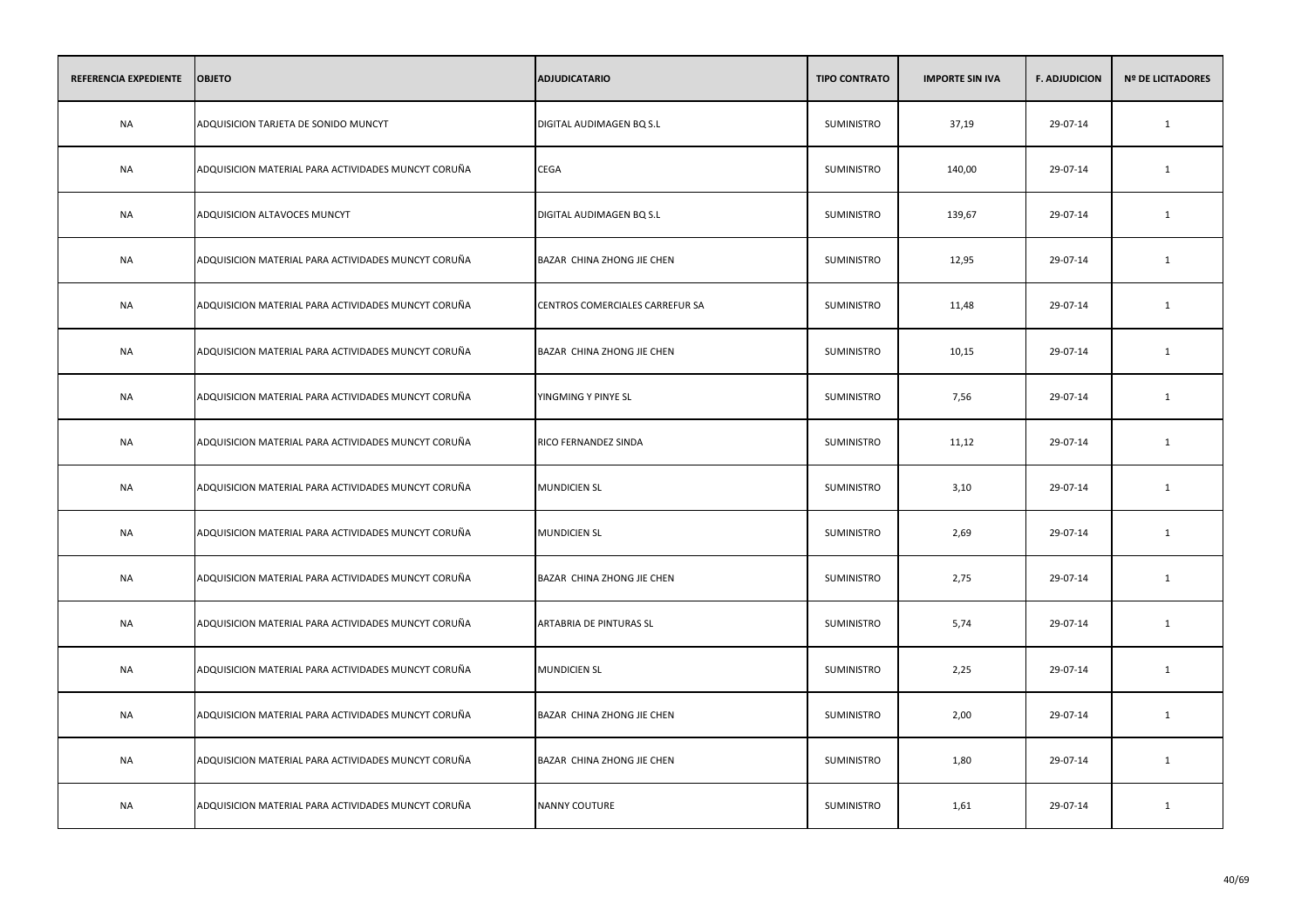| REFERENCIA EXPEDIENTE | <b>OBJETO</b>                                       | <b>ADJUDICATARIO</b>            | <b>TIPO CONTRATO</b> | <b>IMPORTE SIN IVA</b> | <b>F. ADJUDICION</b> | <b>Nº DE LICITADORES</b> |
|-----------------------|-----------------------------------------------------|---------------------------------|----------------------|------------------------|----------------------|--------------------------|
| <b>NA</b>             | ADQUISICION TARJETA DE SONIDO MUNCYT                | DIGITAL AUDIMAGEN BQ S.L        | SUMINISTRO           | 37,19                  | 29-07-14             | $\mathbf{1}$             |
| <b>NA</b>             | ADQUISICION MATERIAL PARA ACTIVIDADES MUNCYT CORUÑA | CEGA                            | SUMINISTRO           | 140,00                 | 29-07-14             | 1                        |
| <b>NA</b>             | ADQUISICION ALTAVOCES MUNCYT                        | DIGITAL AUDIMAGEN BQ S.L        | SUMINISTRO           | 139,67                 | 29-07-14             | $\mathbf{1}$             |
| <b>NA</b>             | ADQUISICION MATERIAL PARA ACTIVIDADES MUNCYT CORUÑA | BAZAR CHINA ZHONG JIE CHEN      | SUMINISTRO           | 12,95                  | 29-07-14             | 1                        |
| <b>NA</b>             | ADQUISICION MATERIAL PARA ACTIVIDADES MUNCYT CORUÑA | CENTROS COMERCIALES CARREFUR SA | SUMINISTRO           | 11,48                  | 29-07-14             | $\mathbf{1}$             |
| <b>NA</b>             | ADQUISICION MATERIAL PARA ACTIVIDADES MUNCYT CORUÑA | BAZAR CHINA ZHONG JIE CHEN      | SUMINISTRO           | 10,15                  | 29-07-14             | 1                        |
| NA                    | ADQUISICION MATERIAL PARA ACTIVIDADES MUNCYT CORUÑA | YINGMING Y PINYE SL             | SUMINISTRO           | 7,56                   | 29-07-14             | 1                        |
| NA                    | ADQUISICION MATERIAL PARA ACTIVIDADES MUNCYT CORUÑA | RICO FERNANDEZ SINDA            | SUMINISTRO           | 11,12                  | 29-07-14             | 1                        |
| NA                    | ADQUISICION MATERIAL PARA ACTIVIDADES MUNCYT CORUÑA | <b>MUNDICIEN SL</b>             | SUMINISTRO           | 3,10                   | 29-07-14             | 1                        |
| NA                    | ADQUISICION MATERIAL PARA ACTIVIDADES MUNCYT CORUÑA | <b>MUNDICIEN SL</b>             | SUMINISTRO           | 2,69                   | 29-07-14             | 1                        |
| NA                    | ADQUISICION MATERIAL PARA ACTIVIDADES MUNCYT CORUÑA | BAZAR CHINA ZHONG JIE CHEN      | SUMINISTRO           | 2,75                   | 29-07-14             | 1                        |
| NA                    | ADQUISICION MATERIAL PARA ACTIVIDADES MUNCYT CORUÑA | ARTABRIA DE PINTURAS SL         | SUMINISTRO           | 5,74                   | 29-07-14             | 1                        |
| NA                    | ADQUISICION MATERIAL PARA ACTIVIDADES MUNCYT CORUÑA | <b>MUNDICIEN SL</b>             | SUMINISTRO           | 2,25                   | 29-07-14             | 1                        |
| NA                    | ADQUISICION MATERIAL PARA ACTIVIDADES MUNCYT CORUÑA | BAZAR CHINA ZHONG JIE CHEN      | <b>SUMINISTRO</b>    | 2,00                   | 29-07-14             | 1                        |
| <b>NA</b>             | ADQUISICION MATERIAL PARA ACTIVIDADES MUNCYT CORUÑA | BAZAR CHINA ZHONG JIE CHEN      | SUMINISTRO           | 1,80                   | 29-07-14             | 1                        |
| NA                    | ADQUISICION MATERIAL PARA ACTIVIDADES MUNCYT CORUÑA | NANNY COUTURE                   | SUMINISTRO           | 1,61                   | 29-07-14             | 1                        |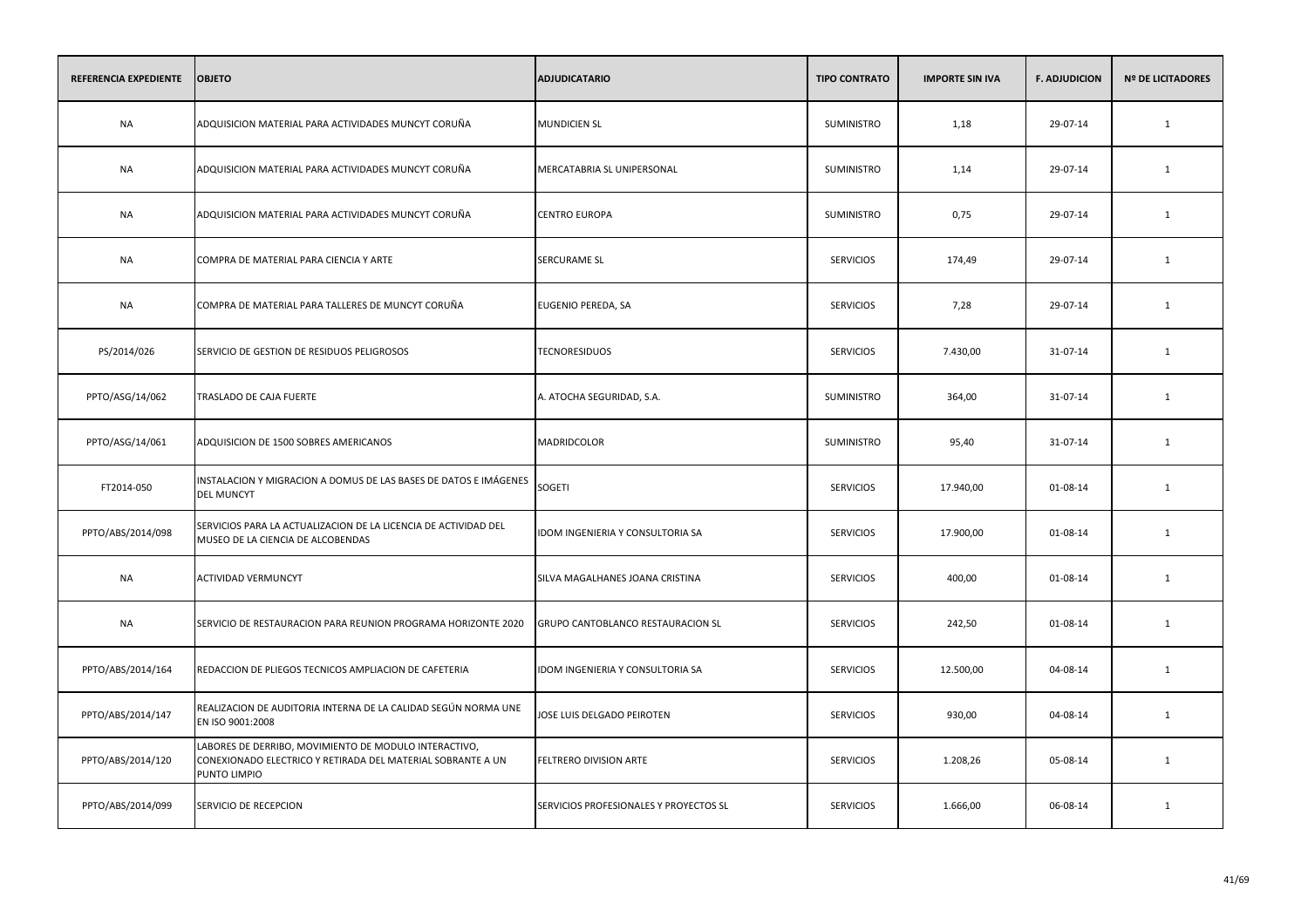| REFERENCIA EXPEDIENTE | <b>OBJETO</b>                                                                                                                        | <b>ADJUDICATARIO</b>                   | <b>TIPO CONTRATO</b> | <b>IMPORTE SIN IVA</b> | <b>F. ADJUDICION</b> | <b>Nº DE LICITADORES</b> |
|-----------------------|--------------------------------------------------------------------------------------------------------------------------------------|----------------------------------------|----------------------|------------------------|----------------------|--------------------------|
| <b>NA</b>             | ADQUISICION MATERIAL PARA ACTIVIDADES MUNCYT CORUÑA                                                                                  | <b>MUNDICIEN SL</b>                    | SUMINISTRO           | 1,18                   | 29-07-14             | $\mathbf{1}$             |
| <b>NA</b>             | ADQUISICION MATERIAL PARA ACTIVIDADES MUNCYT CORUÑA                                                                                  | MERCATABRIA SL UNIPERSONAL             | <b>SUMINISTRO</b>    | 1,14                   | 29-07-14             | 1                        |
| <b>NA</b>             | ADQUISICION MATERIAL PARA ACTIVIDADES MUNCYT CORUÑA                                                                                  | <b>CENTRO EUROPA</b>                   | SUMINISTRO           | 0,75                   | 29-07-14             | $\mathbf{1}$             |
| <b>NA</b>             | COMPRA DE MATERIAL PARA CIENCIA Y ARTE                                                                                               | <b>SERCURAME SL</b>                    | <b>SERVICIOS</b>     | 174,49                 | 29-07-14             | 1                        |
| <b>NA</b>             | COMPRA DE MATERIAL PARA TALLERES DE MUNCYT CORUÑA                                                                                    | EUGENIO PEREDA, SA                     | <b>SERVICIOS</b>     | 7,28                   | 29-07-14             | 1                        |
| PS/2014/026           | SERVICIO DE GESTION DE RESIDUOS PELIGROSOS                                                                                           | <b>TECNORESIDUOS</b>                   | <b>SERVICIOS</b>     | 7.430,00               | 31-07-14             | 1                        |
| PPTO/ASG/14/062       | TRASLADO DE CAJA FUERTE                                                                                                              | A. ATOCHA SEGURIDAD, S.A.              | <b>SUMINISTRO</b>    | 364,00                 | 31-07-14             | $\mathbf{1}$             |
| PPTO/ASG/14/061       | ADQUISICION DE 1500 SOBRES AMERICANOS                                                                                                | MADRIDCOLOR                            | SUMINISTRO           | 95,40                  | 31-07-14             | $\mathbf{1}$             |
| FT2014-050            | INSTALACION Y MIGRACION A DOMUS DE LAS BASES DE DATOS E IMÁGENES<br><b>DEL MUNCYT</b>                                                | SOGETI                                 | <b>SERVICIOS</b>     | 17.940,00              | 01-08-14             | $\mathbf{1}$             |
| PPTO/ABS/2014/098     | SERVICIOS PARA LA ACTUALIZACION DE LA LICENCIA DE ACTIVIDAD DEL<br>MUSEO DE LA CIENCIA DE ALCOBENDAS                                 | IDOM INGENIERIA Y CONSULTORIA SA       | <b>SERVICIOS</b>     | 17.900,00              | 01-08-14             | $\mathbf{1}$             |
| NA                    | <b>ACTIVIDAD VERMUNCYT</b>                                                                                                           | SILVA MAGALHANES JOANA CRISTINA        | <b>SERVICIOS</b>     | 400,00                 | 01-08-14             | $\mathbf{1}$             |
| <b>NA</b>             | SERVICIO DE RESTAURACION PARA REUNION PROGRAMA HORIZONTE 2020                                                                        | GRUPO CANTOBLANCO RESTAURACION SL      | <b>SERVICIOS</b>     | 242,50                 | 01-08-14             | $\mathbf{1}$             |
| PPTO/ABS/2014/164     | REDACCION DE PLIEGOS TECNICOS AMPLIACION DE CAFETERIA                                                                                | IDOM INGENIERIA Y CONSULTORIA SA       | <b>SERVICIOS</b>     | 12.500,00              | 04-08-14             | 1                        |
| PPTO/ABS/2014/147     | REALIZACION DE AUDITORIA INTERNA DE LA CALIDAD SEGÚN NORMA UNE<br>EN ISO 9001:2008                                                   | JOSE LUIS DELGADO PEIROTEN             | <b>SERVICIOS</b>     | 930,00                 | 04-08-14             | 1                        |
| PPTO/ABS/2014/120     | LABORES DE DERRIBO, MOVIMIENTO DE MODULO INTERACTIVO,<br>CONEXIONADO ELECTRICO Y RETIRADA DEL MATERIAL SOBRANTE A UN<br>PUNTO LIMPIO | FELTRERO DIVISION ARTE                 | <b>SERVICIOS</b>     | 1.208,26               | 05-08-14             | 1                        |
| PPTO/ABS/2014/099     | SERVICIO DE RECEPCION                                                                                                                | SERVICIOS PROFESIONALES Y PROYECTOS SL | <b>SERVICIOS</b>     | 1.666,00               | 06-08-14             | $\mathbf{1}$             |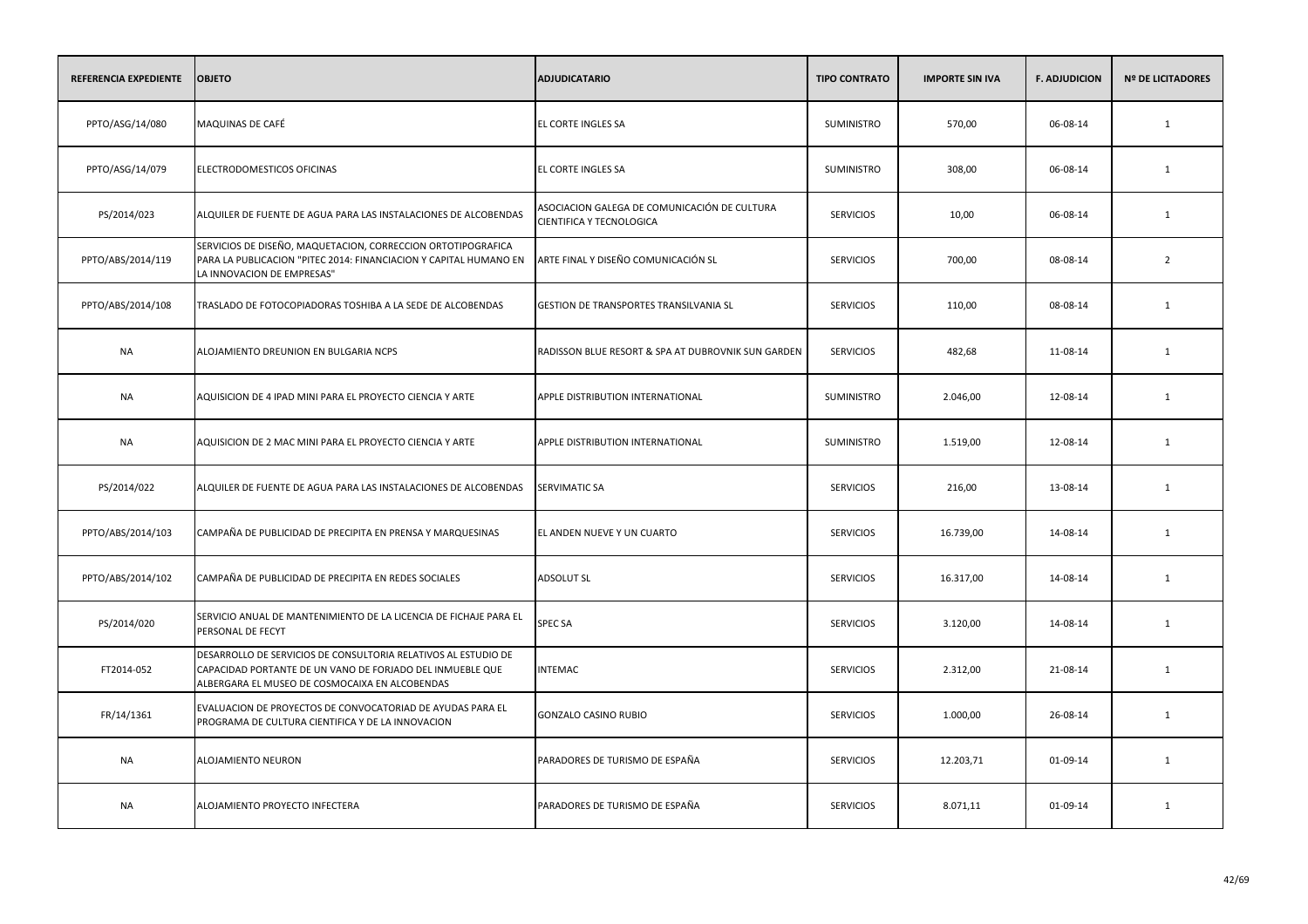| REFERENCIA EXPEDIENTE | <b>OBJETO</b>                                                                                                                                                                 | <b>ADJUDICATARIO</b>                                                     | <b>TIPO CONTRATO</b> | <b>IMPORTE SIN IVA</b> | <b>F. ADJUDICION</b> | <b>Nº DE LICITADORES</b> |
|-----------------------|-------------------------------------------------------------------------------------------------------------------------------------------------------------------------------|--------------------------------------------------------------------------|----------------------|------------------------|----------------------|--------------------------|
| PPTO/ASG/14/080       | MAQUINAS DE CAFÉ                                                                                                                                                              | EL CORTE INGLES SA                                                       | <b>SUMINISTRO</b>    | 570,00                 | 06-08-14             | $\mathbf{1}$             |
| PPTO/ASG/14/079       | ELECTRODOMESTICOS OFICINAS                                                                                                                                                    | EL CORTE INGLES SA                                                       | SUMINISTRO           | 308,00                 | 06-08-14             | 1                        |
| PS/2014/023           | ALQUILER DE FUENTE DE AGUA PARA LAS INSTALACIONES DE ALCOBENDAS                                                                                                               | ASOCIACION GALEGA DE COMUNICACIÓN DE CULTURA<br>CIENTIFICA Y TECNOLOGICA | <b>SERVICIOS</b>     | 10,00                  | 06-08-14             | $\mathbf{1}$             |
| PPTO/ABS/2014/119     | SERVICIOS DE DISEÑO, MAQUETACION, CORRECCION ORTOTIPOGRAFICA<br>PARA LA PUBLICACION "PITEC 2014: FINANCIACION Y CAPITAL HUMANO EN<br>LA INNOVACION DE EMPRESAS"               | ARTE FINAL Y DISEÑO COMUNICACIÓN SL                                      | <b>SERVICIOS</b>     | 700,00                 | 08-08-14             | $\overline{2}$           |
| PPTO/ABS/2014/108     | TRASLADO DE FOTOCOPIADORAS TOSHIBA A LA SEDE DE ALCOBENDAS                                                                                                                    | GESTION DE TRANSPORTES TRANSILVANIA SL                                   | <b>SERVICIOS</b>     | 110,00                 | 08-08-14             | $\mathbf{1}$             |
| <b>NA</b>             | ALOJAMIENTO DREUNION EN BULGARIA NCPS                                                                                                                                         | RADISSON BLUE RESORT & SPA AT DUBROVNIK SUN GARDEN                       | <b>SERVICIOS</b>     | 482,68                 | 11-08-14             | 1                        |
| NA                    | AQUISICION DE 4 IPAD MINI PARA EL PROYECTO CIENCIA Y ARTE                                                                                                                     | APPLE DISTRIBUTION INTERNATIONAL                                         | SUMINISTRO           | 2.046,00               | 12-08-14             | 1                        |
| NA                    | AQUISICION DE 2 MAC MINI PARA EL PROYECTO CIENCIA Y ARTE                                                                                                                      | APPLE DISTRIBUTION INTERNATIONAL                                         | <b>SUMINISTRO</b>    | 1.519,00               | 12-08-14             | 1                        |
| PS/2014/022           | ALQUILER DE FUENTE DE AGUA PARA LAS INSTALACIONES DE ALCOBENDAS                                                                                                               | <b>SERVIMATIC SA</b>                                                     | <b>SERVICIOS</b>     | 216,00                 | 13-08-14             | 1                        |
| PPTO/ABS/2014/103     | CAMPAÑA DE PUBLICIDAD DE PRECIPITA EN PRENSA Y MARQUESINAS                                                                                                                    | EL ANDEN NUEVE Y UN CUARTO                                               | <b>SERVICIOS</b>     | 16.739,00              | 14-08-14             | 1                        |
| PPTO/ABS/2014/102     | CAMPAÑA DE PUBLICIDAD DE PRECIPITA EN REDES SOCIALES                                                                                                                          | <b>ADSOLUT SL</b>                                                        | <b>SERVICIOS</b>     | 16.317,00              | 14-08-14             | 1                        |
| PS/2014/020           | SERVICIO ANUAL DE MANTENIMIENTO DE LA LICENCIA DE FICHAJE PARA EL<br>PERSONAL DE FECYT                                                                                        | SPEC SA                                                                  | <b>SERVICIOS</b>     | 3.120,00               | 14-08-14             | 1                        |
| FT2014-052            | DESARROLLO DE SERVICIOS DE CONSULTORIA RELATIVOS AL ESTUDIO DE<br>CAPACIDAD PORTANTE DE UN VANO DE FORJADO DEL INMUEBLE QUE<br>ALBERGARA EL MUSEO DE COSMOCAIXA EN ALCOBENDAS | <b>INTEMAC</b>                                                           | <b>SERVICIOS</b>     | 2.312,00               | 21-08-14             | 1                        |
| FR/14/1361            | EVALUACION DE PROYECTOS DE CONVOCATORIAD DE AYUDAS PARA EL<br>PROGRAMA DE CULTURA CIENTIFICA Y DE LA INNOVACION                                                               | <b>GONZALO CASINO RUBIO</b>                                              | <b>SERVICIOS</b>     | 1.000,00               | 26-08-14             | 1                        |
| NA                    | ALOJAMIENTO NEURON                                                                                                                                                            | PARADORES DE TURISMO DE ESPAÑA                                           | <b>SERVICIOS</b>     | 12.203,71              | 01-09-14             | 1                        |
| NA                    | ALOJAMIENTO PROYECTO INFECTERA                                                                                                                                                | PARADORES DE TURISMO DE ESPAÑA                                           | <b>SERVICIOS</b>     | 8.071,11               | 01-09-14             | 1                        |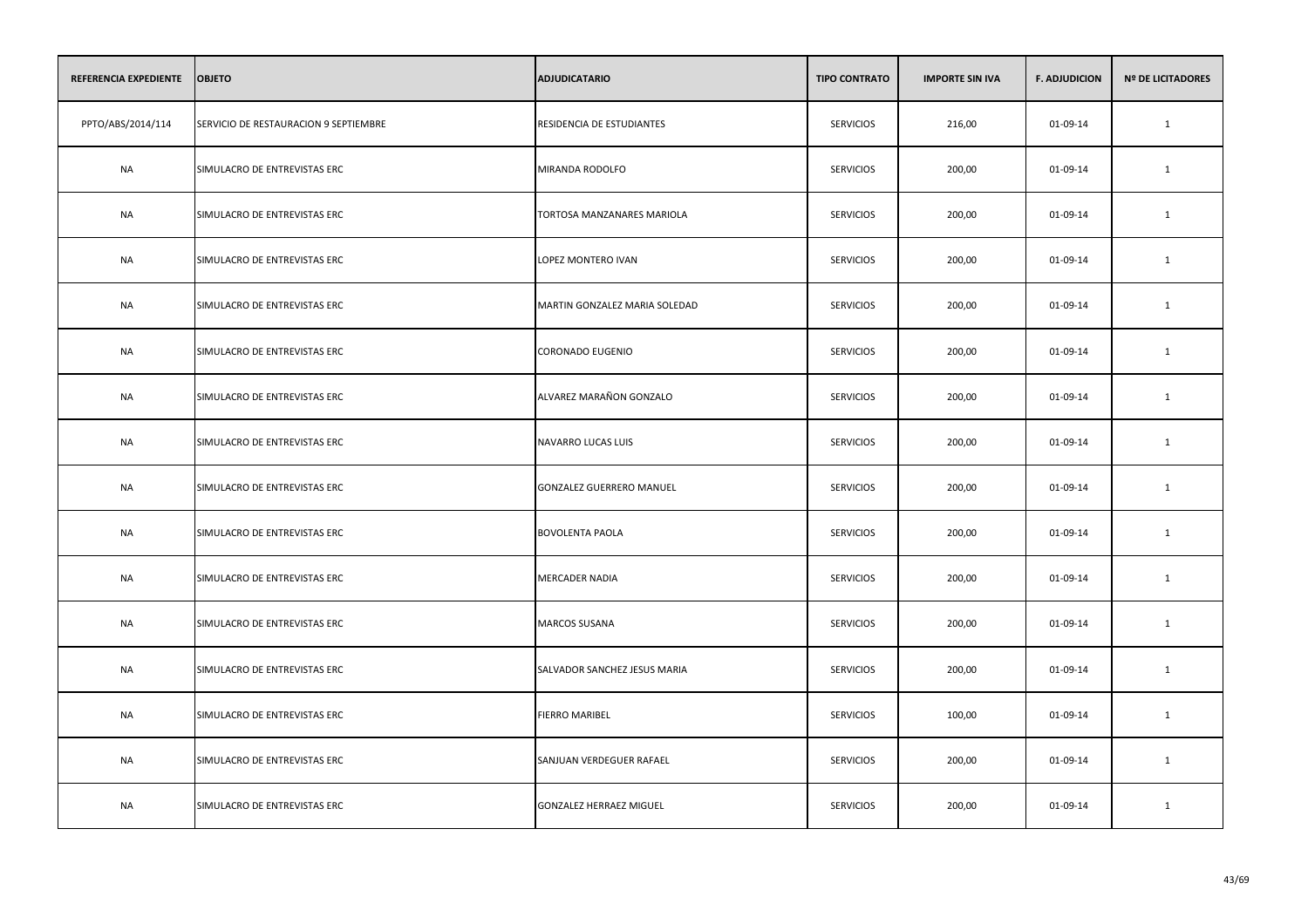| REFERENCIA EXPEDIENTE | <b>OBJETO</b>                         | <b>ADJUDICATARIO</b>            | <b>TIPO CONTRATO</b> | <b>IMPORTE SIN IVA</b> | <b>F. ADJUDICION</b> | <b>Nº DE LICITADORES</b> |
|-----------------------|---------------------------------------|---------------------------------|----------------------|------------------------|----------------------|--------------------------|
| PPTO/ABS/2014/114     | SERVICIO DE RESTAURACION 9 SEPTIEMBRE | RESIDENCIA DE ESTUDIANTES       | <b>SERVICIOS</b>     | 216,00                 | 01-09-14             | 1                        |
| <b>NA</b>             | SIMULACRO DE ENTREVISTAS ERC          | MIRANDA RODOLFO                 | <b>SERVICIOS</b>     | 200,00                 | 01-09-14             | 1                        |
| <b>NA</b>             | SIMULACRO DE ENTREVISTAS ERC          | TORTOSA MANZANARES MARIOLA      | <b>SERVICIOS</b>     | 200,00                 | 01-09-14             | $\mathbf{1}$             |
| <b>NA</b>             | SIMULACRO DE ENTREVISTAS ERC          | LOPEZ MONTERO IVAN              | <b>SERVICIOS</b>     | 200,00                 | 01-09-14             | $\mathbf{1}$             |
| <b>NA</b>             | SIMULACRO DE ENTREVISTAS ERC          | MARTIN GONZALEZ MARIA SOLEDAD   | <b>SERVICIOS</b>     | 200,00                 | 01-09-14             | 1                        |
| <b>NA</b>             | SIMULACRO DE ENTREVISTAS ERC          | <b>CORONADO EUGENIO</b>         | <b>SERVICIOS</b>     | 200,00                 | 01-09-14             | $\mathbf{1}$             |
| <b>NA</b>             | SIMULACRO DE ENTREVISTAS ERC          | ALVAREZ MARAÑON GONZALO         | <b>SERVICIOS</b>     | 200,00                 | 01-09-14             | 1                        |
| NA                    | SIMULACRO DE ENTREVISTAS ERC          | NAVARRO LUCAS LUIS              | <b>SERVICIOS</b>     | 200,00                 | 01-09-14             | 1                        |
| NA                    | SIMULACRO DE ENTREVISTAS ERC          | <b>GONZALEZ GUERRERO MANUEL</b> | <b>SERVICIOS</b>     | 200,00                 | 01-09-14             | 1                        |
| NA                    | SIMULACRO DE ENTREVISTAS ERC          | <b>BOVOLENTA PAOLA</b>          | <b>SERVICIOS</b>     | 200,00                 | 01-09-14             | 1                        |
| <b>NA</b>             | SIMULACRO DE ENTREVISTAS ERC          | <b>MERCADER NADIA</b>           | <b>SERVICIOS</b>     | 200,00                 | 01-09-14             | $\mathbf{1}$             |
| <b>NA</b>             | SIMULACRO DE ENTREVISTAS ERC          | <b>MARCOS SUSANA</b>            | <b>SERVICIOS</b>     | 200,00                 | 01-09-14             | 1                        |
| <b>NA</b>             | SIMULACRO DE ENTREVISTAS ERC          | SALVADOR SANCHEZ JESUS MARIA    | <b>SERVICIOS</b>     | 200,00                 | 01-09-14             | 1                        |
| NA                    | SIMULACRO DE ENTREVISTAS ERC          | <b>FIERRO MARIBEL</b>           | <b>SERVICIOS</b>     | 100,00                 | 01-09-14             | 1                        |
| <b>NA</b>             | SIMULACRO DE ENTREVISTAS ERC          | SANJUAN VERDEGUER RAFAEL        | <b>SERVICIOS</b>     | 200,00                 | 01-09-14             | $\mathbf{1}$             |
| <b>NA</b>             | SIMULACRO DE ENTREVISTAS ERC          | GONZALEZ HERRAEZ MIGUEL         | <b>SERVICIOS</b>     | 200,00                 | 01-09-14             | 1                        |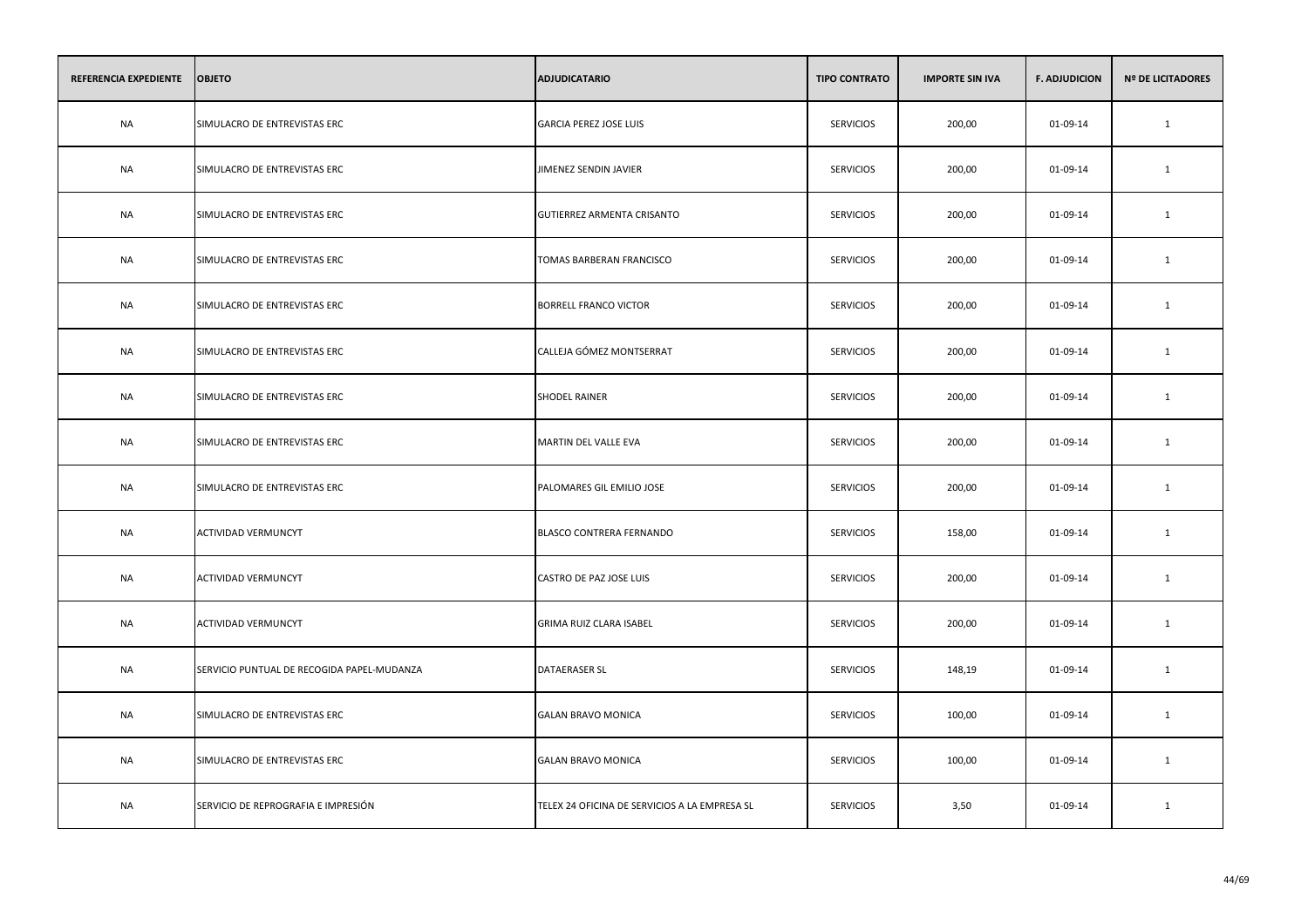| REFERENCIA EXPEDIENTE | <b>OBJETO</b>                              | <b>ADJUDICATARIO</b>                          | <b>TIPO CONTRATO</b> | <b>IMPORTE SIN IVA</b> | <b>F. ADJUDICION</b> | <b>Nº DE LICITADORES</b> |
|-----------------------|--------------------------------------------|-----------------------------------------------|----------------------|------------------------|----------------------|--------------------------|
| <b>NA</b>             | SIMULACRO DE ENTREVISTAS ERC               | <b>GARCIA PEREZ JOSE LUIS</b>                 | <b>SERVICIOS</b>     | 200,00                 | 01-09-14             | 1                        |
| <b>NA</b>             | SIMULACRO DE ENTREVISTAS ERC               | JIMENEZ SENDIN JAVIER                         | <b>SERVICIOS</b>     | 200,00                 | 01-09-14             | 1                        |
| <b>NA</b>             | SIMULACRO DE ENTREVISTAS ERC               | GUTIERREZ ARMENTA CRISANTO                    | <b>SERVICIOS</b>     | 200,00                 | 01-09-14             | $\mathbf{1}$             |
| <b>NA</b>             | SIMULACRO DE ENTREVISTAS ERC               | TOMAS BARBERAN FRANCISCO                      | <b>SERVICIOS</b>     | 200,00                 | 01-09-14             | 1                        |
| <b>NA</b>             | SIMULACRO DE ENTREVISTAS ERC               | <b>BORRELL FRANCO VICTOR</b>                  | <b>SERVICIOS</b>     | 200,00                 | 01-09-14             | $\mathbf{1}$             |
| NA                    | SIMULACRO DE ENTREVISTAS ERC               | CALLEJA GÓMEZ MONTSERRAT                      | SERVICIOS            | 200,00                 | 01-09-14             | 1                        |
| <b>NA</b>             | SIMULACRO DE ENTREVISTAS ERC               | <b>SHODEL RAINER</b>                          | <b>SERVICIOS</b>     | 200,00                 | 01-09-14             | $\mathbf{1}$             |
| NA                    | SIMULACRO DE ENTREVISTAS ERC               | MARTIN DEL VALLE EVA                          | <b>SERVICIOS</b>     | 200,00                 | 01-09-14             | $\mathbf{1}$             |
| <b>NA</b>             | SIMULACRO DE ENTREVISTAS ERC               | PALOMARES GIL EMILIO JOSE                     | <b>SERVICIOS</b>     | 200,00                 | 01-09-14             | $\mathbf{1}$             |
| <b>NA</b>             | <b>ACTIVIDAD VERMUNCYT</b>                 | BLASCO CONTRERA FERNANDO                      | <b>SERVICIOS</b>     | 158,00                 | 01-09-14             | $\mathbf{1}$             |
| <b>NA</b>             | <b>ACTIVIDAD VERMUNCYT</b>                 | CASTRO DE PAZ JOSE LUIS                       | <b>SERVICIOS</b>     | 200,00                 | 01-09-14             | $\mathbf{1}$             |
| <b>NA</b>             | <b>ACTIVIDAD VERMUNCYT</b>                 | GRIMA RUIZ CLARA ISABEL                       | <b>SERVICIOS</b>     | 200,00                 | 01-09-14             | $\mathbf{1}$             |
| <b>NA</b>             | SERVICIO PUNTUAL DE RECOGIDA PAPEL-MUDANZA | DATAERASER SL                                 | <b>SERVICIOS</b>     | 148,19                 | 01-09-14             | 1                        |
| NA                    | SIMULACRO DE ENTREVISTAS ERC               | <b>GALAN BRAVO MONICA</b>                     | <b>SERVICIOS</b>     | 100,00                 | 01-09-14             | 1                        |
| <b>NA</b>             | SIMULACRO DE ENTREVISTAS ERC               | <b>GALAN BRAVO MONICA</b>                     | <b>SERVICIOS</b>     | 100,00                 | 01-09-14             | $\mathbf{1}$             |
| NA                    | SERVICIO DE REPROGRAFIA E IMPRESIÓN        | TELEX 24 OFICINA DE SERVICIOS A LA EMPRESA SL | <b>SERVICIOS</b>     | 3,50                   | 01-09-14             | 1                        |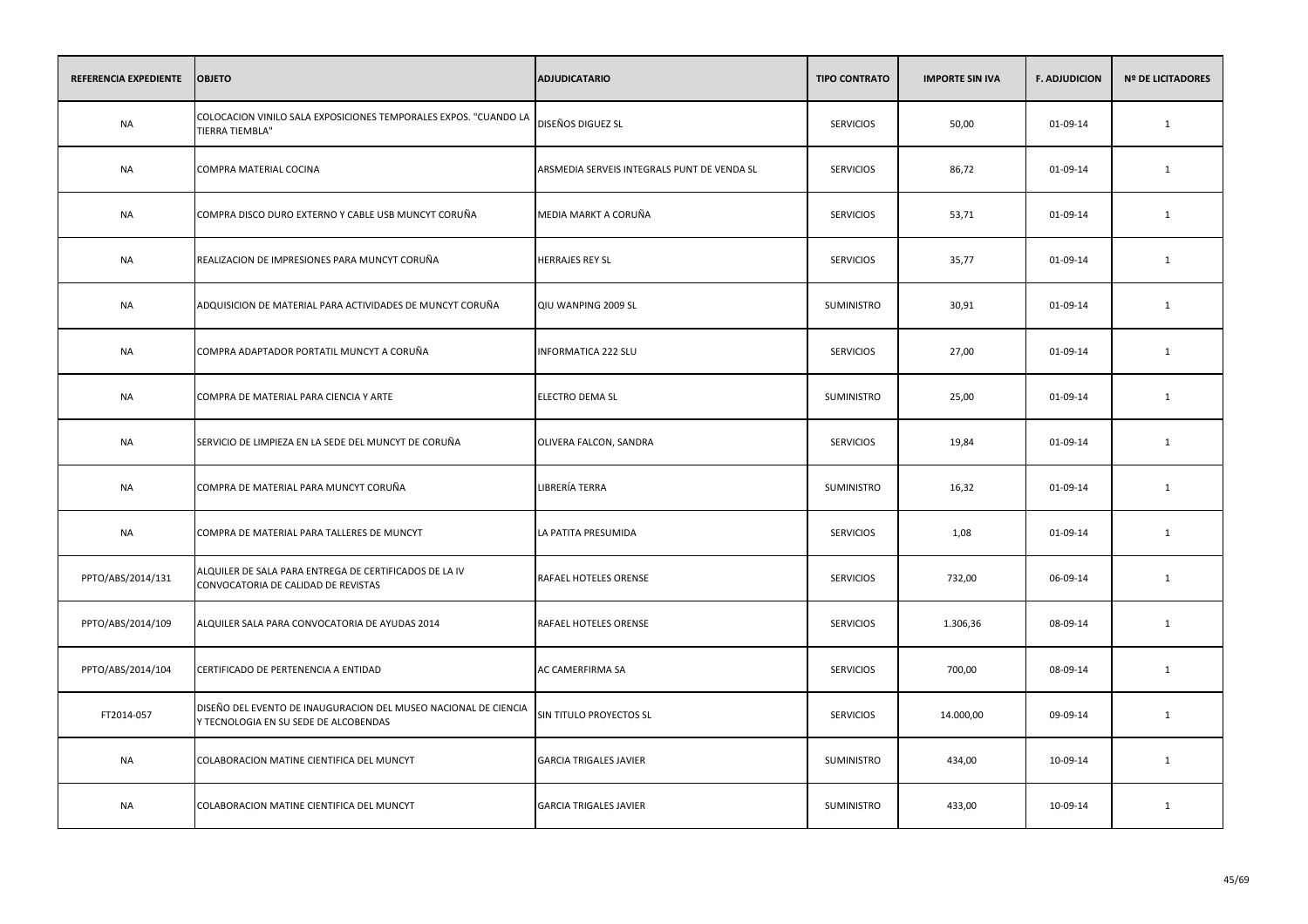| REFERENCIA EXPEDIENTE | <b>OBJETO</b>                                                                                            | <b>ADJUDICATARIO</b>                        | <b>TIPO CONTRATO</b> | <b>IMPORTE SIN IVA</b> | <b>F. ADJUDICION</b> | <b>Nº DE LICITADORES</b> |
|-----------------------|----------------------------------------------------------------------------------------------------------|---------------------------------------------|----------------------|------------------------|----------------------|--------------------------|
| <b>NA</b>             | COLOCACION VINILO SALA EXPOSICIONES TEMPORALES EXPOS. "CUANDO LA<br>TIERRA TIEMBLA"                      | DISEÑOS DIGUEZ SL                           | <b>SERVICIOS</b>     | 50,00                  | 01-09-14             | $\mathbf{1}$             |
| <b>NA</b>             | COMPRA MATERIAL COCINA                                                                                   | ARSMEDIA SERVEIS INTEGRALS PUNT DE VENDA SL | <b>SERVICIOS</b>     | 86,72                  | 01-09-14             | 1                        |
| <b>NA</b>             | COMPRA DISCO DURO EXTERNO Y CABLE USB MUNCYT CORUÑA                                                      | MEDIA MARKT A CORUÑA                        | <b>SERVICIOS</b>     | 53,71                  | 01-09-14             | $\mathbf{1}$             |
| <b>NA</b>             | REALIZACION DE IMPRESIONES PARA MUNCYT CORUÑA                                                            | HERRAJES REY SL                             | <b>SERVICIOS</b>     | 35,77                  | 01-09-14             | 1                        |
| <b>NA</b>             | ADQUISICION DE MATERIAL PARA ACTIVIDADES DE MUNCYT CORUÑA                                                | QIU WANPING 2009 SL                         | SUMINISTRO           | 30,91                  | 01-09-14             | 1                        |
| <b>NA</b>             | COMPRA ADAPTADOR PORTATIL MUNCYT A CORUÑA                                                                | INFORMATICA 222 SLU                         | <b>SERVICIOS</b>     | 27,00                  | 01-09-14             | $\mathbf{1}$             |
| <b>NA</b>             | COMPRA DE MATERIAL PARA CIENCIA Y ARTE                                                                   | ELECTRO DEMA SL                             | SUMINISTRO           | 25,00                  | 01-09-14             | $\mathbf{1}$             |
| NA                    | SERVICIO DE LIMPIEZA EN LA SEDE DEL MUNCYT DE CORUÑA                                                     | OLIVERA FALCON, SANDRA                      | <b>SERVICIOS</b>     | 19,84                  | 01-09-14             | 1                        |
| <b>NA</b>             | COMPRA DE MATERIAL PARA MUNCYT CORUÑA                                                                    | LIBRERÍA TERRA                              | SUMINISTRO           | 16,32                  | 01-09-14             | $\mathbf{1}$             |
| <b>NA</b>             | COMPRA DE MATERIAL PARA TALLERES DE MUNCYT                                                               | LA PATITA PRESUMIDA                         | <b>SERVICIOS</b>     | 1,08                   | 01-09-14             | 1                        |
| PPTO/ABS/2014/131     | ALQUILER DE SALA PARA ENTREGA DE CERTIFICADOS DE LA IV<br>CONVOCATORIA DE CALIDAD DE REVISTAS            | RAFAEL HOTELES ORENSE                       | <b>SERVICIOS</b>     | 732,00                 | 06-09-14             | $\mathbf{1}$             |
| PPTO/ABS/2014/109     | ALQUILER SALA PARA CONVOCATORIA DE AYUDAS 2014                                                           | RAFAEL HOTELES ORENSE                       | <b>SERVICIOS</b>     | 1.306,36               | 08-09-14             | $\mathbf{1}$             |
| PPTO/ABS/2014/104     | CERTIFICADO DE PERTENENCIA A ENTIDAD                                                                     | AC CAMERFIRMA SA                            | <b>SERVICIOS</b>     | 700,00                 | 08-09-14             | $\mathbf{1}$             |
| FT2014-057            | DISEÑO DEL EVENTO DE INAUGURACION DEL MUSEO NACIONAL DE CIENCIA<br>Y TECNOLOGIA EN SU SEDE DE ALCOBENDAS | SIN TITULO PROYECTOS SL                     | <b>SERVICIOS</b>     | 14.000,00              | 09-09-14             | 1                        |
| <b>NA</b>             | COLABORACION MATINE CIENTIFICA DEL MUNCYT                                                                | <b>GARCIA TRIGALES JAVIER</b>               | SUMINISTRO           | 434,00                 | 10-09-14             | $\mathbf{1}$             |
| NA                    | COLABORACION MATINE CIENTIFICA DEL MUNCYT                                                                | <b>GARCIA TRIGALES JAVIER</b>               | SUMINISTRO           | 433,00                 | 10-09-14             | 1                        |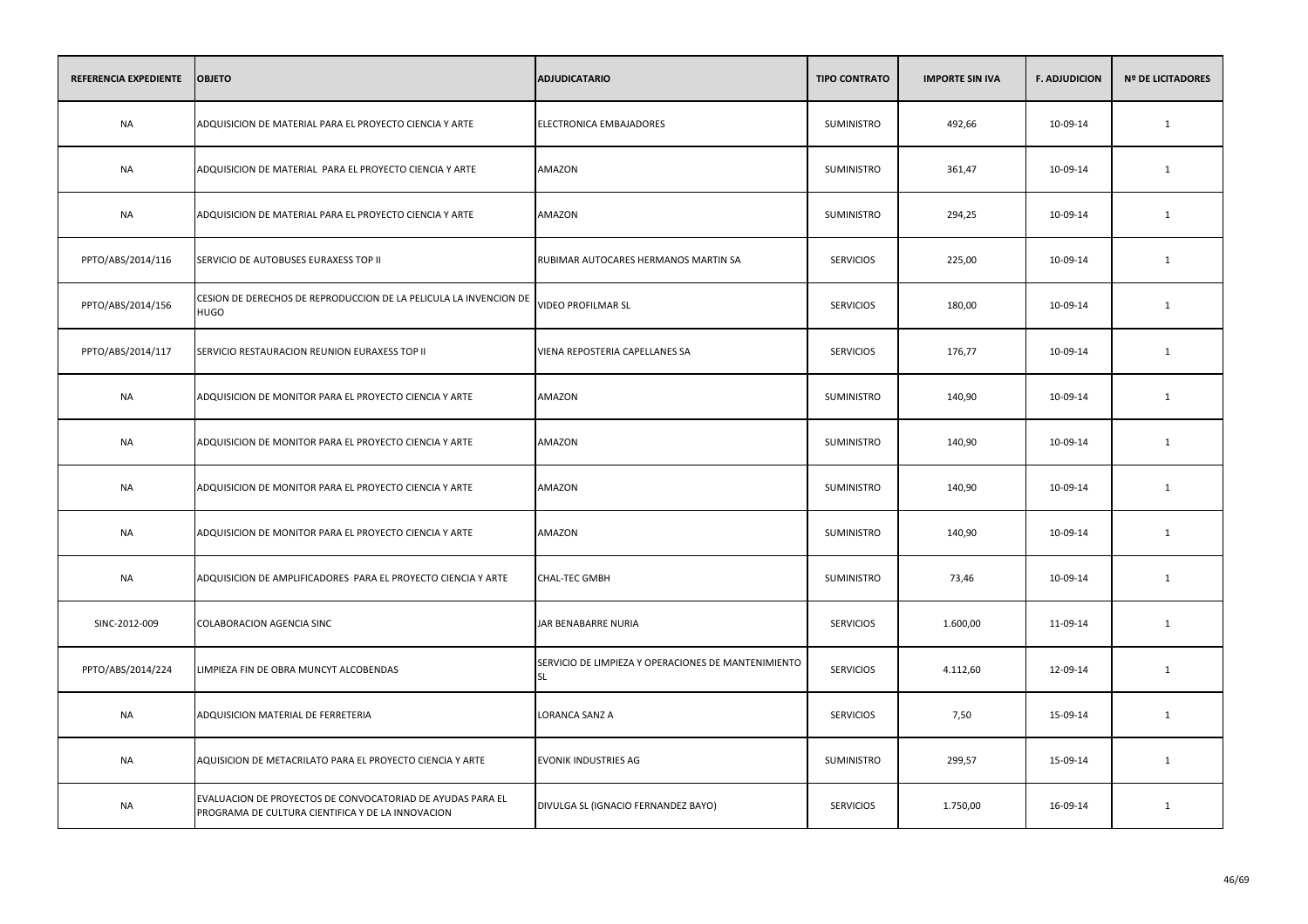| REFERENCIA EXPEDIENTE | <b>OBJETO</b>                                                                                                   | <b>ADJUDICATARIO</b>                                             | <b>TIPO CONTRATO</b> | <b>IMPORTE SIN IVA</b> | <b>F. ADJUDICION</b> | <b>Nº DE LICITADORES</b> |
|-----------------------|-----------------------------------------------------------------------------------------------------------------|------------------------------------------------------------------|----------------------|------------------------|----------------------|--------------------------|
| <b>NA</b>             | ADQUISICION DE MATERIAL PARA EL PROYECTO CIENCIA Y ARTE                                                         | ELECTRONICA EMBAJADORES                                          | SUMINISTRO           | 492,66                 | 10-09-14             | $\mathbf{1}$             |
| <b>NA</b>             | ADQUISICION DE MATERIAL PARA EL PROYECTO CIENCIA Y ARTE                                                         | AMAZON                                                           | SUMINISTRO           | 361,47                 | 10-09-14             | 1                        |
| <b>NA</b>             | ADQUISICION DE MATERIAL PARA EL PROYECTO CIENCIA Y ARTE                                                         | AMAZON                                                           | SUMINISTRO           | 294,25                 | 10-09-14             | $\mathbf{1}$             |
| PPTO/ABS/2014/116     | SERVICIO DE AUTOBUSES EURAXESS TOP II                                                                           | RUBIMAR AUTOCARES HERMANOS MARTIN SA                             | <b>SERVICIOS</b>     | 225,00                 | 10-09-14             | 1                        |
| PPTO/ABS/2014/156     | CESION DE DERECHOS DE REPRODUCCION DE LA PELICULA LA INVENCION DE<br><b>HUGO</b>                                | VIDEO PROFILMAR SL                                               | <b>SERVICIOS</b>     | 180,00                 | 10-09-14             | 1                        |
| PPTO/ABS/2014/117     | SERVICIO RESTAURACION REUNION EURAXESS TOP II                                                                   | VIENA REPOSTERIA CAPELLANES SA                                   | <b>SERVICIOS</b>     | 176,77                 | 10-09-14             | 1                        |
| <b>NA</b>             | ADQUISICION DE MONITOR PARA EL PROYECTO CIENCIA Y ARTE                                                          | AMAZON                                                           | SUMINISTRO           | 140,90                 | 10-09-14             | 1                        |
| <b>NA</b>             | ADQUISICION DE MONITOR PARA EL PROYECTO CIENCIA Y ARTE                                                          | AMAZON                                                           | <b>SUMINISTRO</b>    | 140,90                 | 10-09-14             | 1                        |
| <b>NA</b>             | ADQUISICION DE MONITOR PARA EL PROYECTO CIENCIA Y ARTE                                                          | AMAZON                                                           | SUMINISTRO           | 140,90                 | 10-09-14             | 1                        |
| <b>NA</b>             | ADQUISICION DE MONITOR PARA EL PROYECTO CIENCIA Y ARTE                                                          | AMAZON                                                           | <b>SUMINISTRO</b>    | 140,90                 | 10-09-14             | 1                        |
| <b>NA</b>             | ADQUISICION DE AMPLIFICADORES PARA EL PROYECTO CIENCIA Y ARTE                                                   | <b>CHAL-TEC GMBH</b>                                             | <b>SUMINISTRO</b>    | 73,46                  | 10-09-14             | 1                        |
| SINC-2012-009         | COLABORACION AGENCIA SINC                                                                                       | JAR BENABARRE NURIA                                              | <b>SERVICIOS</b>     | 1.600,00               | 11-09-14             | 1                        |
| PPTO/ABS/2014/224     | LIMPIEZA FIN DE OBRA MUNCYT ALCOBENDAS                                                                          | SERVICIO DE LIMPIEZA Y OPERACIONES DE MANTENIMIENTO<br><b>SL</b> | <b>SERVICIOS</b>     | 4.112,60               | 12-09-14             | 1                        |
| <b>NA</b>             | ADQUISICION MATERIAL DE FERRETERIA                                                                              | LORANCA SANZ A                                                   | <b>SERVICIOS</b>     | 7,50                   | 15-09-14             | 1                        |
| <b>NA</b>             | AQUISICION DE METACRILATO PARA EL PROYECTO CIENCIA Y ARTE                                                       | <b>EVONIK INDUSTRIES AG</b>                                      | SUMINISTRO           | 299,57                 | 15-09-14             | 1                        |
| <b>NA</b>             | EVALUACION DE PROYECTOS DE CONVOCATORIAD DE AYUDAS PARA EL<br>PROGRAMA DE CULTURA CIENTIFICA Y DE LA INNOVACION | DIVULGA SL (IGNACIO FERNANDEZ BAYO)                              | <b>SERVICIOS</b>     | 1.750,00               | 16-09-14             | 1                        |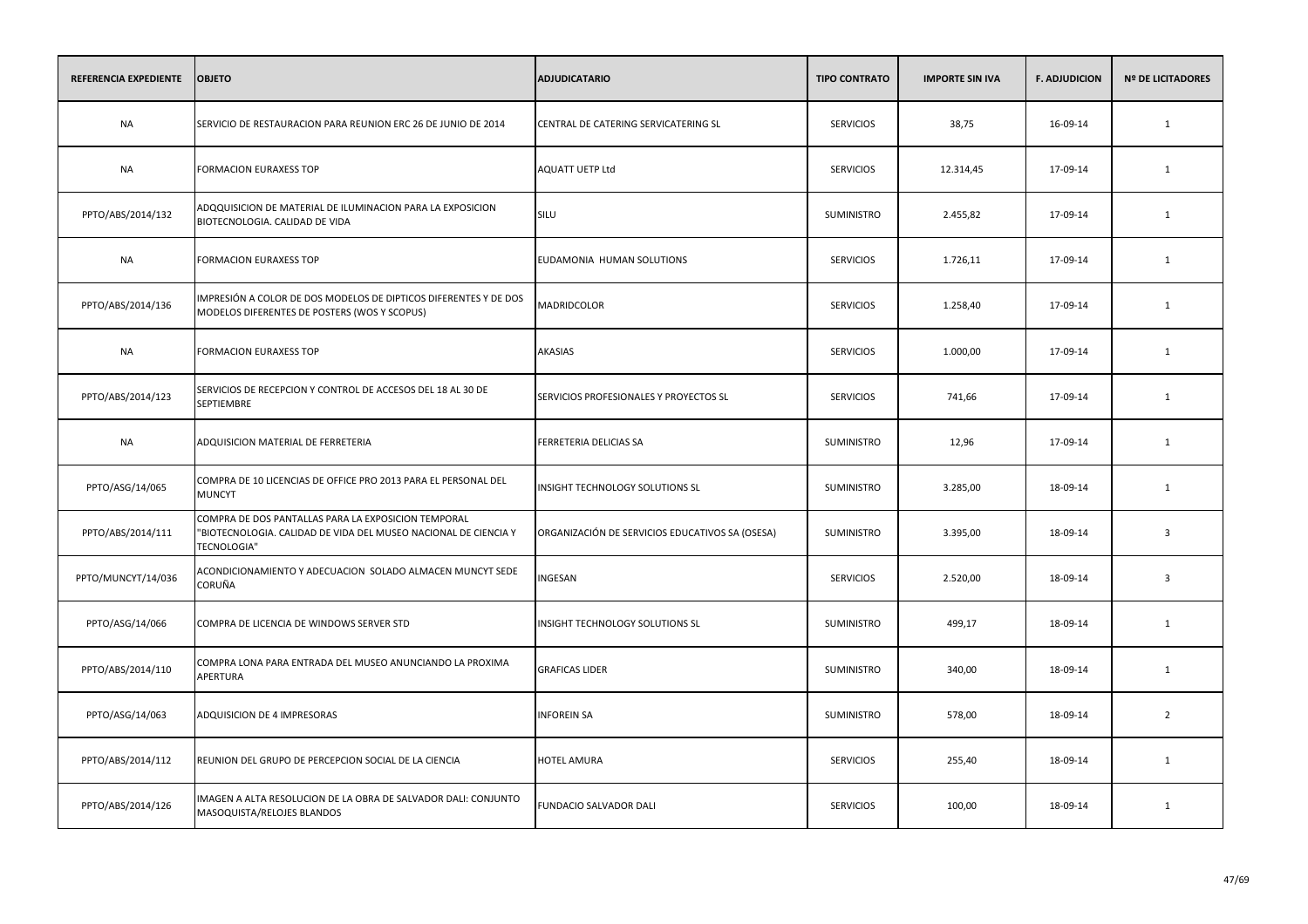| REFERENCIA EXPEDIENTE | <b>OBJETO</b>                                                                                                                         | <b>ADJUDICATARIO</b>                            | <b>TIPO CONTRATO</b> | <b>IMPORTE SIN IVA</b> | <b>F. ADJUDICION</b> | <b>Nº DE LICITADORES</b> |
|-----------------------|---------------------------------------------------------------------------------------------------------------------------------------|-------------------------------------------------|----------------------|------------------------|----------------------|--------------------------|
| <b>NA</b>             | SERVICIO DE RESTAURACION PARA REUNION ERC 26 DE JUNIO DE 2014                                                                         | CENTRAL DE CATERING SERVICATERING SL            | <b>SERVICIOS</b>     | 38,75                  | 16-09-14             | 1                        |
| <b>NA</b>             | <b>FORMACION EURAXESS TOP</b>                                                                                                         | AQUATT UETP Ltd                                 | <b>SERVICIOS</b>     | 12.314,45              | 17-09-14             | 1                        |
| PPTO/ABS/2014/132     | ADQQUISICION DE MATERIAL DE ILUMINACION PARA LA EXPOSICION<br>BIOTECNOLOGIA. CALIDAD DE VIDA                                          | SILU                                            | SUMINISTRO           | 2.455,82               | 17-09-14             | $\mathbf{1}$             |
| <b>NA</b>             | <b>FORMACION EURAXESS TOP</b>                                                                                                         | EUDAMONIA HUMAN SOLUTIONS                       | <b>SERVICIOS</b>     | 1.726,11               | 17-09-14             | 1                        |
| PPTO/ABS/2014/136     | IMPRESIÓN A COLOR DE DOS MODELOS DE DIPTICOS DIFERENTES Y DE DOS<br>MODELOS DIFERENTES DE POSTERS (WOS Y SCOPUS)                      | MADRIDCOLOR                                     | <b>SERVICIOS</b>     | 1.258,40               | 17-09-14             | 1                        |
| NA                    | <b>FORMACION EURAXESS TOP</b>                                                                                                         | AKASIAS                                         | <b>SERVICIOS</b>     | 1.000,00               | 17-09-14             | 1                        |
| PPTO/ABS/2014/123     | SERVICIOS DE RECEPCION Y CONTROL DE ACCESOS DEL 18 AL 30 DE<br><b>SEPTIEMBRE</b>                                                      | SERVICIOS PROFESIONALES Y PROYECTOS SL          | <b>SERVICIOS</b>     | 741,66                 | 17-09-14             | 1                        |
| NA                    | ADQUISICION MATERIAL DE FERRETERIA                                                                                                    | FERRETERIA DELICIAS SA                          | <b>SUMINISTRO</b>    | 12,96                  | 17-09-14             | 1                        |
| PPTO/ASG/14/065       | COMPRA DE 10 LICENCIAS DE OFFICE PRO 2013 PARA EL PERSONAL DEL<br><b>MUNCYT</b>                                                       | INSIGHT TECHNOLOGY SOLUTIONS SL                 | SUMINISTRO           | 3.285,00               | 18-09-14             | 1                        |
| PPTO/ABS/2014/111     | COMPRA DE DOS PANTALLAS PARA LA EXPOSICION TEMPORAL<br>"BIOTECNOLOGIA. CALIDAD DE VIDA DEL MUSEO NACIONAL DE CIENCIA Y<br>TECNOLOGIA" | ORGANIZACIÓN DE SERVICIOS EDUCATIVOS SA (OSESA) | <b>SUMINISTRO</b>    | 3.395,00               | 18-09-14             | $\overline{3}$           |
| PPTO/MUNCYT/14/036    | ACONDICIONAMIENTO Y ADECUACION SOLADO ALMACEN MUNCYT SEDE<br>CORUÑA                                                                   | INGESAN                                         | <b>SERVICIOS</b>     | 2.520,00               | 18-09-14             | $\overline{3}$           |
| PPTO/ASG/14/066       | COMPRA DE LICENCIA DE WINDOWS SERVER STD                                                                                              | INSIGHT TECHNOLOGY SOLUTIONS SL                 | SUMINISTRO           | 499,17                 | 18-09-14             | 1                        |
| PPTO/ABS/2014/110     | COMPRA LONA PARA ENTRADA DEL MUSEO ANUNCIANDO LA PROXIMA<br>APERTURA                                                                  | <b>GRAFICAS LIDER</b>                           | <b>SUMINISTRO</b>    | 340,00                 | 18-09-14             | 1                        |
| PPTO/ASG/14/063       | ADQUISICION DE 4 IMPRESORAS                                                                                                           | <b>INFOREIN SA</b>                              | SUMINISTRO           | 578,00                 | 18-09-14             | $\overline{2}$           |
| PPTO/ABS/2014/112     | REUNION DEL GRUPO DE PERCEPCION SOCIAL DE LA CIENCIA                                                                                  | <b>HOTEL AMURA</b>                              | <b>SERVICIOS</b>     | 255,40                 | 18-09-14             | 1                        |
| PPTO/ABS/2014/126     | IMAGEN A ALTA RESOLUCION DE LA OBRA DE SALVADOR DALI: CONJUNTO<br>MASOQUISTA/RELOJES BLANDOS                                          | FUNDACIO SALVADOR DALI                          | <b>SERVICIOS</b>     | 100,00                 | 18-09-14             | 1                        |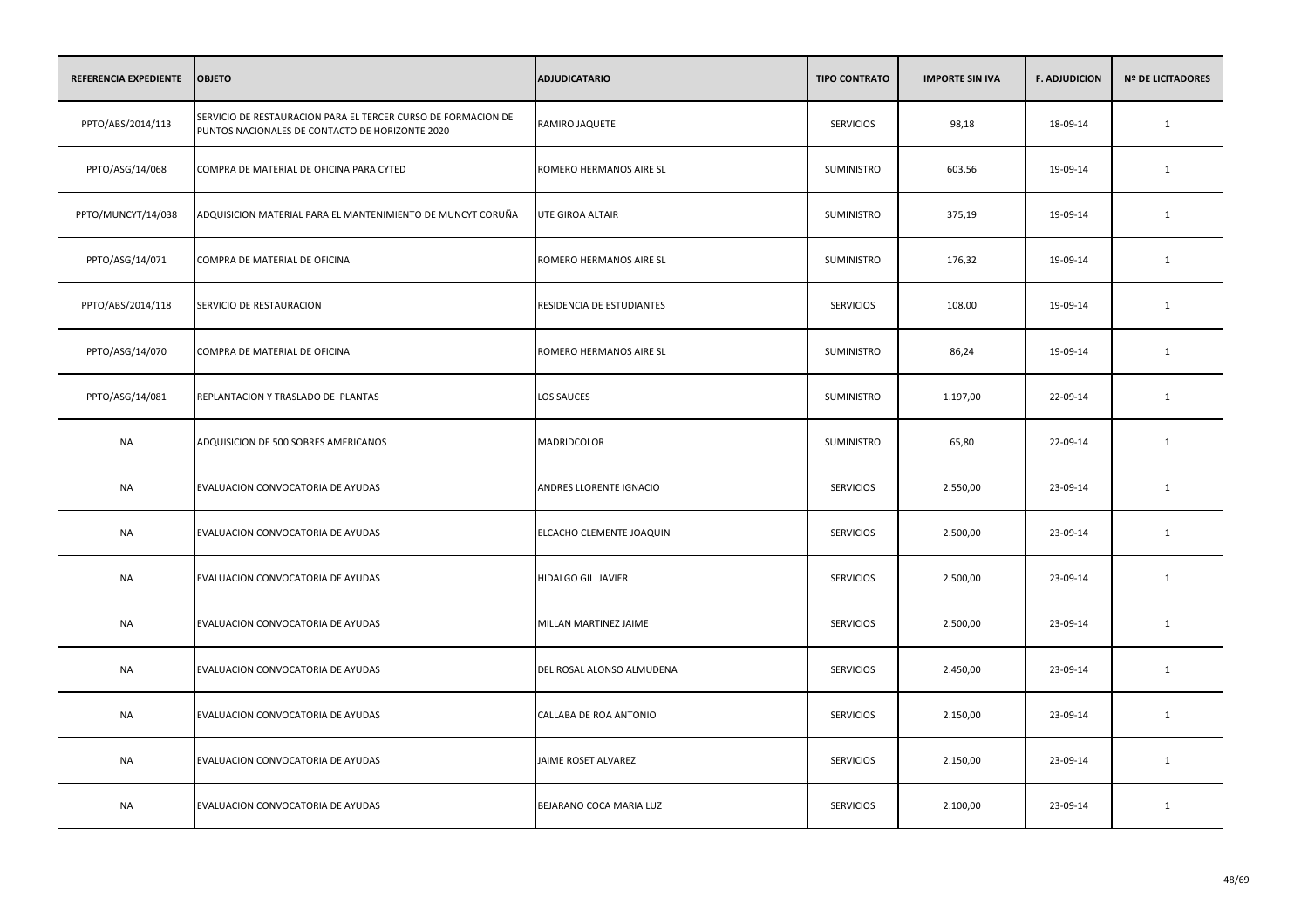| REFERENCIA EXPEDIENTE | <b>OBJETO</b>                                                                                                    | <b>ADJUDICATARIO</b>      | <b>TIPO CONTRATO</b> | <b>IMPORTE SIN IVA</b> | <b>F. ADJUDICION</b> | <b>Nº DE LICITADORES</b> |
|-----------------------|------------------------------------------------------------------------------------------------------------------|---------------------------|----------------------|------------------------|----------------------|--------------------------|
| PPTO/ABS/2014/113     | SERVICIO DE RESTAURACION PARA EL TERCER CURSO DE FORMACION DE<br>PUNTOS NACIONALES DE CONTACTO DE HORIZONTE 2020 | RAMIRO JAQUETE            | <b>SERVICIOS</b>     | 98,18                  | 18-09-14             | $\mathbf{1}$             |
| PPTO/ASG/14/068       | COMPRA DE MATERIAL DE OFICINA PARA CYTED                                                                         | ROMERO HERMANOS AIRE SL   | <b>SUMINISTRO</b>    | 603,56                 | 19-09-14             | $\mathbf{1}$             |
| PPTO/MUNCYT/14/038    | ADQUISICION MATERIAL PARA EL MANTENIMIENTO DE MUNCYT CORUÑA                                                      | <b>UTE GIROA ALTAIR</b>   | SUMINISTRO           | 375,19                 | 19-09-14             | $\mathbf{1}$             |
| PPTO/ASG/14/071       | COMPRA DE MATERIAL DE OFICINA                                                                                    | ROMERO HERMANOS AIRE SL   | SUMINISTRO           | 176,32                 | 19-09-14             | 1                        |
| PPTO/ABS/2014/118     | SERVICIO DE RESTAURACION                                                                                         | RESIDENCIA DE ESTUDIANTES | <b>SERVICIOS</b>     | 108,00                 | 19-09-14             | $\mathbf{1}$             |
| PPTO/ASG/14/070       | COMPRA DE MATERIAL DE OFICINA                                                                                    | ROMERO HERMANOS AIRE SL   | SUMINISTRO           | 86,24                  | 19-09-14             | 1                        |
| PPTO/ASG/14/081       | REPLANTACION Y TRASLADO DE PLANTAS                                                                               | LOS SAUCES                | SUMINISTRO           | 1.197,00               | 22-09-14             | $\mathbf{1}$             |
| <b>NA</b>             | ADQUISICION DE 500 SOBRES AMERICANOS                                                                             | MADRIDCOLOR               | SUMINISTRO           | 65,80                  | 22-09-14             | $\mathbf{1}$             |
| <b>NA</b>             | EVALUACION CONVOCATORIA DE AYUDAS                                                                                | ANDRES LLORENTE IGNACIO   | <b>SERVICIOS</b>     | 2.550,00               | 23-09-14             | $\mathbf{1}$             |
| <b>NA</b>             | EVALUACION CONVOCATORIA DE AYUDAS                                                                                | ELCACHO CLEMENTE JOAQUIN  | <b>SERVICIOS</b>     | 2.500,00               | 23-09-14             | $\mathbf{1}$             |
| <b>NA</b>             | EVALUACION CONVOCATORIA DE AYUDAS                                                                                | HIDALGO GIL JAVIER        | <b>SERVICIOS</b>     | 2.500,00               | 23-09-14             | $\mathbf 1$              |
| <b>NA</b>             | EVALUACION CONVOCATORIA DE AYUDAS                                                                                | MILLAN MARTINEZ JAIME     | <b>SERVICIOS</b>     | 2.500,00               | 23-09-14             | $\mathbf{1}$             |
| NA                    | EVALUACION CONVOCATORIA DE AYUDAS                                                                                | DEL ROSAL ALONSO ALMUDENA | <b>SERVICIOS</b>     | 2.450,00               | 23-09-14             | $\mathbf{1}$             |
| NA                    | EVALUACION CONVOCATORIA DE AYUDAS                                                                                | CALLABA DE ROA ANTONIO    | <b>SERVICIOS</b>     | 2.150,00               | 23-09-14             | 1                        |
| <b>NA</b>             | EVALUACION CONVOCATORIA DE AYUDAS                                                                                | JAIME ROSET ALVAREZ       | <b>SERVICIOS</b>     | 2.150,00               | 23-09-14             | $\mathbf{1}$             |
| <b>NA</b>             | EVALUACION CONVOCATORIA DE AYUDAS                                                                                | BEJARANO COCA MARIA LUZ   | <b>SERVICIOS</b>     | 2.100,00               | 23-09-14             | $\mathbf{1}$             |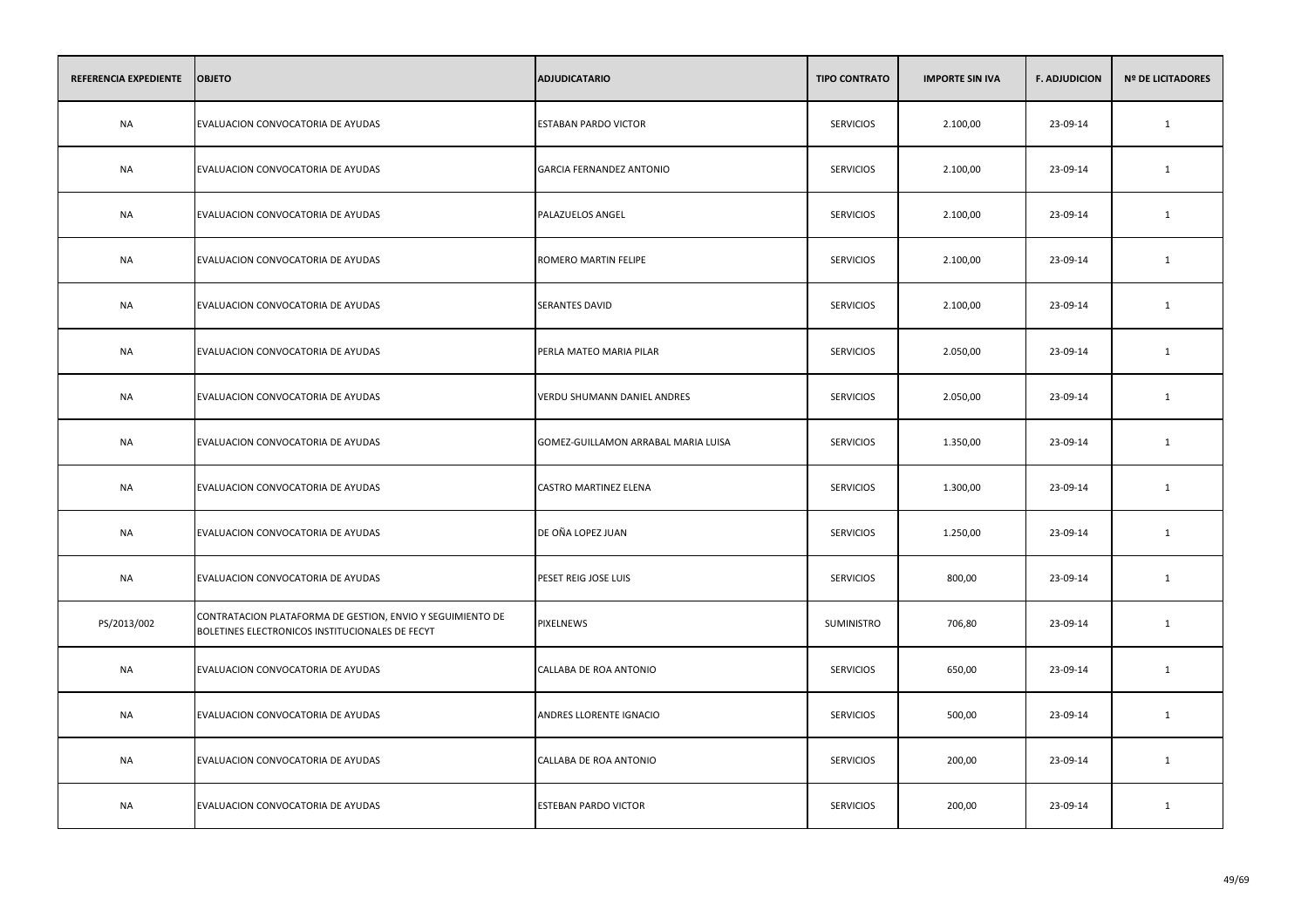| REFERENCIA EXPEDIENTE | <b>OBJETO</b>                                                                                                 | <b>ADJUDICATARIO</b>                | <b>TIPO CONTRATO</b> | <b>IMPORTE SIN IVA</b> | <b>F. ADJUDICION</b> | <b>Nº DE LICITADORES</b> |
|-----------------------|---------------------------------------------------------------------------------------------------------------|-------------------------------------|----------------------|------------------------|----------------------|--------------------------|
| <b>NA</b>             | EVALUACION CONVOCATORIA DE AYUDAS                                                                             | <b>ESTABAN PARDO VICTOR</b>         | <b>SERVICIOS</b>     | 2.100,00               | 23-09-14             | $\mathbf{1}$             |
| <b>NA</b>             | EVALUACION CONVOCATORIA DE AYUDAS                                                                             | GARCIA FERNANDEZ ANTONIO            | <b>SERVICIOS</b>     | 2.100,00               | 23-09-14             | 1                        |
| <b>NA</b>             | EVALUACION CONVOCATORIA DE AYUDAS                                                                             | PALAZUELOS ANGEL                    | <b>SERVICIOS</b>     | 2.100,00               | 23-09-14             | $\mathbf{1}$             |
| <b>NA</b>             | EVALUACION CONVOCATORIA DE AYUDAS                                                                             | ROMERO MARTIN FELIPE                | <b>SERVICIOS</b>     | 2.100,00               | 23-09-14             | 1                        |
| <b>NA</b>             | EVALUACION CONVOCATORIA DE AYUDAS                                                                             | SERANTES DAVID                      | <b>SERVICIOS</b>     | 2.100,00               | 23-09-14             | 1                        |
| <b>NA</b>             | EVALUACION CONVOCATORIA DE AYUDAS                                                                             | PERLA MATEO MARIA PILAR             | <b>SERVICIOS</b>     | 2.050,00               | 23-09-14             | $\mathbf{1}$             |
| <b>NA</b>             | EVALUACION CONVOCATORIA DE AYUDAS                                                                             | VERDU SHUMANN DANIEL ANDRES         | <b>SERVICIOS</b>     | 2.050,00               | 23-09-14             | 1                        |
| NA                    | EVALUACION CONVOCATORIA DE AYUDAS                                                                             | GOMEZ-GUILLAMON ARRABAL MARIA LUISA | <b>SERVICIOS</b>     | 1.350,00               | 23-09-14             | 1                        |
| NA                    | EVALUACION CONVOCATORIA DE AYUDAS                                                                             | CASTRO MARTINEZ ELENA               | <b>SERVICIOS</b>     | 1.300,00               | 23-09-14             | 1                        |
| NA                    | EVALUACION CONVOCATORIA DE AYUDAS                                                                             | DE OÑA LOPEZ JUAN                   | <b>SERVICIOS</b>     | 1.250,00               | 23-09-14             | 1                        |
| NA                    | EVALUACION CONVOCATORIA DE AYUDAS                                                                             | PESET REIG JOSE LUIS                | <b>SERVICIOS</b>     | 800,00                 | 23-09-14             | 1                        |
| PS/2013/002           | CONTRATACION PLATAFORMA DE GESTION, ENVIO Y SEGUIMIENTO DE<br>BOLETINES ELECTRONICOS INSTITUCIONALES DE FECYT | PIXELNEWS                           | SUMINISTRO           | 706,80                 | 23-09-14             | 1                        |
| <b>NA</b>             | EVALUACION CONVOCATORIA DE AYUDAS                                                                             | CALLABA DE ROA ANTONIO              | <b>SERVICIOS</b>     | 650,00                 | 23-09-14             | 1                        |
| NA                    | EVALUACION CONVOCATORIA DE AYUDAS                                                                             | ANDRES LLORENTE IGNACIO             | <b>SERVICIOS</b>     | 500,00                 | 23-09-14             | 1                        |
| <b>NA</b>             | EVALUACION CONVOCATORIA DE AYUDAS                                                                             | CALLABA DE ROA ANTONIO              | <b>SERVICIOS</b>     | 200,00                 | 23-09-14             | 1                        |
| NA                    | EVALUACION CONVOCATORIA DE AYUDAS                                                                             | ESTEBAN PARDO VICTOR                | <b>SERVICIOS</b>     | 200,00                 | 23-09-14             | 1                        |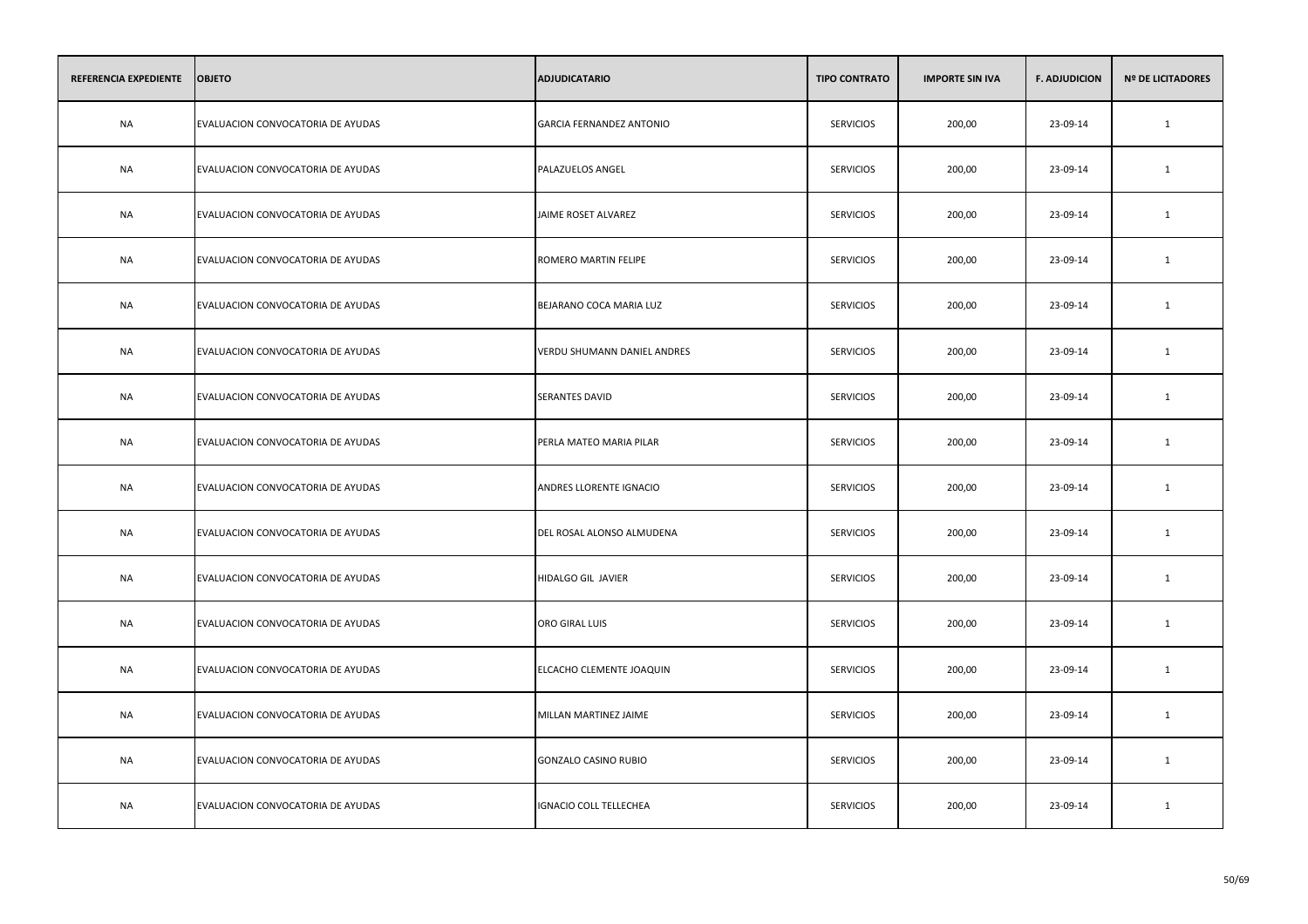| REFERENCIA EXPEDIENTE | <b>OBJETO</b>                     | <b>ADJUDICATARIO</b>            | <b>TIPO CONTRATO</b> | <b>IMPORTE SIN IVA</b> | <b>F. ADJUDICION</b> | <b>Nº DE LICITADORES</b> |
|-----------------------|-----------------------------------|---------------------------------|----------------------|------------------------|----------------------|--------------------------|
| <b>NA</b>             | EVALUACION CONVOCATORIA DE AYUDAS | <b>GARCIA FERNANDEZ ANTONIO</b> | <b>SERVICIOS</b>     | 200,00                 | 23-09-14             | $\mathbf{1}$             |
| NA                    | EVALUACION CONVOCATORIA DE AYUDAS | PALAZUELOS ANGEL                | <b>SERVICIOS</b>     | 200,00                 | 23-09-14             | 1                        |
| NA                    | EVALUACION CONVOCATORIA DE AYUDAS | JAIME ROSET ALVAREZ             | <b>SERVICIOS</b>     | 200,00                 | 23-09-14             | 1                        |
| NA                    | EVALUACION CONVOCATORIA DE AYUDAS | ROMERO MARTIN FELIPE            | <b>SERVICIOS</b>     | 200,00                 | 23-09-14             | 1                        |
| <b>NA</b>             | EVALUACION CONVOCATORIA DE AYUDAS | BEJARANO COCA MARIA LUZ         | <b>SERVICIOS</b>     | 200,00                 | 23-09-14             | $\mathbf{1}$             |
| NA                    | EVALUACION CONVOCATORIA DE AYUDAS | VERDU SHUMANN DANIEL ANDRES     | <b>SERVICIOS</b>     | 200,00                 | 23-09-14             | 1                        |
| <b>NA</b>             | EVALUACION CONVOCATORIA DE AYUDAS | <b>SERANTES DAVID</b>           | <b>SERVICIOS</b>     | 200,00                 | 23-09-14             | $\mathbf{1}$             |
| NA                    | EVALUACION CONVOCATORIA DE AYUDAS | PERLA MATEO MARIA PILAR         | <b>SERVICIOS</b>     | 200,00                 | 23-09-14             | $\mathbf{1}$             |
| <b>NA</b>             | EVALUACION CONVOCATORIA DE AYUDAS | ANDRES LLORENTE IGNACIO         | <b>SERVICIOS</b>     | 200,00                 | 23-09-14             | $\mathbf{1}$             |
| <b>NA</b>             | EVALUACION CONVOCATORIA DE AYUDAS | DEL ROSAL ALONSO ALMUDENA       | <b>SERVICIOS</b>     | 200,00                 | 23-09-14             | 1                        |
| NA                    | EVALUACION CONVOCATORIA DE AYUDAS | HIDALGO GIL JAVIER              | <b>SERVICIOS</b>     | 200,00                 | 23-09-14             | 1                        |
| NA                    | EVALUACION CONVOCATORIA DE AYUDAS | ORO GIRAL LUIS                  | <b>SERVICIOS</b>     | 200,00                 | 23-09-14             | 1                        |
| NA                    | EVALUACION CONVOCATORIA DE AYUDAS | ELCACHO CLEMENTE JOAQUIN        | <b>SERVICIOS</b>     | 200,00                 | 23-09-14             | 1                        |
| NA                    | EVALUACION CONVOCATORIA DE AYUDAS | MILLAN MARTINEZ JAIME           | <b>SERVICIOS</b>     | 200,00                 | 23-09-14             | 1                        |
| <b>NA</b>             | EVALUACION CONVOCATORIA DE AYUDAS | <b>GONZALO CASINO RUBIO</b>     | <b>SERVICIOS</b>     | 200,00                 | 23-09-14             | $\mathbf{1}$             |
| NA                    | EVALUACION CONVOCATORIA DE AYUDAS | <b>IGNACIO COLL TELLECHEA</b>   | <b>SERVICIOS</b>     | 200,00                 | 23-09-14             | 1                        |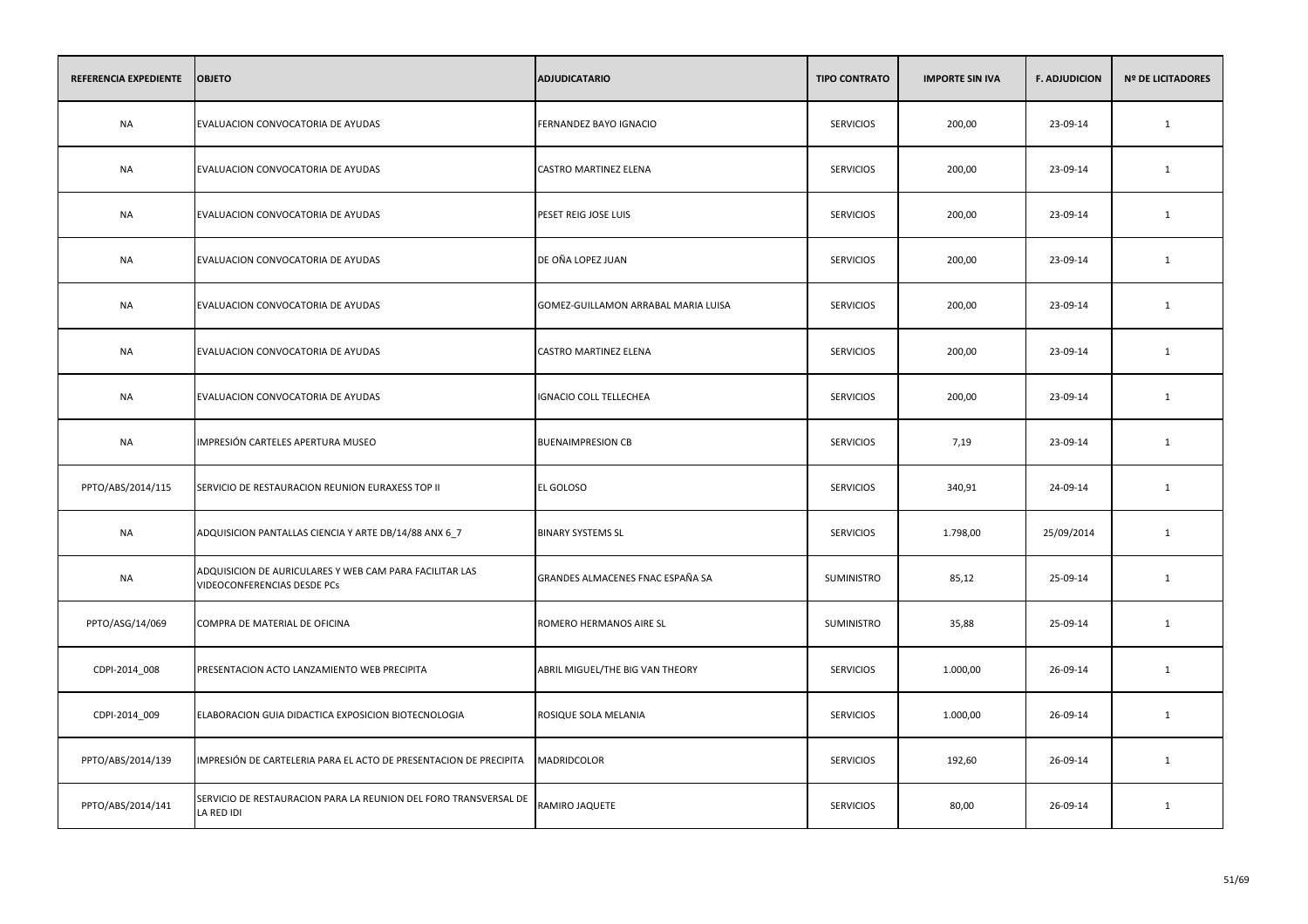| REFERENCIA EXPEDIENTE | <b>OBJETO</b>                                                                          | <b>ADJUDICATARIO</b>                | <b>TIPO CONTRATO</b> | <b>IMPORTE SIN IVA</b> | <b>F. ADJUDICION</b> | <b>Nº DE LICITADORES</b> |
|-----------------------|----------------------------------------------------------------------------------------|-------------------------------------|----------------------|------------------------|----------------------|--------------------------|
| <b>NA</b>             | EVALUACION CONVOCATORIA DE AYUDAS                                                      | FERNANDEZ BAYO IGNACIO              | <b>SERVICIOS</b>     | 200,00                 | 23-09-14             | $\mathbf{1}$             |
| NA                    | EVALUACION CONVOCATORIA DE AYUDAS                                                      | CASTRO MARTINEZ ELENA               | <b>SERVICIOS</b>     | 200,00                 | 23-09-14             | 1                        |
| <b>NA</b>             | EVALUACION CONVOCATORIA DE AYUDAS                                                      | PESET REIG JOSE LUIS                | <b>SERVICIOS</b>     | 200,00                 | 23-09-14             | 1                        |
| NA                    | EVALUACION CONVOCATORIA DE AYUDAS                                                      | DE OÑA LOPEZ JUAN                   | <b>SERVICIOS</b>     | 200,00                 | 23-09-14             | 1                        |
| <b>NA</b>             | EVALUACION CONVOCATORIA DE AYUDAS                                                      | GOMEZ-GUILLAMON ARRABAL MARIA LUISA | <b>SERVICIOS</b>     | 200,00                 | 23-09-14             | 1                        |
| <b>NA</b>             | EVALUACION CONVOCATORIA DE AYUDAS                                                      | CASTRO MARTINEZ ELENA               | <b>SERVICIOS</b>     | 200,00                 | 23-09-14             | 1                        |
| <b>NA</b>             | EVALUACION CONVOCATORIA DE AYUDAS                                                      | <b>IGNACIO COLL TELLECHEA</b>       | <b>SERVICIOS</b>     | 200,00                 | 23-09-14             | 1                        |
| <b>NA</b>             | IMPRESIÓN CARTELES APERTURA MUSEO                                                      | <b>BUENAIMPRESION CB</b>            | <b>SERVICIOS</b>     | 7,19                   | 23-09-14             | 1                        |
| PPTO/ABS/2014/115     | SERVICIO DE RESTAURACION REUNION EURAXESS TOP II                                       | EL GOLOSO                           | <b>SERVICIOS</b>     | 340,91                 | 24-09-14             | $\mathbf{1}$             |
| <b>NA</b>             | ADQUISICION PANTALLAS CIENCIA Y ARTE DB/14/88 ANX 6_7                                  | <b>BINARY SYSTEMS SL</b>            | <b>SERVICIOS</b>     | 1.798,00               | 25/09/2014           | $\mathbf{1}$             |
| NA                    | ADQUISICION DE AURICULARES Y WEB CAM PARA FACILITAR LAS<br>VIDEOCONFERENCIAS DESDE PCs | GRANDES ALMACENES FNAC ESPAÑA SA    | SUMINISTRO           | 85,12                  | 25-09-14             | $\mathbf{1}$             |
| PPTO/ASG/14/069       | COMPRA DE MATERIAL DE OFICINA                                                          | ROMERO HERMANOS AIRE SL             | SUMINISTRO           | 35,88                  | 25-09-14             | 1                        |
| CDPI-2014_008         | PRESENTACION ACTO LANZAMIENTO WEB PRECIPITA                                            | ABRIL MIGUEL/THE BIG VAN THEORY     | <b>SERVICIOS</b>     | 1.000,00               | 26-09-14             | 1                        |
| CDPI-2014_009         | ELABORACION GUIA DIDACTICA EXPOSICION BIOTECNOLOGIA                                    | ROSIQUE SOLA MELANIA                | <b>SERVICIOS</b>     | 1.000,00               | 26-09-14             | 1                        |
| PPTO/ABS/2014/139     | IMPRESIÓN DE CARTELERIA PARA EL ACTO DE PRESENTACION DE PRECIPITA                      | MADRIDCOLOR                         | <b>SERVICIOS</b>     | 192,60                 | 26-09-14             | 1                        |
| PPTO/ABS/2014/141     | SERVICIO DE RESTAURACION PARA LA REUNION DEL FORO TRANSVERSAL DE<br>LA RED IDI         | RAMIRO JAQUETE                      | <b>SERVICIOS</b>     | 80,00                  | 26-09-14             | 1                        |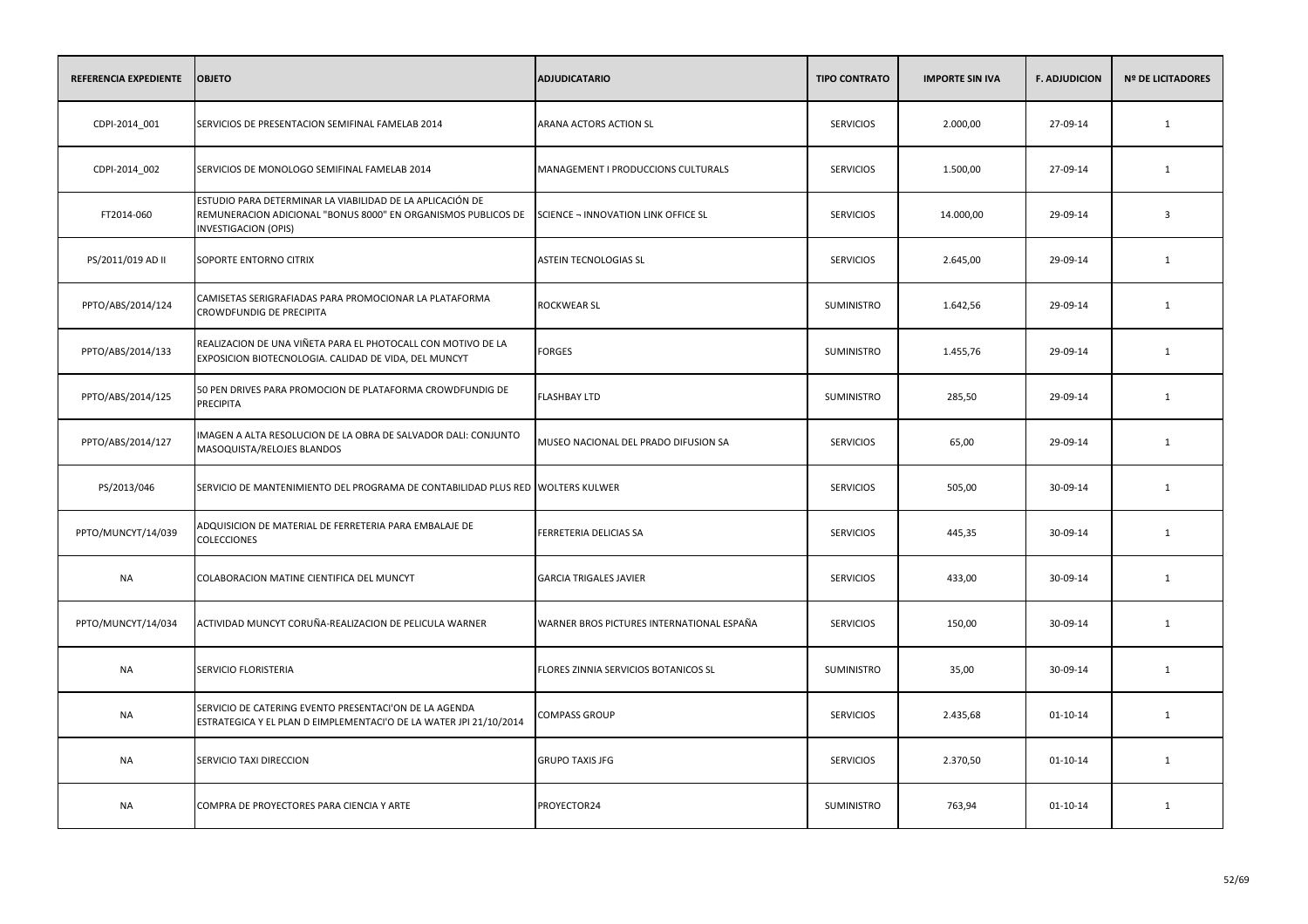| <b>REFERENCIA EXPEDIENTE</b> | <b>OBJETO</b>                                                                                                                                             | <b>ADJUDICATARIO</b>                      | <b>TIPO CONTRATO</b> | <b>IMPORTE SIN IVA</b> | <b>F. ADJUDICION</b> | <b>Nº DE LICITADORES</b> |
|------------------------------|-----------------------------------------------------------------------------------------------------------------------------------------------------------|-------------------------------------------|----------------------|------------------------|----------------------|--------------------------|
| CDPI-2014_001                | SERVICIOS DE PRESENTACION SEMIFINAL FAMELAB 2014                                                                                                          | ARANA ACTORS ACTION SL                    | <b>SERVICIOS</b>     | 2.000,00               | 27-09-14             | $\mathbf{1}$             |
| CDPI-2014_002                | SERVICIOS DE MONOLOGO SEMIFINAL FAMELAB 2014                                                                                                              | MANAGEMENT I PRODUCCIONS CULTURALS        | <b>SERVICIOS</b>     | 1.500,00               | 27-09-14             | 1                        |
| FT2014-060                   | ESTUDIO PARA DETERMINAR LA VIABILIDAD DE LA APLICACIÓN DE<br>REMUNERACION ADICIONAL "BONUS 8000" EN ORGANISMOS PUBLICOS DE<br><b>INVESTIGACION (OPIS)</b> | SCIENCE - INNOVATION LINK OFFICE SL       | <b>SERVICIOS</b>     | 14.000,00              | 29-09-14             | $\overline{3}$           |
| PS/2011/019 AD II            | SOPORTE ENTORNO CITRIX                                                                                                                                    | ASTEIN TECNOLOGIAS SL                     | <b>SERVICIOS</b>     | 2.645,00               | 29-09-14             | 1                        |
| PPTO/ABS/2014/124            | CAMISETAS SERIGRAFIADAS PARA PROMOCIONAR LA PLATAFORMA<br>CROWDFUNDIG DE PRECIPITA                                                                        | <b>ROCKWEAR SL</b>                        | <b>SUMINISTRO</b>    | 1.642,56               | 29-09-14             | 1                        |
| PPTO/ABS/2014/133            | REALIZACION DE UNA VIÑETA PARA EL PHOTOCALL CON MOTIVO DE LA<br>EXPOSICION BIOTECNOLOGIA. CALIDAD DE VIDA, DEL MUNCYT                                     | <b>FORGES</b>                             | SUMINISTRO           | 1.455,76               | 29-09-14             | 1                        |
| PPTO/ABS/2014/125            | 50 PEN DRIVES PARA PROMOCION DE PLATAFORMA CROWDFUNDIG DE<br><b>PRECIPITA</b>                                                                             | <b>FLASHBAY LTD</b>                       | SUMINISTRO           | 285,50                 | 29-09-14             | 1                        |
| PPTO/ABS/2014/127            | IMAGEN A ALTA RESOLUCION DE LA OBRA DE SALVADOR DALI: CONJUNTO<br>MASOQUISTA/RELOJES BLANDOS                                                              | MUSEO NACIONAL DEL PRADO DIFUSION SA      | <b>SERVICIOS</b>     | 65,00                  | 29-09-14             | $\mathbf{1}$             |
| PS/2013/046                  | SERVICIO DE MANTENIMIENTO DEL PROGRAMA DE CONTABILIDAD PLUS RED WOLTERS KULWER                                                                            |                                           | <b>SERVICIOS</b>     | 505,00                 | 30-09-14             | 1                        |
| PPTO/MUNCYT/14/039           | ADQUISICION DE MATERIAL DE FERRETERIA PARA EMBALAJE DE<br>COLECCIONES                                                                                     | FERRETERIA DELICIAS SA                    | <b>SERVICIOS</b>     | 445,35                 | 30-09-14             | 1                        |
| <b>NA</b>                    | COLABORACION MATINE CIENTIFICA DEL MUNCYT                                                                                                                 | <b>GARCIA TRIGALES JAVIER</b>             | <b>SERVICIOS</b>     | 433,00                 | 30-09-14             | 1                        |
| PPTO/MUNCYT/14/034           | ACTIVIDAD MUNCYT CORUÑA-REALIZACION DE PELICULA WARNER                                                                                                    | WARNER BROS PICTURES INTERNATIONAL ESPAÑA | <b>SERVICIOS</b>     | 150,00                 | 30-09-14             | 1                        |
| <b>NA</b>                    | SERVICIO FLORISTERIA                                                                                                                                      | FLORES ZINNIA SERVICIOS BOTANICOS SL      | SUMINISTRO           | 35,00                  | 30-09-14             | 1                        |
| <b>NA</b>                    | SERVICIO DE CATERING EVENTO PRESENTACI'ON DE LA AGENDA<br>ESTRATEGICA Y EL PLAN D EIMPLEMENTACI'O DE LA WATER JPI 21/10/2014                              | <b>COMPASS GROUP</b>                      | <b>SERVICIOS</b>     | 2.435,68               | $01 - 10 - 14$       | 1                        |
| <b>NA</b>                    | SERVICIO TAXI DIRECCION                                                                                                                                   | <b>GRUPO TAXIS JFG</b>                    | <b>SERVICIOS</b>     | 2.370,50               | 01-10-14             | 1                        |
| <b>NA</b>                    | COMPRA DE PROYECTORES PARA CIENCIA Y ARTE                                                                                                                 | PROYECTOR24                               | <b>SUMINISTRO</b>    | 763,94                 | 01-10-14             | 1                        |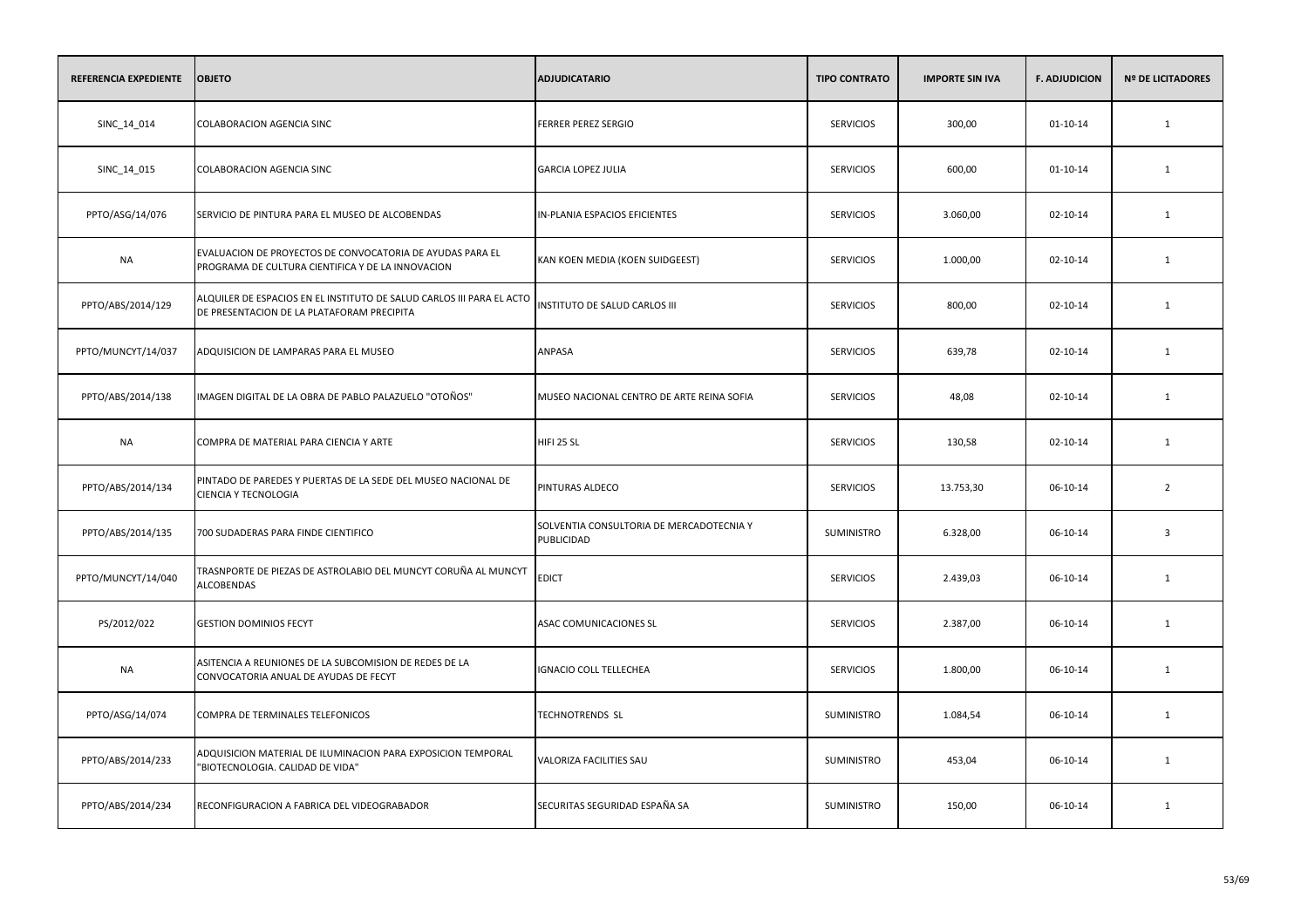| REFERENCIA EXPEDIENTE | <b>OBJETO</b>                                                                                                       | <b>ADJUDICATARIO</b>                                   | <b>TIPO CONTRATO</b> | <b>IMPORTE SIN IVA</b> | <b>F. ADJUDICION</b> | <b>Nº DE LICITADORES</b> |
|-----------------------|---------------------------------------------------------------------------------------------------------------------|--------------------------------------------------------|----------------------|------------------------|----------------------|--------------------------|
| SINC_14_014           | <b>COLABORACION AGENCIA SINC</b>                                                                                    | <b>FERRER PEREZ SERGIO</b>                             | <b>SERVICIOS</b>     | 300,00                 | $01 - 10 - 14$       | 1                        |
| SINC_14_015           | <b>COLABORACION AGENCIA SINC</b>                                                                                    | <b>GARCIA LOPEZ JULIA</b>                              | <b>SERVICIOS</b>     | 600,00                 | 01-10-14             | 1                        |
| PPTO/ASG/14/076       | SERVICIO DE PINTURA PARA EL MUSEO DE ALCOBENDAS                                                                     | IN-PLANIA ESPACIOS EFICIENTES                          | <b>SERVICIOS</b>     | 3.060,00               | $02 - 10 - 14$       | $\mathbf{1}$             |
| <b>NA</b>             | EVALUACION DE PROYECTOS DE CONVOCATORIA DE AYUDAS PARA EL<br>PROGRAMA DE CULTURA CIENTIFICA Y DE LA INNOVACION      | KAN KOEN MEDIA (KOEN SUIDGEEST)                        | <b>SERVICIOS</b>     | 1.000,00               | $02 - 10 - 14$       | 1                        |
| PPTO/ABS/2014/129     | ALQUILER DE ESPACIOS EN EL INSTITUTO DE SALUD CARLOS III PARA EL ACTO<br>DE PRESENTACION DE LA PLATAFORAM PRECIPITA | INSTITUTO DE SALUD CARLOS III                          | <b>SERVICIOS</b>     | 800,00                 | $02 - 10 - 14$       | 1                        |
| PPTO/MUNCYT/14/037    | ADQUISICION DE LAMPARAS PARA EL MUSEO                                                                               | ANPASA                                                 | <b>SERVICIOS</b>     | 639,78                 | 02-10-14             | 1                        |
| PPTO/ABS/2014/138     | IMAGEN DIGITAL DE LA OBRA DE PABLO PALAZUELO "OTOÑOS"                                                               | MUSEO NACIONAL CENTRO DE ARTE REINA SOFIA              | <b>SERVICIOS</b>     | 48,08                  | $02 - 10 - 14$       | 1                        |
| NA                    | COMPRA DE MATERIAL PARA CIENCIA Y ARTE                                                                              | HIFI 25 SL                                             | <b>SERVICIOS</b>     | 130,58                 | 02-10-14             | 1                        |
| PPTO/ABS/2014/134     | PINTADO DE PAREDES Y PUERTAS DE LA SEDE DEL MUSEO NACIONAL DE<br>CIENCIA Y TECNOLOGIA                               | PINTURAS ALDECO                                        | <b>SERVICIOS</b>     | 13.753,30              | 06-10-14             | $\overline{2}$           |
| PPTO/ABS/2014/135     | 700 SUDADERAS PARA FINDE CIENTIFICO                                                                                 | SOLVENTIA CONSULTORIA DE MERCADOTECNIA Y<br>PUBLICIDAD | <b>SUMINISTRO</b>    | 6.328,00               | 06-10-14             | $\overline{3}$           |
| PPTO/MUNCYT/14/040    | TRASNPORTE DE PIEZAS DE ASTROLABIO DEL MUNCYT CORUÑA AL MUNCYT<br><b>ALCOBENDAS</b>                                 | <b>EDICT</b>                                           | <b>SERVICIOS</b>     | 2.439,03               | 06-10-14             | $\mathbf{1}$             |
| PS/2012/022           | <b>GESTION DOMINIOS FECYT</b>                                                                                       | ASAC COMUNICACIONES SL                                 | <b>SERVICIOS</b>     | 2.387,00               | 06-10-14             | $\mathbf{1}$             |
| NA                    | ASITENCIA A REUNIONES DE LA SUBCOMISION DE REDES DE LA<br>CONVOCATORIA ANUAL DE AYUDAS DE FECYT                     | IGNACIO COLL TELLECHEA                                 | <b>SERVICIOS</b>     | 1.800,00               | 06-10-14             | $\mathbf{1}$             |
| PPTO/ASG/14/074       | COMPRA DE TERMINALES TELEFONICOS                                                                                    | <b>TECHNOTRENDS SL</b>                                 | SUMINISTRO           | 1.084,54               | 06-10-14             | 1                        |
| PPTO/ABS/2014/233     | ADQUISICION MATERIAL DE ILUMINACION PARA EXPOSICION TEMPORAL<br>"BIOTECNOLOGIA. CALIDAD DE VIDA"                    | VALORIZA FACILITIES SAU                                | SUMINISTRO           | 453,04                 | 06-10-14             | 1                        |
| PPTO/ABS/2014/234     | RECONFIGURACION A FABRICA DEL VIDEOGRABADOR                                                                         | SECURITAS SEGURIDAD ESPAÑA SA                          | <b>SUMINISTRO</b>    | 150,00                 | 06-10-14             | 1                        |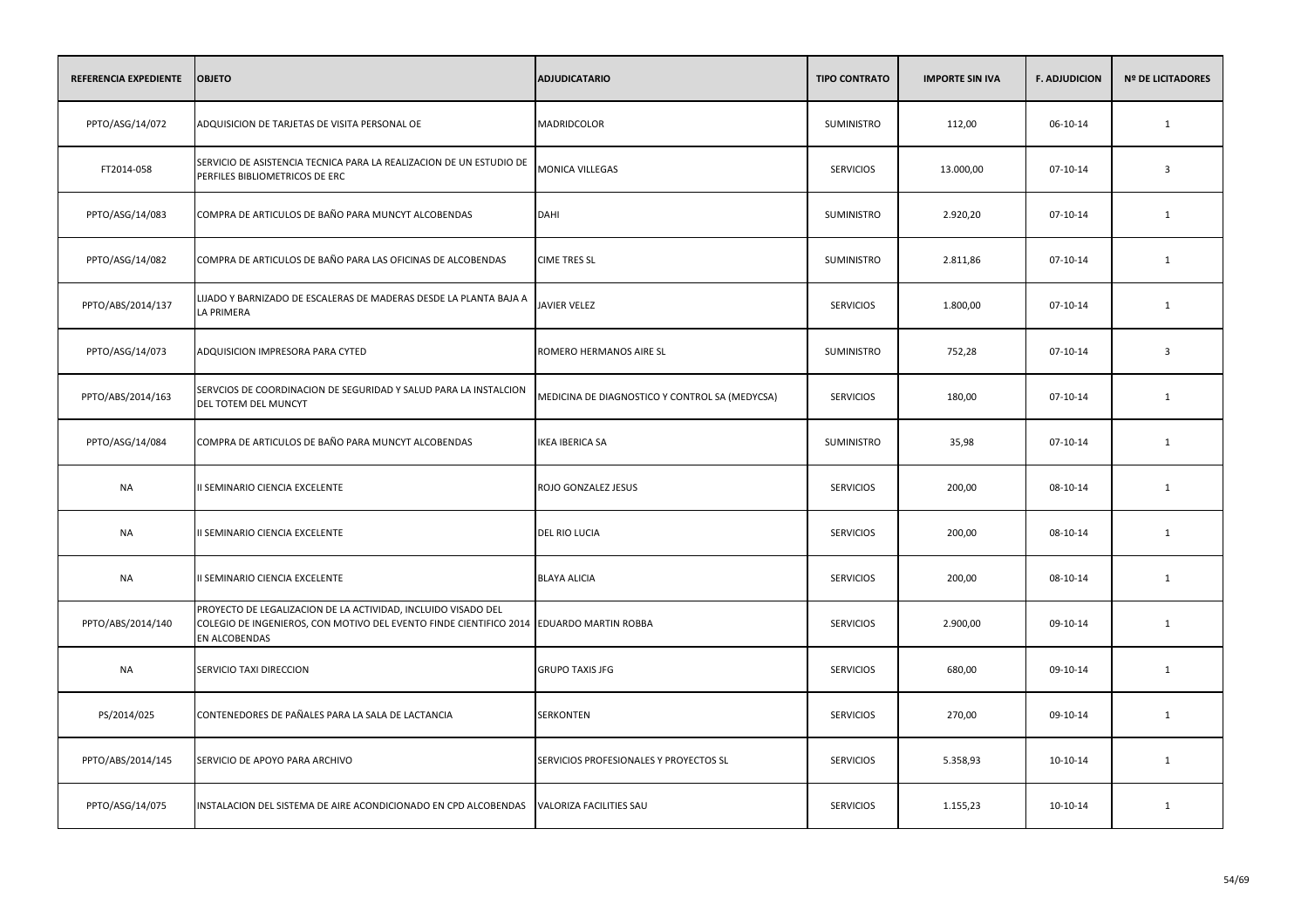| REFERENCIA EXPEDIENTE | <b>OBJETO</b>                                                                                                                                                             | <b>ADJUDICATARIO</b>                           | <b>TIPO CONTRATO</b> | <b>IMPORTE SIN IVA</b> | <b>F. ADJUDICION</b> | <b>Nº DE LICITADORES</b> |
|-----------------------|---------------------------------------------------------------------------------------------------------------------------------------------------------------------------|------------------------------------------------|----------------------|------------------------|----------------------|--------------------------|
| PPTO/ASG/14/072       | ADQUISICION DE TARJETAS DE VISITA PERSONAL OE                                                                                                                             | MADRIDCOLOR                                    | <b>SUMINISTRO</b>    | 112,00                 | 06-10-14             | $\mathbf{1}$             |
| FT2014-058            | SERVICIO DE ASISTENCIA TECNICA PARA LA REALIZACION DE UN ESTUDIO DE<br>PERFILES BIBLIOMETRICOS DE ERC                                                                     | MONICA VILLEGAS                                | <b>SERVICIOS</b>     | 13.000,00              | 07-10-14             | $\overline{\mathbf{3}}$  |
| PPTO/ASG/14/083       | COMPRA DE ARTICULOS DE BAÑO PARA MUNCYT ALCOBENDAS                                                                                                                        | <b>DAHI</b>                                    | SUMINISTRO           | 2.920,20               | $07-10-14$           | $\mathbf{1}$             |
| PPTO/ASG/14/082       | COMPRA DE ARTICULOS DE BAÑO PARA LAS OFICINAS DE ALCOBENDAS                                                                                                               | <b>CIME TRES SL</b>                            | SUMINISTRO           | 2.811,86               | 07-10-14             | 1                        |
| PPTO/ABS/2014/137     | LIJADO Y BARNIZADO DE ESCALERAS DE MADERAS DESDE LA PLANTA BAJA A<br>LA PRIMERA                                                                                           | JAVIER VELEZ                                   | <b>SERVICIOS</b>     | 1.800,00               | 07-10-14             | 1                        |
| PPTO/ASG/14/073       | ADQUISICION IMPRESORA PARA CYTED                                                                                                                                          | ROMERO HERMANOS AIRE SL                        | <b>SUMINISTRO</b>    | 752,28                 | 07-10-14             | $\overline{3}$           |
| PPTO/ABS/2014/163     | SERVCIOS DE COORDINACION DE SEGURIDAD Y SALUD PARA LA INSTALCION<br>DEL TOTEM DEL MUNCYT                                                                                  | MEDICINA DE DIAGNOSTICO Y CONTROL SA (MEDYCSA) | <b>SERVICIOS</b>     | 180,00                 | 07-10-14             | $\mathbf{1}$             |
| PPTO/ASG/14/084       | COMPRA DE ARTICULOS DE BAÑO PARA MUNCYT ALCOBENDAS                                                                                                                        | <b>IKEA IBERICA SA</b>                         | <b>SUMINISTRO</b>    | 35,98                  | 07-10-14             | 1                        |
| <b>NA</b>             | II SEMINARIO CIENCIA EXCELENTE                                                                                                                                            | ROJO GONZALEZ JESUS                            | <b>SERVICIOS</b>     | 200,00                 | 08-10-14             | $\mathbf{1}$             |
| <b>NA</b>             | II SEMINARIO CIENCIA EXCELENTE                                                                                                                                            | <b>DEL RIO LUCIA</b>                           | <b>SERVICIOS</b>     | 200,00                 | 08-10-14             | 1                        |
| <b>NA</b>             | II SEMINARIO CIENCIA EXCELENTE                                                                                                                                            | <b>BLAYA ALICIA</b>                            | <b>SERVICIOS</b>     | 200,00                 | 08-10-14             | $\mathbf{1}$             |
| PPTO/ABS/2014/140     | PROYECTO DE LEGALIZACION DE LA ACTIVIDAD, INCLUIDO VISADO DEL<br>COLEGIO DE INGENIEROS, CON MOTIVO DEL EVENTO FINDE CIENTIFICO 2014 EDUARDO MARTIN ROBBA<br>EN ALCOBENDAS |                                                | <b>SERVICIOS</b>     | 2.900,00               | 09-10-14             | $\mathbf{1}$             |
| <b>NA</b>             | SERVICIO TAXI DIRECCION                                                                                                                                                   | <b>GRUPO TAXIS JFG</b>                         | <b>SERVICIOS</b>     | 680,00                 | 09-10-14             | $\mathbf{1}$             |
| PS/2014/025           | CONTENEDORES DE PAÑALES PARA LA SALA DE LACTANCIA                                                                                                                         | SERKONTEN                                      | <b>SERVICIOS</b>     | 270,00                 | 09-10-14             | 1                        |
| PPTO/ABS/2014/145     | SERVICIO DE APOYO PARA ARCHIVO                                                                                                                                            | SERVICIOS PROFESIONALES Y PROYECTOS SL         | <b>SERVICIOS</b>     | 5.358,93               | 10-10-14             | 1                        |
| PPTO/ASG/14/075       | INSTALACION DEL SISTEMA DE AIRE ACONDICIONADO EN CPD ALCOBENDAS                                                                                                           | VALORIZA FACILITIES SAU                        | <b>SERVICIOS</b>     | 1.155,23               | 10-10-14             | 1                        |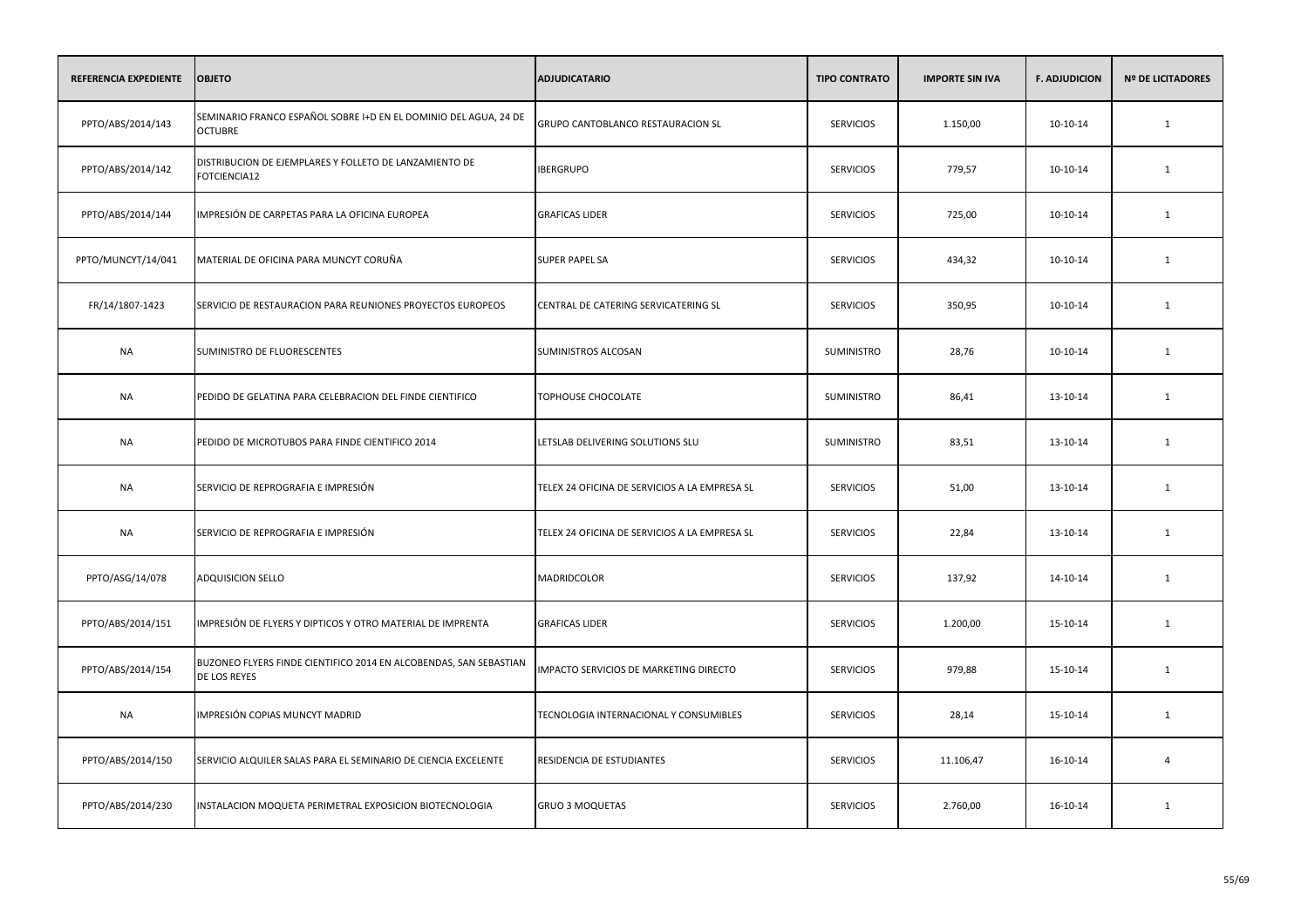| <b>REFERENCIA EXPEDIENTE</b> | <b>OBJETO</b>                                                                      | <b>ADJUDICATARIO</b>                          | <b>TIPO CONTRATO</b> | <b>IMPORTE SIN IVA</b> | <b>F. ADJUDICION</b> | <b>Nº DE LICITADORES</b> |
|------------------------------|------------------------------------------------------------------------------------|-----------------------------------------------|----------------------|------------------------|----------------------|--------------------------|
| PPTO/ABS/2014/143            | SEMINARIO FRANCO ESPAÑOL SOBRE I+D EN EL DOMINIO DEL AGUA, 24 DE<br><b>OCTUBRE</b> | GRUPO CANTOBLANCO RESTAURACION SL             | <b>SERVICIOS</b>     | 1.150,00               | 10-10-14             | $\mathbf{1}$             |
| PPTO/ABS/2014/142            | DISTRIBUCION DE EJEMPLARES Y FOLLETO DE LANZAMIENTO DE<br>FOTCIENCIA12             | <b>IBERGRUPO</b>                              | <b>SERVICIOS</b>     | 779,57                 | 10-10-14             | $\mathbf{1}$             |
| PPTO/ABS/2014/144            | IMPRESIÓN DE CARPETAS PARA LA OFICINA EUROPEA                                      | <b>GRAFICAS LIDER</b>                         | <b>SERVICIOS</b>     | 725,00                 | 10-10-14             | 1                        |
| PPTO/MUNCYT/14/041           | MATERIAL DE OFICINA PARA MUNCYT CORUÑA                                             | <b>SUPER PAPEL SA</b>                         | <b>SERVICIOS</b>     | 434,32                 | 10-10-14             | 1                        |
| FR/14/1807-1423              | SERVICIO DE RESTAURACION PARA REUNIONES PROYECTOS EUROPEOS                         | CENTRAL DE CATERING SERVICATERING SL          | <b>SERVICIOS</b>     | 350,95                 | 10-10-14             | 1                        |
| NA                           | SUMINISTRO DE FLUORESCENTES                                                        | SUMINISTROS ALCOSAN                           | <b>SUMINISTRO</b>    | 28,76                  | 10-10-14             | 1                        |
| <b>NA</b>                    | PEDIDO DE GELATINA PARA CELEBRACION DEL FINDE CIENTIFICO                           | TOPHOUSE CHOCOLATE                            | SUMINISTRO           | 86,41                  | 13-10-14             | 1                        |
| NA                           | PEDIDO DE MICROTUBOS PARA FINDE CIENTIFICO 2014                                    | LETSLAB DELIVERING SOLUTIONS SLU              | <b>SUMINISTRO</b>    | 83,51                  | 13-10-14             | 1                        |
| <b>NA</b>                    | SERVICIO DE REPROGRAFIA E IMPRESIÓN                                                | TELEX 24 OFICINA DE SERVICIOS A LA EMPRESA SL | <b>SERVICIOS</b>     | 51,00                  | 13-10-14             | 1                        |
| <b>NA</b>                    | SERVICIO DE REPROGRAFIA E IMPRESIÓN                                                | TELEX 24 OFICINA DE SERVICIOS A LA EMPRESA SL | <b>SERVICIOS</b>     | 22,84                  | 13-10-14             | 1                        |
| PPTO/ASG/14/078              | ADQUISICION SELLO                                                                  | MADRIDCOLOR                                   | <b>SERVICIOS</b>     | 137,92                 | 14-10-14             | 1                        |
| PPTO/ABS/2014/151            | IMPRESIÓN DE FLYERS Y DIPTICOS Y OTRO MATERIAL DE IMPRENTA                         | <b>GRAFICAS LIDER</b>                         | <b>SERVICIOS</b>     | 1.200,00               | 15-10-14             | 1                        |
| PPTO/ABS/2014/154            | BUZONEO FLYERS FINDE CIENTIFICO 2014 EN ALCOBENDAS, SAN SEBASTIAN<br>DE LOS REYES  | IMPACTO SERVICIOS DE MARKETING DIRECTO        | <b>SERVICIOS</b>     | 979,88                 | 15-10-14             | 1                        |
| <b>NA</b>                    | IMPRESIÓN COPIAS MUNCYT MADRID                                                     | TECNOLOGIA INTERNACIONAL Y CONSUMIBLES        | <b>SERVICIOS</b>     | 28,14                  | 15-10-14             | 1                        |
| PPTO/ABS/2014/150            | SERVICIO ALQUILER SALAS PARA EL SEMINARIO DE CIENCIA EXCELENTE                     | RESIDENCIA DE ESTUDIANTES                     | <b>SERVICIOS</b>     | 11.106,47              | 16-10-14             | $\overline{4}$           |
| PPTO/ABS/2014/230            | INSTALACION MOQUETA PERIMETRAL EXPOSICION BIOTECNOLOGIA                            | <b>GRUO 3 MOQUETAS</b>                        | <b>SERVICIOS</b>     | 2.760,00               | 16-10-14             | 1                        |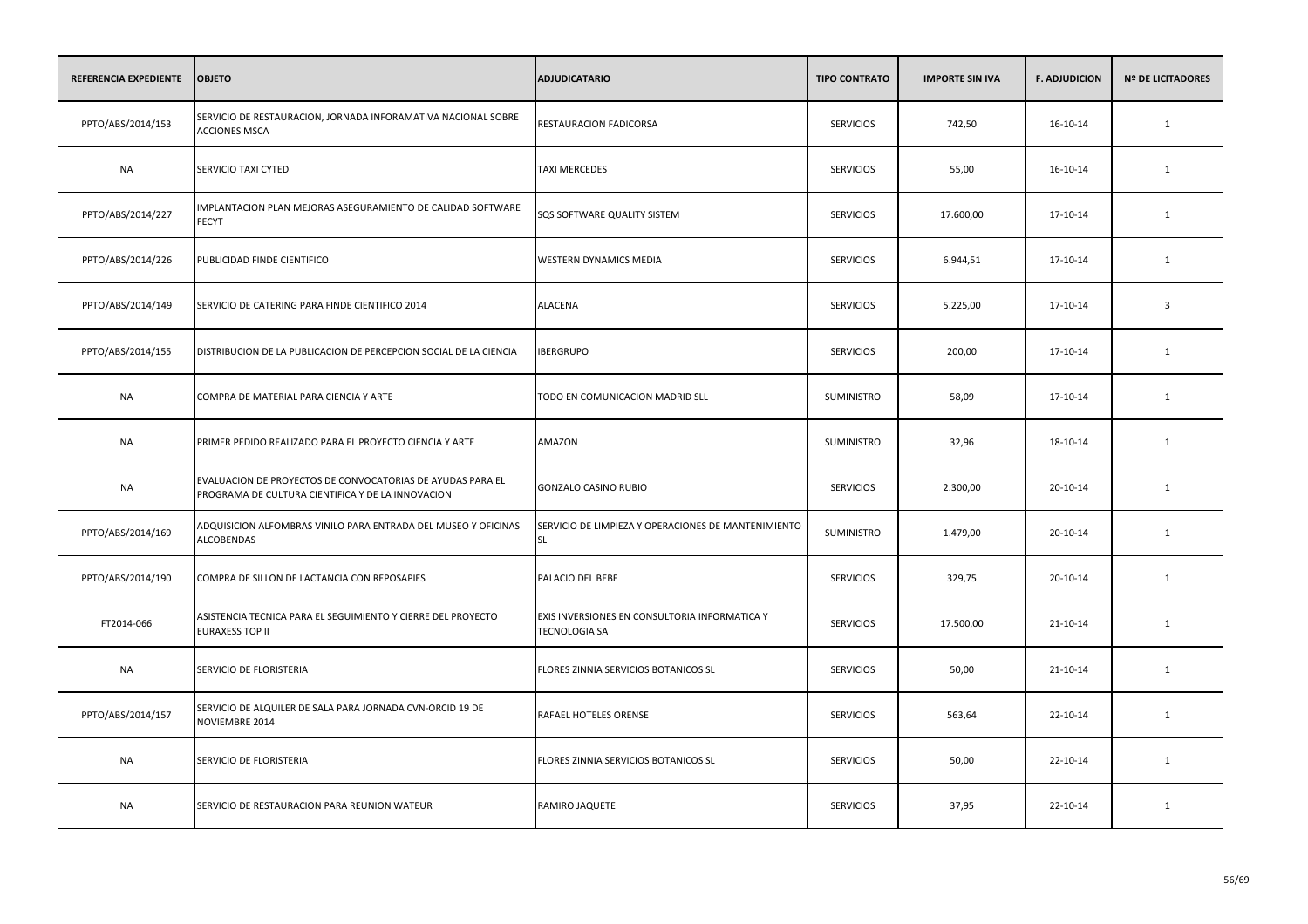| REFERENCIA EXPEDIENTE | <b>OBJETO</b>                                                                                                   | <b>ADJUDICATARIO</b>                                                  | <b>TIPO CONTRATO</b> | <b>IMPORTE SIN IVA</b> | <b>F. ADJUDICION</b> | <b>Nº DE LICITADORES</b> |
|-----------------------|-----------------------------------------------------------------------------------------------------------------|-----------------------------------------------------------------------|----------------------|------------------------|----------------------|--------------------------|
| PPTO/ABS/2014/153     | SERVICIO DE RESTAURACION, JORNADA INFORAMATIVA NACIONAL SOBRE<br><b>ACCIONES MSCA</b>                           | RESTAURACION FADICORSA                                                | <b>SERVICIOS</b>     | 742,50                 | 16-10-14             | $\mathbf{1}$             |
| <b>NA</b>             | SERVICIO TAXI CYTED                                                                                             | <b>TAXI MERCEDES</b>                                                  | <b>SERVICIOS</b>     | 55,00                  | 16-10-14             | 1                        |
| PPTO/ABS/2014/227     | IMPLANTACION PLAN MEJORAS ASEGURAMIENTO DE CALIDAD SOFTWARE<br><b>FECYT</b>                                     | SQS SOFTWARE QUALITY SISTEM                                           | <b>SERVICIOS</b>     | 17.600,00              | 17-10-14             | 1                        |
| PPTO/ABS/2014/226     | PUBLICIDAD FINDE CIENTIFICO                                                                                     | WESTERN DYNAMICS MEDIA                                                | <b>SERVICIOS</b>     | 6.944,51               | 17-10-14             | 1                        |
| PPTO/ABS/2014/149     | SERVICIO DE CATERING PARA FINDE CIENTIFICO 2014                                                                 | ALACENA                                                               | <b>SERVICIOS</b>     | 5.225,00               | 17-10-14             | $\overline{\mathbf{3}}$  |
| PPTO/ABS/2014/155     | DISTRIBUCION DE LA PUBLICACION DE PERCEPCION SOCIAL DE LA CIENCIA                                               | <b>IBERGRUPO</b>                                                      | <b>SERVICIOS</b>     | 200,00                 | 17-10-14             | 1                        |
| <b>NA</b>             | COMPRA DE MATERIAL PARA CIENCIA Y ARTE                                                                          | TODO EN COMUNICACION MADRID SLL                                       | SUMINISTRO           | 58,09                  | 17-10-14             | 1                        |
| NA                    | PRIMER PEDIDO REALIZADO PARA EL PROYECTO CIENCIA Y ARTE                                                         | AMAZON                                                                | <b>SUMINISTRO</b>    | 32,96                  | 18-10-14             | 1                        |
| NA                    | EVALUACION DE PROYECTOS DE CONVOCATORIAS DE AYUDAS PARA EL<br>PROGRAMA DE CULTURA CIENTIFICA Y DE LA INNOVACION | <b>GONZALO CASINO RUBIO</b>                                           | <b>SERVICIOS</b>     | 2.300,00               | 20-10-14             | 1                        |
| PPTO/ABS/2014/169     | ADQUISICION ALFOMBRAS VINILO PARA ENTRADA DEL MUSEO Y OFICINAS<br><b>ALCOBENDAS</b>                             | SERVICIO DE LIMPIEZA Y OPERACIONES DE MANTENIMIENTO<br><b>SL</b>      | SUMINISTRO           | 1.479,00               | 20-10-14             | 1                        |
| PPTO/ABS/2014/190     | COMPRA DE SILLON DE LACTANCIA CON REPOSAPIES                                                                    | PALACIO DEL BEBE                                                      | <b>SERVICIOS</b>     | 329,75                 | 20-10-14             | 1                        |
| FT2014-066            | ASISTENCIA TECNICA PARA EL SEGUIMIENTO Y CIERRE DEL PROYECTO<br><b>EURAXESS TOP II</b>                          | EXIS INVERSIONES EN CONSULTORIA INFORMATICA Y<br><b>TECNOLOGIA SA</b> | <b>SERVICIOS</b>     | 17.500,00              | 21-10-14             | 1                        |
| <b>NA</b>             | SERVICIO DE FLORISTERIA                                                                                         | FLORES ZINNIA SERVICIOS BOTANICOS SL                                  | <b>SERVICIOS</b>     | 50,00                  | 21-10-14             | 1                        |
| PPTO/ABS/2014/157     | SERVICIO DE ALQUILER DE SALA PARA JORNADA CVN-ORCID 19 DE<br>NOVIEMBRE 2014                                     | RAFAEL HOTELES ORENSE                                                 | <b>SERVICIOS</b>     | 563,64                 | 22-10-14             | 1                        |
| <b>NA</b>             | SERVICIO DE FLORISTERIA                                                                                         | FLORES ZINNIA SERVICIOS BOTANICOS SL                                  | <b>SERVICIOS</b>     | 50,00                  | 22-10-14             | 1                        |
| <b>NA</b>             | SERVICIO DE RESTAURACION PARA REUNION WATEUR                                                                    | RAMIRO JAQUETE                                                        | <b>SERVICIOS</b>     | 37,95                  | 22-10-14             | 1                        |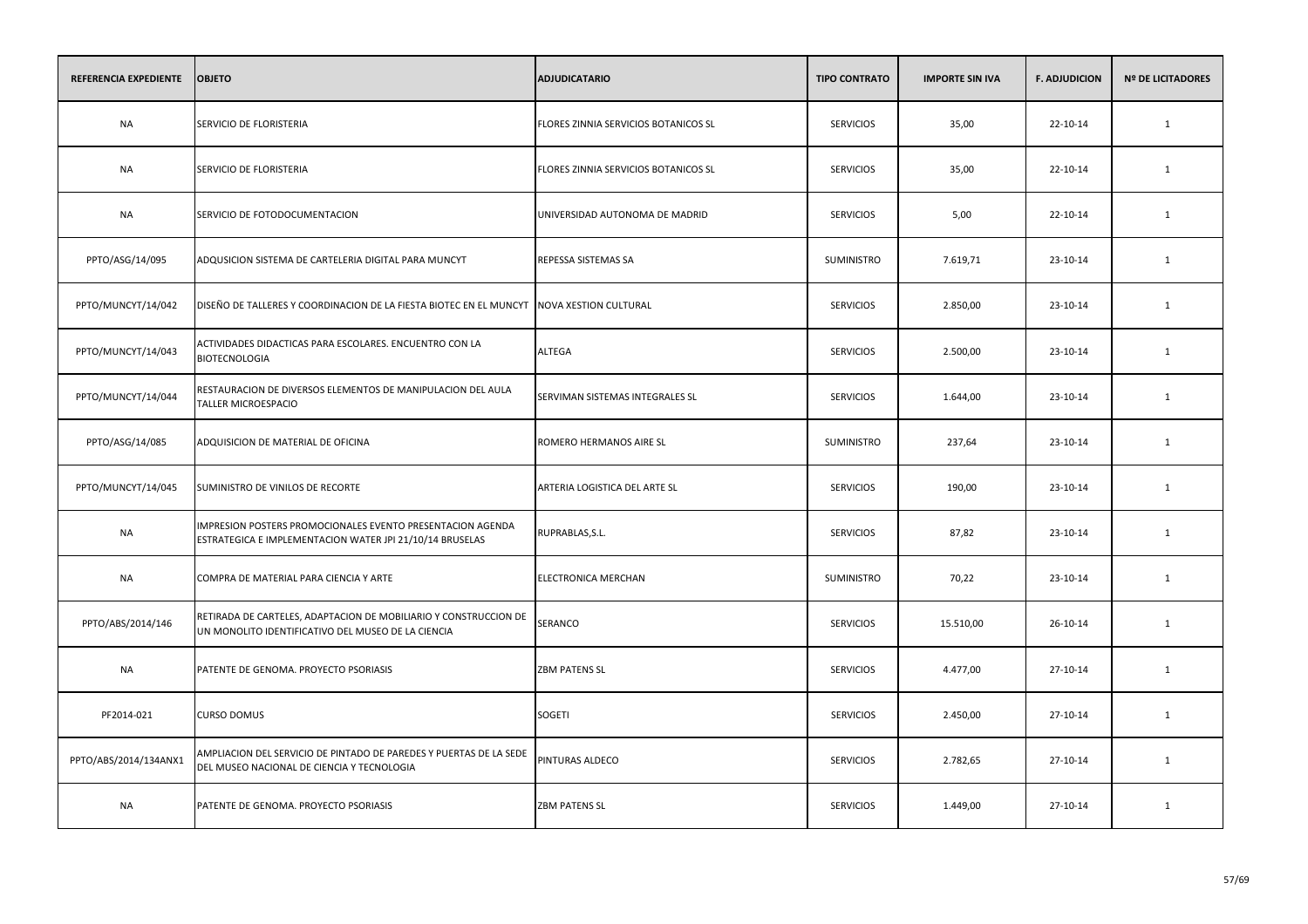| REFERENCIA EXPEDIENTE | <b>OBJETO</b>                                                                                                          | <b>ADJUDICATARIO</b>                 | <b>TIPO CONTRATO</b> | <b>IMPORTE SIN IVA</b> | <b>F. ADJUDICION</b> | <b>Nº DE LICITADORES</b> |
|-----------------------|------------------------------------------------------------------------------------------------------------------------|--------------------------------------|----------------------|------------------------|----------------------|--------------------------|
| <b>NA</b>             | SERVICIO DE FLORISTERIA                                                                                                | FLORES ZINNIA SERVICIOS BOTANICOS SL | <b>SERVICIOS</b>     | 35,00                  | 22-10-14             | $\mathbf{1}$             |
| <b>NA</b>             | SERVICIO DE FLORISTERIA                                                                                                | FLORES ZINNIA SERVICIOS BOTANICOS SL | <b>SERVICIOS</b>     | 35,00                  | 22-10-14             | 1                        |
| <b>NA</b>             | SERVICIO DE FOTODOCUMENTACION                                                                                          | UNIVERSIDAD AUTONOMA DE MADRID       | <b>SERVICIOS</b>     | 5,00                   | 22-10-14             | $\mathbf{1}$             |
| PPTO/ASG/14/095       | ADQUSICION SISTEMA DE CARTELERIA DIGITAL PARA MUNCYT                                                                   | REPESSA SISTEMAS SA                  | SUMINISTRO           | 7.619,71               | 23-10-14             | 1                        |
| PPTO/MUNCYT/14/042    | DISEÑO DE TALLERES Y COORDINACION DE LA FIESTA BIOTEC EN EL MUNCYT                                                     | NOVA XESTION CULTURAL                | <b>SERVICIOS</b>     | 2.850,00               | 23-10-14             | $\mathbf{1}$             |
| PPTO/MUNCYT/14/043    | ACTIVIDADES DIDACTICAS PARA ESCOLARES. ENCUENTRO CON LA<br><b>BIOTECNOLOGIA</b>                                        | ALTEGA                               | <b>SERVICIOS</b>     | 2.500,00               | 23-10-14             | 1                        |
| PPTO/MUNCYT/14/044    | RESTAURACION DE DIVERSOS ELEMENTOS DE MANIPULACION DEL AULA<br><b>TALLER MICROESPACIO</b>                              | SERVIMAN SISTEMAS INTEGRALES SL      | <b>SERVICIOS</b>     | 1.644,00               | 23-10-14             | 1                        |
| PPTO/ASG/14/085       | ADQUISICION DE MATERIAL DE OFICINA                                                                                     | ROMERO HERMANOS AIRE SL              | SUMINISTRO           | 237,64                 | 23-10-14             | $\mathbf{1}$             |
| PPTO/MUNCYT/14/045    | SUMINISTRO DE VINILOS DE RECORTE                                                                                       | ARTERIA LOGISTICA DEL ARTE SL        | <b>SERVICIOS</b>     | 190,00                 | 23-10-14             | 1                        |
| <b>NA</b>             | IMPRESION POSTERS PROMOCIONALES EVENTO PRESENTACION AGENDA<br>ESTRATEGICA E IMPLEMENTACION WATER JPI 21/10/14 BRUSELAS | RUPRABLAS, S.L.                      | <b>SERVICIOS</b>     | 87,82                  | 23-10-14             | $\mathbf{1}$             |
| <b>NA</b>             | COMPRA DE MATERIAL PARA CIENCIA Y ARTE                                                                                 | ELECTRONICA MERCHAN                  | SUMINISTRO           | 70,22                  | 23-10-14             | $\mathbf{1}$             |
| PPTO/ABS/2014/146     | RETIRADA DE CARTELES, ADAPTACION DE MOBILIARIO Y CONSTRUCCION DE<br>UN MONOLITO IDENTIFICATIVO DEL MUSEO DE LA CIENCIA | SERANCO                              | <b>SERVICIOS</b>     | 15.510,00              | 26-10-14             | 1                        |
| <b>NA</b>             | PATENTE DE GENOMA. PROYECTO PSORIASIS                                                                                  | <b>ZBM PATENS SL</b>                 | <b>SERVICIOS</b>     | 4.477,00               | 27-10-14             | $\mathbf{1}$             |
| PF2014-021            | <b>CURSO DOMUS</b>                                                                                                     | SOGETI                               | <b>SERVICIOS</b>     | 2.450,00               | 27-10-14             | 1                        |
| PPTO/ABS/2014/134ANX1 | AMPLIACION DEL SERVICIO DE PINTADO DE PAREDES Y PUERTAS DE LA SEDE<br>DEL MUSEO NACIONAL DE CIENCIA Y TECNOLOGIA       | PINTURAS ALDECO                      | <b>SERVICIOS</b>     | 2.782,65               | 27-10-14             | 1                        |
| <b>NA</b>             | PATENTE DE GENOMA. PROYECTO PSORIASIS                                                                                  | <b>ZBM PATENS SL</b>                 | <b>SERVICIOS</b>     | 1.449,00               | 27-10-14             | 1                        |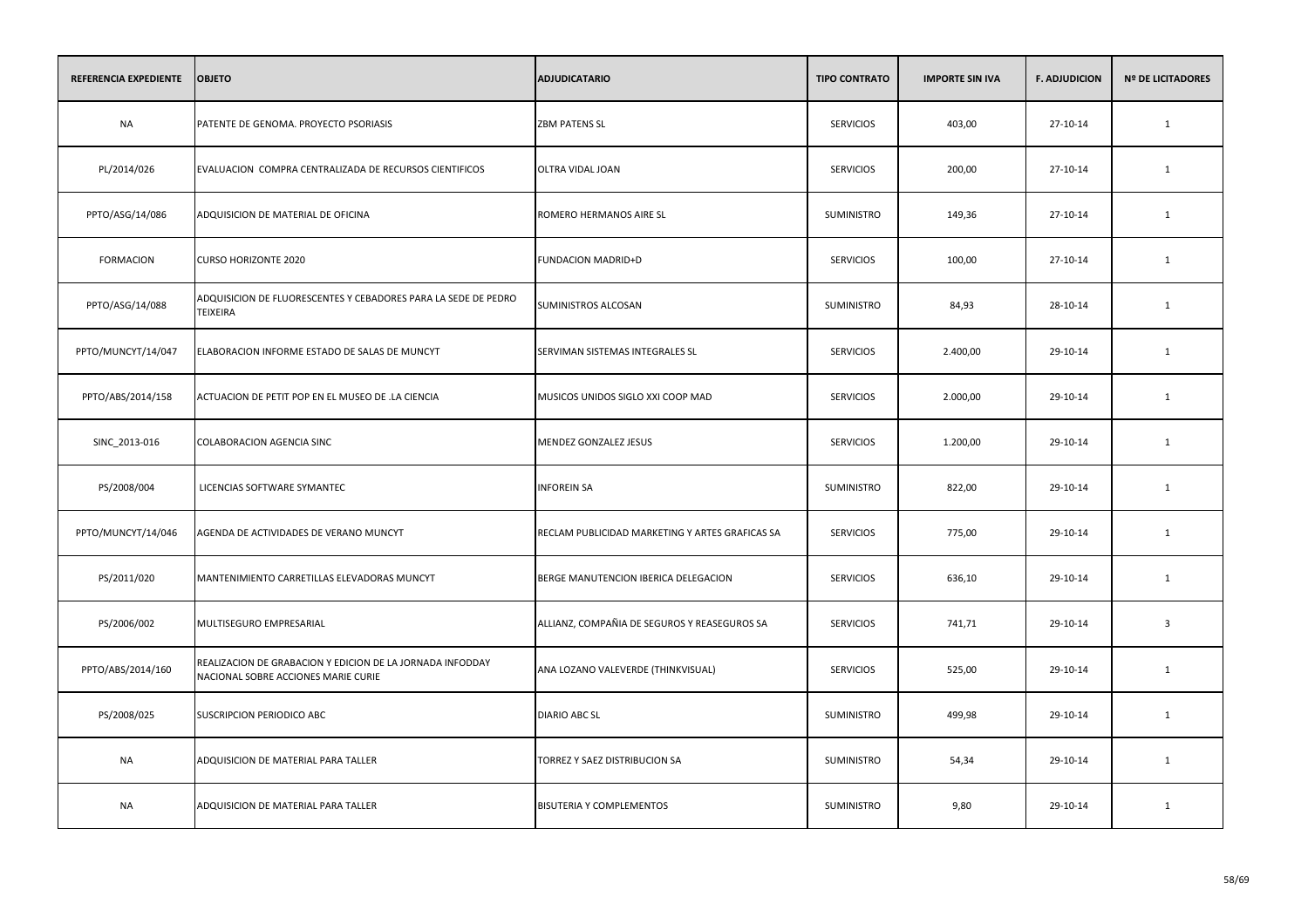| REFERENCIA EXPEDIENTE | <b>OBJETO</b>                                                                                    | <b>ADJUDICATARIO</b>                            | <b>TIPO CONTRATO</b> | <b>IMPORTE SIN IVA</b> | <b>F. ADJUDICION</b> | <b>Nº DE LICITADORES</b> |
|-----------------------|--------------------------------------------------------------------------------------------------|-------------------------------------------------|----------------------|------------------------|----------------------|--------------------------|
| <b>NA</b>             | PATENTE DE GENOMA. PROYECTO PSORIASIS                                                            | <b>ZBM PATENS SL</b>                            | <b>SERVICIOS</b>     | 403,00                 | 27-10-14             | $\mathbf{1}$             |
| PL/2014/026           | EVALUACION COMPRA CENTRALIZADA DE RECURSOS CIENTIFICOS                                           | OLTRA VIDAL JOAN                                | <b>SERVICIOS</b>     | 200,00                 | 27-10-14             | 1                        |
| PPTO/ASG/14/086       | ADQUISICION DE MATERIAL DE OFICINA                                                               | ROMERO HERMANOS AIRE SL                         | SUMINISTRO           | 149,36                 | 27-10-14             | $\mathbf{1}$             |
| <b>FORMACION</b>      | <b>CURSO HORIZONTE 2020</b>                                                                      | <b>FUNDACION MADRID+D</b>                       | <b>SERVICIOS</b>     | 100,00                 | 27-10-14             | $\mathbf{1}$             |
| PPTO/ASG/14/088       | ADQUISICION DE FLUORESCENTES Y CEBADORES PARA LA SEDE DE PEDRO<br>TEIXEIRA                       | SUMINISTROS ALCOSAN                             | SUMINISTRO           | 84,93                  | 28-10-14             | $\mathbf{1}$             |
| PPTO/MUNCYT/14/047    | ELABORACION INFORME ESTADO DE SALAS DE MUNCYT                                                    | SERVIMAN SISTEMAS INTEGRALES SL                 | <b>SERVICIOS</b>     | 2.400,00               | 29-10-14             | $\mathbf{1}$             |
| PPTO/ABS/2014/158     | ACTUACION DE PETIT POP EN EL MUSEO DE .LA CIENCIA                                                | MUSICOS UNIDOS SIGLO XXI COOP MAD               | <b>SERVICIOS</b>     | 2.000,00               | 29-10-14             | $\mathbf{1}$             |
| SINC_2013-016         | COLABORACION AGENCIA SINC                                                                        | MENDEZ GONZALEZ JESUS                           | <b>SERVICIOS</b>     | 1.200,00               | 29-10-14             | $\mathbf{1}$             |
| PS/2008/004           | LICENCIAS SOFTWARE SYMANTEC                                                                      | <b>INFOREIN SA</b>                              | SUMINISTRO           | 822,00                 | 29-10-14             | $\mathbf{1}$             |
| PPTO/MUNCYT/14/046    | AGENDA DE ACTIVIDADES DE VERANO MUNCYT                                                           | RECLAM PUBLICIDAD MARKETING Y ARTES GRAFICAS SA | <b>SERVICIOS</b>     | 775,00                 | 29-10-14             | 1                        |
| PS/2011/020           | MANTENIMIENTO CARRETILLAS ELEVADORAS MUNCYT                                                      | BERGE MANUTENCION IBERICA DELEGACION            | <b>SERVICIOS</b>     | 636,10                 | 29-10-14             | $\mathbf{1}$             |
| PS/2006/002           | MULTISEGURO EMPRESARIAL                                                                          | ALLIANZ, COMPAÑIA DE SEGUROS Y REASEGUROS SA    | <b>SERVICIOS</b>     | 741,71                 | 29-10-14             | $\overline{\mathbf{3}}$  |
| PPTO/ABS/2014/160     | REALIZACION DE GRABACION Y EDICION DE LA JORNADA INFODDAY<br>NACIONAL SOBRE ACCIONES MARIE CURIE | ANA LOZANO VALEVERDE (THINKVISUAL)              | <b>SERVICIOS</b>     | 525,00                 | 29-10-14             | $\mathbf{1}$             |
| PS/2008/025           | SUSCRIPCION PERIODICO ABC                                                                        | <b>DIARIO ABC SL</b>                            | SUMINISTRO           | 499,98                 | 29-10-14             | $\mathbf{1}$             |
| <b>NA</b>             | ADQUISICION DE MATERIAL PARA TALLER                                                              | TORREZ Y SAEZ DISTRIBUCION SA                   | SUMINISTRO           | 54,34                  | 29-10-14             | $\mathbf{1}$             |
| <b>NA</b>             | ADQUISICION DE MATERIAL PARA TALLER                                                              | <b>BISUTERIA Y COMPLEMENTOS</b>                 | <b>SUMINISTRO</b>    | 9,80                   | 29-10-14             | 1                        |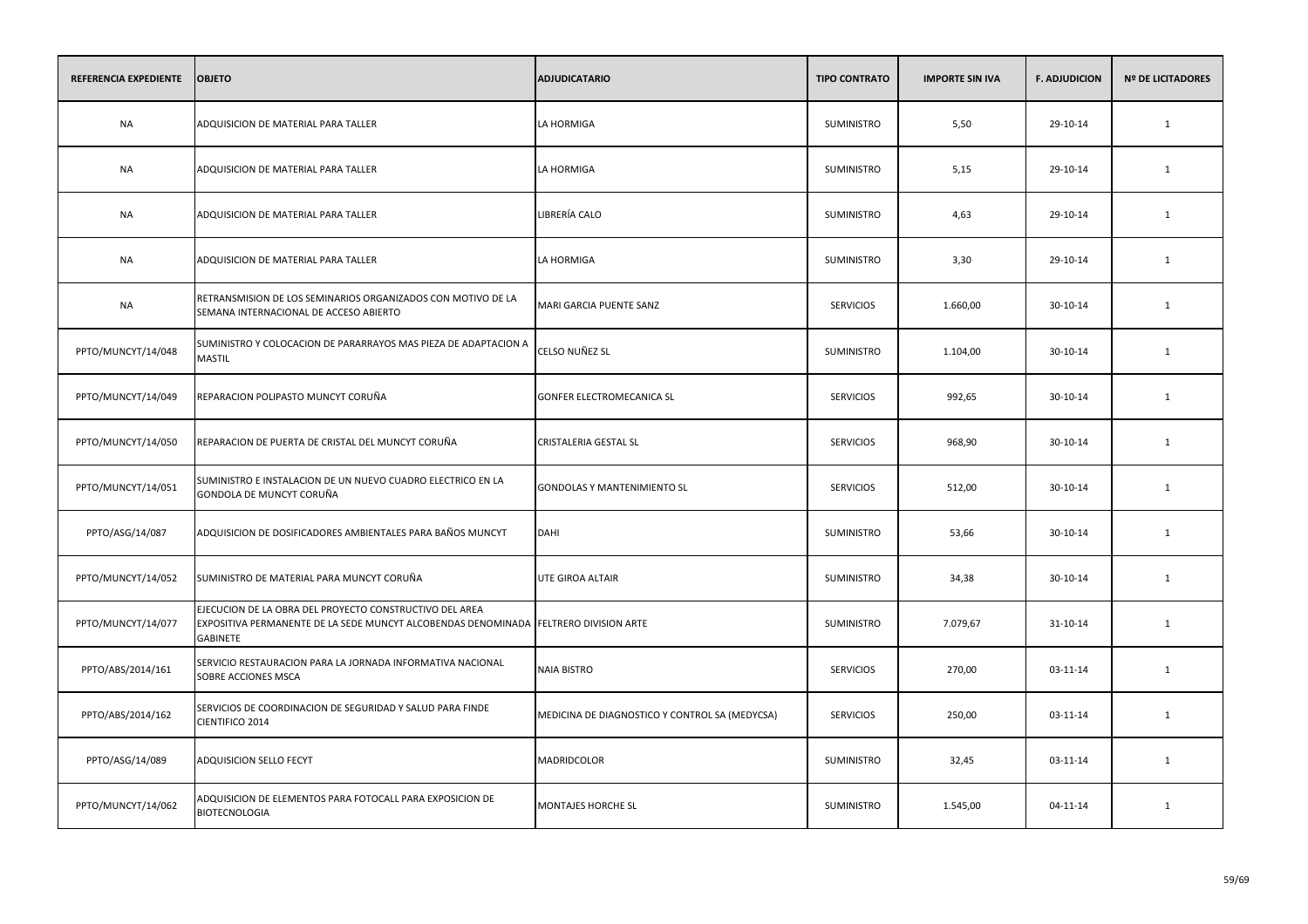| REFERENCIA EXPEDIENTE | <b>OBJETO</b>                                                                                                                                                      | <b>ADJUDICATARIO</b>                           | <b>TIPO CONTRATO</b> | <b>IMPORTE SIN IVA</b> | <b>F. ADJUDICION</b> | <b>Nº DE LICITADORES</b> |
|-----------------------|--------------------------------------------------------------------------------------------------------------------------------------------------------------------|------------------------------------------------|----------------------|------------------------|----------------------|--------------------------|
| <b>NA</b>             | ADQUISICION DE MATERIAL PARA TALLER                                                                                                                                | LA HORMIGA                                     | <b>SUMINISTRO</b>    | 5,50                   | 29-10-14             | $\mathbf{1}$             |
| <b>NA</b>             | ADQUISICION DE MATERIAL PARA TALLER                                                                                                                                | LA HORMIGA                                     | SUMINISTRO           | 5,15                   | 29-10-14             | 1                        |
| <b>NA</b>             | ADQUISICION DE MATERIAL PARA TALLER                                                                                                                                | LIBRERÍA CALO                                  | SUMINISTRO           | 4,63                   | 29-10-14             | 1                        |
| <b>NA</b>             | ADQUISICION DE MATERIAL PARA TALLER                                                                                                                                | LA HORMIGA                                     | SUMINISTRO           | 3,30                   | 29-10-14             | 1                        |
| <b>NA</b>             | RETRANSMISION DE LOS SEMINARIOS ORGANIZADOS CON MOTIVO DE LA<br>SEMANA INTERNACIONAL DE ACCESO ABIERTO                                                             | MARI GARCIA PUENTE SANZ                        | <b>SERVICIOS</b>     | 1.660,00               | 30-10-14             | 1                        |
| PPTO/MUNCYT/14/048    | SUMINISTRO Y COLOCACION DE PARARRAYOS MAS PIEZA DE ADAPTACION A<br><b>MASTIL</b>                                                                                   | CELSO NUÑEZ SL                                 | SUMINISTRO           | 1.104,00               | 30-10-14             | 1                        |
| PPTO/MUNCYT/14/049    | REPARACION POLIPASTO MUNCYT CORUÑA                                                                                                                                 | GONFER ELECTROMECANICA SL                      | <b>SERVICIOS</b>     | 992,65                 | 30-10-14             | 1                        |
| PPTO/MUNCYT/14/050    | REPARACION DE PUERTA DE CRISTAL DEL MUNCYT CORUÑA                                                                                                                  | CRISTALERIA GESTAL SL                          | <b>SERVICIOS</b>     | 968,90                 | 30-10-14             | 1                        |
| PPTO/MUNCYT/14/051    | SUMINISTRO E INSTALACION DE UN NUEVO CUADRO ELECTRICO EN LA<br>GONDOLA DE MUNCYT CORUÑA                                                                            | <b>GONDOLAS Y MANTENIMIENTO SL</b>             | <b>SERVICIOS</b>     | 512,00                 | 30-10-14             | $\mathbf{1}$             |
| PPTO/ASG/14/087       | ADQUISICION DE DOSIFICADORES AMBIENTALES PARA BAÑOS MUNCYT                                                                                                         | DAHI                                           | SUMINISTRO           | 53,66                  | 30-10-14             | 1                        |
| PPTO/MUNCYT/14/052    | SUMINISTRO DE MATERIAL PARA MUNCYT CORUÑA                                                                                                                          | UTE GIROA ALTAIR                               | SUMINISTRO           | 34,38                  | 30-10-14             | $\mathbf{1}$             |
| PPTO/MUNCYT/14/077    | EJECUCION DE LA OBRA DEL PROYECTO CONSTRUCTIVO DEL AREA<br>EXPOSITIVA PERMANENTE DE LA SEDE MUNCYT ALCOBENDAS DENOMINADA FELTRERO DIVISION ARTE<br><b>GABINETE</b> |                                                | SUMINISTRO           | 7.079,67               | 31-10-14             | 1                        |
| PPTO/ABS/2014/161     | SERVICIO RESTAURACION PARA LA JORNADA INFORMATIVA NACIONAL<br>SOBRE ACCIONES MSCA                                                                                  | <b>NAIA BISTRO</b>                             | <b>SERVICIOS</b>     | 270,00                 | 03-11-14             | $\mathbf{1}$             |
| PPTO/ABS/2014/162     | SERVICIOS DE COORDINACION DE SEGURIDAD Y SALUD PARA FINDE<br>CIENTIFICO 2014                                                                                       | MEDICINA DE DIAGNOSTICO Y CONTROL SA (MEDYCSA) | <b>SERVICIOS</b>     | 250,00                 | 03-11-14             | 1                        |
| PPTO/ASG/14/089       | ADQUISICION SELLO FECYT                                                                                                                                            | MADRIDCOLOR                                    | SUMINISTRO           | 32,45                  | 03-11-14             | 1                        |
| PPTO/MUNCYT/14/062    | ADQUISICION DE ELEMENTOS PARA FOTOCALL PARA EXPOSICION DE<br><b>BIOTECNOLOGIA</b>                                                                                  | MONTAJES HORCHE SL                             | <b>SUMINISTRO</b>    | 1.545,00               | 04-11-14             | 1                        |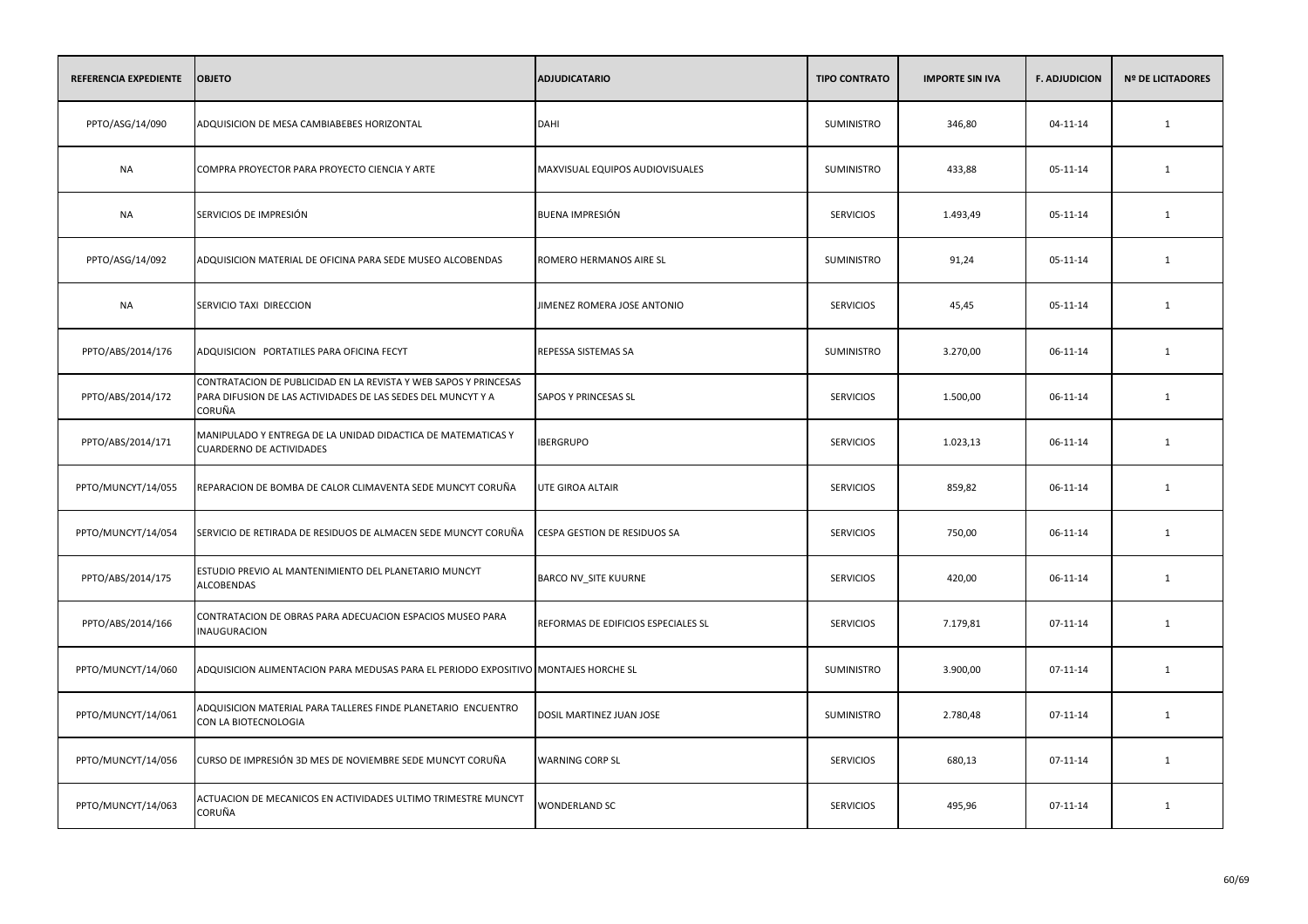| REFERENCIA EXPEDIENTE | <b>OBJETO</b>                                                                                                                              | <b>ADJUDICATARIO</b>                | <b>TIPO CONTRATO</b> | <b>IMPORTE SIN IVA</b> | <b>F. ADJUDICION</b> | <b>Nº DE LICITADORES</b> |
|-----------------------|--------------------------------------------------------------------------------------------------------------------------------------------|-------------------------------------|----------------------|------------------------|----------------------|--------------------------|
| PPTO/ASG/14/090       | ADQUISICION DE MESA CAMBIABEBES HORIZONTAL                                                                                                 | <b>DAHI</b>                         | <b>SUMINISTRO</b>    | 346,80                 | $04 - 11 - 14$       | 1                        |
| <b>NA</b>             | COMPRA PROYECTOR PARA PROYECTO CIENCIA Y ARTE                                                                                              | MAXVISUAL EQUIPOS AUDIOVISUALES     | SUMINISTRO           | 433,88                 | 05-11-14             | 1                        |
| <b>NA</b>             | SERVICIOS DE IMPRESIÓN                                                                                                                     | <b>BUENA IMPRESIÓN</b>              | <b>SERVICIOS</b>     | 1.493,49               | 05-11-14             | 1                        |
| PPTO/ASG/14/092       | ADQUISICION MATERIAL DE OFICINA PARA SEDE MUSEO ALCOBENDAS                                                                                 | ROMERO HERMANOS AIRE SL             | <b>SUMINISTRO</b>    | 91,24                  | 05-11-14             | 1                        |
| <b>NA</b>             | SERVICIO TAXI DIRECCION                                                                                                                    | JIMENEZ ROMERA JOSE ANTONIO         | <b>SERVICIOS</b>     | 45,45                  | 05-11-14             | 1                        |
| PPTO/ABS/2014/176     | ADQUISICION PORTATILES PARA OFICINA FECYT                                                                                                  | REPESSA SISTEMAS SA                 | <b>SUMINISTRO</b>    | 3.270,00               | 06-11-14             | $\mathbf{1}$             |
| PPTO/ABS/2014/172     | CONTRATACION DE PUBLICIDAD EN LA REVISTA Y WEB SAPOS Y PRINCESAS<br>PARA DIFUSION DE LAS ACTIVIDADES DE LAS SEDES DEL MUNCYT Y A<br>CORUÑA | SAPOS Y PRINCESAS SL                | <b>SERVICIOS</b>     | 1.500,00               | 06-11-14             | $\mathbf{1}$             |
| PPTO/ABS/2014/171     | MANIPULADO Y ENTREGA DE LA UNIDAD DIDACTICA DE MATEMATICAS Y<br><b>CUARDERNO DE ACTIVIDADES</b>                                            | <b>IBERGRUPO</b>                    | <b>SERVICIOS</b>     | 1.023,13               | 06-11-14             | 1                        |
| PPTO/MUNCYT/14/055    | REPARACION DE BOMBA DE CALOR CLIMAVENTA SEDE MUNCYT CORUÑA                                                                                 | UTE GIROA ALTAIR                    | <b>SERVICIOS</b>     | 859,82                 | 06-11-14             | 1                        |
| PPTO/MUNCYT/14/054    | SERVICIO DE RETIRADA DE RESIDUOS DE ALMACEN SEDE MUNCYT CORUÑA                                                                             | CESPA GESTION DE RESIDUOS SA        | <b>SERVICIOS</b>     | 750,00                 | 06-11-14             | 1                        |
| PPTO/ABS/2014/175     | ESTUDIO PREVIO AL MANTENIMIENTO DEL PLANETARIO MUNCYT<br><b>ALCOBENDAS</b>                                                                 | BARCO NV_SITE KUURNE                | <b>SERVICIOS</b>     | 420,00                 | 06-11-14             | $\mathbf{1}$             |
| PPTO/ABS/2014/166     | CONTRATACION DE OBRAS PARA ADECUACION ESPACIOS MUSEO PARA<br><b>INAUGURACION</b>                                                           | REFORMAS DE EDIFICIOS ESPECIALES SL | <b>SERVICIOS</b>     | 7.179,81               | $07 - 11 - 14$       | 1                        |
| PPTO/MUNCYT/14/060    | ADQUISICION ALIMENTACION PARA MEDUSAS PARA EL PERIODO EXPOSITIVO MONTAJES HORCHE SL                                                        |                                     | <b>SUMINISTRO</b>    | 3.900,00               | 07-11-14             | 1                        |
| PPTO/MUNCYT/14/061    | ADQUISICION MATERIAL PARA TALLERES FINDE PLANETARIO ENCUENTRO<br>CON LA BIOTECNOLOGIA                                                      | DOSIL MARTINEZ JUAN JOSE            | SUMINISTRO           | 2.780,48               | 07-11-14             | 1                        |
| PPTO/MUNCYT/14/056    | CURSO DE IMPRESIÓN 3D MES DE NOVIEMBRE SEDE MUNCYT CORUÑA                                                                                  | <b>WARNING CORP SL</b>              | <b>SERVICIOS</b>     | 680,13                 | 07-11-14             | 1                        |
| PPTO/MUNCYT/14/063    | ACTUACION DE MECANICOS EN ACTIVIDADES ULTIMO TRIMESTRE MUNCYT<br>CORUÑA                                                                    | WONDERLAND SC                       | <b>SERVICIOS</b>     | 495,96                 | $07 - 11 - 14$       | 1                        |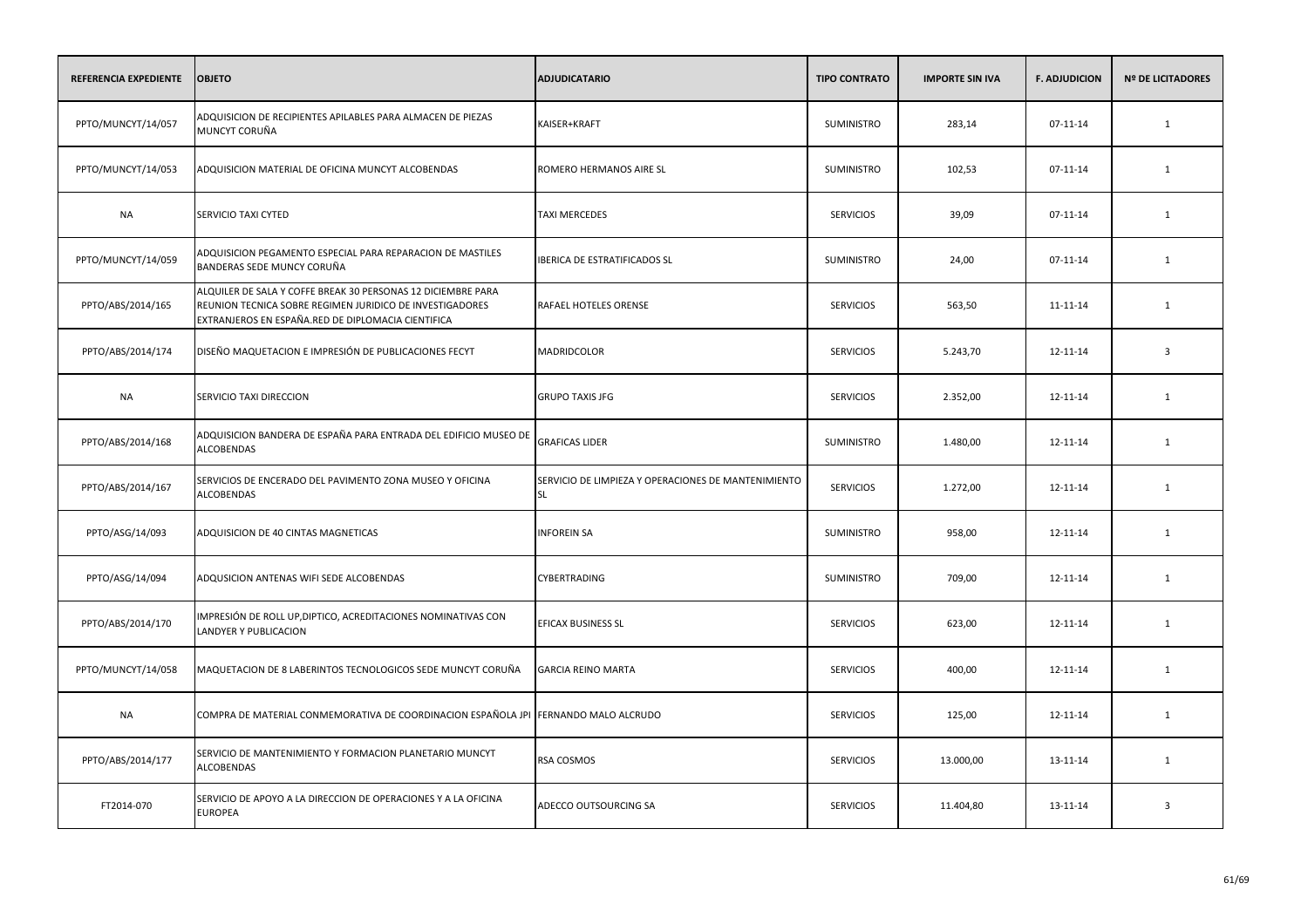| REFERENCIA EXPEDIENTE | <b>OBJETO</b>                                                                                                                                                                  | <b>ADJUDICATARIO</b>                                             | <b>TIPO CONTRATO</b> | <b>IMPORTE SIN IVA</b> | <b>F. ADJUDICION</b> | <b>Nº DE LICITADORES</b> |
|-----------------------|--------------------------------------------------------------------------------------------------------------------------------------------------------------------------------|------------------------------------------------------------------|----------------------|------------------------|----------------------|--------------------------|
| PPTO/MUNCYT/14/057    | ADQUISICION DE RECIPIENTES APILABLES PARA ALMACEN DE PIEZAS<br>MUNCYT CORUÑA                                                                                                   | KAISER+KRAFT                                                     | SUMINISTRO           | 283,14                 | $07 - 11 - 14$       | $\mathbf{1}$             |
| PPTO/MUNCYT/14/053    | ADQUISICION MATERIAL DE OFICINA MUNCYT ALCOBENDAS                                                                                                                              | ROMERO HERMANOS AIRE SL                                          | <b>SUMINISTRO</b>    | 102,53                 | 07-11-14             | 1                        |
| <b>NA</b>             | SERVICIO TAXI CYTED                                                                                                                                                            | <b>TAXI MERCEDES</b>                                             | <b>SERVICIOS</b>     | 39,09                  | $07 - 11 - 14$       | $\mathbf{1}$             |
| PPTO/MUNCYT/14/059    | ADQUISICION PEGAMENTO ESPECIAL PARA REPARACION DE MASTILES<br>BANDERAS SEDE MUNCY CORUÑA                                                                                       | IBERICA DE ESTRATIFICADOS SL                                     | SUMINISTRO           | 24,00                  | 07-11-14             | 1                        |
| PPTO/ABS/2014/165     | ALQUILER DE SALA Y COFFE BREAK 30 PERSONAS 12 DICIEMBRE PARA<br>REUNION TECNICA SOBRE REGIMEN JURIDICO DE INVESTIGADORES<br>EXTRANJEROS EN ESPAÑA.RED DE DIPLOMACIA CIENTIFICA | RAFAEL HOTELES ORENSE                                            | <b>SERVICIOS</b>     | 563,50                 | 11-11-14             | 1                        |
| PPTO/ABS/2014/174     | DISEÑO MAQUETACION E IMPRESIÓN DE PUBLICACIONES FECYT                                                                                                                          | <b>MADRIDCOLOR</b>                                               | <b>SERVICIOS</b>     | 5.243,70               | 12-11-14             | $\overline{3}$           |
| NA                    | SERVICIO TAXI DIRECCION                                                                                                                                                        | <b>GRUPO TAXIS JFG</b>                                           | <b>SERVICIOS</b>     | 2.352,00               | 12-11-14             | 1                        |
| PPTO/ABS/2014/168     | ADQUISICION BANDERA DE ESPAÑA PARA ENTRADA DEL EDIFICIO MUSEO DE<br><b>ALCOBENDAS</b>                                                                                          | <b>GRAFICAS LIDER</b>                                            | <b>SUMINISTRO</b>    | 1.480,00               | 12-11-14             | 1                        |
| PPTO/ABS/2014/167     | SERVICIOS DE ENCERADO DEL PAVIMENTO ZONA MUSEO Y OFICINA<br><b>ALCOBENDAS</b>                                                                                                  | SERVICIO DE LIMPIEZA Y OPERACIONES DE MANTENIMIENTO<br><b>SL</b> | <b>SERVICIOS</b>     | 1.272,00               | 12-11-14             | 1                        |
| PPTO/ASG/14/093       | ADQUISICION DE 40 CINTAS MAGNETICAS                                                                                                                                            | <b>INFOREIN SA</b>                                               | SUMINISTRO           | 958,00                 | 12-11-14             | 1                        |
| PPTO/ASG/14/094       | ADQUSICION ANTENAS WIFI SEDE ALCOBENDAS                                                                                                                                        | CYBERTRADING                                                     | <b>SUMINISTRO</b>    | 709,00                 | 12-11-14             | 1                        |
| PPTO/ABS/2014/170     | IMPRESIÓN DE ROLL UP, DIPTICO, ACREDITACIONES NOMINATIVAS CON<br>LANDYER Y PUBLICACION                                                                                         | EFICAX BUSINESS SL                                               | <b>SERVICIOS</b>     | 623,00                 | 12-11-14             | 1                        |
| PPTO/MUNCYT/14/058    | MAQUETACION DE 8 LABERINTOS TECNOLOGICOS SEDE MUNCYT CORUÑA                                                                                                                    | <b>GARCIA REINO MARTA</b>                                        | <b>SERVICIOS</b>     | 400,00                 | 12-11-14             | 1                        |
| <b>NA</b>             | COMPRA DE MATERIAL CONMEMORATIVA DE COORDINACION ESPAÑOLA JPI FERNANDO MALO ALCRUDO                                                                                            |                                                                  | <b>SERVICIOS</b>     | 125,00                 | 12-11-14             | 1                        |
| PPTO/ABS/2014/177     | SERVICIO DE MANTENIMIENTO Y FORMACION PLANETARIO MUNCYT<br><b>ALCOBENDAS</b>                                                                                                   | RSA COSMOS                                                       | <b>SERVICIOS</b>     | 13.000,00              | 13-11-14             | 1                        |
| FT2014-070            | SERVICIO DE APOYO A LA DIRECCION DE OPERACIONES Y A LA OFICINA<br><b>EUROPEA</b>                                                                                               | ADECCO OUTSOURCING SA                                            | <b>SERVICIOS</b>     | 11.404,80              | 13-11-14             | $\overline{\mathbf{3}}$  |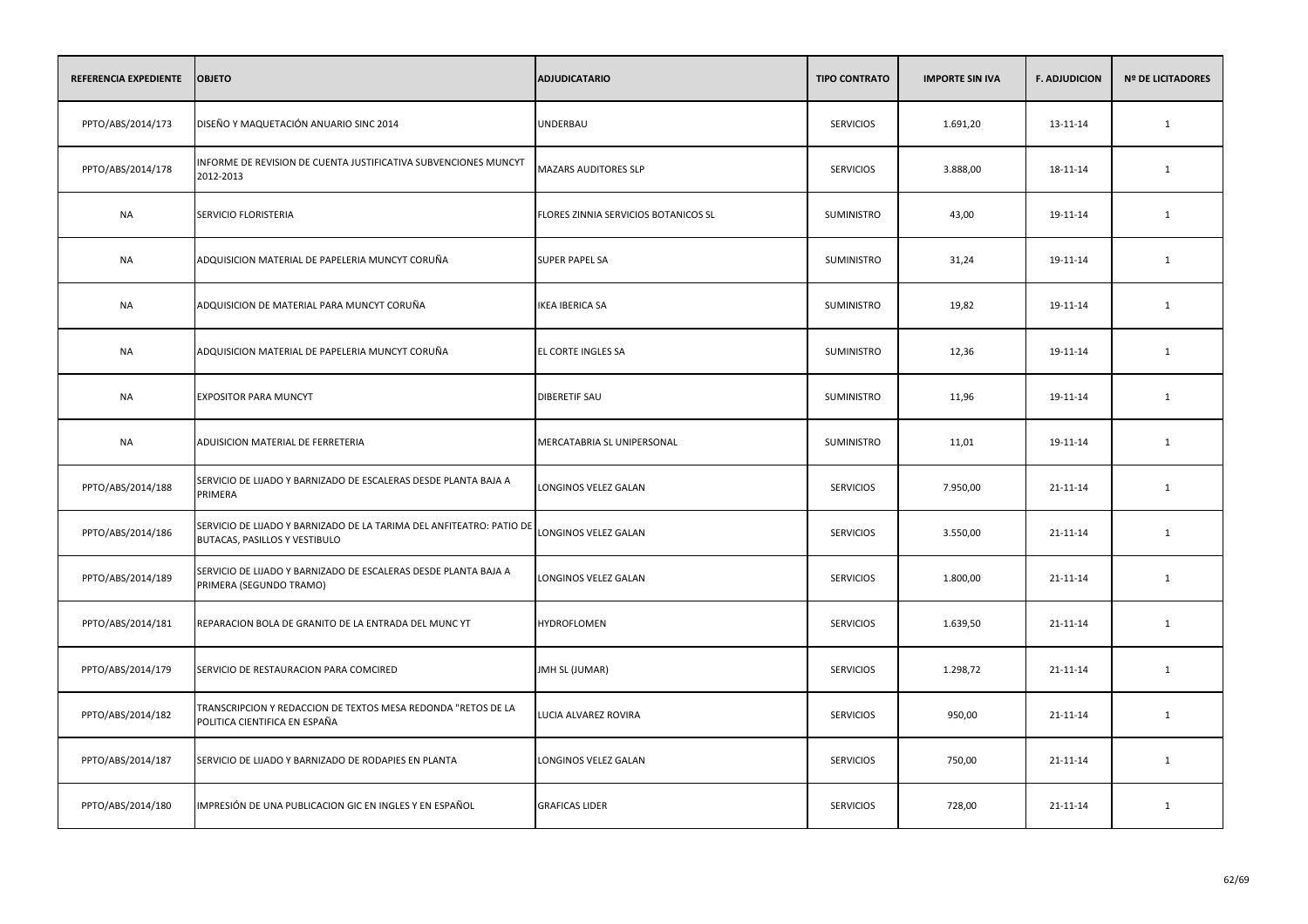| REFERENCIA EXPEDIENTE | <b>OBJETO</b>                                                                                         | <b>ADJUDICATARIO</b>                 | <b>TIPO CONTRATO</b> | <b>IMPORTE SIN IVA</b> | <b>F. ADJUDICION</b> | <b>Nº DE LICITADORES</b> |
|-----------------------|-------------------------------------------------------------------------------------------------------|--------------------------------------|----------------------|------------------------|----------------------|--------------------------|
| PPTO/ABS/2014/173     | DISEÑO Y MAQUETACIÓN ANUARIO SINC 2014                                                                | UNDERBAU                             | <b>SERVICIOS</b>     | 1.691,20               | 13-11-14             | $\mathbf{1}$             |
| PPTO/ABS/2014/178     | INFORME DE REVISION DE CUENTA JUSTIFICATIVA SUBVENCIONES MUNCYT<br>2012-2013                          | MAZARS AUDITORES SLP                 | <b>SERVICIOS</b>     | 3.888,00               | 18-11-14             | 1                        |
| <b>NA</b>             | SERVICIO FLORISTERIA                                                                                  | FLORES ZINNIA SERVICIOS BOTANICOS SL | SUMINISTRO           | 43,00                  | 19-11-14             | $\mathbf{1}$             |
| <b>NA</b>             | ADQUISICION MATERIAL DE PAPELERIA MUNCYT CORUÑA                                                       | <b>SUPER PAPEL SA</b>                | SUMINISTRO           | 31,24                  | 19-11-14             | 1                        |
| <b>NA</b>             | ADQUISICION DE MATERIAL PARA MUNCYT CORUÑA                                                            | <b>IKEA IBERICA SA</b>               | <b>SUMINISTRO</b>    | 19,82                  | 19-11-14             | $\mathbf{1}$             |
| <b>NA</b>             | ADQUISICION MATERIAL DE PAPELERIA MUNCYT CORUÑA                                                       | EL CORTE INGLES SA                   | SUMINISTRO           | 12,36                  | 19-11-14             | 1                        |
| <b>NA</b>             | <b>EXPOSITOR PARA MUNCYT</b>                                                                          | <b>DIBERETIF SAU</b>                 | SUMINISTRO           | 11,96                  | 19-11-14             | 1                        |
| NA                    | ADUISICION MATERIAL DE FERRETERIA                                                                     | MERCATABRIA SL UNIPERSONAL           | <b>SUMINISTRO</b>    | 11,01                  | 19-11-14             | 1                        |
| PPTO/ABS/2014/188     | SERVICIO DE LIJADO Y BARNIZADO DE ESCALERAS DESDE PLANTA BAJA A<br>PRIMERA                            | LONGINOS VELEZ GALAN                 | <b>SERVICIOS</b>     | 7.950,00               | 21-11-14             | 1                        |
| PPTO/ABS/2014/186     | SERVICIO DE LIJADO Y BARNIZADO DE LA TARIMA DEL ANFITEATRO: PATIO DE<br>BUTACAS, PASILLOS Y VESTIBULO | LONGINOS VELEZ GALAN                 | <b>SERVICIOS</b>     | 3.550,00               | 21-11-14             | 1                        |
| PPTO/ABS/2014/189     | SERVICIO DE LIJADO Y BARNIZADO DE ESCALERAS DESDE PLANTA BAJA A<br>PRIMERA (SEGUNDO TRAMO)            | LONGINOS VELEZ GALAN                 | <b>SERVICIOS</b>     | 1.800,00               | 21-11-14             | 1                        |
| PPTO/ABS/2014/181     | REPARACION BOLA DE GRANITO DE LA ENTRADA DEL MUNC YT                                                  | HYDROFLOMEN                          | <b>SERVICIOS</b>     | 1.639,50               | 21-11-14             | 1                        |
| PPTO/ABS/2014/179     | SERVICIO DE RESTAURACION PARA COMCIRED                                                                | JMH SL (JUMAR)                       | <b>SERVICIOS</b>     | 1.298,72               | 21-11-14             | 1                        |
| PPTO/ABS/2014/182     | TRANSCRIPCION Y REDACCION DE TEXTOS MESA REDONDA "RETOS DE LA<br>POLITICA CIENTIFICA EN ESPAÑA        | LUCIA ALVAREZ ROVIRA                 | <b>SERVICIOS</b>     | 950,00                 | 21-11-14             | 1                        |
| PPTO/ABS/2014/187     | SERVICIO DE LIJADO Y BARNIZADO DE RODAPIES EN PLANTA                                                  | LONGINOS VELEZ GALAN                 | <b>SERVICIOS</b>     | 750,00                 | 21-11-14             | 1                        |
| PPTO/ABS/2014/180     | IMPRESIÓN DE UNA PUBLICACION GIC EN INGLES Y EN ESPAÑOL                                               | <b>GRAFICAS LIDER</b>                | <b>SERVICIOS</b>     | 728,00                 | 21-11-14             | 1                        |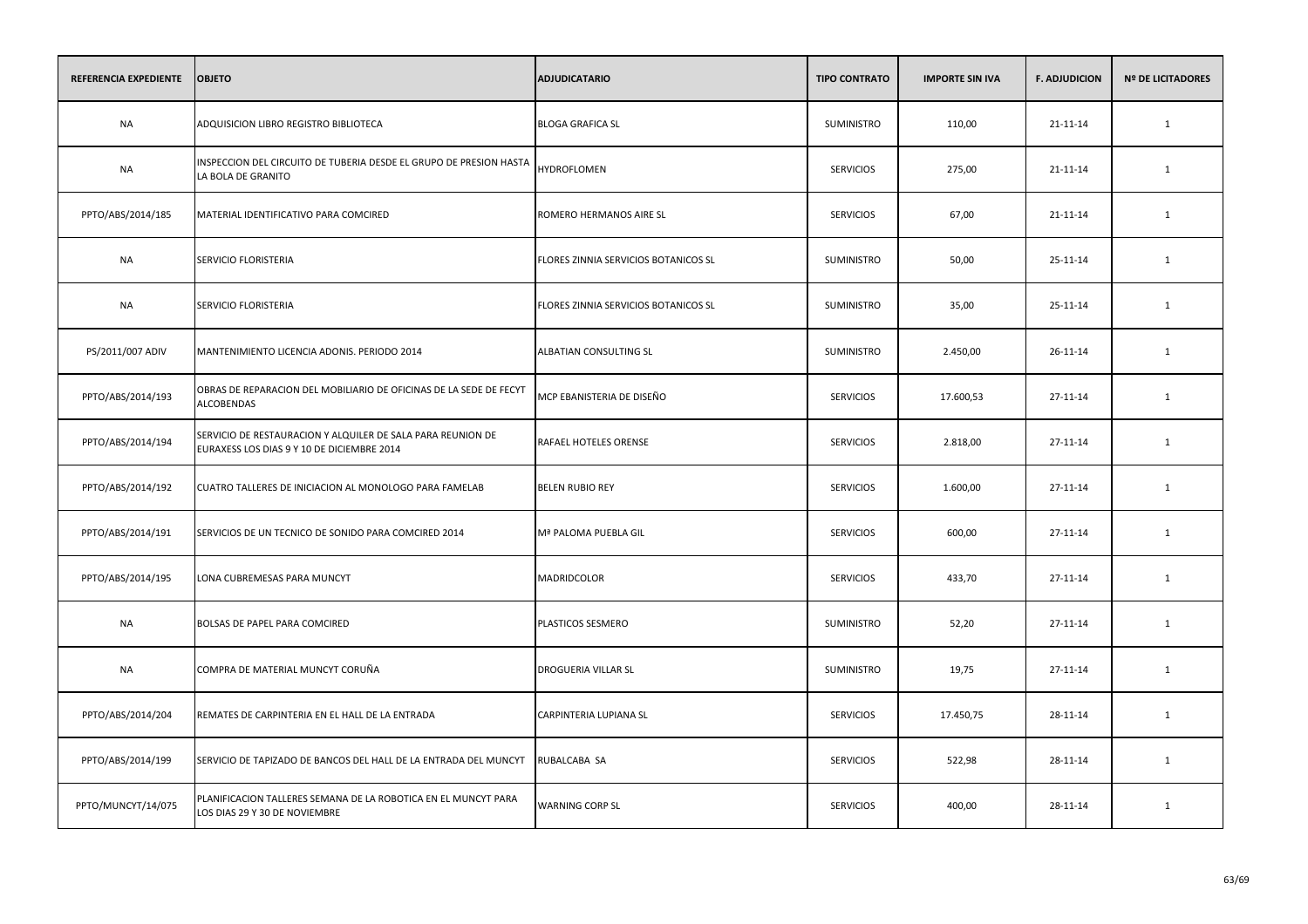| REFERENCIA EXPEDIENTE | <b>OBJETO</b>                                                                                             | <b>ADJUDICATARIO</b>                 | <b>TIPO CONTRATO</b> | <b>IMPORTE SIN IVA</b> | <b>F. ADJUDICION</b> | <b>Nº DE LICITADORES</b> |
|-----------------------|-----------------------------------------------------------------------------------------------------------|--------------------------------------|----------------------|------------------------|----------------------|--------------------------|
| <b>NA</b>             | ADQUISICION LIBRO REGISTRO BIBLIOTECA                                                                     | <b>BLOGA GRAFICA SL</b>              | <b>SUMINISTRO</b>    | 110,00                 | $21 - 11 - 14$       | $\mathbf{1}$             |
| <b>NA</b>             | INSPECCION DEL CIRCUITO DE TUBERIA DESDE EL GRUPO DE PRESION HASTA<br>LA BOLA DE GRANITO                  | HYDROFLOMEN                          | <b>SERVICIOS</b>     | 275,00                 | 21-11-14             | 1                        |
| PPTO/ABS/2014/185     | MATERIAL IDENTIFICATIVO PARA COMCIRED                                                                     | ROMERO HERMANOS AIRE SL              | <b>SERVICIOS</b>     | 67,00                  | 21-11-14             | $\mathbf{1}$             |
| <b>NA</b>             | SERVICIO FLORISTERIA                                                                                      | FLORES ZINNIA SERVICIOS BOTANICOS SL | SUMINISTRO           | 50,00                  | 25-11-14             | 1                        |
| <b>NA</b>             | SERVICIO FLORISTERIA                                                                                      | FLORES ZINNIA SERVICIOS BOTANICOS SL | <b>SUMINISTRO</b>    | 35,00                  | 25-11-14             | $\mathbf{1}$             |
| PS/2011/007 ADIV      | MANTENIMIENTO LICENCIA ADONIS. PERIODO 2014                                                               | ALBATIAN CONSULTING SL               | SUMINISTRO           | 2.450,00               | 26-11-14             | $\mathbf{1}$             |
| PPTO/ABS/2014/193     | OBRAS DE REPARACION DEL MOBILIARIO DE OFICINAS DE LA SEDE DE FECYT<br><b>ALCOBENDAS</b>                   | MCP EBANISTERIA DE DISEÑO            | <b>SERVICIOS</b>     | 17.600,53              | 27-11-14             | 1                        |
| PPTO/ABS/2014/194     | SERVICIO DE RESTAURACION Y ALQUILER DE SALA PARA REUNION DE<br>EURAXESS LOS DIAS 9 Y 10 DE DICIEMBRE 2014 | RAFAEL HOTELES ORENSE                | <b>SERVICIOS</b>     | 2.818,00               | 27-11-14             | 1                        |
| PPTO/ABS/2014/192     | CUATRO TALLERES DE INICIACION AL MONOLOGO PARA FAMELAB                                                    | <b>BELEN RUBIO REY</b>               | <b>SERVICIOS</b>     | 1.600,00               | 27-11-14             | $\mathbf{1}$             |
| PPTO/ABS/2014/191     | SERVICIOS DE UN TECNICO DE SONIDO PARA COMCIRED 2014                                                      | Mª PALOMA PUEBLA GIL                 | <b>SERVICIOS</b>     | 600,00                 | 27-11-14             | 1                        |
| PPTO/ABS/2014/195     | LONA CUBREMESAS PARA MUNCYT                                                                               | MADRIDCOLOR                          | <b>SERVICIOS</b>     | 433,70                 | 27-11-14             | $\mathbf{1}$             |
| <b>NA</b>             | BOLSAS DE PAPEL PARA COMCIRED                                                                             | PLASTICOS SESMERO                    | SUMINISTRO           | 52,20                  | 27-11-14             | $\mathbf{1}$             |
| <b>NA</b>             | COMPRA DE MATERIAL MUNCYT CORUÑA                                                                          | <b>DROGUERIA VILLAR SL</b>           | SUMINISTRO           | 19,75                  | 27-11-14             | $\mathbf{1}$             |
| PPTO/ABS/2014/204     | REMATES DE CARPINTERIA EN EL HALL DE LA ENTRADA                                                           | CARPINTERIA LUPIANA SL               | <b>SERVICIOS</b>     | 17.450,75              | 28-11-14             | 1                        |
| PPTO/ABS/2014/199     | SERVICIO DE TAPIZADO DE BANCOS DEL HALL DE LA ENTRADA DEL MUNCYT                                          | RUBALCABA SA                         | <b>SERVICIOS</b>     | 522,98                 | 28-11-14             | 1                        |
| PPTO/MUNCYT/14/075    | PLANIFICACION TALLERES SEMANA DE LA ROBOTICA EN EL MUNCYT PARA<br>LOS DIAS 29 Y 30 DE NOVIEMBRE           | <b>WARNING CORP SL</b>               | <b>SERVICIOS</b>     | 400,00                 | 28-11-14             | 1                        |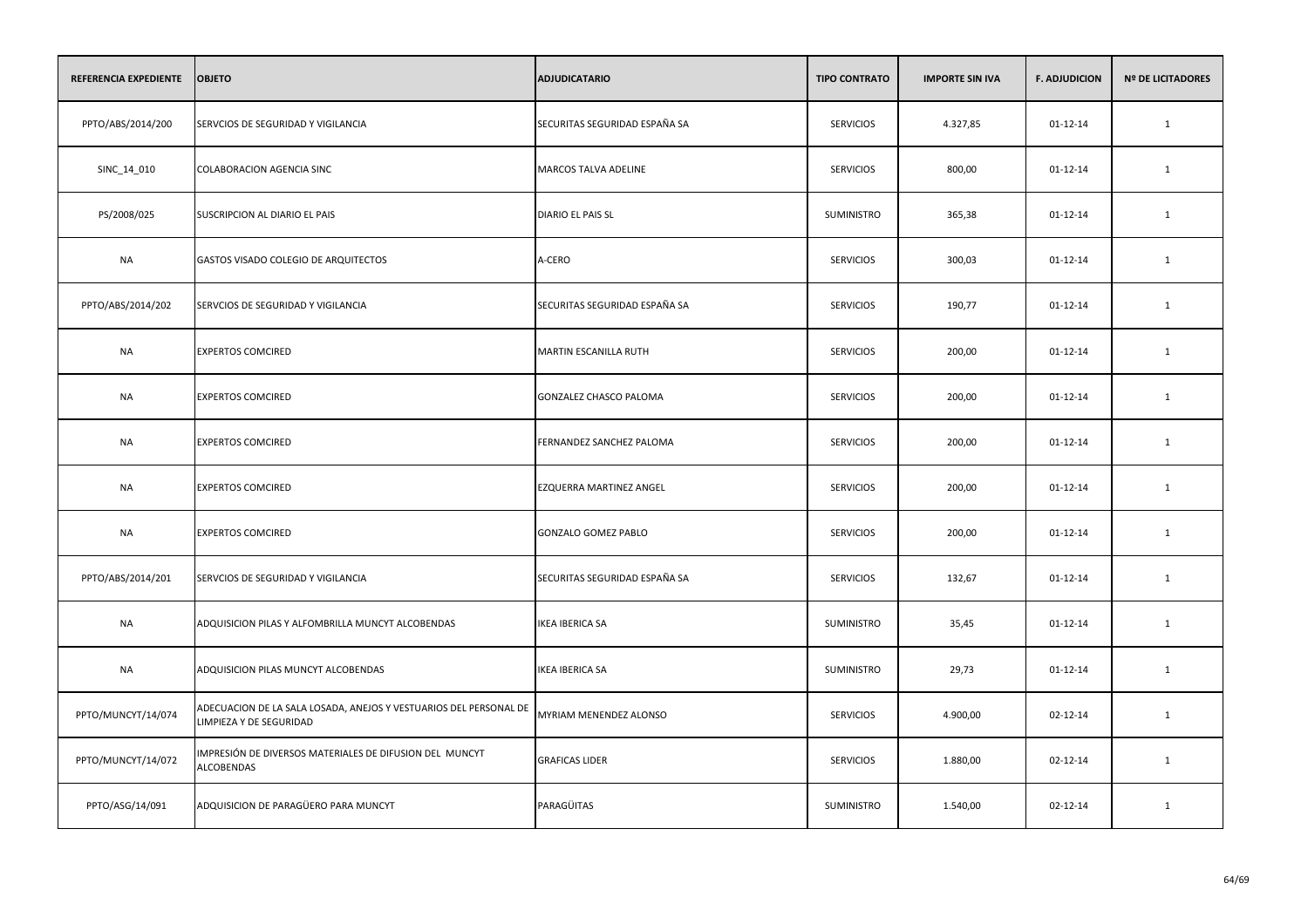| REFERENCIA EXPEDIENTE | <b>OBJETO</b>                                                                                | <b>ADJUDICATARIO</b>          | <b>TIPO CONTRATO</b> | <b>IMPORTE SIN IVA</b> | <b>F. ADJUDICION</b> | <b>Nº DE LICITADORES</b> |
|-----------------------|----------------------------------------------------------------------------------------------|-------------------------------|----------------------|------------------------|----------------------|--------------------------|
| PPTO/ABS/2014/200     | SERVCIOS DE SEGURIDAD Y VIGILANCIA                                                           | SECURITAS SEGURIDAD ESPAÑA SA | <b>SERVICIOS</b>     | 4.327,85               | $01 - 12 - 14$       | $\mathbf{1}$             |
| SINC_14_010           | <b>COLABORACION AGENCIA SINC</b>                                                             | MARCOS TALVA ADELINE          | <b>SERVICIOS</b>     | 800,00                 | 01-12-14             | 1                        |
| PS/2008/025           | SUSCRIPCION AL DIARIO EL PAIS                                                                | DIARIO EL PAIS SL             | SUMINISTRO           | 365,38                 | 01-12-14             | 1                        |
| <b>NA</b>             | GASTOS VISADO COLEGIO DE ARQUITECTOS                                                         | A-CERO                        | <b>SERVICIOS</b>     | 300,03                 | 01-12-14             | 1                        |
| PPTO/ABS/2014/202     | SERVCIOS DE SEGURIDAD Y VIGILANCIA                                                           | SECURITAS SEGURIDAD ESPAÑA SA | <b>SERVICIOS</b>     | 190,77                 | $01 - 12 - 14$       | 1                        |
| NA                    | <b>EXPERTOS COMCIRED</b>                                                                     | MARTIN ESCANILLA RUTH         | <b>SERVICIOS</b>     | 200,00                 | $01 - 12 - 14$       | 1                        |
| <b>NA</b>             | <b>EXPERTOS COMCIRED</b>                                                                     | GONZALEZ CHASCO PALOMA        | <b>SERVICIOS</b>     | 200,00                 | $01 - 12 - 14$       | $\mathbf{1}$             |
| NA                    | <b>EXPERTOS COMCIRED</b>                                                                     | FERNANDEZ SANCHEZ PALOMA      | <b>SERVICIOS</b>     | 200,00                 | 01-12-14             | $\mathbf{1}$             |
| <b>NA</b>             | <b>EXPERTOS COMCIRED</b>                                                                     | EZQUERRA MARTINEZ ANGEL       | <b>SERVICIOS</b>     | 200,00                 | $01 - 12 - 14$       | $\mathbf{1}$             |
| <b>NA</b>             | <b>EXPERTOS COMCIRED</b>                                                                     | GONZALO GOMEZ PABLO           | <b>SERVICIOS</b>     | 200,00                 | 01-12-14             | 1                        |
| PPTO/ABS/2014/201     | SERVCIOS DE SEGURIDAD Y VIGILANCIA                                                           | SECURITAS SEGURIDAD ESPAÑA SA | <b>SERVICIOS</b>     | 132,67                 | 01-12-14             | 1                        |
| <b>NA</b>             | ADQUISICION PILAS Y ALFOMBRILLA MUNCYT ALCOBENDAS                                            | <b>IKEA IBERICA SA</b>        | SUMINISTRO           | 35,45                  | $01 - 12 - 14$       | 1                        |
| <b>NA</b>             | ADQUISICION PILAS MUNCYT ALCOBENDAS                                                          | <b>IKEA IBERICA SA</b>        | SUMINISTRO           | 29,73                  | 01-12-14             | 1                        |
| PPTO/MUNCYT/14/074    | ADECUACION DE LA SALA LOSADA, ANEJOS Y VESTUARIOS DEL PERSONAL DE<br>LIMPIEZA Y DE SEGURIDAD | MYRIAM MENENDEZ ALONSO        | <b>SERVICIOS</b>     | 4.900,00               | 02-12-14             | 1                        |
| PPTO/MUNCYT/14/072    | IMPRESIÓN DE DIVERSOS MATERIALES DE DIFUSION DEL MUNCYT<br><b>ALCOBENDAS</b>                 | <b>GRAFICAS LIDER</b>         | <b>SERVICIOS</b>     | 1.880,00               | 02-12-14             | 1                        |
| PPTO/ASG/14/091       | ADQUISICION DE PARAGÜERO PARA MUNCYT                                                         | PARAGÜITAS                    | SUMINISTRO           | 1.540,00               | 02-12-14             | 1                        |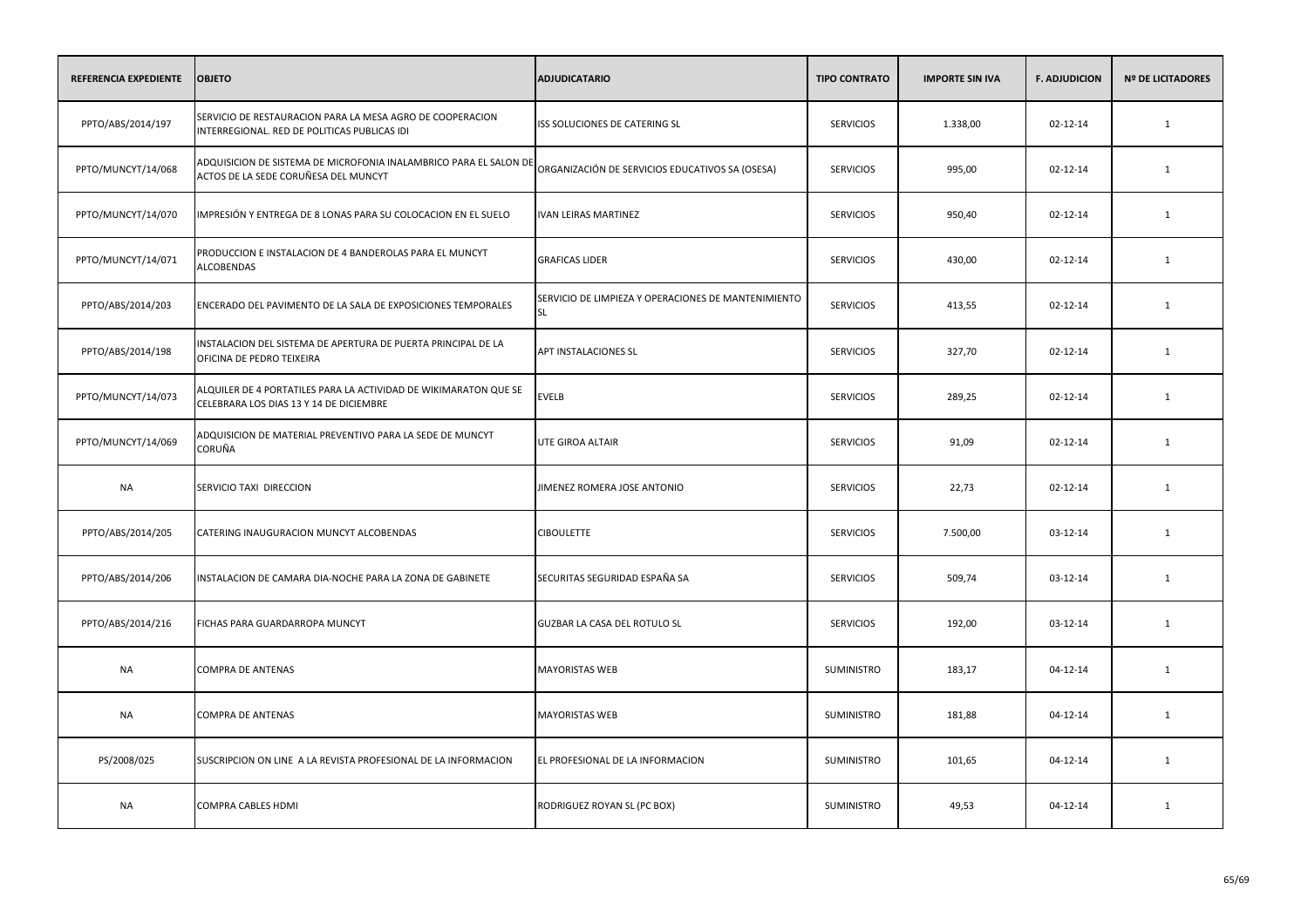| REFERENCIA EXPEDIENTE | <b>OBJETO</b>                                                                                               | <b>ADJUDICATARIO</b>                                             | <b>TIPO CONTRATO</b> | <b>IMPORTE SIN IVA</b> | <b>F. ADJUDICION</b> | <b>Nº DE LICITADORES</b> |
|-----------------------|-------------------------------------------------------------------------------------------------------------|------------------------------------------------------------------|----------------------|------------------------|----------------------|--------------------------|
| PPTO/ABS/2014/197     | SERVICIO DE RESTAURACION PARA LA MESA AGRO DE COOPERACION<br>INTERREGIONAL. RED DE POLITICAS PUBLICAS IDI   | ISS SOLUCIONES DE CATERING SL                                    | <b>SERVICIOS</b>     | 1.338,00               | 02-12-14             | 1                        |
| PPTO/MUNCYT/14/068    | ADQUISICION DE SISTEMA DE MICROFONIA INALAMBRICO PARA EL SALON DE<br>ACTOS DE LA SEDE CORUÑESA DEL MUNCYT   | ORGANIZACIÓN DE SERVICIOS EDUCATIVOS SA (OSESA)                  | <b>SERVICIOS</b>     | 995,00                 | 02-12-14             | 1                        |
| PPTO/MUNCYT/14/070    | IMPRESIÓN Y ENTREGA DE 8 LONAS PARA SU COLOCACION EN EL SUELO                                               | <b>IVAN LEIRAS MARTINEZ</b>                                      | <b>SERVICIOS</b>     | 950,40                 | $02 - 12 - 14$       | $\mathbf{1}$             |
| PPTO/MUNCYT/14/071    | PRODUCCION E INSTALACION DE 4 BANDEROLAS PARA EL MUNCYT<br><b>ALCOBENDAS</b>                                | <b>GRAFICAS LIDER</b>                                            | <b>SERVICIOS</b>     | 430,00                 | 02-12-14             | 1                        |
| PPTO/ABS/2014/203     | ENCERADO DEL PAVIMENTO DE LA SALA DE EXPOSICIONES TEMPORALES                                                | SERVICIO DE LIMPIEZA Y OPERACIONES DE MANTENIMIENTO<br><b>SL</b> | <b>SERVICIOS</b>     | 413,55                 | 02-12-14             | 1                        |
| PPTO/ABS/2014/198     | INSTALACION DEL SISTEMA DE APERTURA DE PUERTA PRINCIPAL DE LA<br>OFICINA DE PEDRO TEIXEIRA                  | APT INSTALACIONES SL                                             | <b>SERVICIOS</b>     | 327,70                 | 02-12-14             | 1                        |
| PPTO/MUNCYT/14/073    | ALQUILER DE 4 PORTATILES PARA LA ACTIVIDAD DE WIKIMARATON QUE SE<br>CELEBRARA LOS DIAS 13 Y 14 DE DICIEMBRE | <b>EVELB</b>                                                     | <b>SERVICIOS</b>     | 289,25                 | 02-12-14             | 1                        |
| PPTO/MUNCYT/14/069    | ADQUISICION DE MATERIAL PREVENTIVO PARA LA SEDE DE MUNCYT<br>CORUÑA                                         | UTE GIROA ALTAIR                                                 | <b>SERVICIOS</b>     | 91,09                  | 02-12-14             | 1                        |
| <b>NA</b>             | SERVICIO TAXI DIRECCION                                                                                     | JIMENEZ ROMERA JOSE ANTONIO                                      | <b>SERVICIOS</b>     | 22,73                  | 02-12-14             | $\mathbf{1}$             |
| PPTO/ABS/2014/205     | CATERING INAUGURACION MUNCYT ALCOBENDAS                                                                     | <b>CIBOULETTE</b>                                                | <b>SERVICIOS</b>     | 7.500,00               | 03-12-14             | 1                        |
| PPTO/ABS/2014/206     | INSTALACION DE CAMARA DIA-NOCHE PARA LA ZONA DE GABINETE                                                    | SECURITAS SEGURIDAD ESPAÑA SA                                    | <b>SERVICIOS</b>     | 509,74                 | 03-12-14             | $\mathbf{1}$             |
| PPTO/ABS/2014/216     | FICHAS PARA GUARDARROPA MUNCYT                                                                              | GUZBAR LA CASA DEL ROTULO SL                                     | <b>SERVICIOS</b>     | 192,00                 | 03-12-14             | 1                        |
| <b>NA</b>             | <b>COMPRA DE ANTENAS</b>                                                                                    | <b>MAYORISTAS WEB</b>                                            | SUMINISTRO           | 183,17                 | $04 - 12 - 14$       | $\mathbf{1}$             |
| <b>NA</b>             | <b>COMPRA DE ANTENAS</b>                                                                                    | <b>MAYORISTAS WEB</b>                                            | <b>SUMINISTRO</b>    | 181,88                 | 04-12-14             | 1                        |
| PS/2008/025           | SUSCRIPCION ON LINE A LA REVISTA PROFESIONAL DE LA INFORMACION                                              | EL PROFESIONAL DE LA INFORMACION                                 | SUMINISTRO           | 101,65                 | $04 - 12 - 14$       | 1                        |
| <b>NA</b>             | COMPRA CABLES HDMI                                                                                          | RODRIGUEZ ROYAN SL (PC BOX)                                      | <b>SUMINISTRO</b>    | 49,53                  | 04-12-14             | 1                        |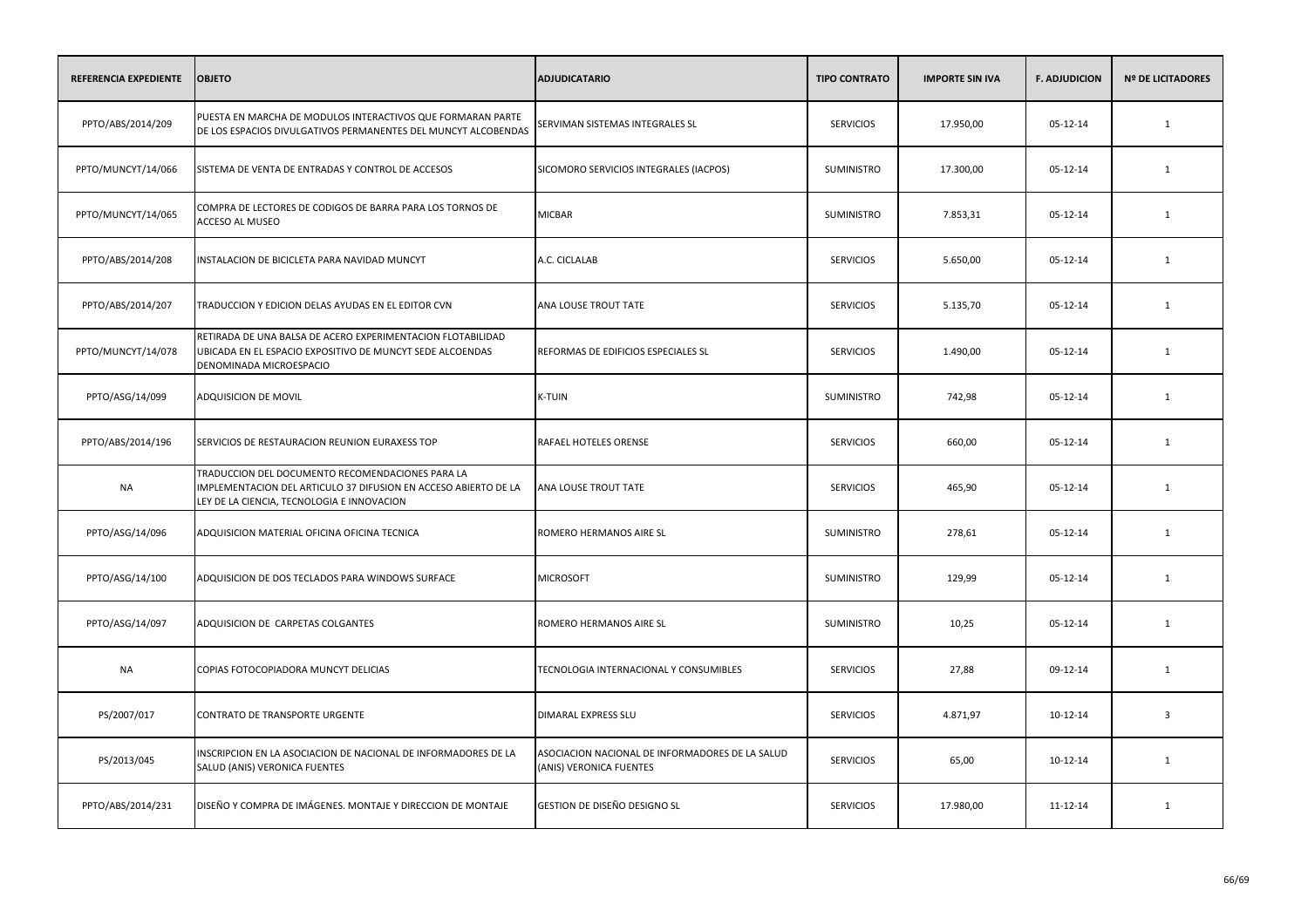| REFERENCIA EXPEDIENTE | <b>OBJETO</b>                                                                                                                                                     | <b>ADJUDICATARIO</b>                                                       | <b>TIPO CONTRATO</b> | <b>IMPORTE SIN IVA</b> | <b>F. ADJUDICION</b> | <b>Nº DE LICITADORES</b> |
|-----------------------|-------------------------------------------------------------------------------------------------------------------------------------------------------------------|----------------------------------------------------------------------------|----------------------|------------------------|----------------------|--------------------------|
| PPTO/ABS/2014/209     | PUESTA EN MARCHA DE MODULOS INTERACTIVOS QUE FORMARAN PARTE<br>DE LOS ESPACIOS DIVULGATIVOS PERMANENTES DEL MUNCYT ALCOBENDAS                                     | SERVIMAN SISTEMAS INTEGRALES SL                                            | <b>SERVICIOS</b>     | 17.950,00              | 05-12-14             | $\mathbf{1}$             |
| PPTO/MUNCYT/14/066    | SISTEMA DE VENTA DE ENTRADAS Y CONTROL DE ACCESOS                                                                                                                 | SICOMORO SERVICIOS INTEGRALES (IACPOS)                                     | SUMINISTRO           | 17.300,00              | 05-12-14             | 1                        |
| PPTO/MUNCYT/14/065    | COMPRA DE LECTORES DE CODIGOS DE BARRA PARA LOS TORNOS DE<br>ACCESO AL MUSEO                                                                                      | <b>MICBAR</b>                                                              | <b>SUMINISTRO</b>    | 7.853,31               | 05-12-14             | 1                        |
| PPTO/ABS/2014/208     | INSTALACION DE BICICLETA PARA NAVIDAD MUNCYT                                                                                                                      | A.C. CICLALAB                                                              | <b>SERVICIOS</b>     | 5.650,00               | 05-12-14             | 1                        |
| PPTO/ABS/2014/207     | TRADUCCION Y EDICION DELAS AYUDAS EN EL EDITOR CVN                                                                                                                | ANA LOUSE TROUT TATE                                                       | <b>SERVICIOS</b>     | 5.135,70               | 05-12-14             | $\mathbf{1}$             |
| PPTO/MUNCYT/14/078    | RETIRADA DE UNA BALSA DE ACERO EXPERIMENTACION FLOTABILIDAD<br>UBICADA EN EL ESPACIO EXPOSITIVO DE MUNCYT SEDE ALCOENDAS<br>DENOMINADA MICROESPACIO               | REFORMAS DE EDIFICIOS ESPECIALES SL                                        | <b>SERVICIOS</b>     | 1.490,00               | 05-12-14             | 1                        |
| PPTO/ASG/14/099       | ADQUISICION DE MOVIL                                                                                                                                              | <b>K-TUIN</b>                                                              | SUMINISTRO           | 742,98                 | 05-12-14             | 1                        |
| PPTO/ABS/2014/196     | SERVICIOS DE RESTAURACION REUNION EURAXESS TOP                                                                                                                    | RAFAEL HOTELES ORENSE                                                      | <b>SERVICIOS</b>     | 660,00                 | 05-12-14             | 1                        |
| <b>NA</b>             | TRADUCCION DEL DOCUMENTO RECOMENDACIONES PARA LA<br>IMPLEMENTACION DEL ARTICULO 37 DIFUSION EN ACCESO ABIERTO DE LA<br>LEY DE LA CIENCIA, TECNOLOGIA E INNOVACION | ANA LOUSE TROUT TATE                                                       | <b>SERVICIOS</b>     | 465,90                 | 05-12-14             | 1                        |
| PPTO/ASG/14/096       | ADQUISICION MATERIAL OFICINA OFICINA TECNICA                                                                                                                      | ROMERO HERMANOS AIRE SL                                                    | <b>SUMINISTRO</b>    | 278,61                 | 05-12-14             | 1                        |
| PPTO/ASG/14/100       | ADQUISICION DE DOS TECLADOS PARA WINDOWS SURFACE                                                                                                                  | <b>MICROSOFT</b>                                                           | SUMINISTRO           | 129,99                 | 05-12-14             | 1                        |
| PPTO/ASG/14/097       | ADQUISICION DE CARPETAS COLGANTES                                                                                                                                 | ROMERO HERMANOS AIRE SL                                                    | <b>SUMINISTRO</b>    | 10,25                  | 05-12-14             | 1                        |
| <b>NA</b>             | COPIAS FOTOCOPIADORA MUNCYT DELICIAS                                                                                                                              | TECNOLOGIA INTERNACIONAL Y CONSUMIBLES                                     | <b>SERVICIOS</b>     | 27,88                  | 09-12-14             | 1                        |
| PS/2007/017           | <b>CONTRATO DE TRANSPORTE URGENTE</b>                                                                                                                             | DIMARAL EXPRESS SLU                                                        | <b>SERVICIOS</b>     | 4.871,97               | $10-12-14$           | $\overline{3}$           |
| PS/2013/045           | INSCRIPCION EN LA ASOCIACION DE NACIONAL DE INFORMADORES DE LA<br>SALUD (ANIS) VERONICA FUENTES                                                                   | ASOCIACION NACIONAL DE INFORMADORES DE LA SALUD<br>(ANIS) VERONICA FUENTES | <b>SERVICIOS</b>     | 65,00                  | 10-12-14             | 1                        |
| PPTO/ABS/2014/231     | DISEÑO Y COMPRA DE IMÁGENES. MONTAJE Y DIRECCION DE MONTAJE                                                                                                       | GESTION DE DISEÑO DESIGNO SL                                               | <b>SERVICIOS</b>     | 17.980,00              | 11-12-14             | 1                        |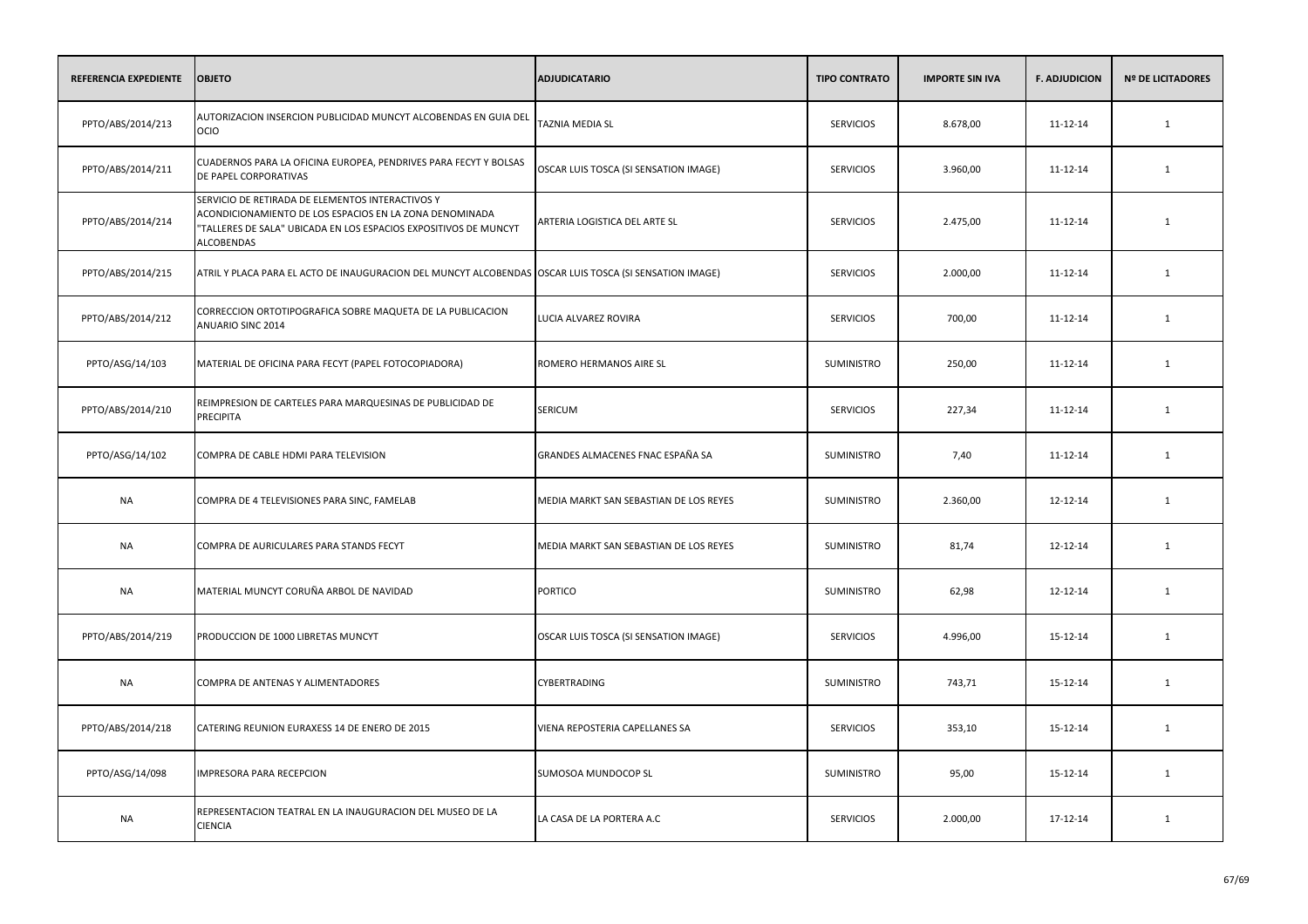| <b>REFERENCIA EXPEDIENTE</b> | <b>OBJETO</b>                                                                                                                                                                                 | <b>ADJUDICATARIO</b>                   | <b>TIPO CONTRATO</b> | <b>IMPORTE SIN IVA</b> | <b>F. ADJUDICION</b> | <b>Nº DE LICITADORES</b> |
|------------------------------|-----------------------------------------------------------------------------------------------------------------------------------------------------------------------------------------------|----------------------------------------|----------------------|------------------------|----------------------|--------------------------|
| PPTO/ABS/2014/213            | AUTORIZACION INSERCION PUBLICIDAD MUNCYT ALCOBENDAS EN GUIA DEL<br>OCIO                                                                                                                       | TAZNIA MEDIA SL                        | <b>SERVICIOS</b>     | 8.678,00               | 11-12-14             | 1                        |
| PPTO/ABS/2014/211            | CUADERNOS PARA LA OFICINA EUROPEA, PENDRIVES PARA FECYT Y BOLSAS<br>DE PAPEL CORPORATIVAS                                                                                                     | OSCAR LUIS TOSCA (SI SENSATION IMAGE)  | <b>SERVICIOS</b>     | 3.960,00               | 11-12-14             | 1                        |
| PPTO/ABS/2014/214            | SERVICIO DE RETIRADA DE ELEMENTOS INTERACTIVOS Y<br>ACONDICIONAMIENTO DE LOS ESPACIOS EN LA ZONA DENOMINADA<br>"TALLERES DE SALA" UBICADA EN LOS ESPACIOS EXPOSITIVOS DE MUNCYT<br>ALCOBENDAS | ARTERIA LOGISTICA DEL ARTE SL          | <b>SERVICIOS</b>     | 2.475,00               | 11-12-14             | 1                        |
| PPTO/ABS/2014/215            | ATRIL Y PLACA PARA EL ACTO DE INAUGURACION DEL MUNCYT ALCOBENDAS OSCAR LUIS TOSCA (SI SENSATION IMAGE)                                                                                        |                                        | <b>SERVICIOS</b>     | 2.000,00               | 11-12-14             | $\mathbf{1}$             |
| PPTO/ABS/2014/212            | CORRECCION ORTOTIPOGRAFICA SOBRE MAQUETA DE LA PUBLICACION<br>ANUARIO SINC 2014                                                                                                               | LUCIA ALVAREZ ROVIRA                   | <b>SERVICIOS</b>     | 700,00                 | 11-12-14             | 1                        |
| PPTO/ASG/14/103              | MATERIAL DE OFICINA PARA FECYT (PAPEL FOTOCOPIADORA)                                                                                                                                          | ROMERO HERMANOS AIRE SL                | <b>SUMINISTRO</b>    | 250,00                 | 11-12-14             | 1                        |
| PPTO/ABS/2014/210            | REIMPRESION DE CARTELES PARA MARQUESINAS DE PUBLICIDAD DE<br>PRECIPITA                                                                                                                        | SERICUM                                | <b>SERVICIOS</b>     | 227,34                 | 11-12-14             | 1                        |
| PPTO/ASG/14/102              | COMPRA DE CABLE HDMI PARA TELEVISION                                                                                                                                                          | GRANDES ALMACENES FNAC ESPAÑA SA       | <b>SUMINISTRO</b>    | 7,40                   | 11-12-14             | 1                        |
| <b>NA</b>                    | COMPRA DE 4 TELEVISIONES PARA SINC, FAMELAB                                                                                                                                                   | MEDIA MARKT SAN SEBASTIAN DE LOS REYES | SUMINISTRO           | 2.360,00               | 12-12-14             | 1                        |
| <b>NA</b>                    | COMPRA DE AURICULARES PARA STANDS FECYT                                                                                                                                                       | MEDIA MARKT SAN SEBASTIAN DE LOS REYES | <b>SUMINISTRO</b>    | 81,74                  | 12-12-14             | 1                        |
| <b>NA</b>                    | MATERIAL MUNCYT CORUÑA ARBOL DE NAVIDAD                                                                                                                                                       | <b>PORTICO</b>                         | SUMINISTRO           | 62,98                  | 12-12-14             | 1                        |
| PPTO/ABS/2014/219            | PRODUCCION DE 1000 LIBRETAS MUNCYT                                                                                                                                                            | OSCAR LUIS TOSCA (SI SENSATION IMAGE)  | <b>SERVICIOS</b>     | 4.996,00               | 15-12-14             | 1                        |
| <b>NA</b>                    | COMPRA DE ANTENAS Y ALIMENTADORES                                                                                                                                                             | CYBERTRADING                           | SUMINISTRO           | 743,71                 | 15-12-14             | 1                        |
| PPTO/ABS/2014/218            | CATERING REUNION EURAXESS 14 DE ENERO DE 2015                                                                                                                                                 | VIENA REPOSTERIA CAPELLANES SA         | <b>SERVICIOS</b>     | 353,10                 | 15-12-14             | 1                        |
| PPTO/ASG/14/098              | <b>IMPRESORA PARA RECEPCION</b>                                                                                                                                                               | SUMOSOA MUNDOCOP SL                    | <b>SUMINISTRO</b>    | 95,00                  | 15-12-14             | 1                        |
| NA                           | REPRESENTACION TEATRAL EN LA INAUGURACION DEL MUSEO DE LA<br>CIENCIA                                                                                                                          | LA CASA DE LA PORTERA A.C              | <b>SERVICIOS</b>     | 2.000,00               | 17-12-14             | 1                        |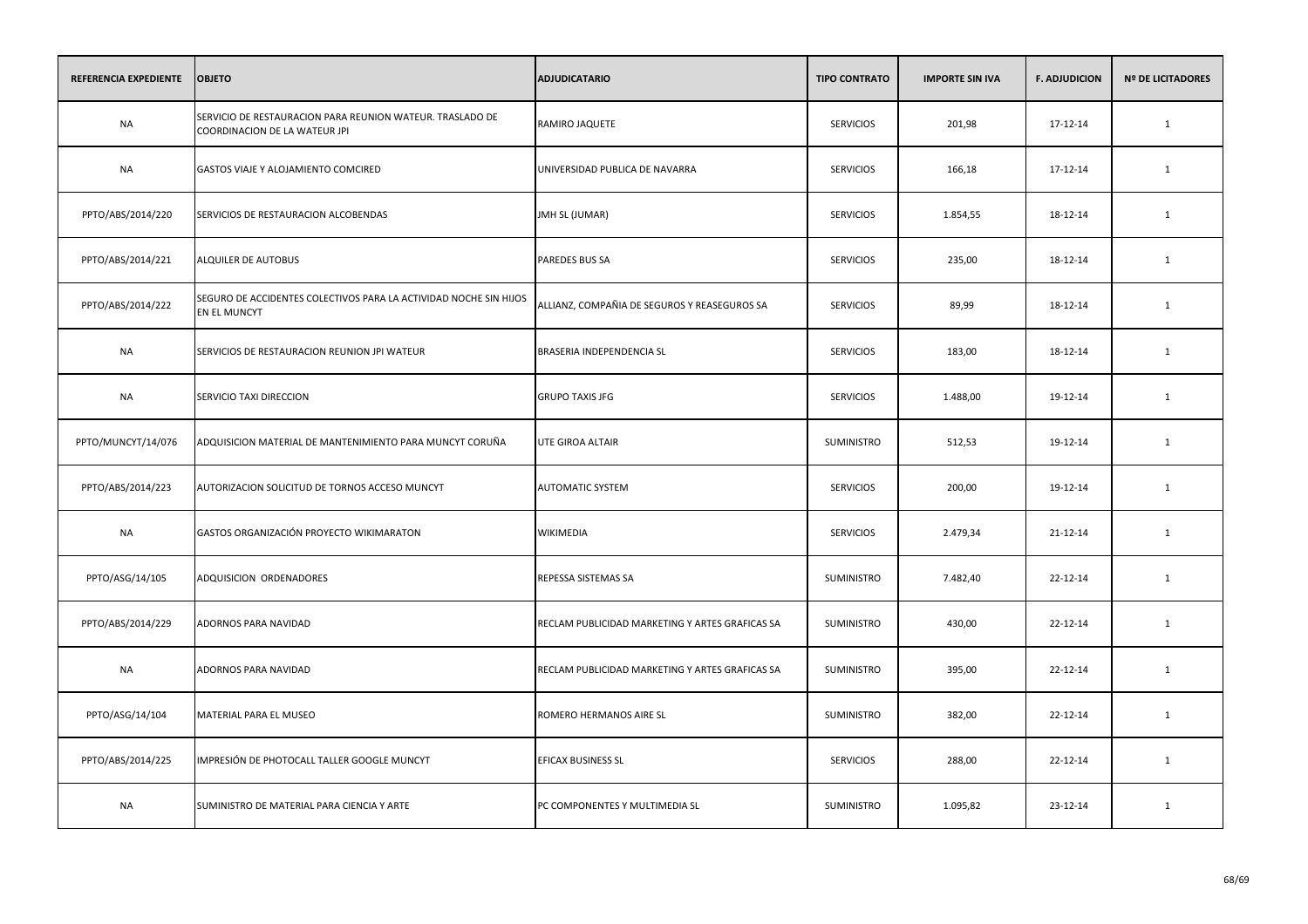| REFERENCIA EXPEDIENTE | <b>OBJETO</b>                                                                              | <b>ADJUDICATARIO</b>                            | <b>TIPO CONTRATO</b> | <b>IMPORTE SIN IVA</b> | <b>F. ADJUDICION</b> | <b>Nº DE LICITADORES</b> |
|-----------------------|--------------------------------------------------------------------------------------------|-------------------------------------------------|----------------------|------------------------|----------------------|--------------------------|
| <b>NA</b>             | SERVICIO DE RESTAURACION PARA REUNION WATEUR. TRASLADO DE<br>COORDINACION DE LA WATEUR JPI | RAMIRO JAQUETE                                  | <b>SERVICIOS</b>     | 201,98                 | 17-12-14             | $\mathbf{1}$             |
| <b>NA</b>             | GASTOS VIAJE Y ALOJAMIENTO COMCIRED                                                        | UNIVERSIDAD PUBLICA DE NAVARRA                  | <b>SERVICIOS</b>     | 166,18                 | 17-12-14             | $\mathbf{1}$             |
| PPTO/ABS/2014/220     | SERVICIOS DE RESTAURACION ALCOBENDAS                                                       | JMH SL (JUMAR)                                  | <b>SERVICIOS</b>     | 1.854,55               | 18-12-14             | $\mathbf 1$              |
| PPTO/ABS/2014/221     | <b>ALQUILER DE AUTOBUS</b>                                                                 | PAREDES BUS SA                                  | <b>SERVICIOS</b>     | 235,00                 | 18-12-14             | $\mathbf{1}$             |
| PPTO/ABS/2014/222     | SEGURO DE ACCIDENTES COLECTIVOS PARA LA ACTIVIDAD NOCHE SIN HIJOS<br>EN EL MUNCYT          | ALLIANZ, COMPAÑIA DE SEGUROS Y REASEGUROS SA    | <b>SERVICIOS</b>     | 89,99                  | 18-12-14             | 1                        |
| NA                    | SERVICIOS DE RESTAURACION REUNION JPI WATEUR                                               | BRASERIA INDEPENDENCIA SL                       | <b>SERVICIOS</b>     | 183,00                 | 18-12-14             | 1                        |
| <b>NA</b>             | SERVICIO TAXI DIRECCION                                                                    | <b>GRUPO TAXIS JFG</b>                          | <b>SERVICIOS</b>     | 1.488,00               | 19-12-14             | $\mathbf{1}$             |
| PPTO/MUNCYT/14/076    | ADQUISICION MATERIAL DE MANTENIMIENTO PARA MUNCYT CORUÑA                                   | <b>UTE GIROA ALTAIR</b>                         | <b>SUMINISTRO</b>    | 512,53                 | 19-12-14             | $\mathbf{1}$             |
| PPTO/ABS/2014/223     | AUTORIZACION SOLICITUD DE TORNOS ACCESO MUNCYT                                             | AUTOMATIC SYSTEM                                | <b>SERVICIOS</b>     | 200,00                 | 19-12-14             | $\mathbf{1}$             |
| NA                    | GASTOS ORGANIZACIÓN PROYECTO WIKIMARATON                                                   | WIKIMEDIA                                       | <b>SERVICIOS</b>     | 2.479,34               | 21-12-14             | 1                        |
| PPTO/ASG/14/105       | ADQUISICION ORDENADORES                                                                    | REPESSA SISTEMAS SA                             | SUMINISTRO           | 7.482,40               | 22-12-14             | $\mathbf{1}$             |
| PPTO/ABS/2014/229     | ADORNOS PARA NAVIDAD                                                                       | RECLAM PUBLICIDAD MARKETING Y ARTES GRAFICAS SA | SUMINISTRO           | 430,00                 | 22-12-14             | $\mathbf{1}$             |
| <b>NA</b>             | ADORNOS PARA NAVIDAD                                                                       | RECLAM PUBLICIDAD MARKETING Y ARTES GRAFICAS SA | SUMINISTRO           | 395,00                 | 22-12-14             | $\mathbf{1}$             |
| PPTO/ASG/14/104       | MATERIAL PARA EL MUSEO                                                                     | ROMERO HERMANOS AIRE SL                         | SUMINISTRO           | 382,00                 | 22-12-14             | $\mathbf{1}$             |
| PPTO/ABS/2014/225     | IMPRESIÓN DE PHOTOCALL TALLER GOOGLE MUNCYT                                                | EFICAX BUSINESS SL                              | <b>SERVICIOS</b>     | 288,00                 | 22-12-14             | $\mathbf{1}$             |
| <b>NA</b>             | SUMINISTRO DE MATERIAL PARA CIENCIA Y ARTE                                                 | PC COMPONENTES Y MULTIMEDIA SL                  | SUMINISTRO           | 1.095,82               | 23-12-14             | $\mathbf{1}$             |